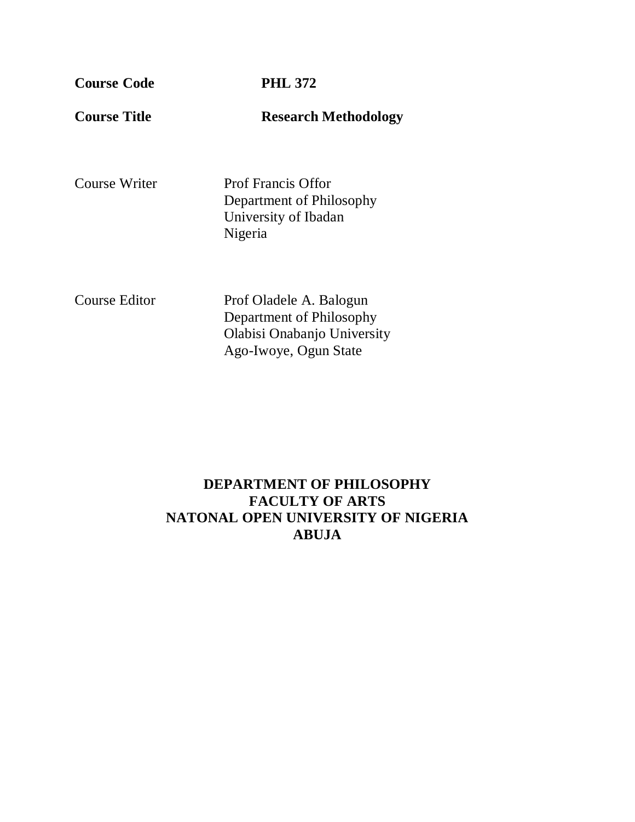**Course Code PHL 372**

**Course Title Research Methodology** 

Course Writer Prof Francis Offor Department of Philosophy University of Ibadan Nigeria

Course Editor Prof Oladele A. Balogun Department of Philosophy Olabisi Onabanjo University Ago-Iwoye, Ogun State

## **DEPARTMENT OF PHILOSOPHY FACULTY OF ARTS NATONAL OPEN UNIVERSITY OF NIGERIA ABUJA**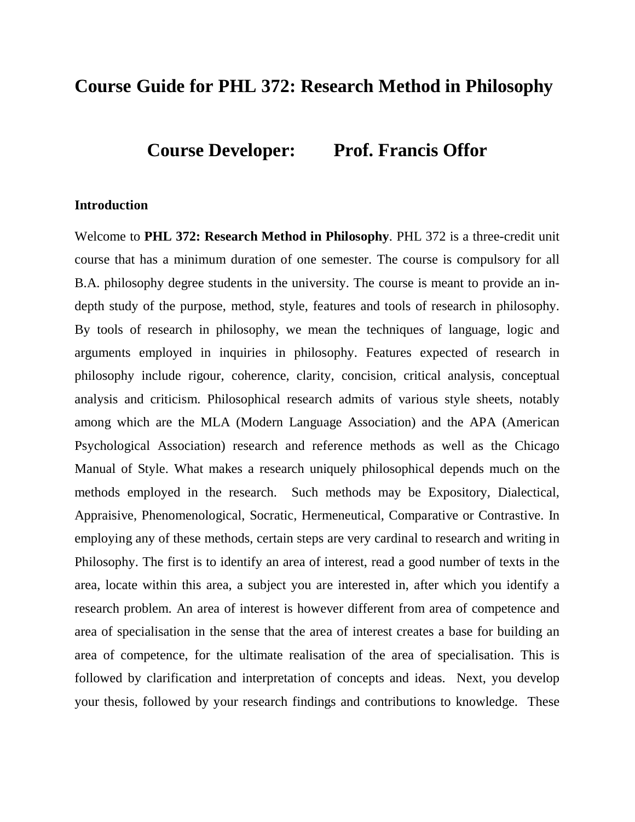## **Course Guide for PHL 372: Research Method in Philosophy**

**Course Developer: Prof. Francis Offor** 

#### **Introduction**

Welcome to **PHL 372: Research Method in Philosophy**. PHL 372 is a three-credit unit course that has a minimum duration of one semester. The course is compulsory for all B.A. philosophy degree students in the university. The course is meant to provide an indepth study of the purpose, method, style, features and tools of research in philosophy. By tools of research in philosophy, we mean the techniques of language, logic and arguments employed in inquiries in philosophy. Features expected of research in philosophy include rigour, coherence, clarity, concision, critical analysis, conceptual analysis and criticism. Philosophical research admits of various style sheets, notably among which are the MLA (Modern Language Association) and the APA (American Psychological Association) research and reference methods as well as the Chicago Manual of Style. What makes a research uniquely philosophical depends much on the methods employed in the research. Such methods may be Expository, Dialectical, Appraisive, Phenomenological, Socratic, Hermeneutical, Comparative or Contrastive. In employing any of these methods, certain steps are very cardinal to research and writing in Philosophy. The first is to identify an area of interest, read a good number of texts in the area, locate within this area, a subject you are interested in, after which you identify a research problem. An area of interest is however different from area of competence and area of specialisation in the sense that the area of interest creates a base for building an area of competence, for the ultimate realisation of the area of specialisation. This is followed by clarification and interpretation of concepts and ideas. Next, you develop your thesis, followed by your research findings and contributions to knowledge. These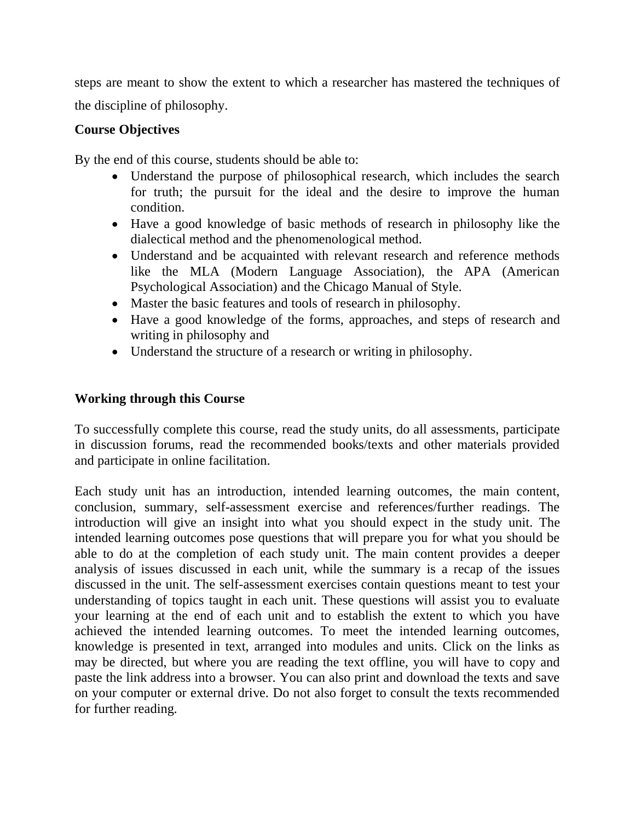steps are meant to show the extent to which a researcher has mastered the techniques of the discipline of philosophy.

## **Course Objectives**

By the end of this course, students should be able to:

- Understand the purpose of philosophical research, which includes the search for truth; the pursuit for the ideal and the desire to improve the human condition.
- Have a good knowledge of basic methods of research in philosophy like the dialectical method and the phenomenological method.
- Understand and be acquainted with relevant research and reference methods like the MLA (Modern Language Association), the APA (American Psychological Association) and the Chicago Manual of Style.
- Master the basic features and tools of research in philosophy.
- Have a good knowledge of the forms, approaches, and steps of research and writing in philosophy and
- Understand the structure of a research or writing in philosophy.

## **Working through this Course**

To successfully complete this course, read the study units, do all assessments, participate in discussion forums, read the recommended books/texts and other materials provided and participate in online facilitation.

Each study unit has an introduction, intended learning outcomes, the main content, conclusion, summary, self-assessment exercise and references/further readings. The introduction will give an insight into what you should expect in the study unit. The intended learning outcomes pose questions that will prepare you for what you should be able to do at the completion of each study unit. The main content provides a deeper analysis of issues discussed in each unit, while the summary is a recap of the issues discussed in the unit. The self-assessment exercises contain questions meant to test your understanding of topics taught in each unit. These questions will assist you to evaluate your learning at the end of each unit and to establish the extent to which you have achieved the intended learning outcomes. To meet the intended learning outcomes, knowledge is presented in text, arranged into modules and units. Click on the links as may be directed, but where you are reading the text offline, you will have to copy and paste the link address into a browser. You can also print and download the texts and save on your computer or external drive. Do not also forget to consult the texts recommended for further reading.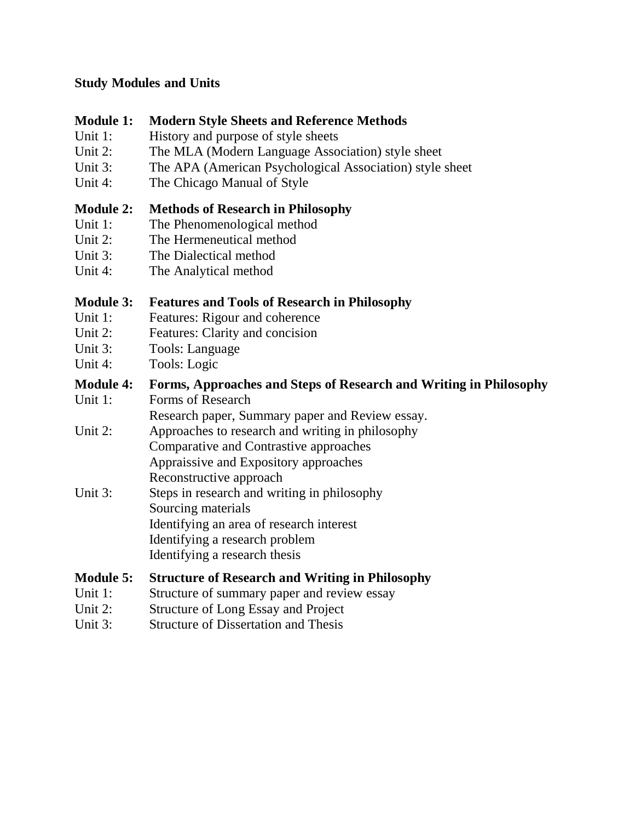## **Study Modules and Units**

## **Module 1: Modern Style Sheets and Reference Methods**

- Unit 1: History and purpose of style sheets
- Unit 2: The MLA (Modern Language Association) style sheet
- Unit 3: The APA (American Psychological Association) style sheet
- Unit 4: The Chicago Manual of Style

## **Module 2: Methods of Research in Philosophy**

- Unit 1: The Phenomenological method
- Unit 2: The Hermeneutical method
- Unit 3: The Dialectical method
- Unit 4: The Analytical method

## **Module 3: Features and Tools of Research in Philosophy**

- Unit 1: Features: Rigour and coherence
- Unit 2: Features: Clarity and concision
- Unit 3: Tools: Language
- Unit 4: Tools: Logic

## **Module 4: Forms, Approaches and Steps of Research and Writing in Philosophy**

Unit 1: Forms of Research

Research paper, Summary paper and Review essay.

- Unit 2: Approaches to research and writing in philosophy Comparative and Contrastive approaches Appraissive and Expository approaches Reconstructive approach
- Unit 3: Steps in research and writing in philosophy Sourcing materials Identifying an area of research interest Identifying a research problem Identifying a research thesis

## **Module 5: Structure of Research and Writing in Philosophy**

- Unit 1: Structure of summary paper and review essay
- Unit 2: Structure of Long Essay and Project
- Unit 3: Structure of Dissertation and Thesis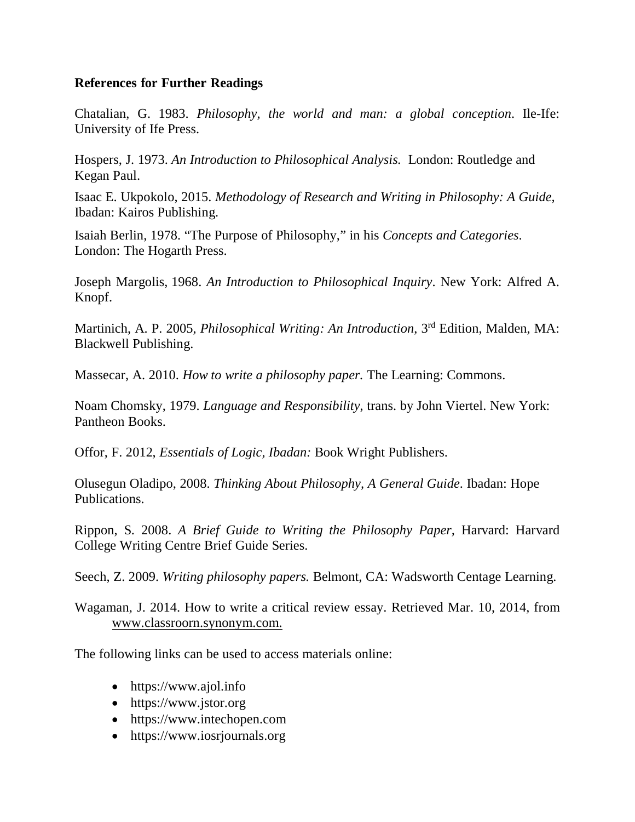## **References for Further Readings**

Chatalian, G. 1983. *Philosophy, the world and man: a global conception*. Ile-Ife: University of Ife Press.

Hospers, J. 1973. *An Introduction to Philosophical Analysis.* London: Routledge and Kegan Paul.

Isaac E. Ukpokolo, 2015. *Methodology of Research and Writing in Philosophy: A Guide,* Ibadan: Kairos Publishing.

Isaiah Berlin, 1978. "The Purpose of Philosophy," in his *Concepts and Categories*. London: The Hogarth Press.

Joseph Margolis, 1968. *An Introduction to Philosophical Inquiry*. New York: Alfred A. Knopf.

Martinich, A. P. 2005, *Philosophical Writing: An Introduction*, 3rd Edition, Malden, MA: Blackwell Publishing.

Massecar, A. 2010. *How to write a philosophy paper.* The Learning: Commons.

Noam Chomsky, 1979. *Language and Responsibility*, trans. by John Viertel. New York: Pantheon Books.

Offor, F. 2012, *Essentials of Logic, Ibadan:* Book Wright Publishers.

Olusegun Oladipo, 2008. *Thinking About Philosophy, A General Guide*. Ibadan: Hope Publications.

Rippon, S. 2008. *A Brief Guide to Writing the Philosophy Paper,* Harvard: Harvard College Writing Centre Brief Guide Series.

Seech, Z. 2009. *Writing philosophy papers.* Belmont, CA: Wadsworth Centage Learning.

Wagaman, J. 2014. How to write a critical review essay. Retrieved Mar. 10, 2014, from www.classroorn.synonym.com.

The following links can be used to access materials online:

- https://www.ajol.info
- https://www.jstor.org
- https://www.intechopen.com
- https://www.iosrjournals.org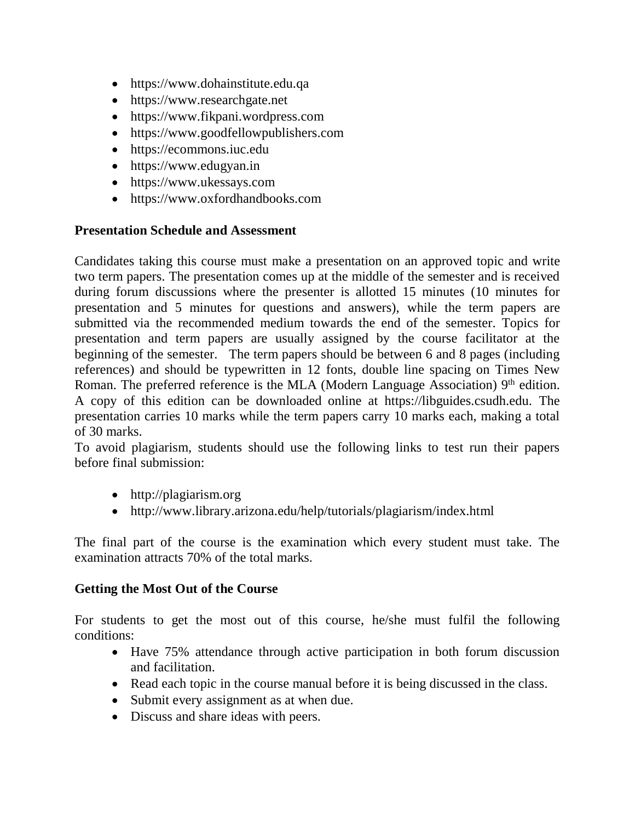- https://www.dohainstitute.edu.qa
- https://www.researchgate.net
- https://www.fikpani.wordpress.com
- https://www.goodfellowpublishers.com
- https://ecommons.iuc.edu
- https://www.edugyan.in
- https://www.ukessays.com
- https://www.oxfordhandbooks.com

## **Presentation Schedule and Assessment**

Candidates taking this course must make a presentation on an approved topic and write two term papers. The presentation comes up at the middle of the semester and is received during forum discussions where the presenter is allotted 15 minutes (10 minutes for presentation and 5 minutes for questions and answers), while the term papers are submitted via the recommended medium towards the end of the semester. Topics for presentation and term papers are usually assigned by the course facilitator at the beginning of the semester. The term papers should be between 6 and 8 pages (including references) and should be typewritten in 12 fonts, double line spacing on Times New Roman. The preferred reference is the MLA (Modern Language Association) 9<sup>th</sup> edition. A copy of this edition can be downloaded online at https://libguides.csudh.edu. The presentation carries 10 marks while the term papers carry 10 marks each, making a total of 30 marks.

To avoid plagiarism, students should use the following links to test run their papers before final submission:

- http://plagiarism.org
- http://www.library.arizona.edu/help/tutorials/plagiarism/index.html

The final part of the course is the examination which every student must take. The examination attracts 70% of the total marks.

## **Getting the Most Out of the Course**

For students to get the most out of this course, he/she must fulfil the following conditions:

- Have 75% attendance through active participation in both forum discussion and facilitation.
- Read each topic in the course manual before it is being discussed in the class.
- Submit every assignment as at when due.
- Discuss and share ideas with peers.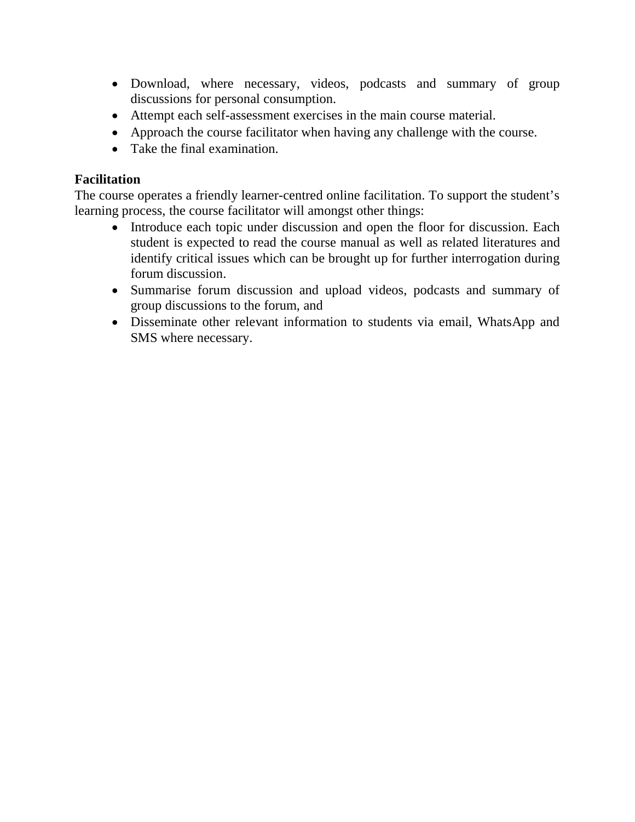- Download, where necessary, videos, podcasts and summary of group discussions for personal consumption.
- Attempt each self-assessment exercises in the main course material.
- Approach the course facilitator when having any challenge with the course.
- Take the final examination.

## **Facilitation**

The course operates a friendly learner-centred online facilitation. To support the student's learning process, the course facilitator will amongst other things:

- Introduce each topic under discussion and open the floor for discussion. Each student is expected to read the course manual as well as related literatures and identify critical issues which can be brought up for further interrogation during forum discussion.
- Summarise forum discussion and upload videos, podcasts and summary of group discussions to the forum, and
- Disseminate other relevant information to students via email, WhatsApp and SMS where necessary.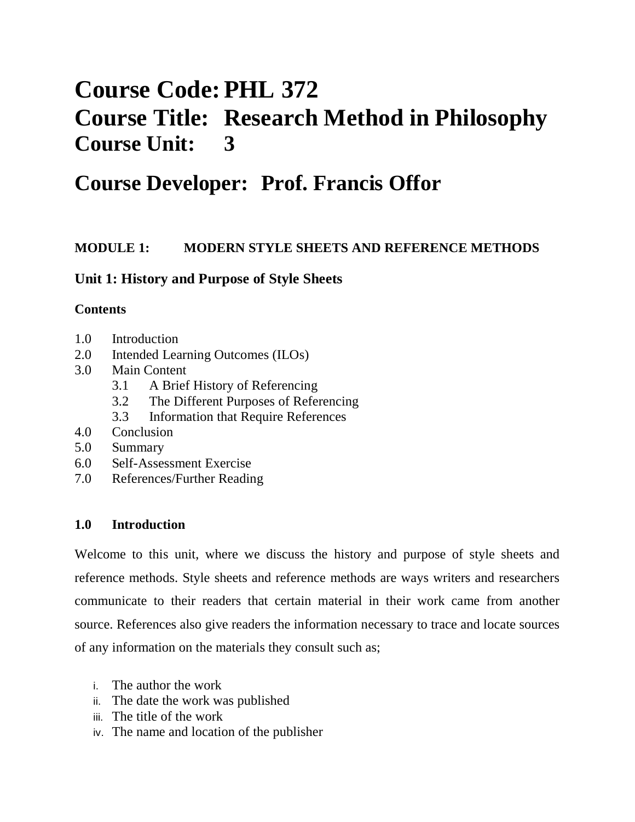# **Course Code: PHL 372 Course Title: Research Method in Philosophy Course Unit: 3**

# **Course Developer: Prof. Francis Offor**

## **MODULE 1: MODERN STYLE SHEETS AND REFERENCE METHODS**

## **Unit 1: History and Purpose of Style Sheets**

## **Contents**

- 1.0 Introduction
- 2.0 Intended Learning Outcomes (ILOs)
- 3.0 Main Content
	- 3.1 A Brief History of Referencing
	- 3.2 The Different Purposes of Referencing
	- 3.3 Information that Require References
- 4.0 Conclusion
- 5.0 Summary
- 6.0 Self-Assessment Exercise
- 7.0 References/Further Reading

## **1.0 Introduction**

Welcome to this unit, where we discuss the history and purpose of style sheets and reference methods. Style sheets and reference methods are ways writers and researchers communicate to their readers that certain material in their work came from another source. References also give readers the information necessary to trace and locate sources of any information on the materials they consult such as;

- i. The author the work
- ii. The date the work was published
- iii. The title of the work
- iv. The name and location of the publisher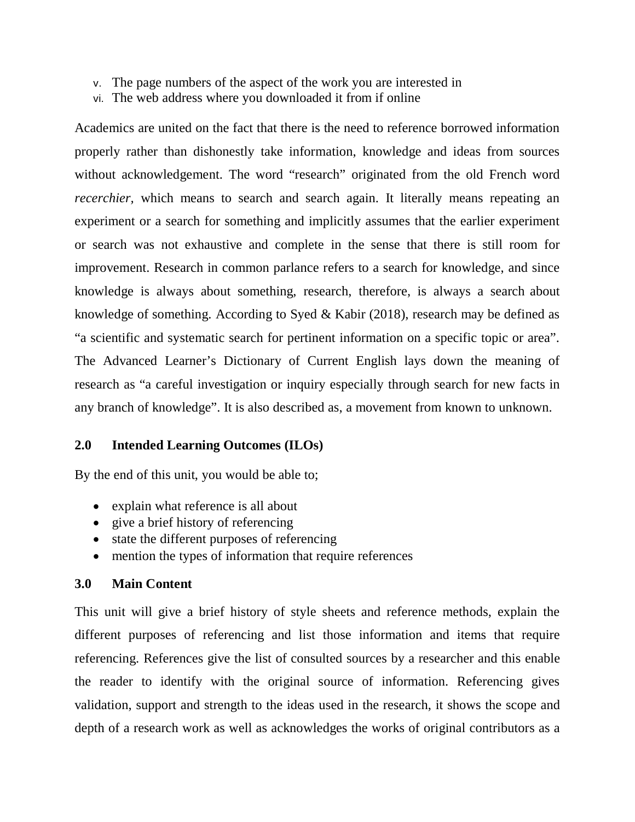- v. The page numbers of the aspect of the work you are interested in
- vi. The web address where you downloaded it from if online

Academics are united on the fact that there is the need to reference borrowed information properly rather than dishonestly take information, knowledge and ideas from sources without acknowledgement. The word "research" originated from the old French word *recerchier*, which means to search and search again. It literally means repeating an experiment or a search for something and implicitly assumes that the earlier experiment or search was not exhaustive and complete in the sense that there is still room for improvement. Research in common parlance refers to a search for knowledge, and since knowledge is always about something, research, therefore, is always a search about knowledge of something. According to Syed & Kabir (2018), research may be defined as "a scientific and systematic search for pertinent information on a specific topic or area". The Advanced Learner's Dictionary of Current English lays down the meaning of research as "a careful investigation or inquiry especially through search for new facts in any branch of knowledge". It is also described as, a movement from known to unknown.

#### **2.0 Intended Learning Outcomes (ILOs)**

By the end of this unit, you would be able to;

- explain what reference is all about
- give a brief history of referencing
- state the different purposes of referencing
- mention the types of information that require references

#### **3.0 Main Content**

This unit will give a brief history of style sheets and reference methods, explain the different purposes of referencing and list those information and items that require referencing. References give the list of consulted sources by a researcher and this enable the reader to identify with the original source of information. Referencing gives validation, support and strength to the ideas used in the research, it shows the scope and depth of a research work as well as acknowledges the works of original contributors as a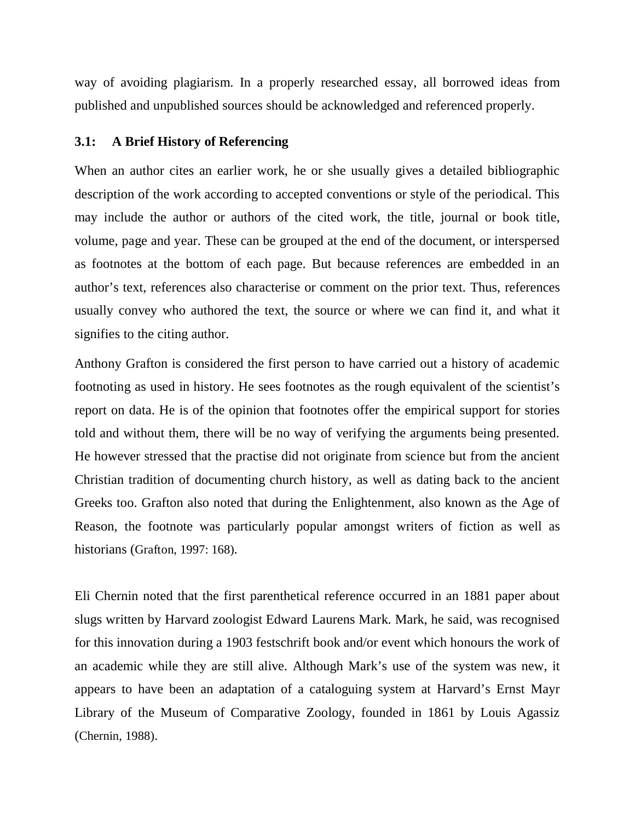way of avoiding plagiarism. In a properly researched essay, all borrowed ideas from published and unpublished sources should be acknowledged and referenced properly.

#### **3.1: A Brief History of Referencing**

When an author cites an earlier work, he or she usually gives a detailed bibliographic description of the work according to accepted conventions or style of the periodical. This may include the author or authors of the cited work, the title, journal or book title, volume, page and year. These can be grouped at the end of the document, or interspersed as footnotes at the bottom of each page. But because references are embedded in an author's text, references also characterise or comment on the prior text. Thus, references usually convey who authored the text, the source or where we can find it, and what it signifies to the citing author.

Anthony Grafton is considered the first person to have carried out a history of academic footnoting as used in history. He sees footnotes as the rough equivalent of the scientist's report on data. He is of the opinion that footnotes offer the empirical support for stories told and without them, there will be no way of verifying the arguments being presented. He however stressed that the practise did not originate from science but from the ancient Christian tradition of documenting church history, as well as dating back to the ancient Greeks too. Grafton also noted that during the Enlightenment, also known as the Age of Reason, the footnote was particularly popular amongst writers of fiction as well as historians (Grafton, 1997: 168).

Eli Chernin noted that the first parenthetical reference occurred in an 1881 paper about slugs written by Harvard zoologist Edward Laurens Mark. Mark, he said, was recognised for this innovation during a 1903 festschrift book and/or event which honours the work of an academic while they are still alive. Although Mark's use of the system was new, it appears to have been an adaptation of a cataloguing system at Harvard's Ernst Mayr Library of the Museum of Comparative Zoology, founded in 1861 by Louis Agassiz (Chernin, 1988).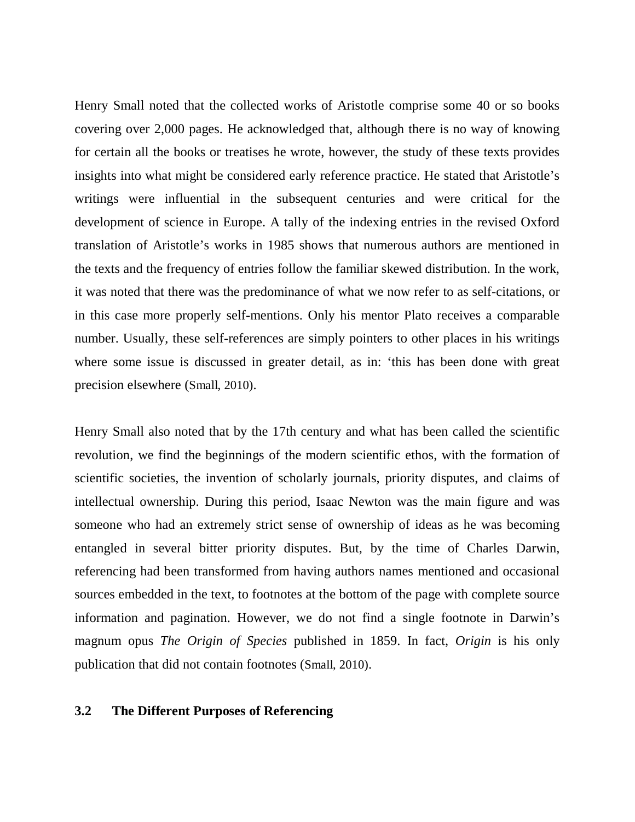Henry Small noted that the collected works of Aristotle comprise some 40 or so books covering over 2,000 pages. He acknowledged that, although there is no way of knowing for certain all the books or treatises he wrote, however, the study of these texts provides insights into what might be considered early reference practice. He stated that Aristotle's writings were influential in the subsequent centuries and were critical for the development of science in Europe. A tally of the indexing entries in the revised Oxford translation of Aristotle's works in 1985 shows that numerous authors are mentioned in the texts and the frequency of entries follow the familiar skewed distribution. In the work, it was noted that there was the predominance of what we now refer to as self-citations, or in this case more properly self-mentions. Only his mentor Plato receives a comparable number. Usually, these self-references are simply pointers to other places in his writings where some issue is discussed in greater detail, as in: 'this has been done with great precision elsewhere (Small, 2010).

Henry Small also noted that by the 17th century and what has been called the scientific revolution, we find the beginnings of the modern scientific ethos, with the formation of scientific societies, the invention of scholarly journals, priority disputes, and claims of intellectual ownership. During this period, Isaac Newton was the main figure and was someone who had an extremely strict sense of ownership of ideas as he was becoming entangled in several bitter priority disputes. But, by the time of Charles Darwin, referencing had been transformed from having authors names mentioned and occasional sources embedded in the text, to footnotes at the bottom of the page with complete source information and pagination. However, we do not find a single footnote in Darwin's magnum opus *The Origin of Species* published in 1859. In fact, *Origin* is his only publication that did not contain footnotes (Small, 2010).

#### **3.2 The Different Purposes of Referencing**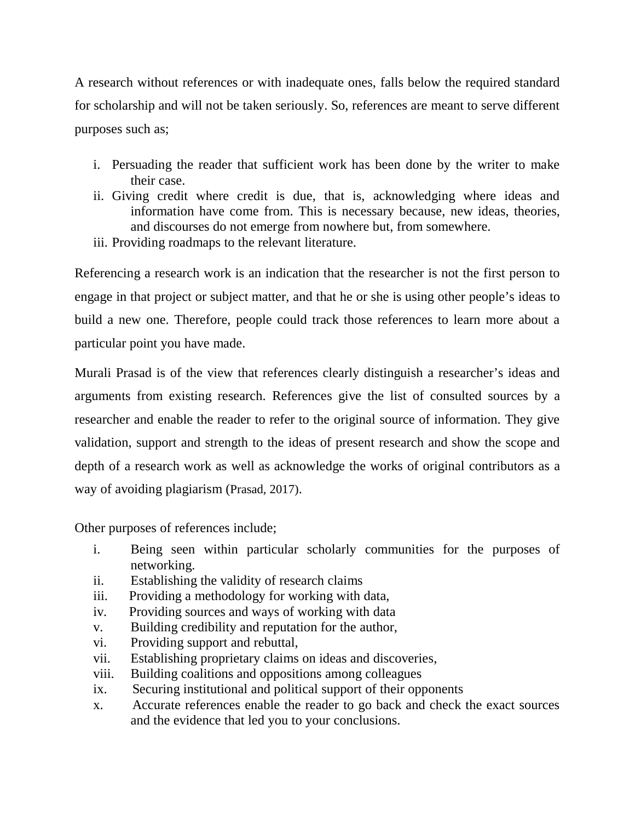A research without references or with inadequate ones, falls below the required standard for scholarship and will not be taken seriously. So, references are meant to serve different purposes such as;

- i. Persuading the reader that sufficient work has been done by the writer to make their case.
- ii. Giving credit where credit is due, that is, acknowledging where ideas and information have come from. This is necessary because, new ideas, theories, and discourses do not emerge from nowhere but, from somewhere.
- iii. Providing roadmaps to the relevant literature.

Referencing a research work is an indication that the researcher is not the first person to engage in that project or subject matter, and that he or she is using other people's ideas to build a new one. Therefore, people could track those references to learn more about a particular point you have made.

Murali Prasad is of the view that references clearly distinguish a researcher's ideas and arguments from existing research. References give the list of consulted sources by a researcher and enable the reader to refer to the original source of information. They give validation, support and strength to the ideas of present research and show the scope and depth of a research work as well as acknowledge the works of original contributors as a way of avoiding plagiarism (Prasad, 2017).

Other purposes of references include;

- i. Being seen within particular scholarly communities for the purposes of networking.
- ii. Establishing the validity of research claims
- iii. Providing a methodology for working with data,
- iv. Providing sources and ways of working with data
- v. Building credibility and reputation for the author,
- vi. Providing support and rebuttal,
- vii. Establishing proprietary claims on ideas and discoveries,
- viii. Building coalitions and oppositions among colleagues
- ix. Securing institutional and political support of their opponents
- x. Accurate references enable the reader to go back and check the exact sources and the evidence that led you to your conclusions.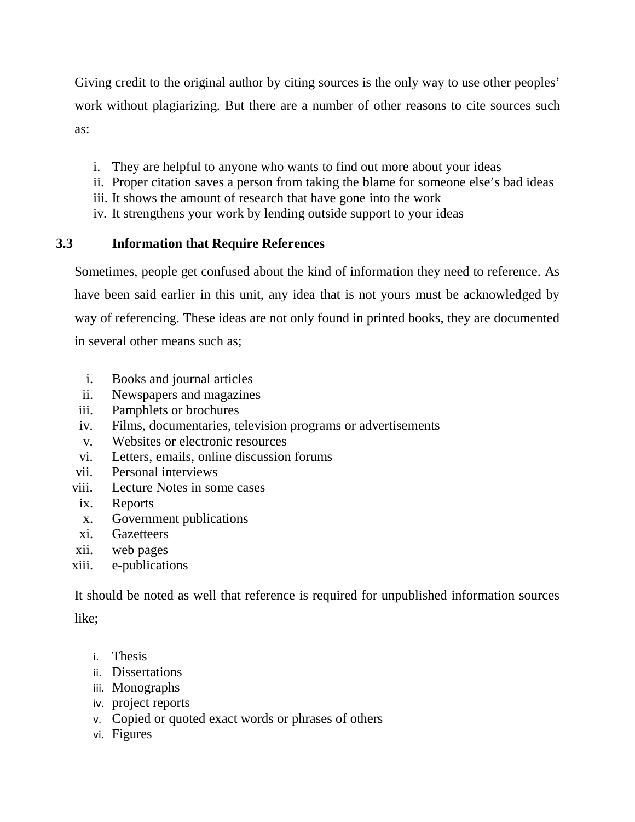Giving credit to the original author by citing sources is the only way to use other peoples' work without plagiarizing. But there are a number of other reasons to cite sources such as:

- i. They are helpful to anyone who wants to find out more about your ideas
- ii. Proper citation saves a person from taking the blame for someone else's bad ideas
- iii. It shows the amount of research that have gone into the work
- iv. It strengthens your work by lending outside support to your ideas

## **3.3 Information that Require References**

Sometimes, people get confused about the kind of information they need to reference. As have been said earlier in this unit, any idea that is not yours must be acknowledged by way of referencing. These ideas are not only found in printed books, they are documented in several other means such as;

- i. Books and journal articles
- ii. Newspapers and magazines
- iii. Pamphlets or brochures
- iv. Films, documentaries, television programs or advertisements
- v. Websites or electronic resources
- vi. Letters, emails, online discussion forums
- vii. Personal interviews
- viii. Lecture Notes in some cases
- ix. Reports
- x. Government publications
- xi. Gazetteers
- xii. web pages
- xiii. e-publications

It should be noted as well that reference is required for unpublished information sources

like;

- i. Thesis
- ii. Dissertations
- iii. Monographs
- iv. project reports
- v. Copied or quoted exact words or phrases of others
- vi. Figures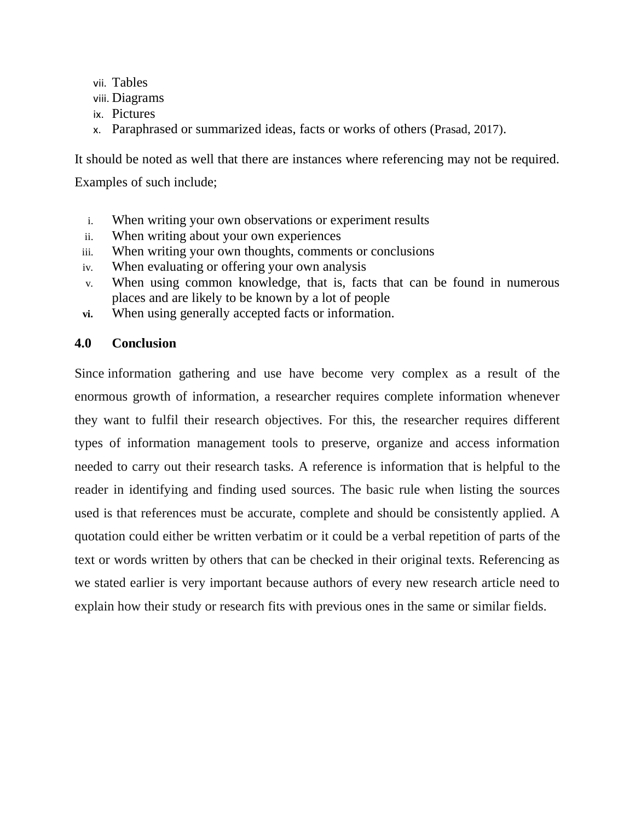- vii. Tables
- viii. Diagrams
- ix. Pictures
- x. Paraphrased or summarized ideas, facts or works of others (Prasad, 2017).

It should be noted as well that there are instances where referencing may not be required.

Examples of such include;

- i. When writing your own observations or experiment results
- ii. When writing about your own experiences
- iii. When writing your own thoughts, comments or conclusions
- iv. When evaluating or offering your own analysis
- v. When using common knowledge, that is, facts that can be found in numerous places and are likely to be known by a lot of people
- **vi.** When using generally accepted facts or information.

## **4.0 Conclusion**

Since information gathering and use have become very complex as a result of the enormous growth of information, a researcher requires complete information whenever they want to fulfil their research objectives. For this, the researcher requires different types of information management tools to preserve, organize and access information needed to carry out their research tasks. A reference is information that is helpful to the reader in identifying and finding used sources. The basic rule when listing the sources used is that references must be accurate, complete and should be consistently applied. A quotation could either be written verbatim or it could be a verbal repetition of parts of the text or words written by others that can be checked in their original texts. Referencing as we stated earlier is very important because authors of every new research article need to explain how their study or research fits with previous ones in the same or similar fields.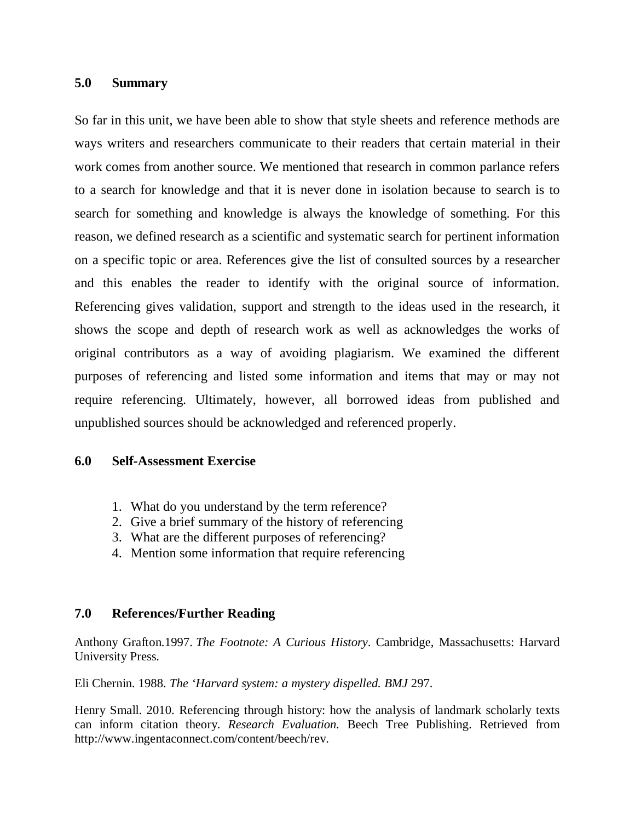#### **5.0 Summary**

So far in this unit, we have been able to show that style sheets and reference methods are ways writers and researchers communicate to their readers that certain material in their work comes from another source. We mentioned that research in common parlance refers to a search for knowledge and that it is never done in isolation because to search is to search for something and knowledge is always the knowledge of something. For this reason, we defined research as a scientific and systematic search for pertinent information on a specific topic or area. References give the list of consulted sources by a researcher and this enables the reader to identify with the original source of information. Referencing gives validation, support and strength to the ideas used in the research, it shows the scope and depth of research work as well as acknowledges the works of original contributors as a way of avoiding plagiarism. We examined the different purposes of referencing and listed some information and items that may or may not require referencing. Ultimately, however, all borrowed ideas from published and unpublished sources should be acknowledged and referenced properly.

## **6.0 Self-Assessment Exercise**

- 1. What do you understand by the term reference?
- 2. Give a brief summary of the history of referencing
- 3. What are the different purposes of referencing?
- 4. Mention some information that require referencing

## **7.0 References/Further Reading**

Anthony Grafton.1997. *The Footnote: A Curious History*. Cambridge, Massachusetts: Harvard University Press.

Eli Chernin. 1988. *The 'Harvard system: a mystery dispelled. BMJ* 297.

Henry Small. 2010. Referencing through history: how the analysis of landmark scholarly texts can inform citation theory. *Research Evaluation.* Beech Tree Publishing. Retrieved from http://www.ingentaconnect.com/content/beech/rev.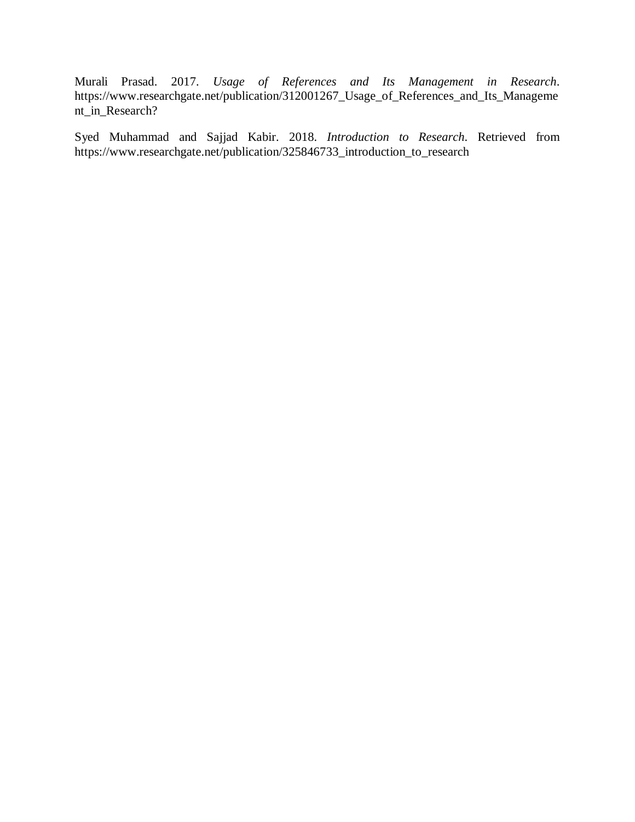Murali Prasad. 2017. *Usage of References and Its Management in Research*. https://www.researchgate.net/publication/312001267\_Usage\_of\_References\_and\_Its\_Manageme nt\_in\_Research?

Syed Muhammad and Sajjad Kabir. 2018. *Introduction to Research*. Retrieved from https://www.researchgate.net/publication/325846733\_introduction\_to\_research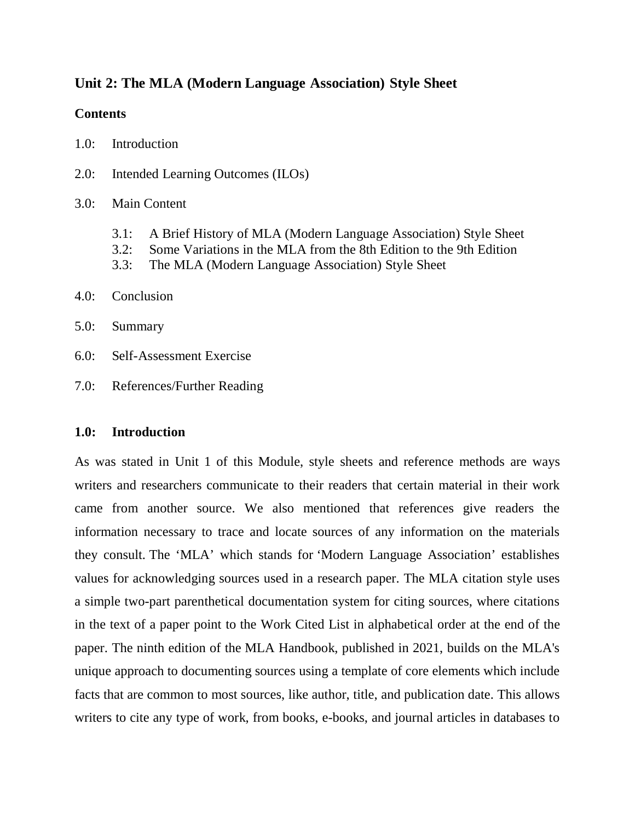## **Unit 2: The MLA (Modern Language Association) Style Sheet**

## **Contents**

- 1.0: Introduction
- 2.0: Intended Learning Outcomes (ILOs)

## 3.0: Main Content

- 3.1: A Brief History of MLA (Modern Language Association) Style Sheet
- 3.2: Some Variations in the MLA from the 8th Edition to the 9th Edition
- 3.3: The MLA (Modern Language Association) Style Sheet

## 4.0: Conclusion

- 5.0: Summary
- 6.0: Self-Assessment Exercise
- 7.0: References/Further Reading

## **1.0: Introduction**

As was stated in Unit 1 of this Module, style sheets and reference methods are ways writers and researchers communicate to their readers that certain material in their work came from another source. We also mentioned that references give readers the information necessary to trace and locate sources of any information on the materials they consult. The 'MLA' which stands for 'Modern Language Association' establishes values for acknowledging sources used in a research paper. The MLA citation style uses a simple two-part parenthetical documentation system for citing sources, where citations in the text of a paper point to the Work Cited List in alphabetical order at the end of the paper. The ninth edition of the MLA Handbook, published in 2021, builds on the MLA's unique approach to documenting sources using a template of core elements which include facts that are common to most sources, like author, title, and publication date. This allows writers to cite any type of work, from books, e-books, and journal articles in databases to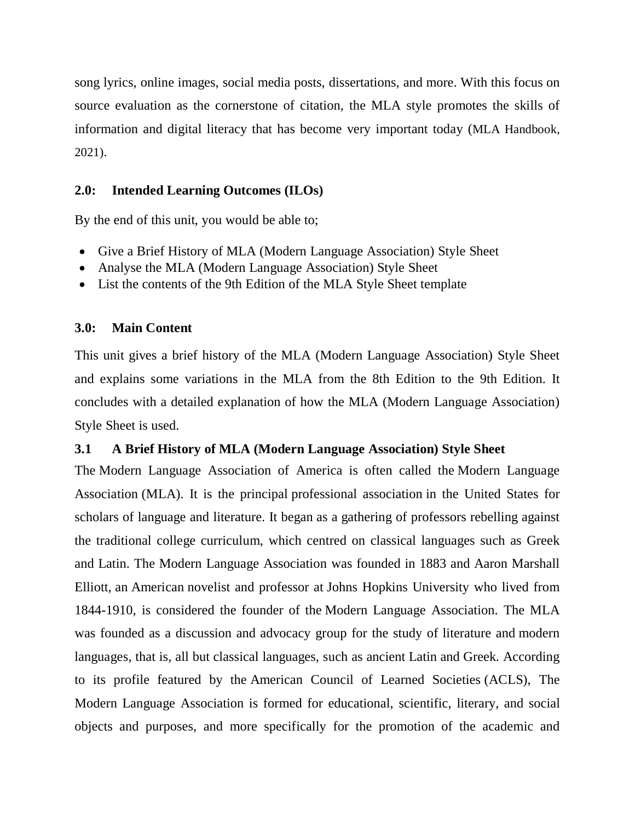song lyrics, online images, social media posts, dissertations, and more. With this focus on source evaluation as the cornerstone of citation, the MLA style promotes the skills of information and digital literacy that has become very important today (MLA Handbook, 2021).

## **2.0: Intended Learning Outcomes (ILOs)**

By the end of this unit, you would be able to;

- Give a Brief History of MLA (Modern Language Association) Style Sheet
- Analyse the MLA (Modern Language Association) Style Sheet
- List the contents of the 9th Edition of the MLA Style Sheet template

**3.0: Main Content** 

This unit gives a brief history of the MLA (Modern Language Association) Style Sheet and explains some variations in the MLA from the 8th Edition to the 9th Edition. It concludes with a detailed explanation of how the MLA (Modern Language Association) Style Sheet is used.

## **3.1 A Brief History of MLA (Modern Language Association) Style Sheet**

The Modern Language Association of America is often called the Modern Language Association (MLA). It is the principal professional association in the United States for scholars of language and literature. It began as a gathering of professors rebelling against the traditional college curriculum, which centred on classical languages such as Greek and Latin. The Modern Language Association was founded in 1883 and Aaron Marshall Elliott, an American novelist and professor at Johns Hopkins University who lived from 1844-1910, is considered the founder of the Modern Language Association. The MLA was founded as a discussion and advocacy group for the study of literature and modern languages, that is, all but classical languages, such as ancient Latin and Greek. According to its profile featured by the American Council of Learned Societies (ACLS), The Modern Language Association is formed for educational, scientific, literary, and social objects and purposes, and more specifically for the promotion of the academic and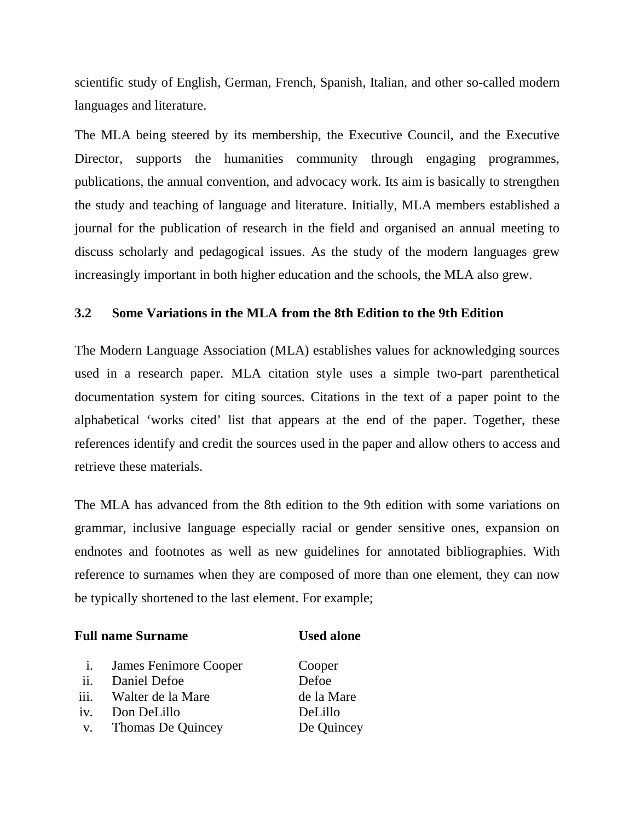scientific study of English, German, French, Spanish, Italian, and other so-called modern languages and literature.

The MLA being steered by its membership, the Executive Council, and the Executive Director, supports the humanities community through engaging programmes, publications, the annual convention, and advocacy work. Its aim is basically to strengthen the study and teaching of language and literature. Initially, MLA members established a journal for the publication of research in the field and organised an annual meeting to discuss scholarly and pedagogical issues. As the study of the modern languages grew increasingly important in both higher education and the schools, the MLA also grew.

## **3.2 Some Variations in the MLA from the 8th Edition to the 9th Edition**

The Modern Language Association (MLA) establishes values for acknowledging sources used in a research paper. MLA citation style uses a simple two-part parenthetical documentation system for citing sources. Citations in the text of a paper point to the alphabetical 'works cited' list that appears at the end of the paper. Together, these references identify and credit the sources used in the paper and allow others to access and retrieve these materials.

The MLA has advanced from the 8th edition to the 9th edition with some variations on grammar, inclusive language especially racial or gender sensitive ones, expansion on endnotes and footnotes as well as new guidelines for annotated bibliographies. With reference to surnames when they are composed of more than one element, they can now be typically shortened to the last element. For example;

#### **Full name Surname Community Community Community Community Community Community Community Community Community Community Community Community Community Community Community Community Community Community Community Community Com**

i. James Fenimore Cooper Cooper ii. Daniel Defoe Defoe iii. Walter de la Mare de la Mare iv. Don DeLillo DeLillo v. Thomas De Quincey De Quincey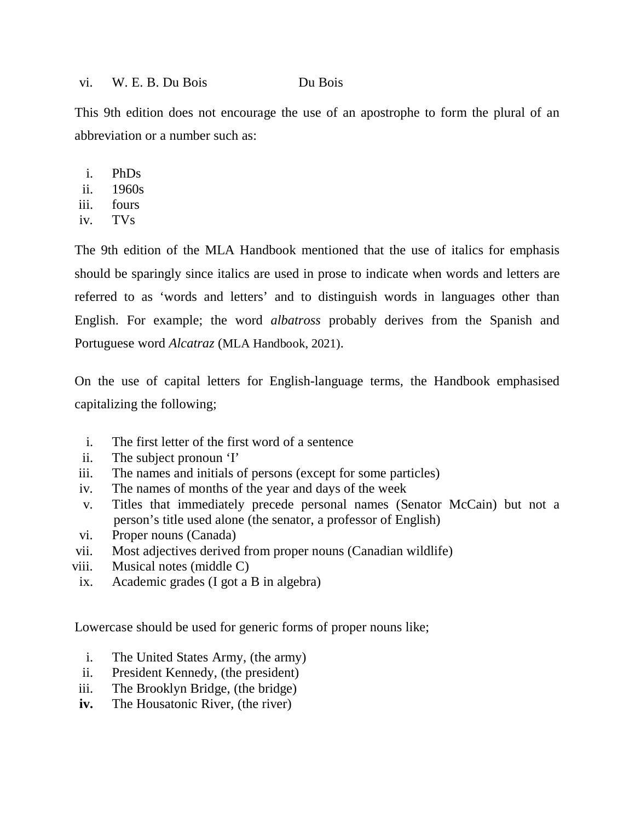#### vi. W. E. B. Du Bois Du Bois

This 9th edition does not encourage the use of an apostrophe to form the plural of an abbreviation or a number such as:

- i. PhDs
- ii. 1960s
- iii. fours
- iv. TVs

The 9th edition of the MLA Handbook mentioned that the use of italics for emphasis should be sparingly since italics are used in prose to indicate when words and letters are referred to as 'words and letters' and to distinguish words in languages other than English. For example; the word *albatross* probably derives from the Spanish and Portuguese word *Alcatraz* (MLA Handbook, 2021).

On the use of capital letters for English-language terms, the Handbook emphasised capitalizing the following;

- i. The first letter of the first word of a sentence
- ii. The subject pronoun 'I'
- iii. The names and initials of persons (except for some particles)
- iv. The names of months of the year and days of the week
- v. Titles that immediately precede personal names (Senator McCain) but not a person's title used alone (the senator, a professor of English)
- vi. Proper nouns (Canada)
- vii. Most adjectives derived from proper nouns (Canadian wildlife)
- viii. Musical notes (middle C)
- ix. Academic grades (I got a B in algebra)

Lowercase should be used for generic forms of proper nouns like;

- i. The United States Army, (the army)
- ii. President Kennedy, (the president)
- iii. The Brooklyn Bridge, (the bridge)
- **iv.** The Housatonic River, (the river)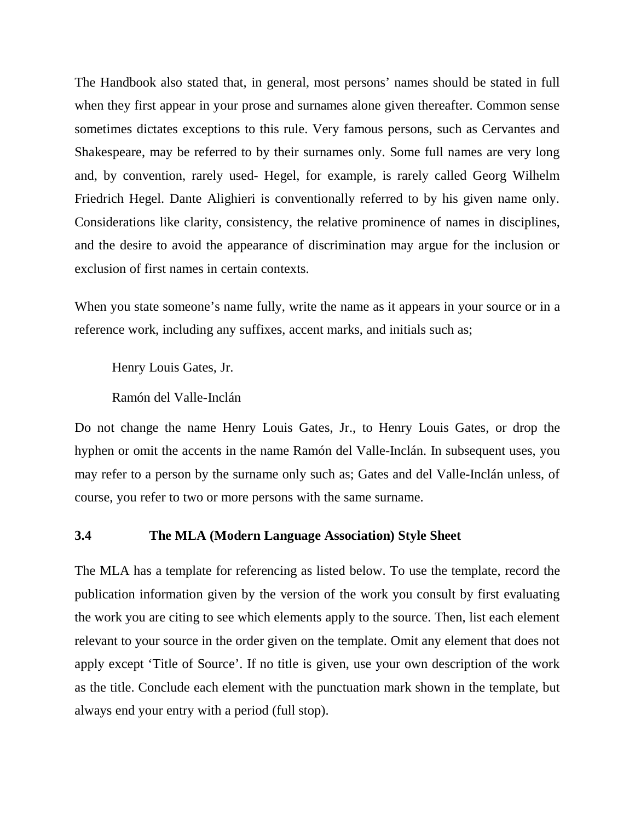The Handbook also stated that, in general, most persons' names should be stated in full when they first appear in your prose and surnames alone given thereafter. Common sense sometimes dictates exceptions to this rule. Very famous persons, such as Cervantes and Shakespeare, may be referred to by their surnames only. Some full names are very long and, by convention, rarely used- Hegel, for example, is rarely called Georg Wilhelm Friedrich Hegel. Dante Alighieri is conventionally referred to by his given name only. Considerations like clarity, consistency, the relative prominence of names in disciplines, and the desire to avoid the appearance of discrimination may argue for the inclusion or exclusion of first names in certain contexts.

When you state someone's name fully, write the name as it appears in your source or in a reference work, including any suffixes, accent marks, and initials such as;

Henry Louis Gates, Jr.

Ramón del Valle-Inclán

Do not change the name Henry Louis Gates, Jr., to Henry Louis Gates, or drop the hyphen or omit the accents in the name Ramón del Valle-Inclán. In subsequent uses, you may refer to a person by the surname only such as; Gates and del Valle-Inclán unless, of course, you refer to two or more persons with the same surname.

#### **3.4 The MLA (Modern Language Association) Style Sheet**

The MLA has a template for referencing as listed below. To use the template, record the publication information given by the version of the work you consult by first evaluating the work you are citing to see which elements apply to the source. Then, list each element relevant to your source in the order given on the template. Omit any element that does not apply except 'Title of Source'. If no title is given, use your own description of the work as the title. Conclude each element with the punctuation mark shown in the template, but always end your entry with a period (full stop).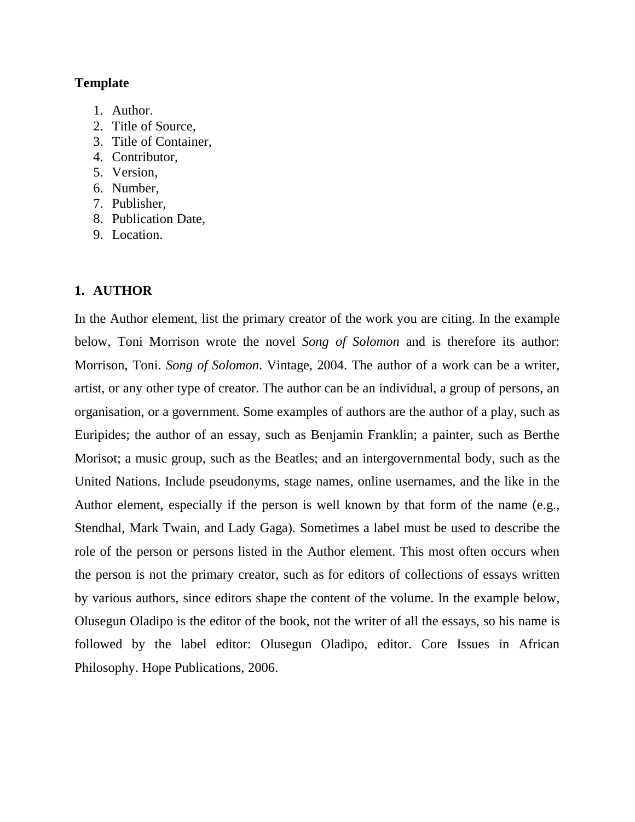## **Template**

- 1. Author.
- 2. Title of Source,
- 3. Title of Container,
- 4. Contributor,
- 5. Version,
- 6. Number,
- 7. Publisher,
- 8. Publication Date,
- 9. Location.

## **1. AUTHOR**

In the Author element, list the primary creator of the work you are citing. In the example below, Toni Morrison wrote the novel *Song of Solomon* and is therefore its author: Morrison, Toni. *Song of Solomon*. Vintage, 2004. The author of a work can be a writer, artist, or any other type of creator. The author can be an individual, a group of persons, an organisation, or a government. Some examples of authors are the author of a play, such as Euripides; the author of an essay, such as Benjamin Franklin; a painter, such as Berthe Morisot; a music group, such as the Beatles; and an intergovernmental body, such as the United Nations. Include pseudonyms, stage names, online usernames, and the like in the Author element, especially if the person is well known by that form of the name (e.g., Stendhal, Mark Twain, and Lady Gaga). Sometimes a label must be used to describe the role of the person or persons listed in the Author element. This most often occurs when the person is not the primary creator, such as for editors of collections of essays written by various authors, since editors shape the content of the volume. In the example below, Olusegun Oladipo is the editor of the book, not the writer of all the essays, so his name is followed by the label editor: Olusegun Oladipo, editor. Core Issues in African Philosophy. Hope Publications, 2006.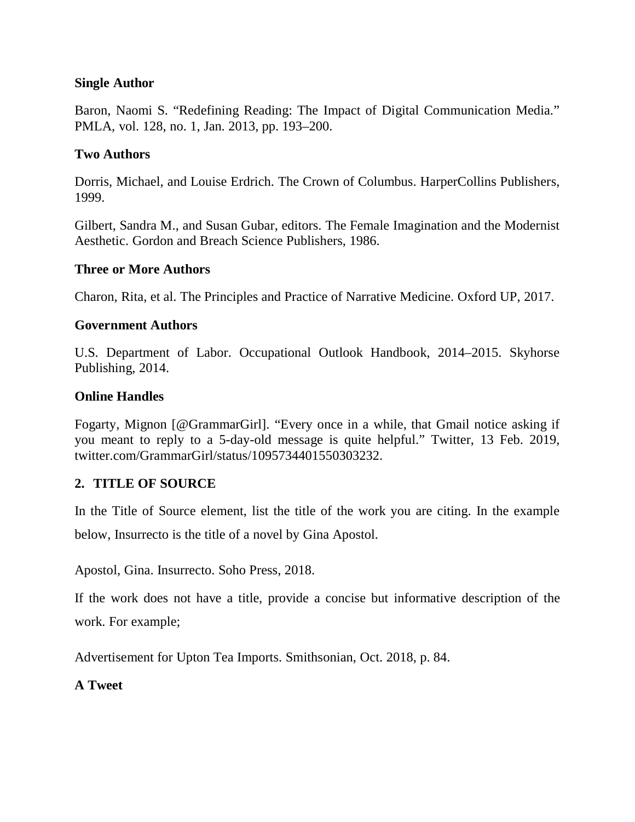## **Single Author**

Baron, Naomi S. "Redefining Reading: The Impact of Digital Communication Media." PMLA, vol. 128, no. 1, Jan. 2013, pp. 193–200.

## **Two Authors**

Dorris, Michael, and Louise Erdrich. The Crown of Columbus. HarperCollins Publishers, 1999.

Gilbert, Sandra M., and Susan Gubar, editors. The Female Imagination and the Modernist Aesthetic. Gordon and Breach Science Publishers, 1986.

## **Three or More Authors**

Charon, Rita, et al. The Principles and Practice of Narrative Medicine. Oxford UP, 2017.

## **Government Authors**

U.S. Department of Labor. Occupational Outlook Handbook, 2014–2015. Skyhorse Publishing, 2014.

## **Online Handles**

Fogarty, Mignon [@GrammarGirl]. "Every once in a while, that Gmail notice asking if you meant to reply to a 5-day-old message is quite helpful." Twitter, 13 Feb. 2019, twitter.com/GrammarGirl/status/1095734401550303232.

## **2. TITLE OF SOURCE**

In the Title of Source element, list the title of the work you are citing. In the example below, Insurrecto is the title of a novel by Gina Apostol.

Apostol, Gina. Insurrecto. Soho Press, 2018.

If the work does not have a title, provide a concise but informative description of the work. For example;

Advertisement for Upton Tea Imports. Smithsonian, Oct. 2018, p. 84.

## **A Tweet**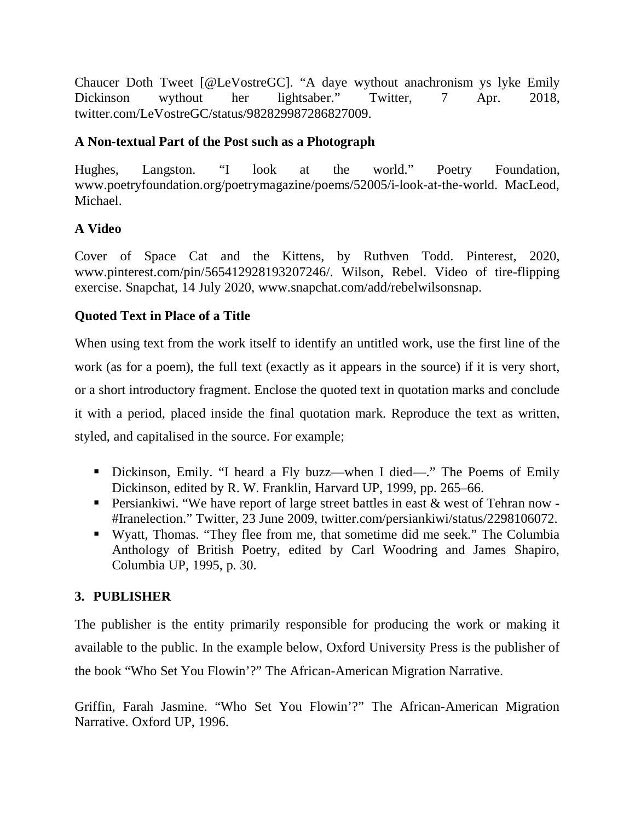Chaucer Doth Tweet [@LeVostreGC]. "A daye wythout anachronism ys lyke Emily Dickinson wythout her lightsaber." Twitter, 7 Apr. 2018, twitter.com/LeVostreGC/status/982829987286827009.

## **A Non-textual Part of the Post such as a Photograph**

Hughes, Langston. "I look at the world." Poetry Foundation, www.poetryfoundation.org/poetrymagazine/poems/52005/i-look-at-the-world. MacLeod, Michael.

## **A Video**

Cover of Space Cat and the Kittens, by Ruthven Todd. Pinterest, 2020, www.pinterest.com/pin/565412928193207246/. Wilson, Rebel. Video of tire-flipping exercise. Snapchat, 14 July 2020, www.snapchat.com/add/rebelwilsonsnap.

## **Quoted Text in Place of a Title**

When using text from the work itself to identify an untitled work, use the first line of the work (as for a poem), the full text (exactly as it appears in the source) if it is very short, or a short introductory fragment. Enclose the quoted text in quotation marks and conclude it with a period, placed inside the final quotation mark. Reproduce the text as written, styled, and capitalised in the source. For example;

- Dickinson, Emily. "I heard a Fly buzz—when I died—." The Poems of Emily Dickinson, edited by R. W. Franklin, Harvard UP, 1999, pp. 265–66.
- Persiankiwi. "We have report of large street battles in east  $\&$  west of Tehran now -#Iranelection." Twitter, 23 June 2009, twitter.com/persiankiwi/status/2298106072.
- Wyatt, Thomas. "They flee from me, that sometime did me seek." The Columbia Anthology of British Poetry, edited by Carl Woodring and James Shapiro, Columbia UP, 1995, p. 30.

## **3. PUBLISHER**

The publisher is the entity primarily responsible for producing the work or making it available to the public. In the example below, Oxford University Press is the publisher of the book "Who Set You Flowin'?" The African-American Migration Narrative.

Griffin, Farah Jasmine. "Who Set You Flowin'?" The African-American Migration Narrative. Oxford UP, 1996.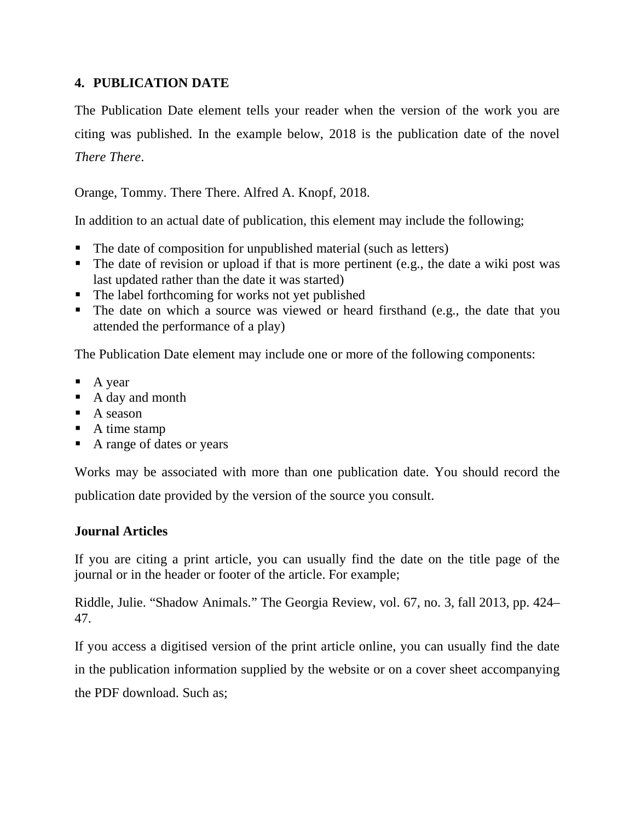## **4. PUBLICATION DATE**

The Publication Date element tells your reader when the version of the work you are citing was published. In the example below, 2018 is the publication date of the novel *There There*.

Orange, Tommy. There There. Alfred A. Knopf, 2018.

In addition to an actual date of publication, this element may include the following;

- The date of composition for unpublished material (such as letters)
- $\blacksquare$  The date of revision or upload if that is more pertinent (e.g., the date a wiki post was last updated rather than the date it was started)
- The label forthcoming for works not yet published
- The date on which a source was viewed or heard firsthand (e.g., the date that you attended the performance of a play)

The Publication Date element may include one or more of the following components:

- $\blacksquare$  A year
- A day and month
- $\blacksquare$  A season
- $\blacksquare$  A time stamp
- A range of dates or years

Works may be associated with more than one publication date. You should record the publication date provided by the version of the source you consult.

## **Journal Articles**

If you are citing a print article, you can usually find the date on the title page of the journal or in the header or footer of the article. For example;

Riddle, Julie. "Shadow Animals." The Georgia Review, vol. 67, no. 3, fall 2013, pp. 424– 47.

If you access a digitised version of the print article online, you can usually find the date in the publication information supplied by the website or on a cover sheet accompanying the PDF download. Such as;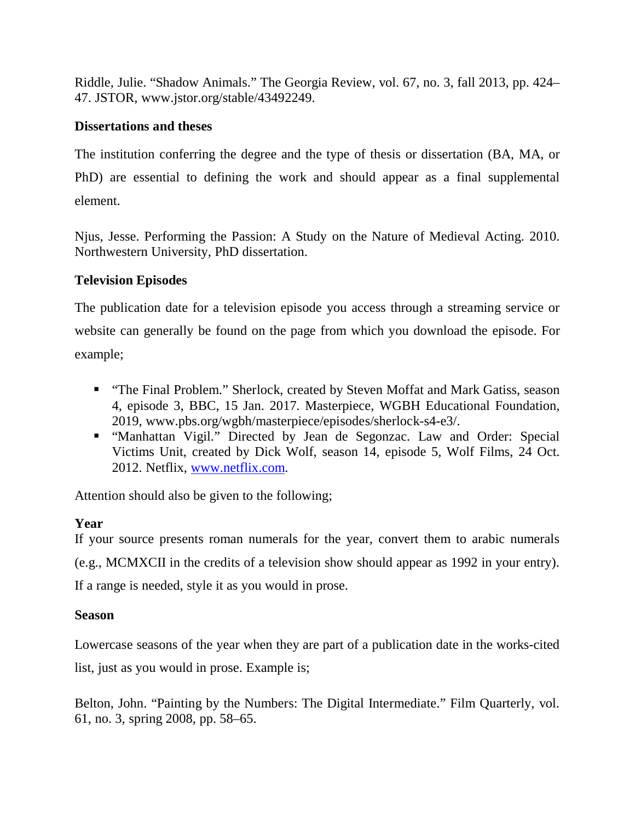Riddle, Julie. "Shadow Animals." The Georgia Review, vol. 67, no. 3, fall 2013, pp. 424– 47. JSTOR, www.jstor.org/stable/43492249.

## **Dissertations and theses**

The institution conferring the degree and the type of thesis or dissertation (BA, MA, or PhD) are essential to defining the work and should appear as a final supplemental element.

Njus, Jesse. Performing the Passion: A Study on the Nature of Medieval Acting. 2010. Northwestern University, PhD dissertation.

## **Television Episodes**

The publication date for a television episode you access through a streaming service or website can generally be found on the page from which you download the episode. For example;

- "The Final Problem." Sherlock, created by Steven Moffat and Mark Gatiss, season 4, episode 3, BBC, 15 Jan. 2017. Masterpiece, WGBH Educational Foundation, 2019, www.pbs.org/wgbh/masterpiece/episodes/sherlock-s4-e3/.
- "Manhattan Vigil." Directed by Jean de Segonzac. Law and Order: Special Victims Unit, created by Dick Wolf, season 14, episode 5, Wolf Films, 24 Oct. 2012. Netflix, www.netflix.com.

Attention should also be given to the following;

## **Year**

If your source presents roman numerals for the year, convert them to arabic numerals (e.g., MCMXCII in the credits of a television show should appear as 1992 in your entry). If a range is needed, style it as you would in prose.

## **Season**

Lowercase seasons of the year when they are part of a publication date in the works-cited list, just as you would in prose. Example is;

Belton, John. "Painting by the Numbers: The Digital Intermediate." Film Quarterly, vol. 61, no. 3, spring 2008, pp. 58–65.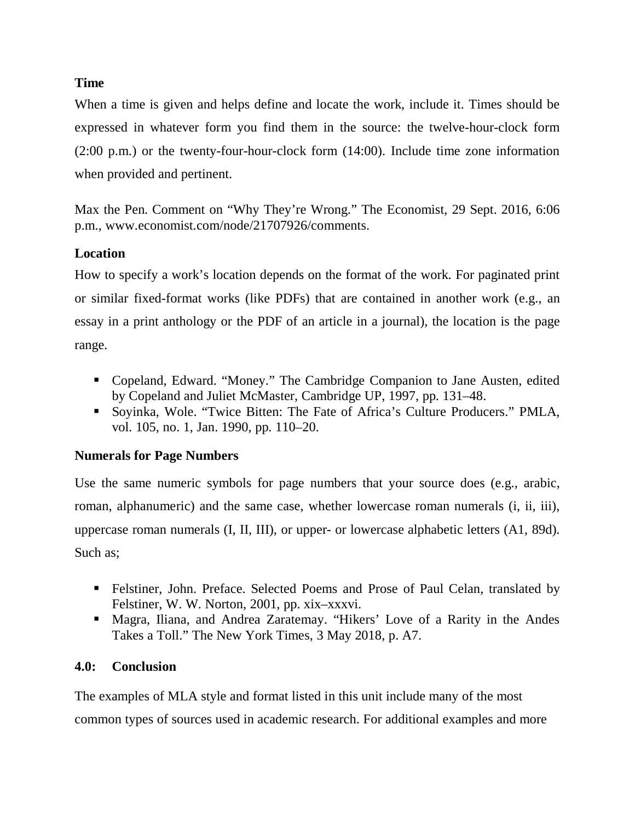## **Time**

When a time is given and helps define and locate the work, include it. Times should be expressed in whatever form you find them in the source: the twelve-hour-clock form (2:00 p.m.) or the twenty-four-hour-clock form (14:00). Include time zone information when provided and pertinent.

Max the Pen. Comment on "Why They're Wrong." The Economist, 29 Sept. 2016, 6:06 p.m., www.economist.com/node/21707926/comments.

## **Location**

How to specify a work's location depends on the format of the work. For paginated print or similar fixed-format works (like PDFs) that are contained in another work (e.g., an essay in a print anthology or the PDF of an article in a journal), the location is the page range.

- Copeland, Edward. "Money." The Cambridge Companion to Jane Austen, edited by Copeland and Juliet McMaster, Cambridge UP, 1997, pp. 131–48.
- Soyinka, Wole. "Twice Bitten: The Fate of Africa's Culture Producers." PMLA, vol. 105, no. 1, Jan. 1990, pp. 110–20.

## **Numerals for Page Numbers**

Use the same numeric symbols for page numbers that your source does (e.g., arabic, roman, alphanumeric) and the same case, whether lowercase roman numerals (i, ii, iii), uppercase roman numerals (I, II, III), or upper- or lowercase alphabetic letters (A1, 89d). Such as;

- Felstiner, John. Preface. Selected Poems and Prose of Paul Celan, translated by Felstiner, W. W. Norton, 2001, pp. xix–xxxvi.
- Magra, Iliana, and Andrea Zaratemay. "Hikers' Love of a Rarity in the Andes Takes a Toll." The New York Times, 3 May 2018, p. A7.

## **4.0: Conclusion**

The examples of MLA style and format listed in this unit include many of the most common types of sources used in academic research. For additional examples and more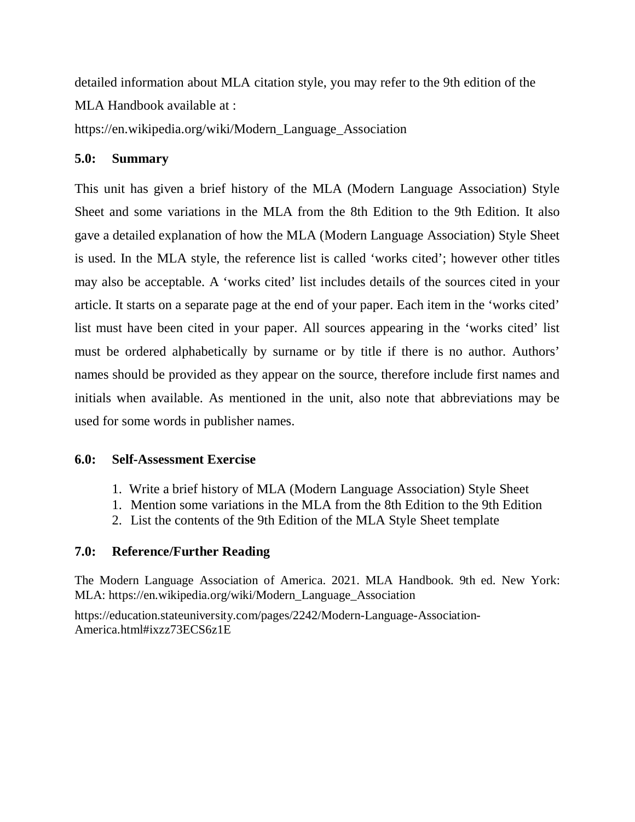detailed information about MLA citation style, you may refer to the 9th edition of the MLA Handbook available at :

https://en.wikipedia.org/wiki/Modern\_Language\_Association

## **5.0: Summary**

This unit has given a brief history of the MLA (Modern Language Association) Style Sheet and some variations in the MLA from the 8th Edition to the 9th Edition. It also gave a detailed explanation of how the MLA (Modern Language Association) Style Sheet is used. In the MLA style, the reference list is called 'works cited'; however other titles may also be acceptable. A 'works cited' list includes details of the sources cited in your article. It starts on a separate page at the end of your paper. Each item in the 'works cited' list must have been cited in your paper. All sources appearing in the 'works cited' list must be ordered alphabetically by surname or by title if there is no author. Authors' names should be provided as they appear on the source, therefore include first names and initials when available. As mentioned in the unit, also note that abbreviations may be used for some words in publisher names.

## **6.0: Self-Assessment Exercise**

- 1. Write a brief history of MLA (Modern Language Association) Style Sheet
- 1. Mention some variations in the MLA from the 8th Edition to the 9th Edition
- 2. List the contents of the 9th Edition of the MLA Style Sheet template

## **7.0: Reference/Further Reading**

The Modern Language Association of America. 2021. MLA Handbook. 9th ed. New York: MLA: https://en.wikipedia.org/wiki/Modern\_Language\_Association

https://education.stateuniversity.com/pages/2242/Modern-Language-Association-America.html#ixzz73ECS6z1E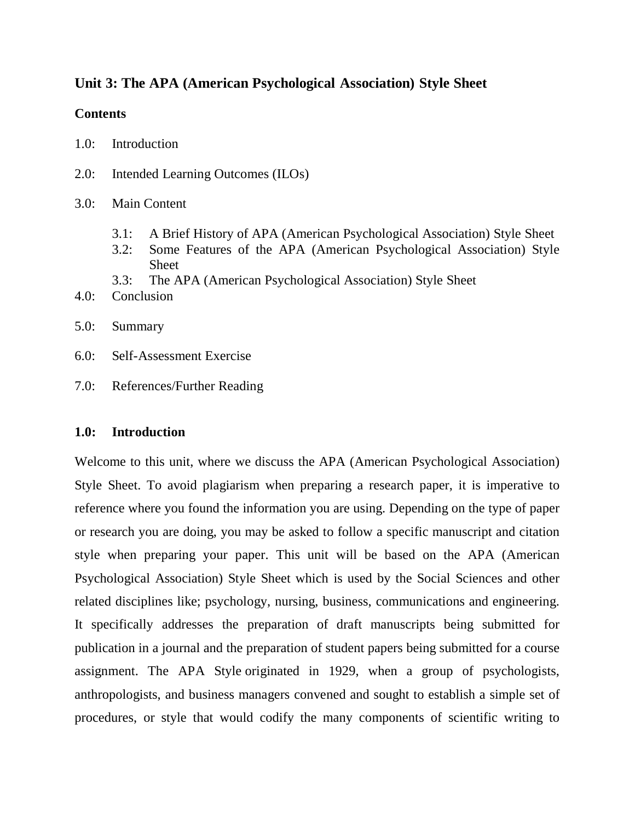## **Unit 3: The APA (American Psychological Association) Style Sheet**

## **Contents**

- 1.0: Introduction
- 2.0: Intended Learning Outcomes (ILOs)
- 3.0: Main Content
	- 3.1: A Brief History of APA (American Psychological Association) Style Sheet
	- 3.2: Some Features of the APA (American Psychological Association) Style Sheet
	- 3.3: The APA (American Psychological Association) Style Sheet
- 4.0: Conclusion
- 5.0: Summary
- 6.0: Self-Assessment Exercise
- 7.0: References/Further Reading

## **1.0: Introduction**

Welcome to this unit, where we discuss the APA (American Psychological Association) Style Sheet. To avoid plagiarism when preparing a research paper, it is imperative to reference where you found the information you are using. Depending on the type of paper or research you are doing, you may be asked to follow a specific manuscript and citation style when preparing your paper. This unit will be based on the APA (American Psychological Association) Style Sheet which is used by the Social Sciences and other related disciplines like; psychology, nursing, business, communications and engineering. It specifically addresses the preparation of draft manuscripts being submitted for publication in a journal and the preparation of student papers being submitted for a course assignment. The APA Style originated in 1929, when a group of psychologists, anthropologists, and business managers convened and sought to establish a simple set of procedures, or style that would codify the many components of scientific writing to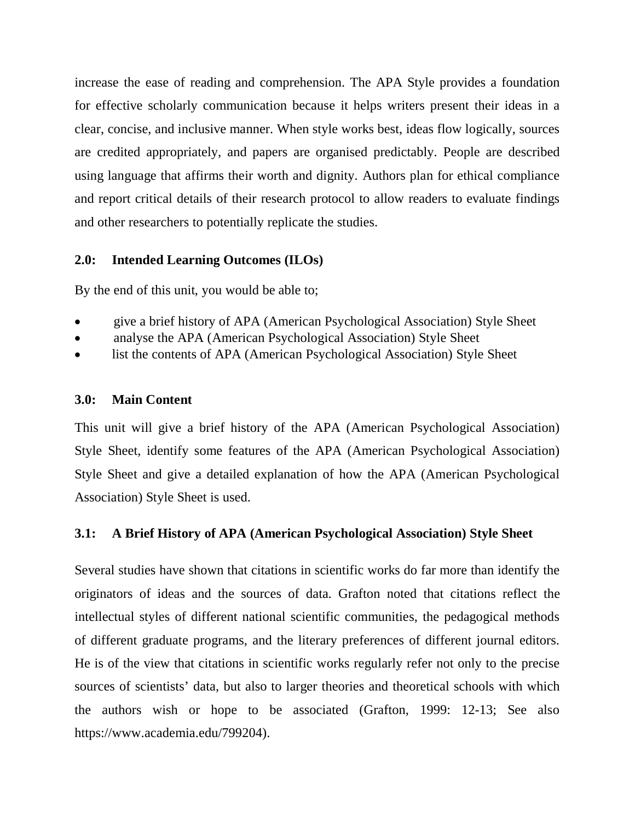increase the ease of reading and comprehension. The APA Style provides a foundation for effective scholarly communication because it helps writers present their ideas in a clear, concise, and inclusive manner. When style works best, ideas flow logically, sources are credited appropriately, and papers are organised predictably. People are described using language that affirms their worth and dignity. Authors plan for ethical compliance and report critical details of their research protocol to allow readers to evaluate findings and other researchers to potentially replicate the studies.

## **2.0: Intended Learning Outcomes (ILOs)**

By the end of this unit, you would be able to;

- give a brief history of APA (American Psychological Association) Style Sheet
- analyse the APA (American Psychological Association) Style Sheet
- list the contents of APA (American Psychological Association) Style Sheet

#### **3.0: Main Content**

This unit will give a brief history of the APA (American Psychological Association) Style Sheet, identify some features of the APA (American Psychological Association) Style Sheet and give a detailed explanation of how the APA (American Psychological Association) Style Sheet is used.

## **3.1: A Brief History of APA (American Psychological Association) Style Sheet**

Several studies have shown that citations in scientific works do far more than identify the originators of ideas and the sources of data. Grafton noted that citations reflect the intellectual styles of different national scientific communities, the pedagogical methods of different graduate programs, and the literary preferences of different journal editors. He is of the view that citations in scientific works regularly refer not only to the precise sources of scientists' data, but also to larger theories and theoretical schools with which the authors wish or hope to be associated (Grafton, 1999: 12-13; See also https://www.academia.edu/799204).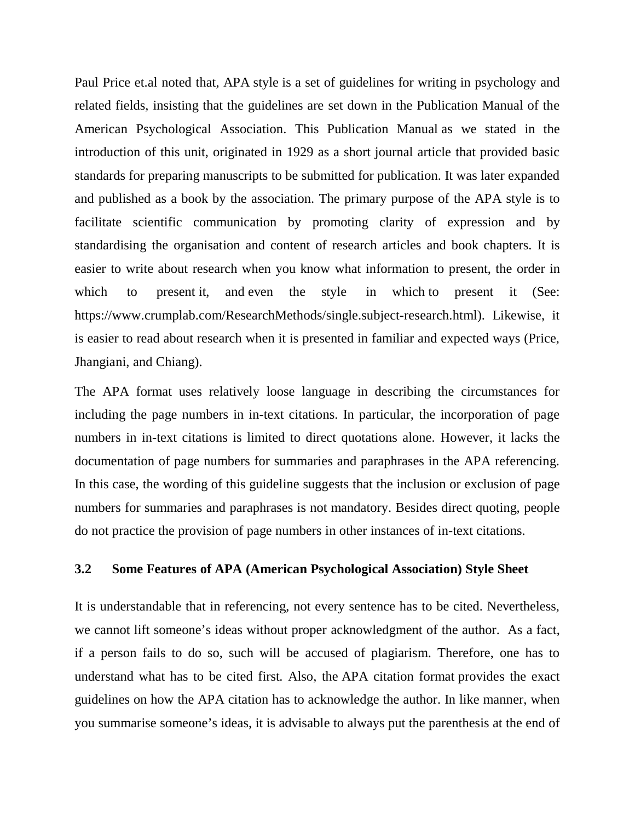Paul Price et.al noted that, APA style is a set of guidelines for writing in psychology and related fields, insisting that the guidelines are set down in the Publication Manual of the American Psychological Association. This Publication Manual as we stated in the introduction of this unit, originated in 1929 as a short journal article that provided basic standards for preparing manuscripts to be submitted for publication. It was later expanded and published as a book by the association. The primary purpose of the APA style is to facilitate scientific communication by promoting clarity of expression and by standardising the organisation and content of research articles and book chapters. It is easier to write about research when you know what information to present, the order in which to present it, and even the style in which to present it (See: https://www.crumplab.com/ResearchMethods/single.subject-research.html). Likewise, it is easier to read about research when it is presented in familiar and expected ways (Price, Jhangiani, and Chiang).

The APA format uses relatively loose language in describing the circumstances for including the page numbers in in-text citations. In particular, the incorporation of page numbers in in-text citations is limited to direct quotations alone. However, it lacks the documentation of page numbers for summaries and paraphrases in the APA referencing. In this case, the wording of this guideline suggests that the inclusion or exclusion of page numbers for summaries and paraphrases is not mandatory. Besides direct quoting, people do not practice the provision of page numbers in other instances of in-text citations.

#### **3.2 Some Features of APA (American Psychological Association) Style Sheet**

It is understandable that in referencing, not every sentence has to be cited. Nevertheless, we cannot lift someone's ideas without proper acknowledgment of the author. As a fact, if a person fails to do so, such will be accused of plagiarism. Therefore, one has to understand what has to be cited first. Also, the APA citation format provides the exact guidelines on how the APA citation has to acknowledge the author. In like manner, when you summarise someone's ideas, it is advisable to always put the parenthesis at the end of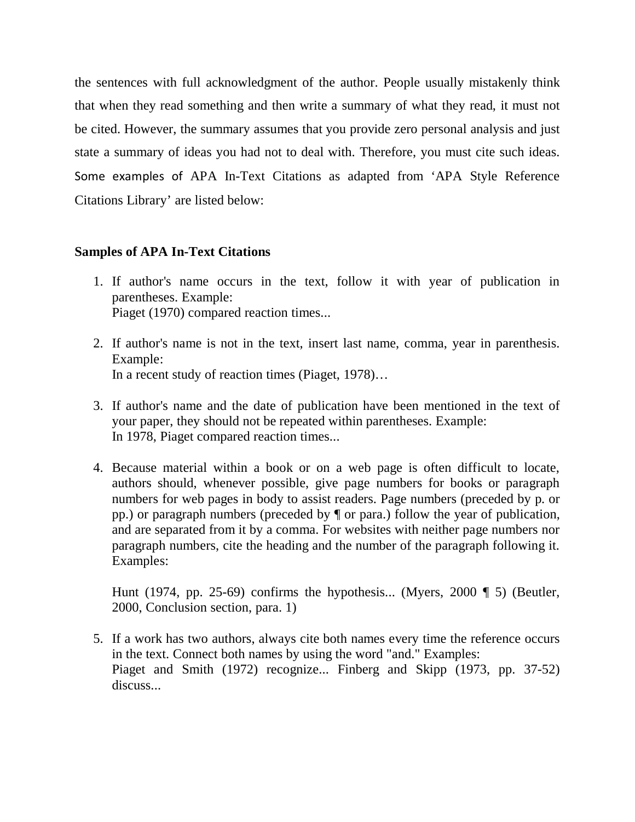the sentences with full acknowledgment of the author. People usually mistakenly think that when they read something and then write a summary of what they read, it must not be cited. However, the summary assumes that you provide zero personal analysis and just state a summary of ideas you had not to deal with. Therefore, you must cite such ideas. Some examples of APA In-Text Citations as adapted from 'APA Style Reference Citations Library' are listed below:

## **Samples of APA In-Text Citations**

- 1. If author's name occurs in the text, follow it with year of publication in parentheses. Example: Piaget (1970) compared reaction times...
- 2. If author's name is not in the text, insert last name, comma, year in parenthesis. Example: In a recent study of reaction times (Piaget, 1978)…
- 3. If author's name and the date of publication have been mentioned in the text of your paper, they should not be repeated within parentheses. Example: In 1978, Piaget compared reaction times...
- 4. Because material within a book or on a web page is often difficult to locate, authors should, whenever possible, give page numbers for books or paragraph numbers for web pages in body to assist readers. Page numbers (preceded by p. or pp.) or paragraph numbers (preceded by ¶ or para.) follow the year of publication, and are separated from it by a comma. For websites with neither page numbers nor paragraph numbers, cite the heading and the number of the paragraph following it. Examples:

Hunt (1974, pp. 25-69) confirms the hypothesis... (Myers, 2000 ¶ 5) (Beutler, 2000, Conclusion section, para. 1)

5. If a work has two authors, always cite both names every time the reference occurs in the text. Connect both names by using the word "and." Examples: Piaget and Smith (1972) recognize... Finberg and Skipp (1973, pp. 37-52) discuss...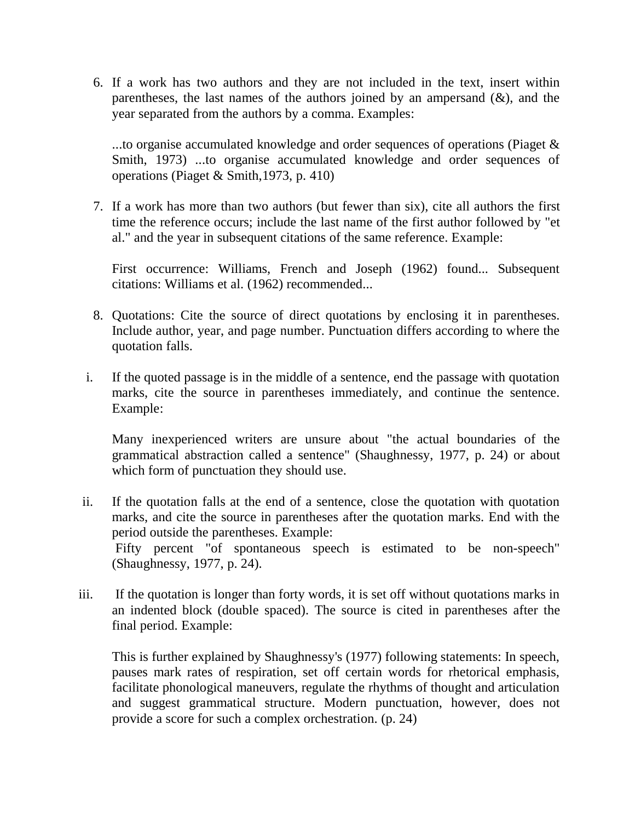6. If a work has two authors and they are not included in the text, insert within parentheses, the last names of the authors joined by an ampersand  $(x)$ , and the year separated from the authors by a comma. Examples:

...to organise accumulated knowledge and order sequences of operations (Piaget & Smith, 1973) ...to organise accumulated knowledge and order sequences of operations (Piaget & Smith,1973, p. 410)

7. If a work has more than two authors (but fewer than six), cite all authors the first time the reference occurs; include the last name of the first author followed by "et al." and the year in subsequent citations of the same reference. Example:

First occurrence: Williams, French and Joseph (1962) found... Subsequent citations: Williams et al. (1962) recommended...

- 8. Quotations: Cite the source of direct quotations by enclosing it in parentheses. Include author, year, and page number. Punctuation differs according to where the quotation falls.
- i. If the quoted passage is in the middle of a sentence, end the passage with quotation marks, cite the source in parentheses immediately, and continue the sentence. Example:

Many inexperienced writers are unsure about "the actual boundaries of the grammatical abstraction called a sentence" (Shaughnessy, 1977, p. 24) or about which form of punctuation they should use.

- ii. If the quotation falls at the end of a sentence, close the quotation with quotation marks, and cite the source in parentheses after the quotation marks. End with the period outside the parentheses. Example: Fifty percent "of spontaneous speech is estimated to be non-speech" (Shaughnessy, 1977, p. 24).
- iii. If the quotation is longer than forty words, it is set off without quotations marks in an indented block (double spaced). The source is cited in parentheses after the final period. Example:

This is further explained by Shaughnessy's (1977) following statements: In speech, pauses mark rates of respiration, set off certain words for rhetorical emphasis, facilitate phonological maneuvers, regulate the rhythms of thought and articulation and suggest grammatical structure. Modern punctuation, however, does not provide a score for such a complex orchestration. (p. 24)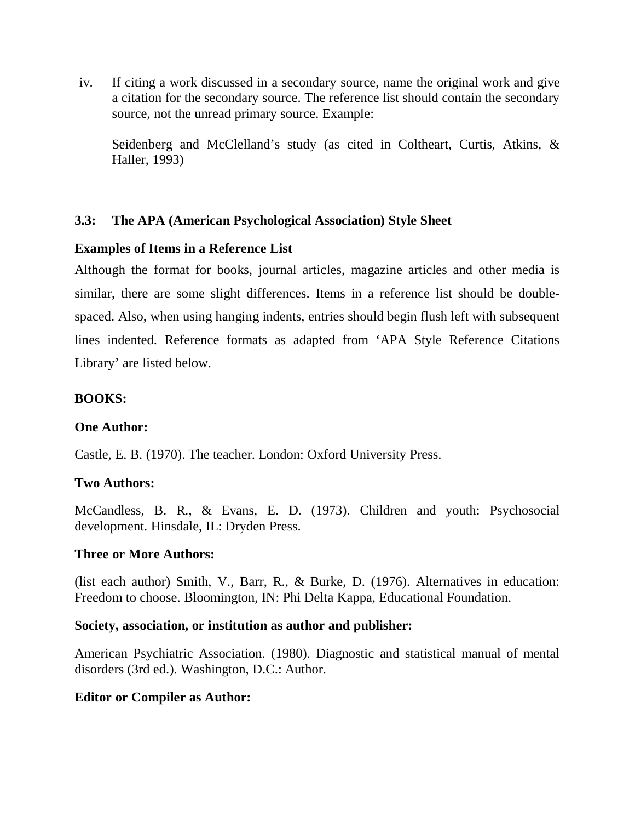iv. If citing a work discussed in a secondary source, name the original work and give a citation for the secondary source. The reference list should contain the secondary source, not the unread primary source. Example:

Seidenberg and McClelland's study (as cited in Coltheart, Curtis, Atkins, & Haller, 1993)

## **3.3: The APA (American Psychological Association) Style Sheet**

## **Examples of Items in a Reference List**

Although the format for books, journal articles, magazine articles and other media is similar, there are some slight differences. Items in a reference list should be doublespaced. Also, when using hanging indents, entries should begin flush left with subsequent lines indented. Reference formats as adapted from 'APA Style Reference Citations Library' are listed below.

## **BOOKS:**

## **One Author:**

Castle, E. B. (1970). The teacher. London: Oxford University Press.

## **Two Authors:**

McCandless, B. R., & Evans, E. D. (1973). Children and youth: Psychosocial development. Hinsdale, IL: Dryden Press.

## **Three or More Authors:**

(list each author) Smith, V., Barr, R., & Burke, D. (1976). Alternatives in education: Freedom to choose. Bloomington, IN: Phi Delta Kappa, Educational Foundation.

## **Society, association, or institution as author and publisher:**

American Psychiatric Association. (1980). Diagnostic and statistical manual of mental disorders (3rd ed.). Washington, D.C.: Author.

## **Editor or Compiler as Author:**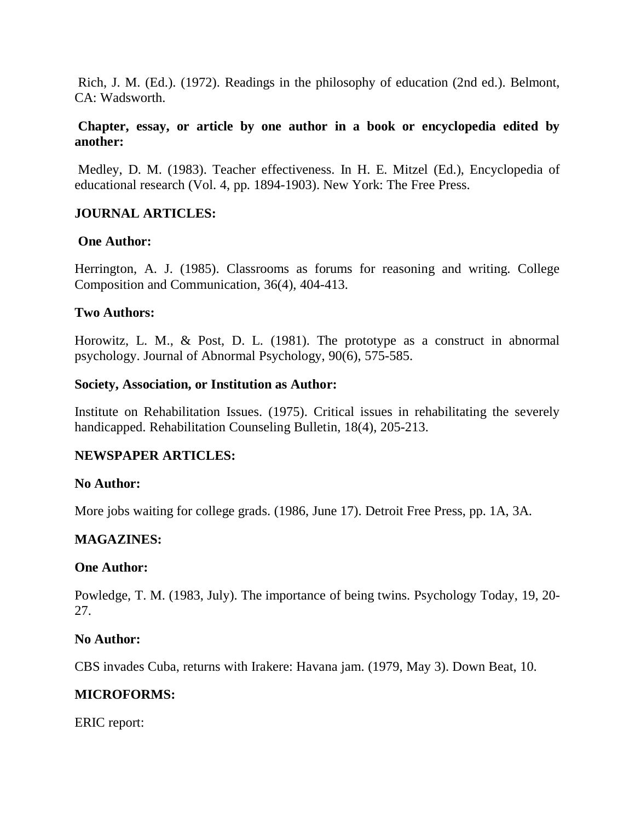Rich, J. M. (Ed.). (1972). Readings in the philosophy of education (2nd ed.). Belmont, CA: Wadsworth.

## **Chapter, essay, or article by one author in a book or encyclopedia edited by another:**

 Medley, D. M. (1983). Teacher effectiveness. In H. E. Mitzel (Ed.), Encyclopedia of educational research (Vol. 4, pp. 1894-1903). New York: The Free Press.

## **JOURNAL ARTICLES:**

## **One Author:**

Herrington, A. J. (1985). Classrooms as forums for reasoning and writing. College Composition and Communication, 36(4), 404-413.

## **Two Authors:**

Horowitz, L. M., & Post, D. L. (1981). The prototype as a construct in abnormal psychology. Journal of Abnormal Psychology, 90(6), 575-585.

## **Society, Association, or Institution as Author:**

Institute on Rehabilitation Issues. (1975). Critical issues in rehabilitating the severely handicapped. Rehabilitation Counseling Bulletin, 18(4), 205-213.

## **NEWSPAPER ARTICLES:**

## **No Author:**

More jobs waiting for college grads. (1986, June 17). Detroit Free Press, pp. 1A, 3A.

## **MAGAZINES:**

## **One Author:**

Powledge, T. M. (1983, July). The importance of being twins. Psychology Today, 19, 20- 27.

## **No Author:**

CBS invades Cuba, returns with Irakere: Havana jam. (1979, May 3). Down Beat, 10.

## **MICROFORMS:**

ERIC report: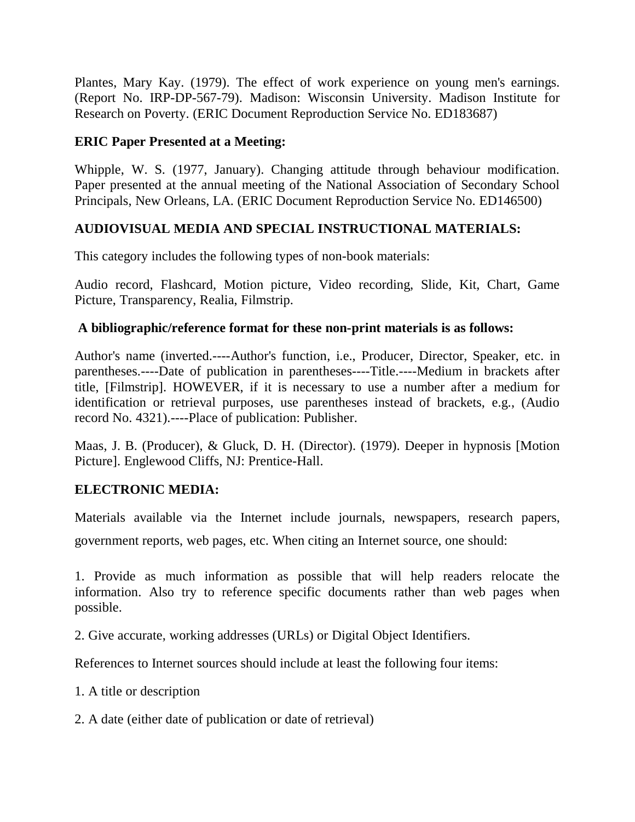Plantes, Mary Kay. (1979). The effect of work experience on young men's earnings. (Report No. IRP-DP-567-79). Madison: Wisconsin University. Madison Institute for Research on Poverty. (ERIC Document Reproduction Service No. ED183687)

## **ERIC Paper Presented at a Meeting:**

Whipple, W. S. (1977, January). Changing attitude through behaviour modification. Paper presented at the annual meeting of the National Association of Secondary School Principals, New Orleans, LA. (ERIC Document Reproduction Service No. ED146500)

## **AUDIOVISUAL MEDIA AND SPECIAL INSTRUCTIONAL MATERIALS:**

This category includes the following types of non-book materials:

Audio record, Flashcard, Motion picture, Video recording, Slide, Kit, Chart, Game Picture, Transparency, Realia, Filmstrip.

## **A bibliographic/reference format for these non-print materials is as follows:**

Author's name (inverted.----Author's function, i.e., Producer, Director, Speaker, etc. in parentheses.----Date of publication in parentheses----Title.----Medium in brackets after title, [Filmstrip]. HOWEVER, if it is necessary to use a number after a medium for identification or retrieval purposes, use parentheses instead of brackets, e.g., (Audio record No. 4321).----Place of publication: Publisher.

Maas, J. B. (Producer), & Gluck, D. H. (Director). (1979). Deeper in hypnosis [Motion Picture]. Englewood Cliffs, NJ: Prentice-Hall.

## **ELECTRONIC MEDIA:**

Materials available via the Internet include journals, newspapers, research papers, government reports, web pages, etc. When citing an Internet source, one should:

1. Provide as much information as possible that will help readers relocate the information. Also try to reference specific documents rather than web pages when possible.

2. Give accurate, working addresses (URLs) or Digital Object Identifiers.

References to Internet sources should include at least the following four items:

1. A title or description

2. A date (either date of publication or date of retrieval)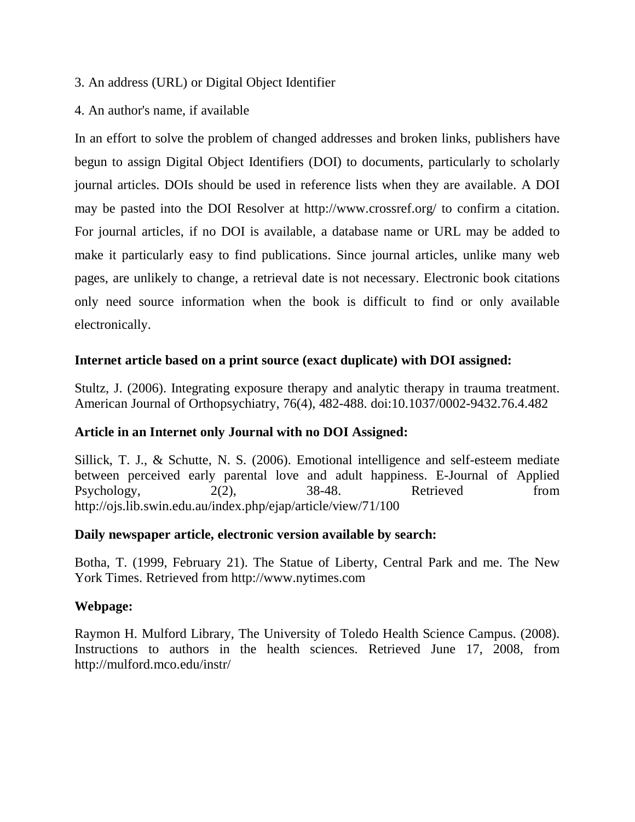- 3. An address (URL) or Digital Object Identifier
- 4. An author's name, if available

In an effort to solve the problem of changed addresses and broken links, publishers have begun to assign Digital Object Identifiers (DOI) to documents, particularly to scholarly journal articles. DOIs should be used in reference lists when they are available. A DOI may be pasted into the DOI Resolver at http://www.crossref.org/ to confirm a citation. For journal articles, if no DOI is available, a database name or URL may be added to make it particularly easy to find publications. Since journal articles, unlike many web pages, are unlikely to change, a retrieval date is not necessary. Electronic book citations only need source information when the book is difficult to find or only available electronically.

## **Internet article based on a print source (exact duplicate) with DOI assigned:**

Stultz, J. (2006). Integrating exposure therapy and analytic therapy in trauma treatment. American Journal of Orthopsychiatry, 76(4), 482-488. doi:10.1037/0002-9432.76.4.482

## **Article in an Internet only Journal with no DOI Assigned:**

Sillick, T. J., & Schutte, N. S. (2006). Emotional intelligence and self-esteem mediate between perceived early parental love and adult happiness. E-Journal of Applied Psychology, 2(2), 38-48. Retrieved from http://ojs.lib.swin.edu.au/index.php/ejap/article/view/71/100

## **Daily newspaper article, electronic version available by search:**

Botha, T. (1999, February 21). The Statue of Liberty, Central Park and me. The New York Times. Retrieved from http://www.nytimes.com

## **Webpage:**

Raymon H. Mulford Library, The University of Toledo Health Science Campus. (2008). Instructions to authors in the health sciences. Retrieved June 17, 2008, from http://mulford.mco.edu/instr/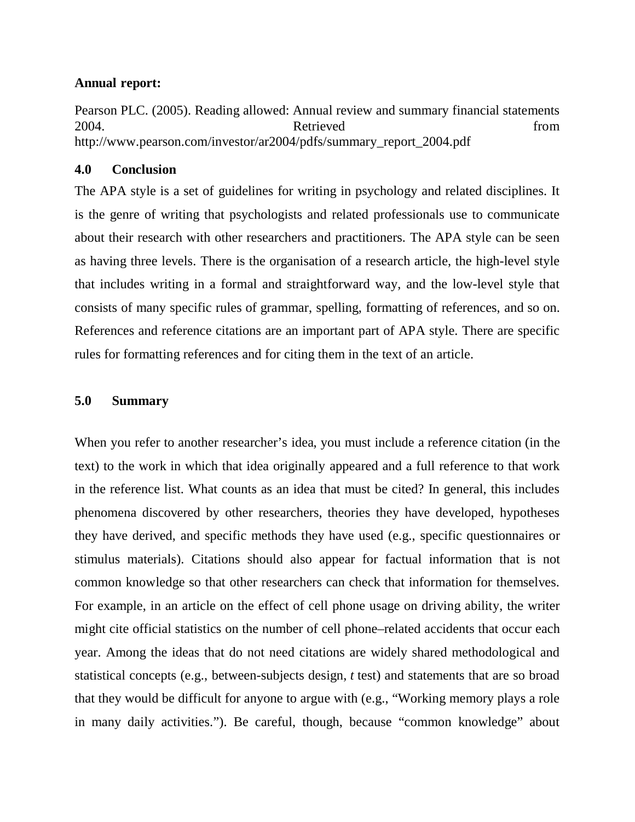#### **Annual report:**

Pearson PLC. (2005). Reading allowed: Annual review and summary financial statements 2004. Retrieved from http://www.pearson.com/investor/ar2004/pdfs/summary\_report\_2004.pdf

## **4.0 Conclusion**

The APA style is a set of guidelines for writing in psychology and related disciplines. It is the genre of writing that psychologists and related professionals use to communicate about their research with other researchers and practitioners. The APA style can be seen as having three levels. There is the organisation of a research article, the high-level style that includes writing in a formal and straightforward way, and the low-level style that consists of many specific rules of grammar, spelling, formatting of references, and so on. References and reference citations are an important part of APA style. There are specific rules for formatting references and for citing them in the text of an article.

#### **5.0 Summary**

When you refer to another researcher's idea, you must include a reference citation (in the text) to the work in which that idea originally appeared and a full reference to that work in the reference list. What counts as an idea that must be cited? In general, this includes phenomena discovered by other researchers, theories they have developed, hypotheses they have derived, and specific methods they have used (e.g., specific questionnaires or stimulus materials). Citations should also appear for factual information that is not common knowledge so that other researchers can check that information for themselves. For example, in an article on the effect of cell phone usage on driving ability, the writer might cite official statistics on the number of cell phone–related accidents that occur each year. Among the ideas that do not need citations are widely shared methodological and statistical concepts (e.g., between-subjects design, *t* test) and statements that are so broad that they would be difficult for anyone to argue with (e.g., "Working memory plays a role in many daily activities."). Be careful, though, because "common knowledge" about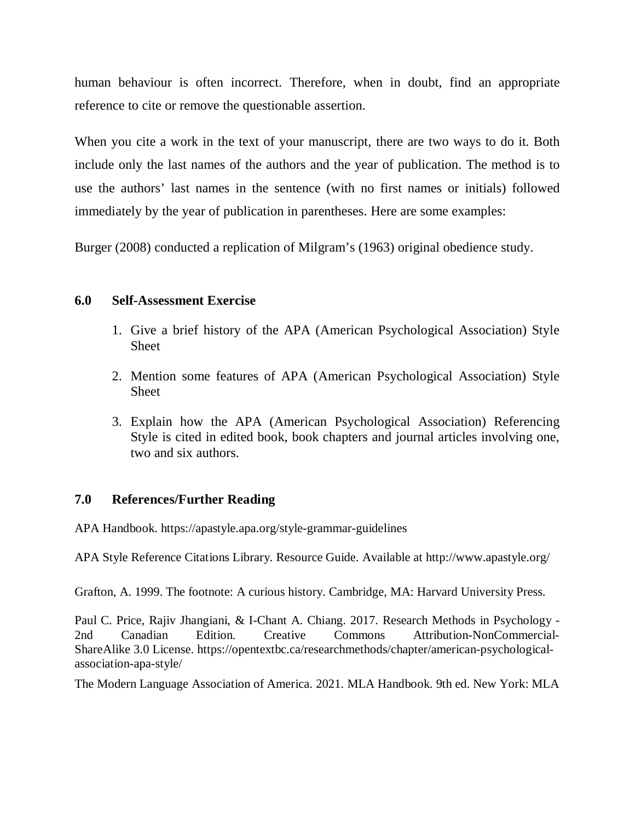human behaviour is often incorrect. Therefore, when in doubt, find an appropriate reference to cite or remove the questionable assertion.

When you cite a work in the text of your manuscript, there are two ways to do it. Both include only the last names of the authors and the year of publication. The method is to use the authors' last names in the sentence (with no first names or initials) followed immediately by the year of publication in parentheses. Here are some examples:

Burger (2008) conducted a replication of Milgram's (1963) original obedience study.

## **6.0 Self-Assessment Exercise**

- 1. Give a brief history of the APA (American Psychological Association) Style Sheet
- 2. Mention some features of APA (American Psychological Association) Style Sheet
- 3. Explain how the APA (American Psychological Association) Referencing Style is cited in edited book, book chapters and journal articles involving one, two and six authors.

## **7.0 References/Further Reading**

APA Handbook. https://apastyle.apa.org/style-grammar-guidelines

APA Style Reference Citations Library. Resource Guide. Available at http://www.apastyle.org/

Grafton, A. 1999. The footnote: A curious history. Cambridge, MA: Harvard University Press.

Paul C. Price, Rajiv Jhangiani, & I-Chant A. Chiang. 2017. Research Methods in Psychology - 2nd Canadian Edition. Creative Commons Attribution-NonCommercial-ShareAlike 3.0 License. https://opentextbc.ca/researchmethods/chapter/american-psychologicalassociation-apa-style/

The Modern Language Association of America. 2021. MLA Handbook. 9th ed. New York: MLA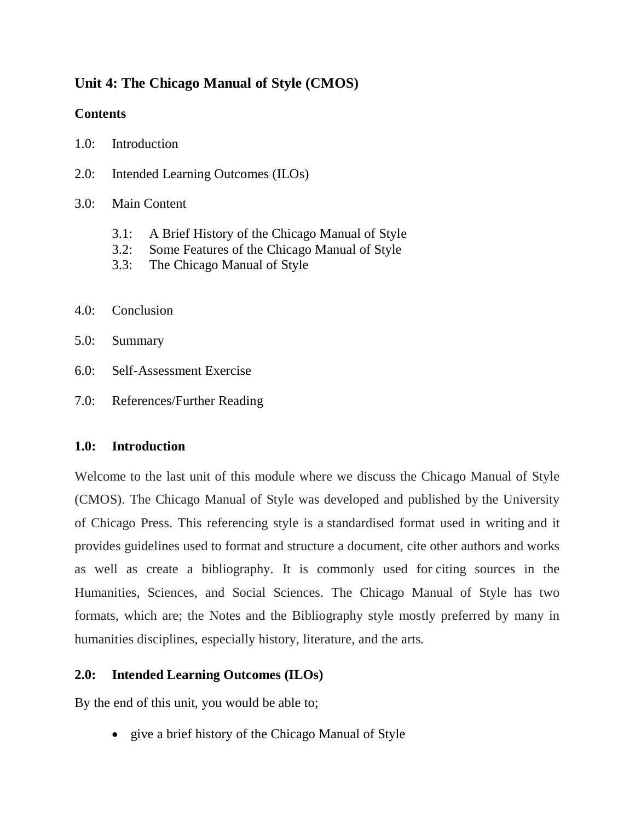# **Unit 4: The Chicago Manual of Style (CMOS)**

## **Contents**

- 1.0: Introduction
- 2.0: Intended Learning Outcomes (ILOs)
- 3.0: Main Content
	- 3.1: A Brief History of the Chicago Manual of Style
	- 3.2: Some Features of the Chicago Manual of Style
	- 3.3: The Chicago Manual of Style
- 4.0: Conclusion
- 5.0: Summary
- 6.0: Self-Assessment Exercise
- 7.0: References/Further Reading

## **1.0: Introduction**

Welcome to the last unit of this module where we discuss the Chicago Manual of Style (CMOS). The Chicago Manual of Style was developed and published by the University of Chicago Press. This referencing style is a standardised format used in writing and it provides guidelines used to format and structure a document, cite other authors and works as well as create a bibliography. It is commonly used for citing sources in the Humanities, Sciences, and Social Sciences. The Chicago Manual of Style has two formats, which are; the Notes and the Bibliography style mostly preferred by many in humanities disciplines, especially history, literature, and the arts.

# **2.0: Intended Learning Outcomes (ILOs)**

By the end of this unit, you would be able to;

• give a brief history of the Chicago Manual of Style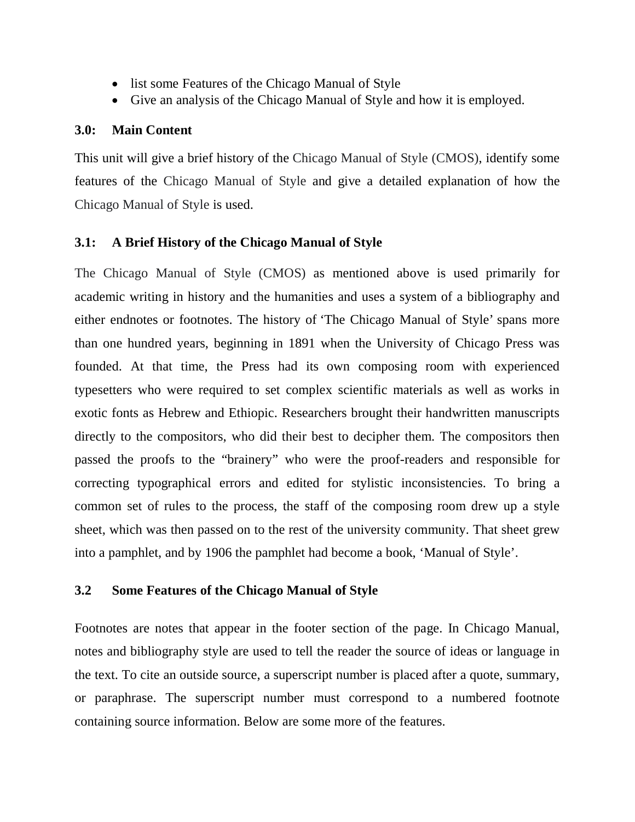- list some Features of the Chicago Manual of Style
- Give an analysis of the Chicago Manual of Style and how it is employed.

#### **3.0: Main Content**

This unit will give a brief history of the Chicago Manual of Style (CMOS), identify some features of the Chicago Manual of Style and give a detailed explanation of how the Chicago Manual of Style is used.

## **3.1: A Brief History of the Chicago Manual of Style**

The Chicago Manual of Style (CMOS) as mentioned above is used primarily for academic writing in history and the humanities and uses a system of a bibliography and either endnotes or footnotes. The history of 'The Chicago Manual of Style' spans more than one hundred years, beginning in 1891 when the University of Chicago Press was founded. At that time, the Press had its own composing room with experienced typesetters who were required to set complex scientific materials as well as works in exotic fonts as Hebrew and Ethiopic. Researchers brought their handwritten manuscripts directly to the compositors, who did their best to decipher them. The compositors then passed the proofs to the "brainery" who were the proof-readers and responsible for correcting typographical errors and edited for stylistic inconsistencies. To bring a common set of rules to the process, the staff of the composing room drew up a style sheet, which was then passed on to the rest of the university community. That sheet grew into a pamphlet, and by 1906 the pamphlet had become a book, 'Manual of Style'.

## **3.2 Some Features of the Chicago Manual of Style**

Footnotes are notes that appear in the footer section of the page. In Chicago Manual, notes and bibliography style are used to tell the reader the source of ideas or language in the text. To cite an outside source, a superscript number is placed after a quote, summary, or paraphrase. The superscript number must correspond to a numbered footnote containing source information. Below are some more of the features.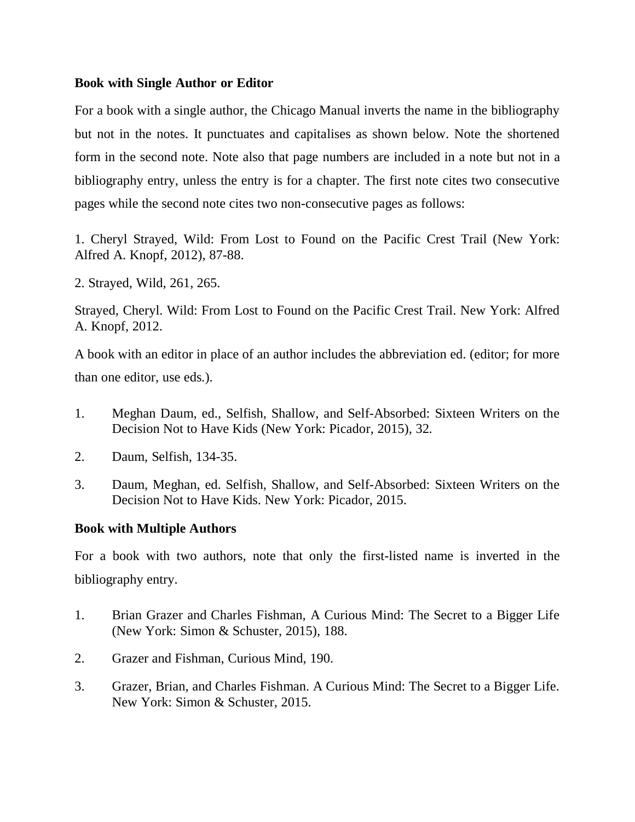#### **Book with Single Author or Editor**

For a book with a single author, the Chicago Manual inverts the name in the bibliography but not in the notes. It punctuates and capitalises as shown below. Note the shortened form in the second note. Note also that page numbers are included in a note but not in a bibliography entry, unless the entry is for a chapter. The first note cites two consecutive pages while the second note cites two non-consecutive pages as follows:

1. Cheryl Strayed, Wild: From Lost to Found on the Pacific Crest Trail (New York: Alfred A. Knopf, 2012), 87-88.

2. Strayed, Wild, 261, 265.

Strayed, Cheryl. Wild: From Lost to Found on the Pacific Crest Trail. New York: Alfred A. Knopf, 2012.

A book with an editor in place of an author includes the abbreviation ed. (editor; for more than one editor, use eds.).

- 1. Meghan Daum, ed., Selfish, Shallow, and Self-Absorbed: Sixteen Writers on the Decision Not to Have Kids (New York: Picador, 2015), 32.
- 2. Daum, Selfish, 134-35.
- 3. Daum, Meghan, ed. Selfish, Shallow, and Self-Absorbed: Sixteen Writers on the Decision Not to Have Kids. New York: Picador, 2015.

#### **Book with Multiple Authors**

For a book with two authors, note that only the first-listed name is inverted in the bibliography entry.

- 1. Brian Grazer and Charles Fishman, A Curious Mind: The Secret to a Bigger Life (New York: Simon & Schuster, 2015), 188.
- 2. Grazer and Fishman, Curious Mind, 190.
- 3. Grazer, Brian, and Charles Fishman. A Curious Mind: The Secret to a Bigger Life. New York: Simon & Schuster, 2015.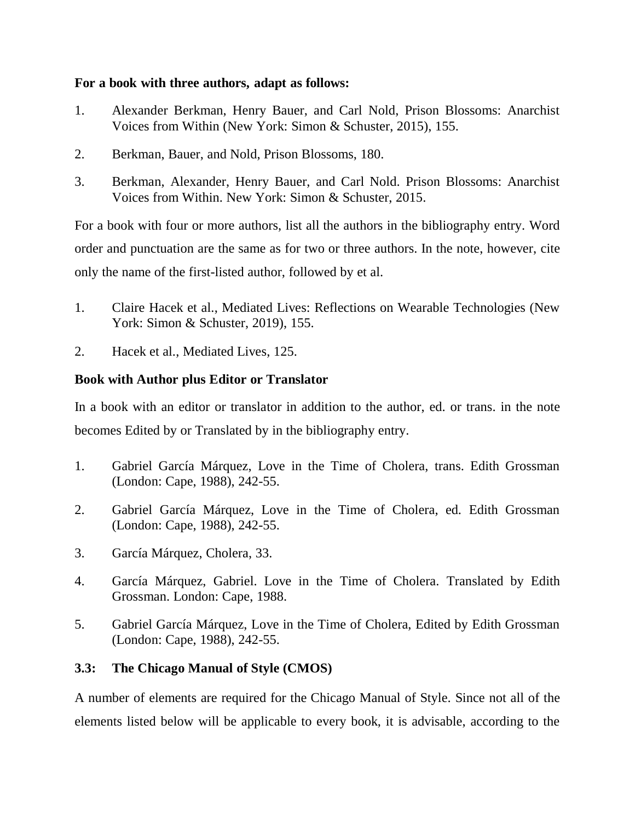#### **For a book with three authors, adapt as follows:**

- 1. Alexander Berkman, Henry Bauer, and Carl Nold, Prison Blossoms: Anarchist Voices from Within (New York: Simon & Schuster, 2015), 155.
- 2. Berkman, Bauer, and Nold, Prison Blossoms, 180.
- 3. Berkman, Alexander, Henry Bauer, and Carl Nold. Prison Blossoms: Anarchist Voices from Within. New York: Simon & Schuster, 2015.

For a book with four or more authors, list all the authors in the bibliography entry. Word order and punctuation are the same as for two or three authors. In the note, however, cite only the name of the first-listed author, followed by et al.

- 1. Claire Hacek et al., Mediated Lives: Reflections on Wearable Technologies (New York: Simon & Schuster, 2019), 155.
- 2. Hacek et al., Mediated Lives, 125.

## **Book with Author plus Editor or Translator**

In a book with an editor or translator in addition to the author, ed. or trans. in the note becomes Edited by or Translated by in the bibliography entry.

- 1. Gabriel García Márquez, Love in the Time of Cholera, trans. Edith Grossman (London: Cape, 1988), 242-55.
- 2. Gabriel García Márquez, Love in the Time of Cholera, ed. Edith Grossman (London: Cape, 1988), 242-55.
- 3. García Márquez, Cholera, 33.
- 4. García Márquez, Gabriel. Love in the Time of Cholera. Translated by Edith Grossman. London: Cape, 1988.
- 5. Gabriel García Márquez, Love in the Time of Cholera, Edited by Edith Grossman (London: Cape, 1988), 242-55.

# **3.3: The Chicago Manual of Style (CMOS)**

A number of elements are required for the Chicago Manual of Style. Since not all of the elements listed below will be applicable to every book, it is advisable, according to the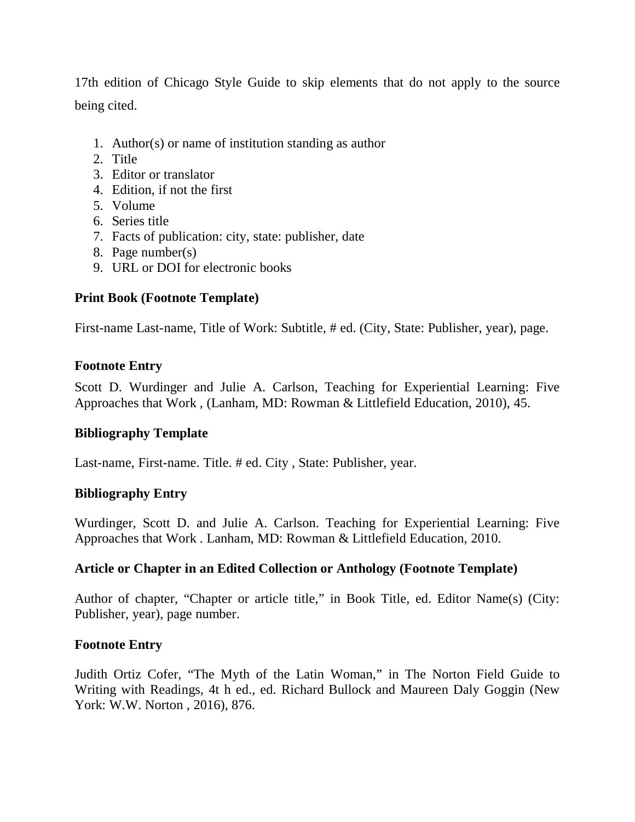17th edition of Chicago Style Guide to skip elements that do not apply to the source being cited.

- 1. Author(s) or name of institution standing as author
- 2. Title
- 3. Editor or translator
- 4. Edition, if not the first
- 5. Volume
- 6. Series title
- 7. Facts of publication: city, state: publisher, date
- 8. Page number(s)
- 9. URL or DOI for electronic books

#### **Print Book (Footnote Template)**

First-name Last-name, Title of Work: Subtitle, # ed. (City, State: Publisher, year), page.

#### **Footnote Entry**

Scott D. Wurdinger and Julie A. Carlson, Teaching for Experiential Learning: Five Approaches that Work , (Lanham, MD: Rowman & Littlefield Education, 2010), 45.

## **Bibliography Template**

Last-name, First-name. Title. # ed. City , State: Publisher, year.

#### **Bibliography Entry**

Wurdinger, Scott D. and Julie A. Carlson. Teaching for Experiential Learning: Five Approaches that Work . Lanham, MD: Rowman & Littlefield Education, 2010.

#### **Article or Chapter in an Edited Collection or Anthology (Footnote Template)**

Author of chapter, "Chapter or article title," in Book Title, ed. Editor Name(s) (City: Publisher, year), page number.

#### **Footnote Entry**

Judith Ortiz Cofer, "The Myth of the Latin Woman," in The Norton Field Guide to Writing with Readings, 4t h ed., ed. Richard Bullock and Maureen Daly Goggin (New York: W.W. Norton , 2016), 876.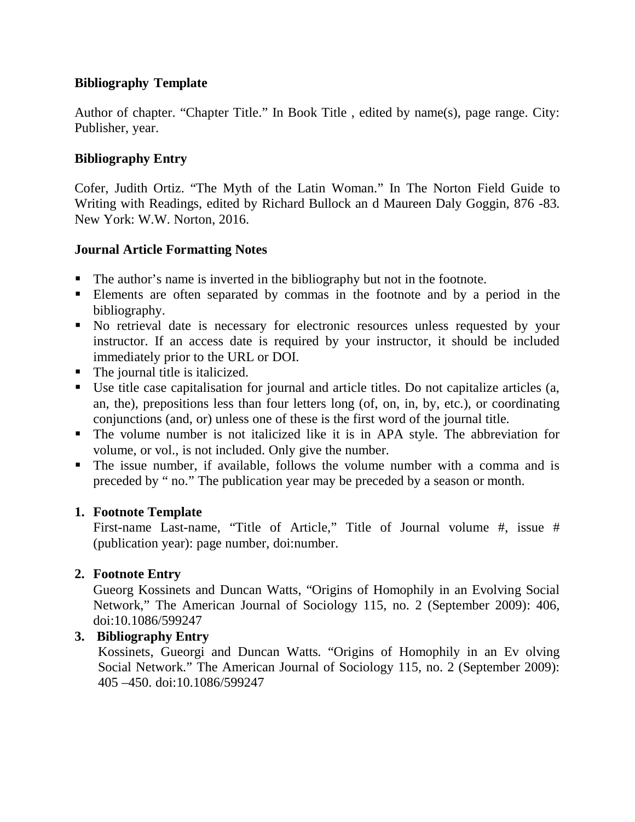# **Bibliography Template**

Author of chapter. "Chapter Title." In Book Title , edited by name(s), page range. City: Publisher, year.

# **Bibliography Entry**

Cofer, Judith Ortiz. "The Myth of the Latin Woman." In The Norton Field Guide to Writing with Readings, edited by Richard Bullock an d Maureen Daly Goggin, 876 -83. New York: W.W. Norton, 2016.

## **Journal Article Formatting Notes**

- The author's name is inverted in the bibliography but not in the footnote.
- Elements are often separated by commas in the footnote and by a period in the bibliography.
- No retrieval date is necessary for electronic resources unless requested by your instructor. If an access date is required by your instructor, it should be included immediately prior to the URL or DOI.
- The journal title is italicized.
- Use title case capitalisation for journal and article titles. Do not capitalize articles (a, an, the), prepositions less than four letters long (of, on, in, by, etc.), or coordinating conjunctions (and, or) unless one of these is the first word of the journal title.
- The volume number is not italicized like it is in APA style. The abbreviation for volume, or vol., is not included. Only give the number.
- The issue number, if available, follows the volume number with a comma and is preceded by " no." The publication year may be preceded by a season or month.

## **1. Footnote Template**

First-name Last-name, "Title of Article," Title of Journal volume #, issue # (publication year): page number, doi:number.

# **2. Footnote Entry**

Gueorg Kossinets and Duncan Watts, "Origins of Homophily in an Evolving Social Network," The American Journal of Sociology 115, no. 2 (September 2009): 406, doi:10.1086/599247

## **3. Bibliography Entry**

Kossinets, Gueorgi and Duncan Watts. "Origins of Homophily in an Ev olving Social Network." The American Journal of Sociology 115, no. 2 (September 2009): 405 –450. doi:10.1086/599247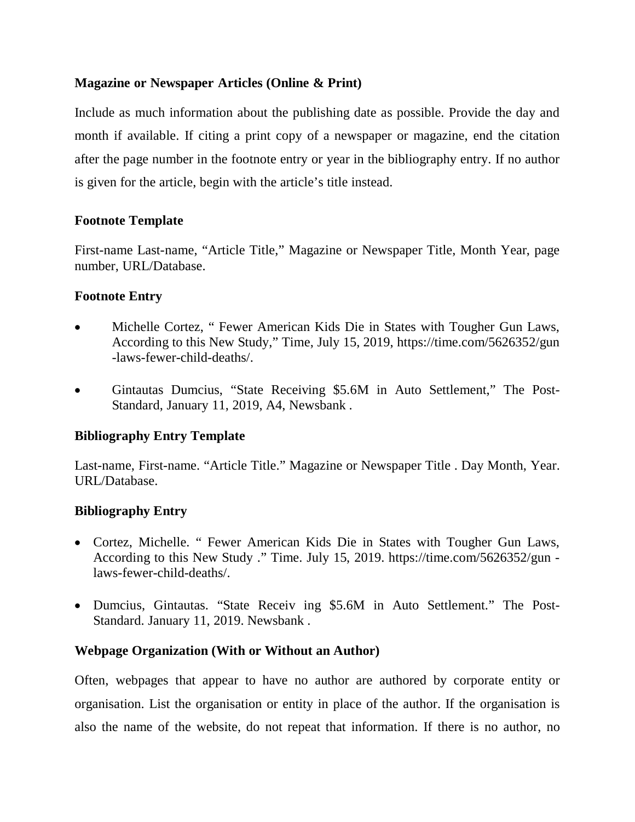## **Magazine or Newspaper Articles (Online & Print)**

Include as much information about the publishing date as possible. Provide the day and month if available. If citing a print copy of a newspaper or magazine, end the citation after the page number in the footnote entry or year in the bibliography entry. If no author is given for the article, begin with the article's title instead.

## **Footnote Template**

First-name Last-name, "Article Title," Magazine or Newspaper Title, Month Year, page number, URL/Database.

## **Footnote Entry**

- Michelle Cortez, " Fewer American Kids Die in States with Tougher Gun Laws, According to this New Study," Time, July 15, 2019, https://time.com/5626352/gun -laws-fewer-child-deaths/.
- Gintautas Dumcius, "State Receiving \$5.6M in Auto Settlement," The Post-Standard, January 11, 2019, A4, Newsbank .

# **Bibliography Entry Template**

Last-name, First-name. "Article Title." Magazine or Newspaper Title . Day Month, Year. URL/Database.

## **Bibliography Entry**

- Cortez, Michelle. " Fewer American Kids Die in States with Tougher Gun Laws, According to this New Study ." Time. July 15, 2019. https://time.com/5626352/gun laws-fewer-child-deaths/.
- Dumcius, Gintautas. "State Receiv ing \$5.6M in Auto Settlement." The Post-Standard. January 11, 2019. Newsbank .

## **Webpage Organization (With or Without an Author)**

Often, webpages that appear to have no author are authored by corporate entity or organisation. List the organisation or entity in place of the author. If the organisation is also the name of the website, do not repeat that information. If there is no author, no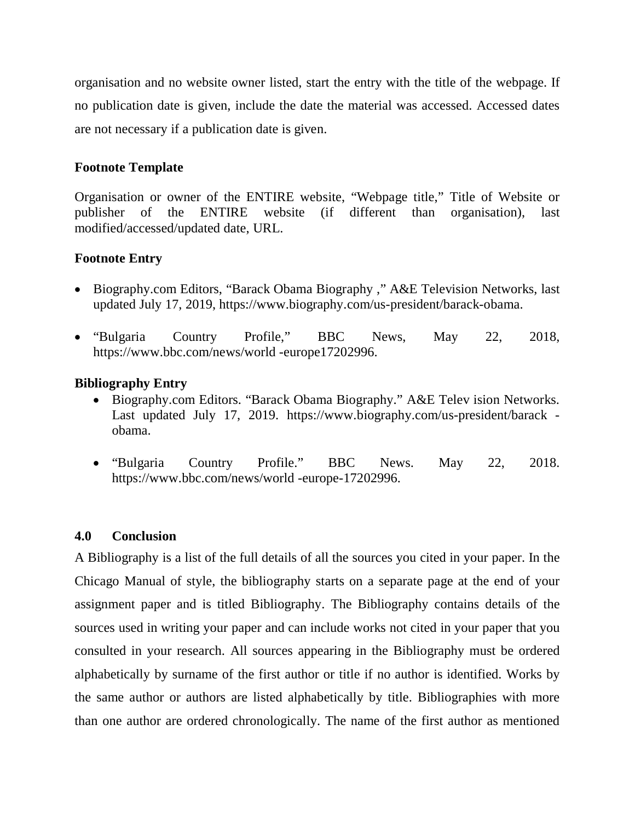organisation and no website owner listed, start the entry with the title of the webpage. If no publication date is given, include the date the material was accessed. Accessed dates are not necessary if a publication date is given.

## **Footnote Template**

Organisation or owner of the ENTIRE website, "Webpage title," Title of Website or publisher of the ENTIRE website (if different than organisation), last modified/accessed/updated date, URL.

## **Footnote Entry**

- Biography.com Editors, "Barack Obama Biography," A&E Television Networks, last updated July 17, 2019, https://www.biography.com/us-president/barack-obama.
- "Bulgaria Country Profile," BBC News, May 22, 2018, https://www.bbc.com/news/world -europe17202996.

## **Bibliography Entry**

- Biography.com Editors. "Barack Obama Biography." A&E Telev ision Networks. Last updated July 17, 2019. https://www.biography.com/us-president/barack obama.
- "Bulgaria Country Profile." BBC News. May 22, 2018. https://www.bbc.com/news/world -europe-17202996.

## **4.0 Conclusion**

A Bibliography is a list of the full details of all the sources you cited in your paper. In the Chicago Manual of style, the bibliography starts on a separate page at the end of your assignment paper and is titled Bibliography. The Bibliography contains details of the sources used in writing your paper and can include works not cited in your paper that you consulted in your research. All sources appearing in the Bibliography must be ordered alphabetically by surname of the first author or title if no author is identified. Works by the same author or authors are listed alphabetically by title. Bibliographies with more than one author are ordered chronologically. The name of the first author as mentioned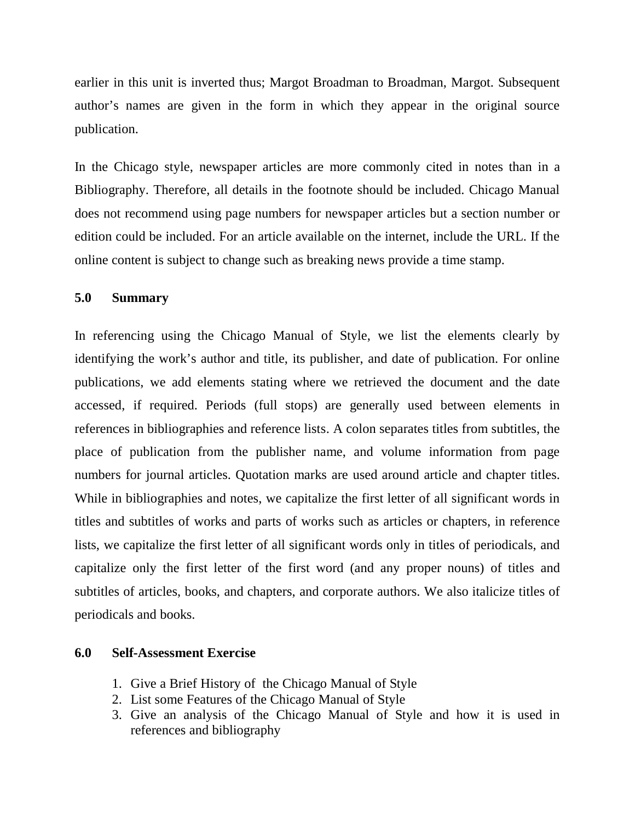earlier in this unit is inverted thus; Margot Broadman to Broadman, Margot. Subsequent author's names are given in the form in which they appear in the original source publication.

In the Chicago style, newspaper articles are more commonly cited in notes than in a Bibliography. Therefore, all details in the footnote should be included. Chicago Manual does not recommend using page numbers for newspaper articles but a section number or edition could be included. For an article available on the internet, include the URL. If the online content is subject to change such as breaking news provide a time stamp.

#### **5.0 Summary**

In referencing using the Chicago Manual of Style, we list the elements clearly by identifying the work's author and title, its publisher, and date of publication. For online publications, we add elements stating where we retrieved the document and the date accessed, if required. Periods (full stops) are generally used between elements in references in bibliographies and reference lists. A colon separates titles from subtitles, the place of publication from the publisher name, and volume information from page numbers for journal articles. Quotation marks are used around article and chapter titles. While in bibliographies and notes, we capitalize the first letter of all significant words in titles and subtitles of works and parts of works such as articles or chapters, in reference lists, we capitalize the first letter of all significant words only in titles of periodicals, and capitalize only the first letter of the first word (and any proper nouns) of titles and subtitles of articles, books, and chapters, and corporate authors. We also italicize titles of periodicals and books.

#### **6.0 Self-Assessment Exercise**

- 1. Give a Brief History of the Chicago Manual of Style
- 2. List some Features of the Chicago Manual of Style
- 3. Give an analysis of the Chicago Manual of Style and how it is used in references and bibliography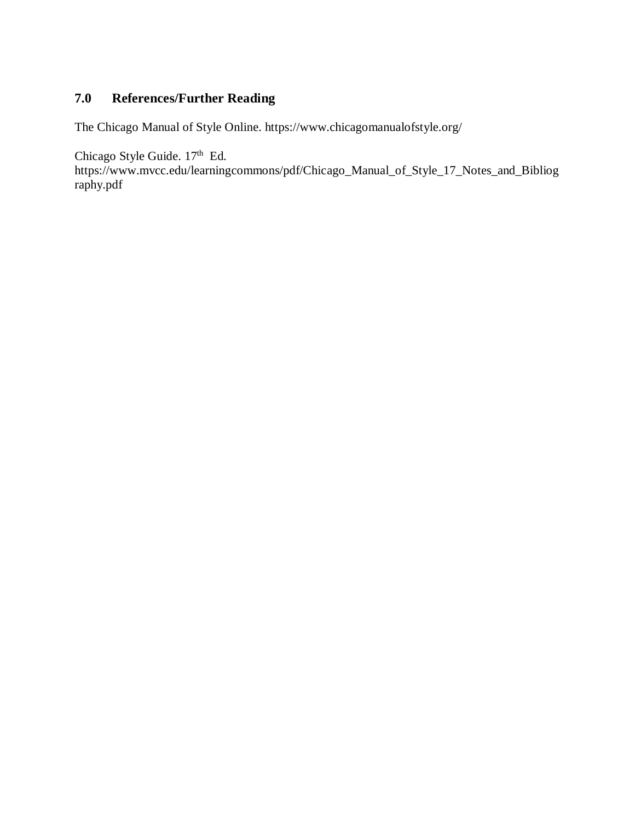# **7.0 References/Further Reading**

The Chicago Manual of Style Online. https://www.chicagomanualofstyle.org/

Chicago Style Guide. 17<sup>th</sup> Ed.

https://www.mvcc.edu/learningcommons/pdf/Chicago\_Manual\_of\_Style\_17\_Notes\_and\_Bibliog raphy.pdf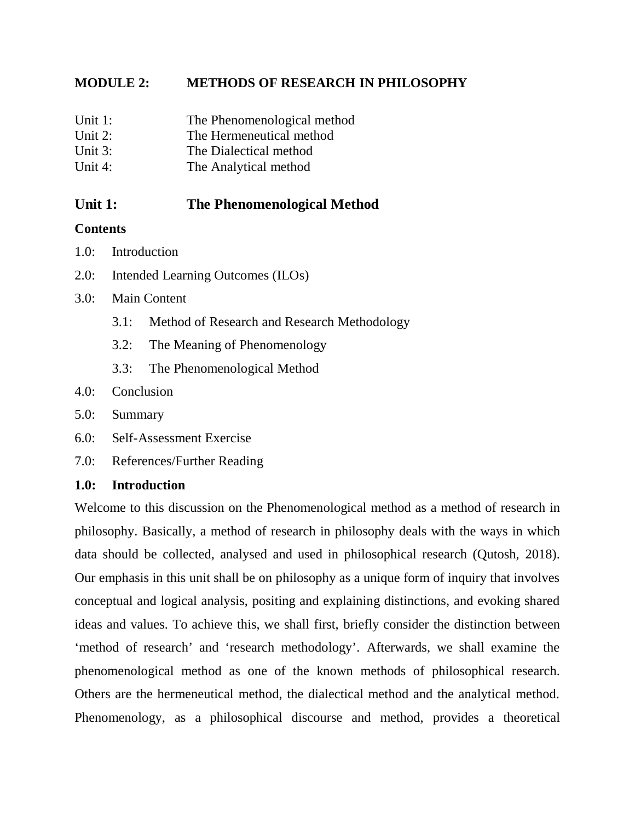## **MODULE 2: METHODS OF RESEARCH IN PHILOSOPHY**

| Unit 1: | The Phenomenological method |
|---------|-----------------------------|
|---------|-----------------------------|

- Unit 2: The Hermeneutical method
- Unit 3: The Dialectical method
- Unit 4: The Analytical method

# **Unit 1: The Phenomenological Method**

## **Contents**

- 1.0: Introduction
- 2.0: Intended Learning Outcomes (ILOs)
- 3.0: Main Content
	- 3.1: Method of Research and Research Methodology
	- 3.2: The Meaning of Phenomenology
	- 3.3: The Phenomenological Method
- 4.0: Conclusion
- 5.0: Summary
- 6.0: Self-Assessment Exercise
- 7.0: References/Further Reading

## **1.0: Introduction**

Welcome to this discussion on the Phenomenological method as a method of research in philosophy. Basically, a method of research in philosophy deals with the ways in which data should be collected, analysed and used in philosophical research (Qutosh, 2018). Our emphasis in this unit shall be on philosophy as a unique form of inquiry that involves conceptual and logical analysis, positing and explaining distinctions, and evoking shared ideas and values. To achieve this, we shall first, briefly consider the distinction between 'method of research' and 'research methodology'. Afterwards, we shall examine the phenomenological method as one of the known methods of philosophical research. Others are the hermeneutical method, the dialectical method and the analytical method. Phenomenology, as a philosophical discourse and method, provides a theoretical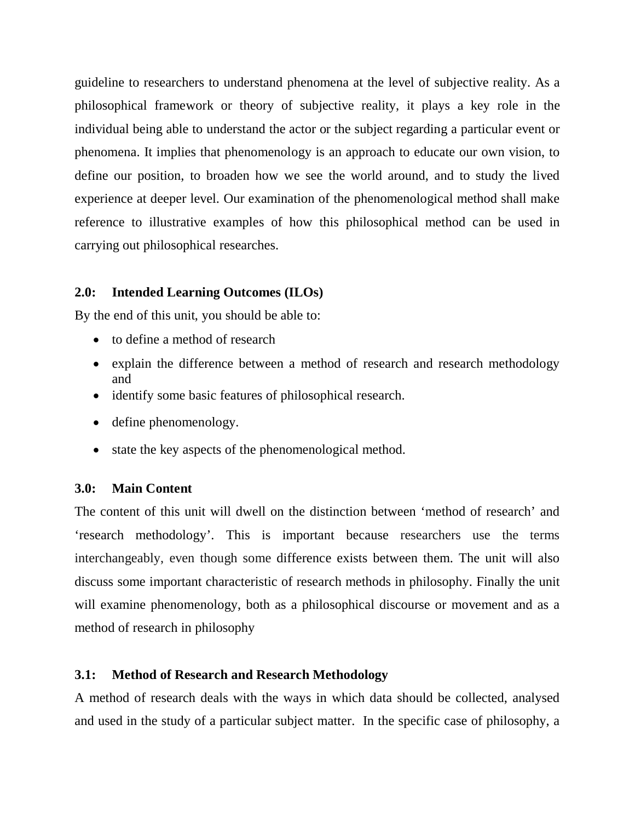guideline to researchers to understand phenomena at the level of subjective reality. As a philosophical framework or theory of subjective reality, it plays a key role in the individual being able to understand the actor or the subject regarding a particular event or phenomena. It implies that phenomenology is an approach to educate our own vision, to define our position, to broaden how we see the world around, and to study the lived experience at deeper level. Our examination of the phenomenological method shall make reference to illustrative examples of how this philosophical method can be used in carrying out philosophical researches.

## **2.0: Intended Learning Outcomes (ILOs)**

By the end of this unit, you should be able to:

- to define a method of research
- explain the difference between a method of research and research methodology and
- identify some basic features of philosophical research.
- define phenomenology.
- state the key aspects of the phenomenological method.

## **3.0: Main Content**

The content of this unit will dwell on the distinction between 'method of research' and 'research methodology'. This is important because researchers use the terms interchangeably, even though some difference exists between them. The unit will also discuss some important characteristic of research methods in philosophy. Finally the unit will examine phenomenology, both as a philosophical discourse or movement and as a method of research in philosophy

## **3.1: Method of Research and Research Methodology**

A method of research deals with the ways in which data should be collected, analysed and used in the study of a particular subject matter. In the specific case of philosophy, a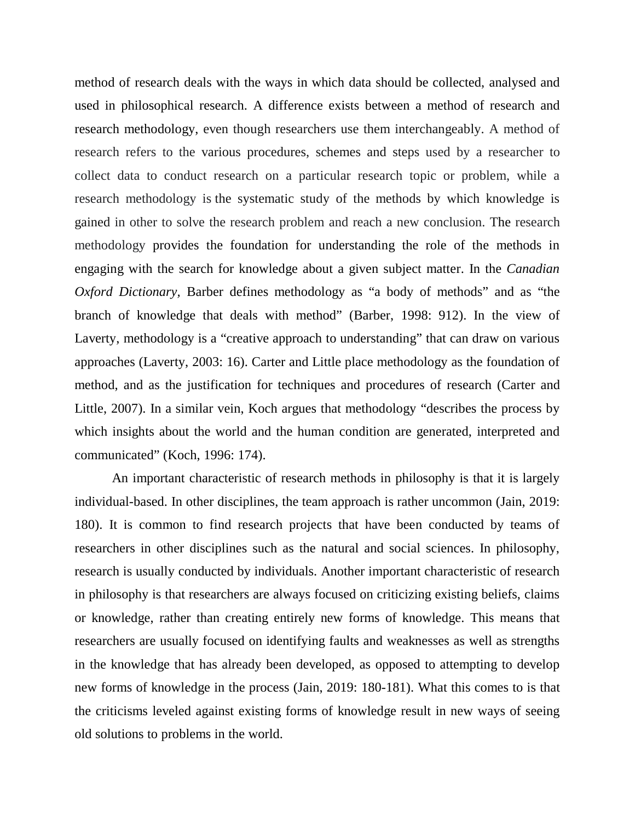method of research deals with the ways in which data should be collected, analysed and used in philosophical research. A difference exists between a method of research and research methodology, even though researchers use them interchangeably. A method of research refers to the various procedures, schemes and steps used by a researcher to collect data to conduct research on a particular research topic or problem, while a research methodology is the systematic study of the methods by which knowledge is gained in other to solve the research problem and reach a new conclusion. The research methodology provides the foundation for understanding the role of the methods in engaging with the search for knowledge about a given subject matter. In the *Canadian Oxford Dictionary*, Barber defines methodology as "a body of methods" and as "the branch of knowledge that deals with method" (Barber, 1998: 912). In the view of Laverty, methodology is a "creative approach to understanding" that can draw on various approaches (Laverty, 2003: 16). Carter and Little place methodology as the foundation of method, and as the justification for techniques and procedures of research (Carter and Little, 2007). In a similar vein, Koch argues that methodology "describes the process by which insights about the world and the human condition are generated, interpreted and communicated" (Koch, 1996: 174).

An important characteristic of research methods in philosophy is that it is largely individual-based. In other disciplines, the team approach is rather uncommon (Jain, 2019: 180). It is common to find research projects that have been conducted by teams of researchers in other disciplines such as the natural and social sciences. In philosophy, research is usually conducted by individuals. Another important characteristic of research in philosophy is that researchers are always focused on criticizing existing beliefs, claims or knowledge, rather than creating entirely new forms of knowledge. This means that researchers are usually focused on identifying faults and weaknesses as well as strengths in the knowledge that has already been developed, as opposed to attempting to develop new forms of knowledge in the process (Jain, 2019: 180-181). What this comes to is that the criticisms leveled against existing forms of knowledge result in new ways of seeing old solutions to problems in the world.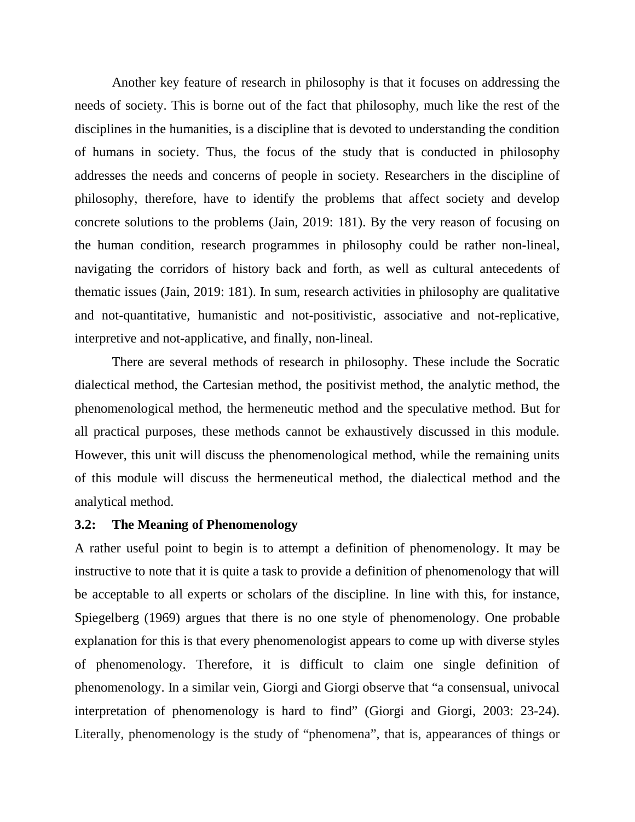Another key feature of research in philosophy is that it focuses on addressing the needs of society. This is borne out of the fact that philosophy, much like the rest of the disciplines in the humanities, is a discipline that is devoted to understanding the condition of humans in society. Thus, the focus of the study that is conducted in philosophy addresses the needs and concerns of people in society. Researchers in the discipline of philosophy, therefore, have to identify the problems that affect society and develop concrete solutions to the problems (Jain, 2019: 181). By the very reason of focusing on the human condition, research programmes in philosophy could be rather non-lineal, navigating the corridors of history back and forth, as well as cultural antecedents of thematic issues (Jain, 2019: 181). In sum, research activities in philosophy are qualitative and not-quantitative, humanistic and not-positivistic, associative and not-replicative, interpretive and not-applicative, and finally, non-lineal.

There are several methods of research in philosophy. These include the Socratic dialectical method, the Cartesian method, the positivist method, the analytic method, the phenomenological method, the hermeneutic method and the speculative method. But for all practical purposes, these methods cannot be exhaustively discussed in this module. However, this unit will discuss the phenomenological method, while the remaining units of this module will discuss the hermeneutical method, the dialectical method and the analytical method.

#### **3.2: The Meaning of Phenomenology**

A rather useful point to begin is to attempt a definition of phenomenology. It may be instructive to note that it is quite a task to provide a definition of phenomenology that will be acceptable to all experts or scholars of the discipline. In line with this, for instance, Spiegelberg (1969) argues that there is no one style of phenomenology. One probable explanation for this is that every phenomenologist appears to come up with diverse styles of phenomenology. Therefore, it is difficult to claim one single definition of phenomenology. In a similar vein, Giorgi and Giorgi observe that "a consensual, univocal interpretation of phenomenology is hard to find" (Giorgi and Giorgi, 2003: 23-24). Literally, phenomenology is the study of "phenomena", that is, appearances of things or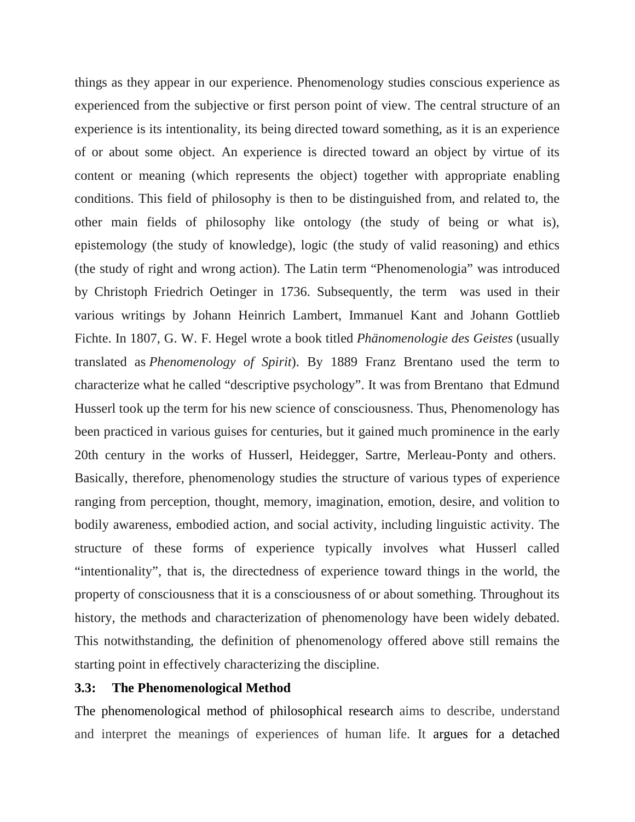things as they appear in our experience. Phenomenology studies conscious experience as experienced from the subjective or first person point of view. The central structure of an experience is its intentionality, its being directed toward something, as it is an experience of or about some object. An experience is directed toward an object by virtue of its content or meaning (which represents the object) together with appropriate enabling conditions. This field of philosophy is then to be distinguished from, and related to, the other main fields of philosophy like ontology (the study of being or what is), epistemology (the study of knowledge), logic (the study of valid reasoning) and ethics (the study of right and wrong action). The Latin term "Phenomenologia" was introduced by Christoph Friedrich Oetinger in 1736. Subsequently, the term was used in their various writings by Johann Heinrich Lambert, Immanuel Kant and Johann Gottlieb Fichte. In 1807, G. W. F. Hegel wrote a book titled *Phänomenologie des Geistes* (usually translated as *Phenomenology of Spirit*). By 1889 Franz Brentano used the term to characterize what he called "descriptive psychology". It was from Brentano that Edmund Husserl took up the term for his new science of consciousness. Thus, Phenomenology has been practiced in various guises for centuries, but it gained much prominence in the early 20th century in the works of Husserl, Heidegger, Sartre, Merleau-Ponty and others. Basically, therefore, phenomenology studies the structure of various types of experience ranging from perception, thought, memory, imagination, emotion, desire, and volition to bodily awareness, embodied action, and social activity, including linguistic activity. The structure of these forms of experience typically involves what Husserl called "intentionality", that is, the directedness of experience toward things in the world, the property of consciousness that it is a consciousness of or about something. Throughout its history, the methods and characterization of phenomenology have been widely debated. This notwithstanding, the definition of phenomenology offered above still remains the starting point in effectively characterizing the discipline.

#### **3.3: The Phenomenological Method**

The phenomenological method of philosophical research aims to describe, understand and interpret the meanings of experiences of human life. It argues for a detached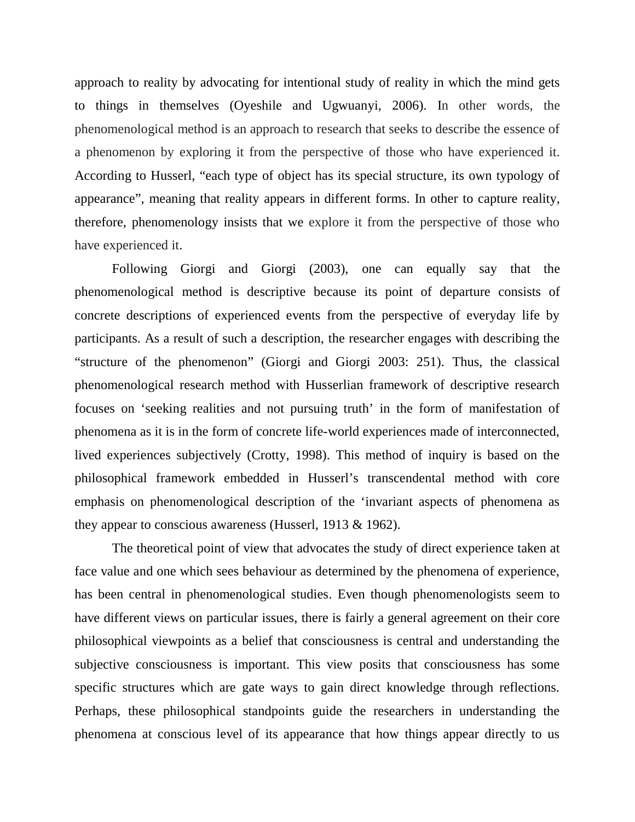approach to reality by advocating for intentional study of reality in which the mind gets to things in themselves (Oyeshile and Ugwuanyi, 2006). In other words, the phenomenological method is an approach to research that seeks to describe the essence of a phenomenon by exploring it from the perspective of those who have experienced it. According to Husserl, "each type of object has its special structure, its own typology of appearance", meaning that reality appears in different forms. In other to capture reality, therefore, phenomenology insists that we explore it from the perspective of those who have experienced it.

Following Giorgi and Giorgi (2003), one can equally say that the phenomenological method is descriptive because its point of departure consists of concrete descriptions of experienced events from the perspective of everyday life by participants. As a result of such a description, the researcher engages with describing the "structure of the phenomenon" (Giorgi and Giorgi 2003: 251). Thus, the classical phenomenological research method with Husserlian framework of descriptive research focuses on 'seeking realities and not pursuing truth' in the form of manifestation of phenomena as it is in the form of concrete life-world experiences made of interconnected, lived experiences subjectively (Crotty, 1998). This method of inquiry is based on the philosophical framework embedded in Husserl's transcendental method with core emphasis on phenomenological description of the 'invariant aspects of phenomena as they appear to conscious awareness (Husserl, 1913 & 1962).

The theoretical point of view that advocates the study of direct experience taken at face value and one which sees behaviour as determined by the phenomena of experience, has been central in phenomenological studies. Even though phenomenologists seem to have different views on particular issues, there is fairly a general agreement on their core philosophical viewpoints as a belief that consciousness is central and understanding the subjective consciousness is important. This view posits that consciousness has some specific structures which are gate ways to gain direct knowledge through reflections. Perhaps, these philosophical standpoints guide the researchers in understanding the phenomena at conscious level of its appearance that how things appear directly to us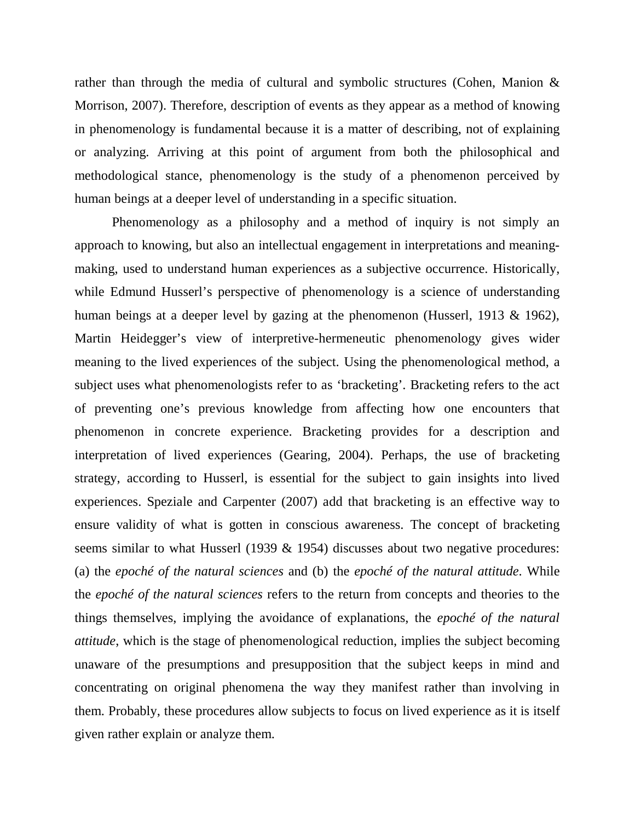rather than through the media of cultural and symbolic structures (Cohen, Manion & Morrison, 2007). Therefore, description of events as they appear as a method of knowing in phenomenology is fundamental because it is a matter of describing, not of explaining or analyzing. Arriving at this point of argument from both the philosophical and methodological stance, phenomenology is the study of a phenomenon perceived by human beings at a deeper level of understanding in a specific situation.

Phenomenology as a philosophy and a method of inquiry is not simply an approach to knowing, but also an intellectual engagement in interpretations and meaningmaking, used to understand human experiences as a subjective occurrence. Historically, while Edmund Husserl's perspective of phenomenology is a science of understanding human beings at a deeper level by gazing at the phenomenon (Husserl, 1913 & 1962), Martin Heidegger's view of interpretive-hermeneutic phenomenology gives wider meaning to the lived experiences of the subject. Using the phenomenological method, a subject uses what phenomenologists refer to as 'bracketing'. Bracketing refers to the act of preventing one's previous knowledge from affecting how one encounters that phenomenon in concrete experience. Bracketing provides for a description and interpretation of lived experiences (Gearing, 2004). Perhaps, the use of bracketing strategy, according to Husserl, is essential for the subject to gain insights into lived experiences. Speziale and Carpenter (2007) add that bracketing is an effective way to ensure validity of what is gotten in conscious awareness. The concept of bracketing seems similar to what Husserl (1939 & 1954) discusses about two negative procedures: (a) the *epoché of the natural sciences* and (b) the *epoché of the natural attitude*. While the *epoché of the natural sciences* refers to the return from concepts and theories to the things themselves, implying the avoidance of explanations, the *epoché of the natural attitude*, which is the stage of phenomenological reduction, implies the subject becoming unaware of the presumptions and presupposition that the subject keeps in mind and concentrating on original phenomena the way they manifest rather than involving in them. Probably, these procedures allow subjects to focus on lived experience as it is itself given rather explain or analyze them.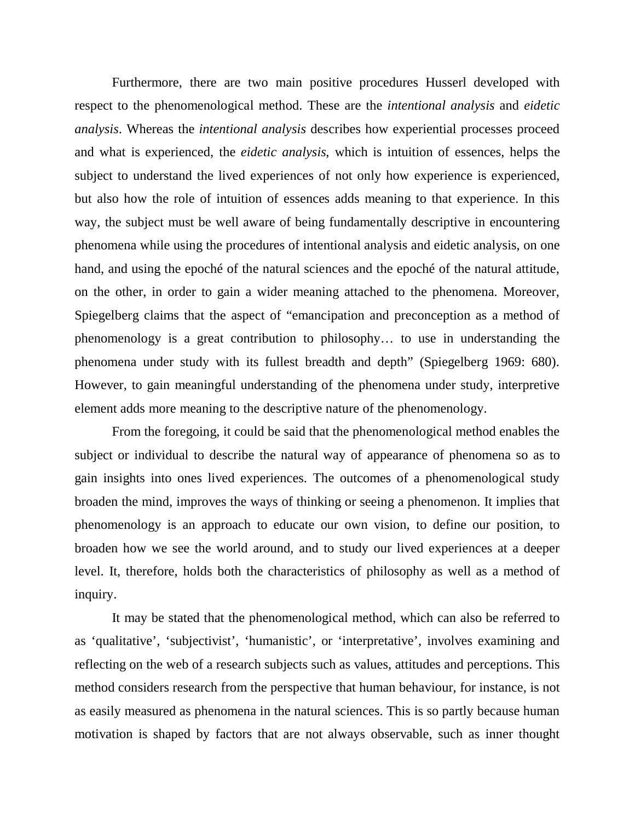Furthermore, there are two main positive procedures Husserl developed with respect to the phenomenological method. These are the *intentional analysis* and *eidetic analysis*. Whereas the *intentional analysis* describes how experiential processes proceed and what is experienced, the *eidetic analysis*, which is intuition of essences, helps the subject to understand the lived experiences of not only how experience is experienced, but also how the role of intuition of essences adds meaning to that experience. In this way, the subject must be well aware of being fundamentally descriptive in encountering phenomena while using the procedures of intentional analysis and eidetic analysis, on one hand, and using the epoché of the natural sciences and the epoché of the natural attitude, on the other, in order to gain a wider meaning attached to the phenomena. Moreover, Spiegelberg claims that the aspect of "emancipation and preconception as a method of phenomenology is a great contribution to philosophy… to use in understanding the phenomena under study with its fullest breadth and depth" (Spiegelberg 1969: 680). However, to gain meaningful understanding of the phenomena under study, interpretive element adds more meaning to the descriptive nature of the phenomenology.

From the foregoing, it could be said that the phenomenological method enables the subject or individual to describe the natural way of appearance of phenomena so as to gain insights into ones lived experiences. The outcomes of a phenomenological study broaden the mind, improves the ways of thinking or seeing a phenomenon. It implies that phenomenology is an approach to educate our own vision, to define our position, to broaden how we see the world around, and to study our lived experiences at a deeper level. It, therefore, holds both the characteristics of philosophy as well as a method of inquiry.

It may be stated that the phenomenological method, which can also be referred to as 'qualitative', 'subjectivist', 'humanistic', or 'interpretative', involves examining and reflecting on the web of a research subjects such as values, attitudes and perceptions. This method considers research from the perspective that human behaviour, for instance, is not as easily measured as phenomena in the natural sciences. This is so partly because human motivation is shaped by factors that are not always observable, such as inner thought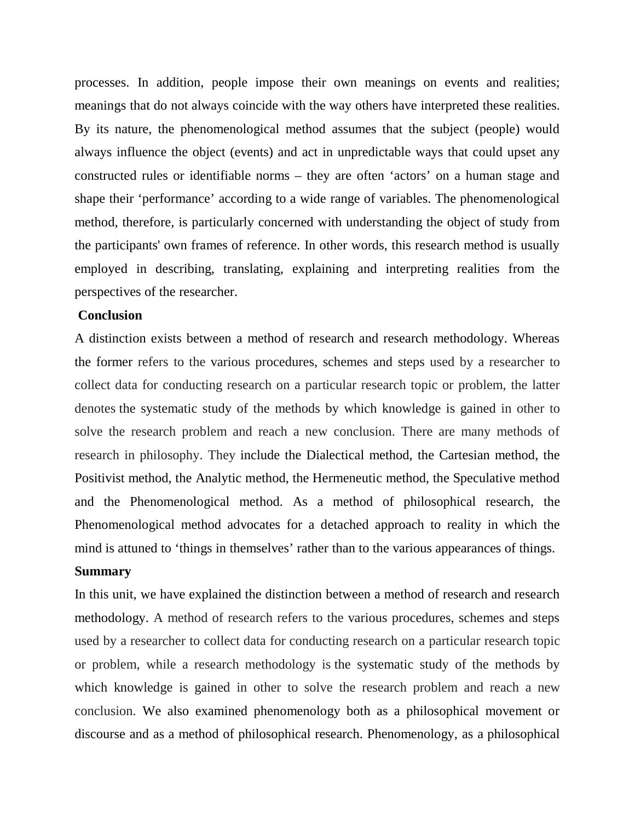processes. In addition, people impose their own meanings on events and realities; meanings that do not always coincide with the way others have interpreted these realities. By its nature, the phenomenological method assumes that the subject (people) would always influence the object (events) and act in unpredictable ways that could upset any constructed rules or identifiable norms – they are often 'actors' on a human stage and shape their 'performance' according to a wide range of variables. The phenomenological method, therefore, is particularly concerned with understanding the object of study from the participants' own frames of reference. In other words, this research method is usually employed in describing, translating, explaining and interpreting realities from the perspectives of the researcher.

#### **Conclusion**

A distinction exists between a method of research and research methodology. Whereas the former refers to the various procedures, schemes and steps used by a researcher to collect data for conducting research on a particular research topic or problem, the latter denotes the systematic study of the methods by which knowledge is gained in other to solve the research problem and reach a new conclusion. There are many methods of research in philosophy. They include the Dialectical method, the Cartesian method, the Positivist method, the Analytic method, the Hermeneutic method, the Speculative method and the Phenomenological method. As a method of philosophical research, the Phenomenological method advocates for a detached approach to reality in which the mind is attuned to 'things in themselves' rather than to the various appearances of things.

#### **Summary**

In this unit, we have explained the distinction between a method of research and research methodology. A method of research refers to the various procedures, schemes and steps used by a researcher to collect data for conducting research on a particular research topic or problem, while a research methodology is the systematic study of the methods by which knowledge is gained in other to solve the research problem and reach a new conclusion. We also examined phenomenology both as a philosophical movement or discourse and as a method of philosophical research. Phenomenology, as a philosophical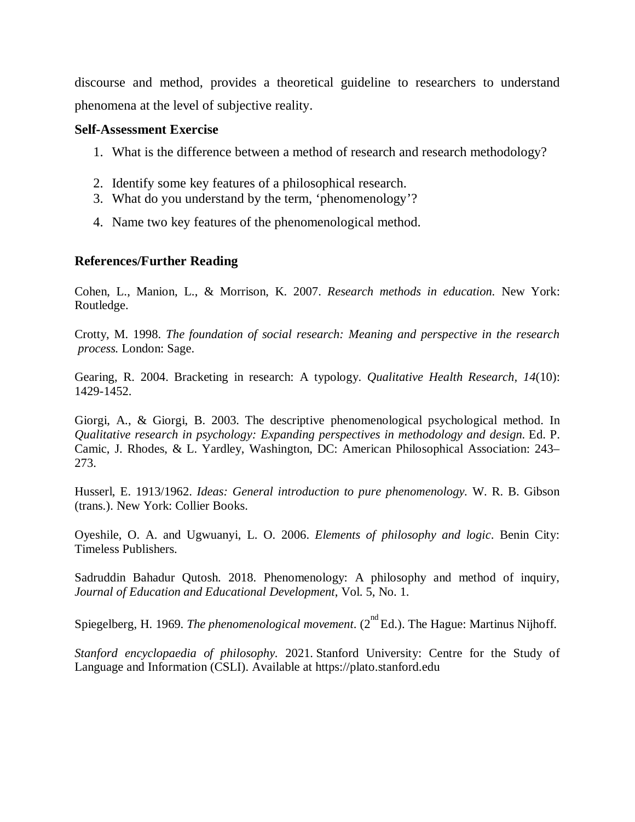discourse and method, provides a theoretical guideline to researchers to understand phenomena at the level of subjective reality.

#### **Self-Assessment Exercise**

- 1. What is the difference between a method of research and research methodology?
- 2. Identify some key features of a philosophical research.
- 3. What do you understand by the term, 'phenomenology'?
- 4. Name two key features of the phenomenological method.

#### **References/Further Reading**

Cohen, L., Manion, L., & Morrison, K. 2007. *Research methods in education.* New York: Routledge.

Crotty, M. 1998. *The foundation of social research: Meaning and perspective in the research process.* London: Sage.

Gearing, R. 2004. Bracketing in research: A typology. *Qualitative Health Research, 14*(10): 1429-1452.

Giorgi, A., & Giorgi, B. 2003. The descriptive phenomenological psychological method. In *Qualitative research in psychology: Expanding perspectives in methodology and design.* Ed. P. Camic, J. Rhodes, & L. Yardley, Washington, DC: American Philosophical Association: 243– 273.

Husserl, E. 1913/1962. *Ideas: General introduction to pure phenomenology.* W. R. B. Gibson (trans.). New York: Collier Books.

Oyeshile, O. A. and Ugwuanyi, L. O. 2006. *Elements of philosophy and logic*. Benin City: Timeless Publishers.

Sadruddin Bahadur Qutosh. 2018. Phenomenology: A philosophy and method of inquiry, *Journal of Education and Educational Development*, Vol. 5, No. 1.

Spiegelberg, H. 1969. *The phenomenological movement*. (2<sup>nd</sup> Ed.). The Hague: Martinus Nijhoff.

*Stanford encyclopaedia of philosophy.* 2021. Stanford University: Centre for the Study of Language and Information (CSLI). Available at https://plato.stanford.edu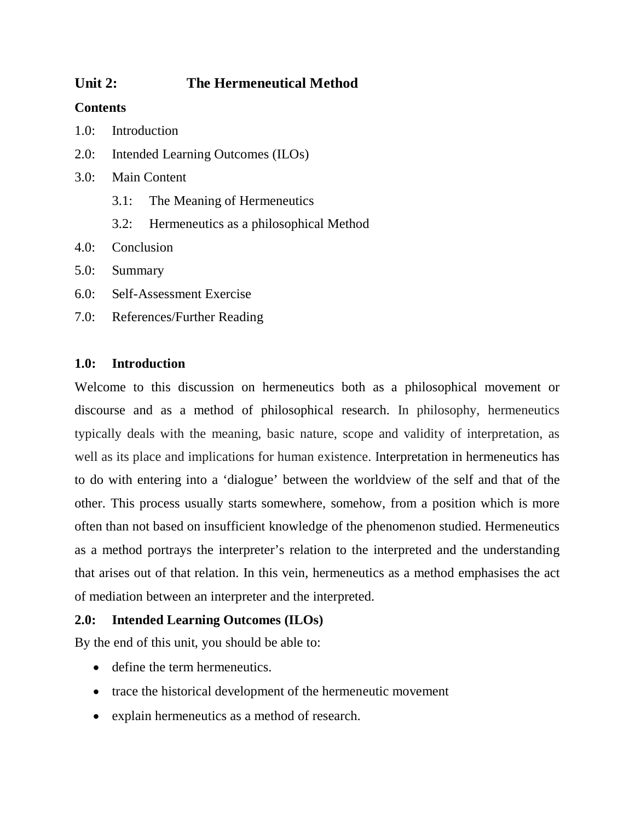# **Unit 2: The Hermeneutical Method**

## **Contents**

- 1.0: Introduction
- 2.0: Intended Learning Outcomes (ILOs)
- 3.0: Main Content
	- 3.1: The Meaning of Hermeneutics
	- 3.2: Hermeneutics as a philosophical Method
- 4.0: Conclusion
- 5.0: Summary
- 6.0: Self-Assessment Exercise
- 7.0: References/Further Reading

## **1.0: Introduction**

Welcome to this discussion on hermeneutics both as a philosophical movement or discourse and as a method of philosophical research. In philosophy, hermeneutics typically deals with the meaning, basic nature, scope and validity of interpretation, as well as its place and implications for human existence. Interpretation in hermeneutics has to do with entering into a 'dialogue' between the worldview of the self and that of the other. This process usually starts somewhere, somehow, from a position which is more often than not based on insufficient knowledge of the phenomenon studied. Hermeneutics as a method portrays the interpreter's relation to the interpreted and the understanding that arises out of that relation. In this vein, hermeneutics as a method emphasises the act of mediation between an interpreter and the interpreted.

## **2.0: Intended Learning Outcomes (ILOs)**

By the end of this unit, you should be able to:

- define the term hermeneutics.
- trace the historical development of the hermeneutic movement
- explain hermeneutics as a method of research.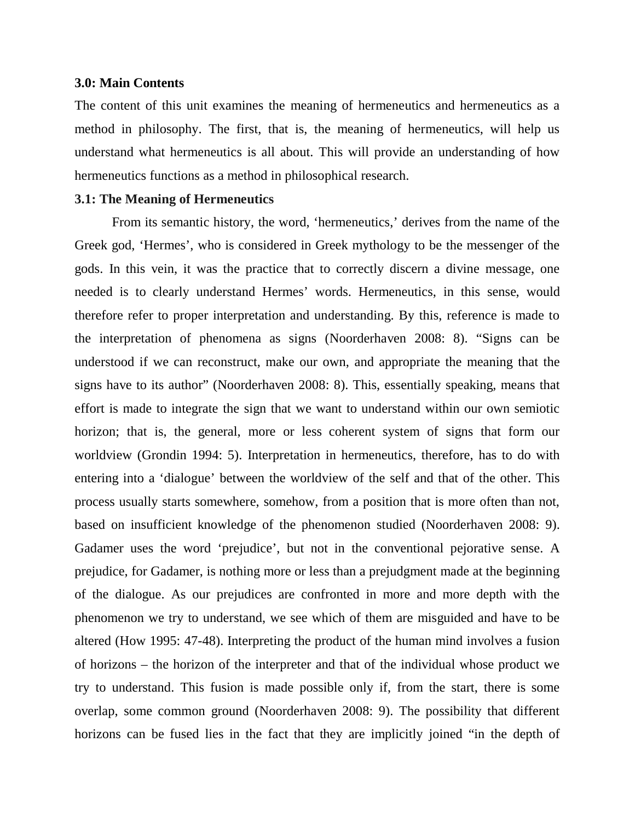#### **3.0: Main Contents**

The content of this unit examines the meaning of hermeneutics and hermeneutics as a method in philosophy. The first, that is, the meaning of hermeneutics, will help us understand what hermeneutics is all about. This will provide an understanding of how hermeneutics functions as a method in philosophical research.

#### **3.1: The Meaning of Hermeneutics**

From its semantic history, the word, 'hermeneutics,' derives from the name of the Greek god, 'Hermes', who is considered in Greek mythology to be the messenger of the gods. In this vein, it was the practice that to correctly discern a divine message, one needed is to clearly understand Hermes' words. Hermeneutics, in this sense, would therefore refer to proper interpretation and understanding. By this, reference is made to the interpretation of phenomena as signs (Noorderhaven 2008: 8). "Signs can be understood if we can reconstruct, make our own, and appropriate the meaning that the signs have to its author" (Noorderhaven 2008: 8). This, essentially speaking, means that effort is made to integrate the sign that we want to understand within our own semiotic horizon; that is, the general, more or less coherent system of signs that form our worldview (Grondin 1994: 5). Interpretation in hermeneutics, therefore, has to do with entering into a 'dialogue' between the worldview of the self and that of the other. This process usually starts somewhere, somehow, from a position that is more often than not, based on insufficient knowledge of the phenomenon studied (Noorderhaven 2008: 9). Gadamer uses the word 'prejudice', but not in the conventional pejorative sense. A prejudice, for Gadamer, is nothing more or less than a prejudgment made at the beginning of the dialogue. As our prejudices are confronted in more and more depth with the phenomenon we try to understand, we see which of them are misguided and have to be altered (How 1995: 47-48). Interpreting the product of the human mind involves a fusion of horizons – the horizon of the interpreter and that of the individual whose product we try to understand. This fusion is made possible only if, from the start, there is some overlap, some common ground (Noorderhaven 2008: 9). The possibility that different horizons can be fused lies in the fact that they are implicitly joined "in the depth of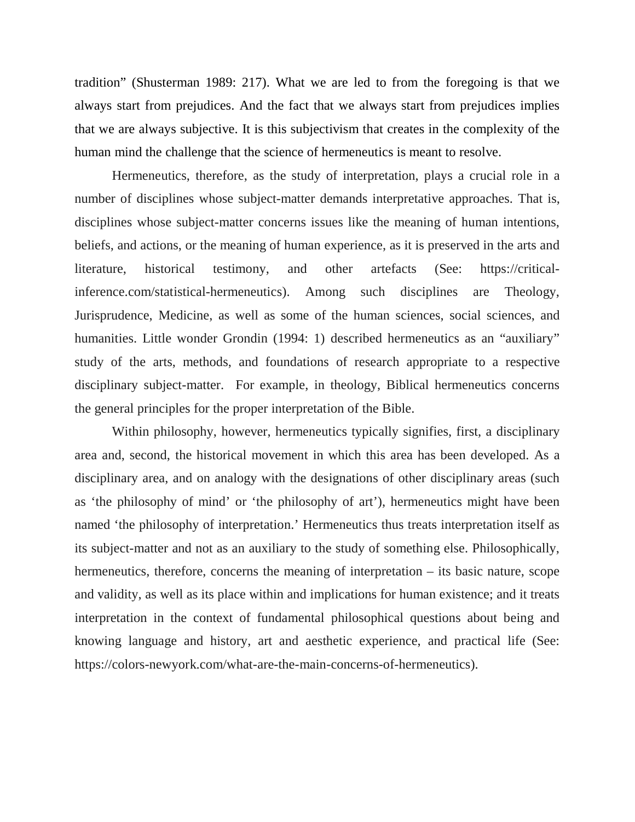tradition" (Shusterman 1989: 217). What we are led to from the foregoing is that we always start from prejudices. And the fact that we always start from prejudices implies that we are always subjective. It is this subjectivism that creates in the complexity of the human mind the challenge that the science of hermeneutics is meant to resolve.

Hermeneutics, therefore, as the study of interpretation, plays a crucial role in a number of disciplines whose subject-matter demands interpretative approaches. That is, disciplines whose subject-matter concerns issues like the meaning of human intentions, beliefs, and actions, or the meaning of human experience, as it is preserved in the arts and literature, historical testimony, and other artefacts (See: https://criticalinference.com/statistical-hermeneutics). Among such disciplines are Theology, Jurisprudence, Medicine, as well as some of the human sciences, social sciences, and humanities. Little wonder Grondin (1994: 1) described hermeneutics as an "auxiliary" study of the arts, methods, and foundations of research appropriate to a respective disciplinary subject-matter. For example, in theology, Biblical hermeneutics concerns the general principles for the proper interpretation of the Bible.

Within philosophy, however, hermeneutics typically signifies, first, a disciplinary area and, second, the historical movement in which this area has been developed. As a disciplinary area, and on analogy with the designations of other disciplinary areas (such as 'the philosophy of mind' or 'the philosophy of art'), hermeneutics might have been named 'the philosophy of interpretation.' Hermeneutics thus treats interpretation itself as its subject-matter and not as an auxiliary to the study of something else. Philosophically, hermeneutics, therefore, concerns the meaning of interpretation – its basic nature, scope and validity, as well as its place within and implications for human existence; and it treats interpretation in the context of fundamental philosophical questions about being and knowing language and history, art and aesthetic experience, and practical life (See: https://colors-newyork.com/what-are-the-main-concerns-of-hermeneutics).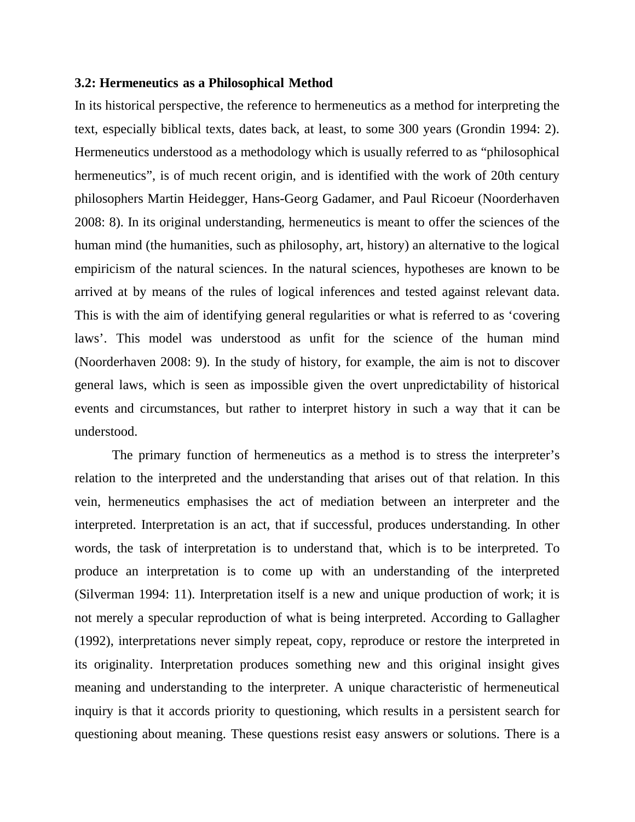#### **3.2: Hermeneutics as a Philosophical Method**

In its historical perspective, the reference to hermeneutics as a method for interpreting the text, especially biblical texts, dates back, at least, to some 300 years (Grondin 1994: 2). Hermeneutics understood as a methodology which is usually referred to as "philosophical hermeneutics", is of much recent origin, and is identified with the work of 20th century philosophers Martin Heidegger, Hans-Georg Gadamer, and Paul Ricoeur (Noorderhaven 2008: 8). In its original understanding, hermeneutics is meant to offer the sciences of the human mind (the humanities, such as philosophy, art, history) an alternative to the logical empiricism of the natural sciences. In the natural sciences, hypotheses are known to be arrived at by means of the rules of logical inferences and tested against relevant data. This is with the aim of identifying general regularities or what is referred to as 'covering laws'. This model was understood as unfit for the science of the human mind (Noorderhaven 2008: 9). In the study of history, for example, the aim is not to discover general laws, which is seen as impossible given the overt unpredictability of historical events and circumstances, but rather to interpret history in such a way that it can be understood.

The primary function of hermeneutics as a method is to stress the interpreter's relation to the interpreted and the understanding that arises out of that relation. In this vein, hermeneutics emphasises the act of mediation between an interpreter and the interpreted. Interpretation is an act, that if successful, produces understanding. In other words, the task of interpretation is to understand that, which is to be interpreted. To produce an interpretation is to come up with an understanding of the interpreted (Silverman 1994: 11). Interpretation itself is a new and unique production of work; it is not merely a specular reproduction of what is being interpreted. According to Gallagher (1992), interpretations never simply repeat, copy, reproduce or restore the interpreted in its originality. Interpretation produces something new and this original insight gives meaning and understanding to the interpreter. A unique characteristic of hermeneutical inquiry is that it accords priority to questioning, which results in a persistent search for questioning about meaning. These questions resist easy answers or solutions. There is a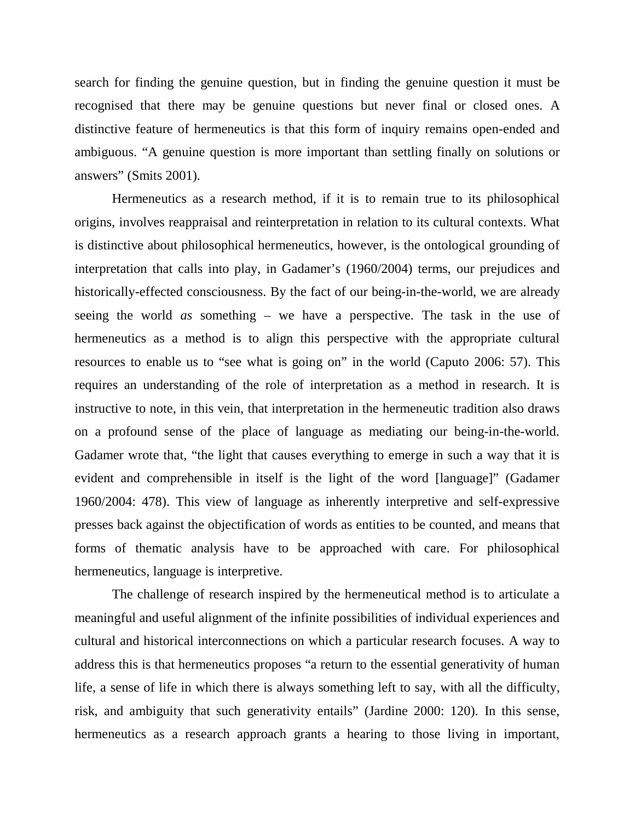search for finding the genuine question, but in finding the genuine question it must be recognised that there may be genuine questions but never final or closed ones. A distinctive feature of hermeneutics is that this form of inquiry remains open-ended and ambiguous. "A genuine question is more important than settling finally on solutions or answers" (Smits 2001).

Hermeneutics as a research method, if it is to remain true to its philosophical origins, involves reappraisal and reinterpretation in relation to its cultural contexts. What is distinctive about philosophical hermeneutics, however, is the ontological grounding of interpretation that calls into play, in Gadamer's (1960/2004) terms, our prejudices and historically-effected consciousness. By the fact of our being-in-the-world, we are already seeing the world *as* something – we have a perspective. The task in the use of hermeneutics as a method is to align this perspective with the appropriate cultural resources to enable us to "see what is going on" in the world (Caputo 2006: 57). This requires an understanding of the role of interpretation as a method in research. It is instructive to note, in this vein, that interpretation in the hermeneutic tradition also draws on a profound sense of the place of language as mediating our being-in-the-world. Gadamer wrote that, "the light that causes everything to emerge in such a way that it is evident and comprehensible in itself is the light of the word [language]" (Gadamer 1960/2004: 478). This view of language as inherently interpretive and self-expressive presses back against the objectification of words as entities to be counted, and means that forms of thematic analysis have to be approached with care. For philosophical hermeneutics, language is interpretive.

The challenge of research inspired by the hermeneutical method is to articulate a meaningful and useful alignment of the infinite possibilities of individual experiences and cultural and historical interconnections on which a particular research focuses. A way to address this is that hermeneutics proposes "a return to the essential generativity of human life, a sense of life in which there is always something left to say, with all the difficulty, risk, and ambiguity that such generativity entails" (Jardine 2000: 120). In this sense, hermeneutics as a research approach grants a hearing to those living in important,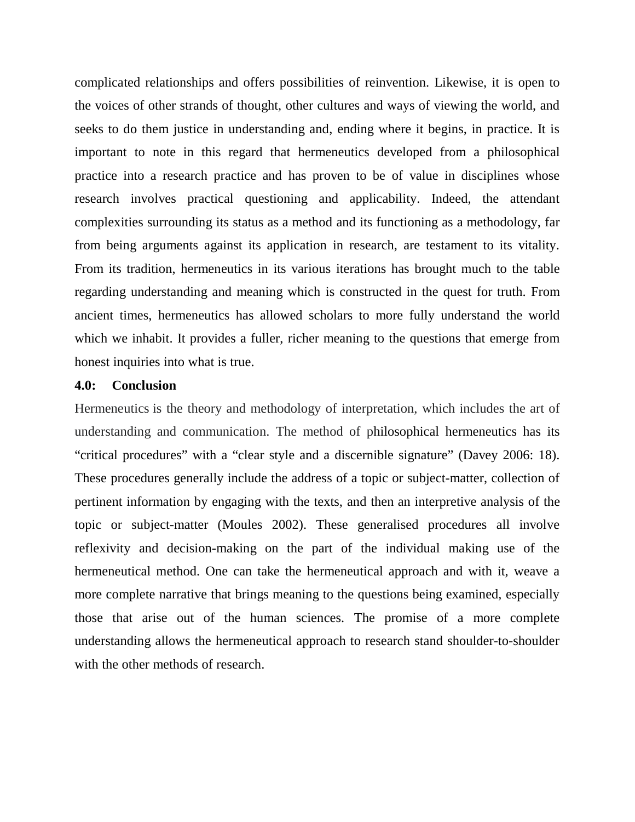complicated relationships and offers possibilities of reinvention. Likewise, it is open to the voices of other strands of thought, other cultures and ways of viewing the world, and seeks to do them justice in understanding and, ending where it begins, in practice. It is important to note in this regard that hermeneutics developed from a philosophical practice into a research practice and has proven to be of value in disciplines whose research involves practical questioning and applicability. Indeed, the attendant complexities surrounding its status as a method and its functioning as a methodology, far from being arguments against its application in research, are testament to its vitality. From its tradition, hermeneutics in its various iterations has brought much to the table regarding understanding and meaning which is constructed in the quest for truth. From ancient times, hermeneutics has allowed scholars to more fully understand the world which we inhabit. It provides a fuller, richer meaning to the questions that emerge from honest inquiries into what is true.

#### **4.0: Conclusion**

Hermeneutics is the theory and methodology of interpretation, which includes the art of understanding and communication. The method of philosophical hermeneutics has its "critical procedures" with a "clear style and a discernible signature" (Davey 2006: 18). These procedures generally include the address of a topic or subject-matter, collection of pertinent information by engaging with the texts, and then an interpretive analysis of the topic or subject-matter (Moules 2002). These generalised procedures all involve reflexivity and decision-making on the part of the individual making use of the hermeneutical method. One can take the hermeneutical approach and with it, weave a more complete narrative that brings meaning to the questions being examined, especially those that arise out of the human sciences. The promise of a more complete understanding allows the hermeneutical approach to research stand shoulder-to-shoulder with the other methods of research.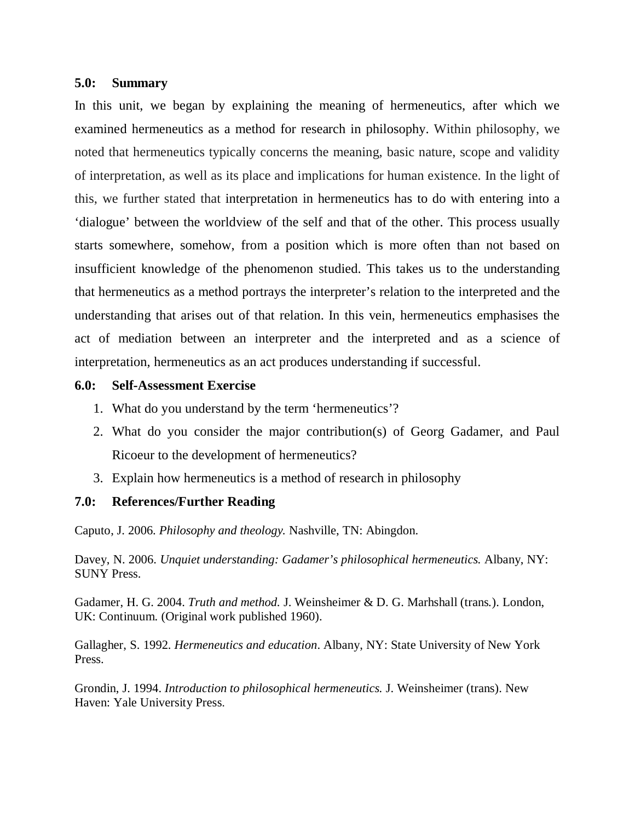#### **5.0: Summary**

In this unit, we began by explaining the meaning of hermeneutics, after which we examined hermeneutics as a method for research in philosophy. Within philosophy, we noted that hermeneutics typically concerns the meaning, basic nature, scope and validity of interpretation, as well as its place and implications for human existence. In the light of this, we further stated that interpretation in hermeneutics has to do with entering into a 'dialogue' between the worldview of the self and that of the other. This process usually starts somewhere, somehow, from a position which is more often than not based on insufficient knowledge of the phenomenon studied. This takes us to the understanding that hermeneutics as a method portrays the interpreter's relation to the interpreted and the understanding that arises out of that relation. In this vein, hermeneutics emphasises the act of mediation between an interpreter and the interpreted and as a science of interpretation, hermeneutics as an act produces understanding if successful.

#### **6.0: Self-Assessment Exercise**

- 1. What do you understand by the term 'hermeneutics'?
- 2. What do you consider the major contribution(s) of Georg Gadamer, and Paul Ricoeur to the development of hermeneutics?
- 3. Explain how hermeneutics is a method of research in philosophy

#### **7.0: References/Further Reading**

Caputo, J. 2006. *Philosophy and theology.* Nashville, TN: Abingdon.

Davey, N. 2006. *Unquiet understanding: Gadamer's philosophical hermeneutics.* Albany, NY: SUNY Press.

Gadamer, H. G. 2004. *Truth and method.* J. Weinsheimer & D. G. Marhshall (trans*.*). London, UK: Continuum. (Original work published 1960).

Gallagher, S. 1992. *Hermeneutics and education*. Albany, NY: State University of New York Press.

Grondin, J. 1994. *Introduction to philosophical hermeneutics.* J. Weinsheimer (trans). New Haven: Yale University Press.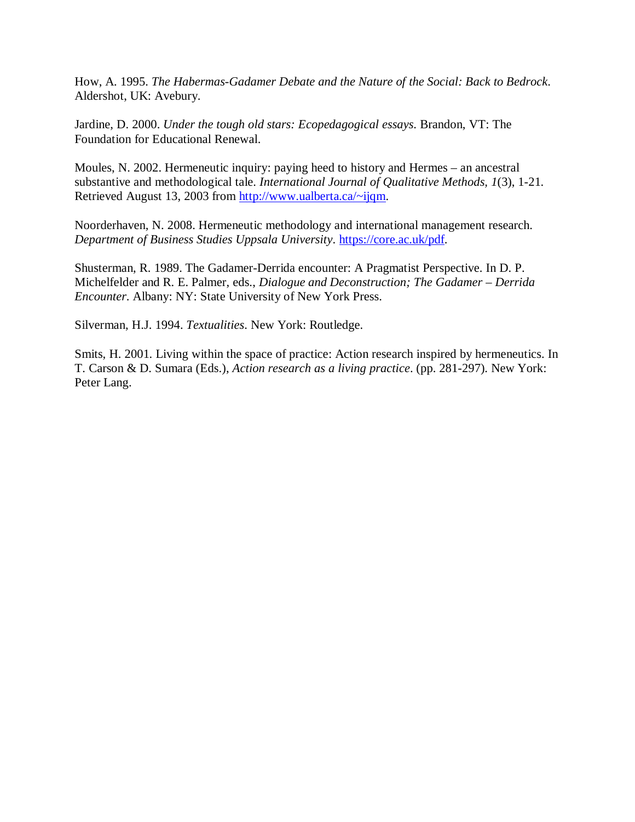How, A. 1995. *The Habermas-Gadamer Debate and the Nature of the Social: Back to Bedrock*. Aldershot, UK: Avebury.

Jardine, D. 2000. *Under the tough old stars: Ecopedagogical essays*. Brandon, VT: The Foundation for Educational Renewal.

Moules, N. 2002. Hermeneutic inquiry: paying heed to history and Hermes – an ancestral substantive and methodological tale. *International Journal of Qualitative Methods, 1*(3), 1-21. Retrieved August 13, 2003 from http://www.ualberta.ca/~ijqm.

Noorderhaven, N. 2008. Hermeneutic methodology and international management research. *Department of Business Studies Uppsala University*. https://core.ac.uk/pdf.

Shusterman, R. 1989. The Gadamer-Derrida encounter: A Pragmatist Perspective. In D. P. Michelfelder and R. E. Palmer, eds., *Dialogue and Deconstruction; The Gadamer – Derrida Encounter*. Albany: NY: State University of New York Press.

Silverman, H.J. 1994. *Textualities*. New York: Routledge.

Smits, H. 2001. Living within the space of practice: Action research inspired by hermeneutics. In T. Carson & D. Sumara (Eds.), *Action research as a living practice*. (pp. 281-297). New York: Peter Lang.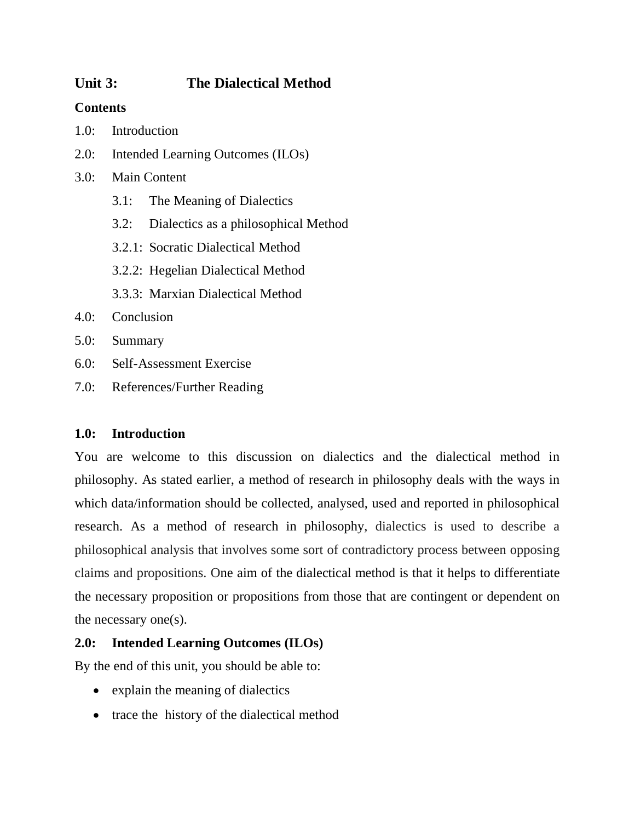# **Unit 3: The Dialectical Method**

## **Contents**

- 1.0: Introduction
- 2.0: Intended Learning Outcomes (ILOs)
- 3.0: Main Content
	- 3.1: The Meaning of Dialectics
	- 3.2: Dialectics as a philosophical Method
	- 3.2.1: Socratic Dialectical Method
	- 3.2.2: Hegelian Dialectical Method
	- 3.3.3: Marxian Dialectical Method
- 4.0: Conclusion
- 5.0: Summary
- 6.0: Self-Assessment Exercise
- 7.0: References/Further Reading

## **1.0: Introduction**

You are welcome to this discussion on dialectics and the dialectical method in philosophy. As stated earlier, a method of research in philosophy deals with the ways in which data/information should be collected, analysed, used and reported in philosophical research. As a method of research in philosophy, dialectics is used to describe a philosophical analysis that involves some sort of contradictory process between opposing claims and propositions. One aim of the dialectical method is that it helps to differentiate the necessary proposition or propositions from those that are contingent or dependent on the necessary one(s).

# **2.0: Intended Learning Outcomes (ILOs)**

By the end of this unit, you should be able to:

- explain the meaning of dialectics
- trace the history of the dialectical method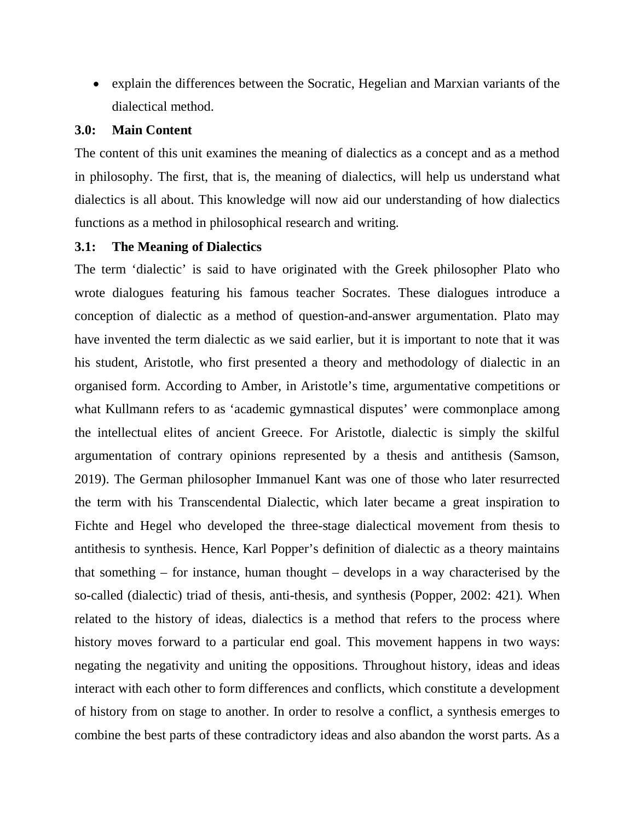explain the differences between the Socratic, Hegelian and Marxian variants of the dialectical method.

#### **3.0: Main Content**

The content of this unit examines the meaning of dialectics as a concept and as a method in philosophy. The first, that is, the meaning of dialectics, will help us understand what dialectics is all about. This knowledge will now aid our understanding of how dialectics functions as a method in philosophical research and writing.

#### **3.1: The Meaning of Dialectics**

The term 'dialectic' is said to have originated with the Greek philosopher Plato who wrote dialogues featuring his famous teacher Socrates. These dialogues introduce a conception of dialectic as a method of question-and-answer argumentation. Plato may have invented the term dialectic as we said earlier, but it is important to note that it was his student, Aristotle, who first presented a theory and methodology of dialectic in an organised form. According to Amber, in Aristotle's time, argumentative competitions or what Kullmann refers to as 'academic gymnastical disputes' were commonplace among the intellectual elites of ancient Greece. For Aristotle, dialectic is simply the skilful argumentation of contrary opinions represented by a thesis and antithesis (Samson, 2019). The German philosopher Immanuel Kant was one of those who later resurrected the term with his Transcendental Dialectic, which later became a great inspiration to Fichte and Hegel who developed the three-stage dialectical movement from thesis to antithesis to synthesis. Hence, Karl Popper's definition of dialectic as a theory maintains that something – for instance, human thought – develops in a way characterised by the so-called (dialectic) triad of thesis, anti-thesis, and synthesis (Popper, 2002: 421)*.* When related to the history of ideas, dialectics is a method that refers to the process where history moves forward to a particular end goal. This movement happens in two ways: negating the negativity and uniting the oppositions. Throughout history, ideas and ideas interact with each other to form differences and conflicts, which constitute a development of history from on stage to another. In order to resolve a conflict, a synthesis emerges to combine the best parts of these contradictory ideas and also abandon the worst parts. As a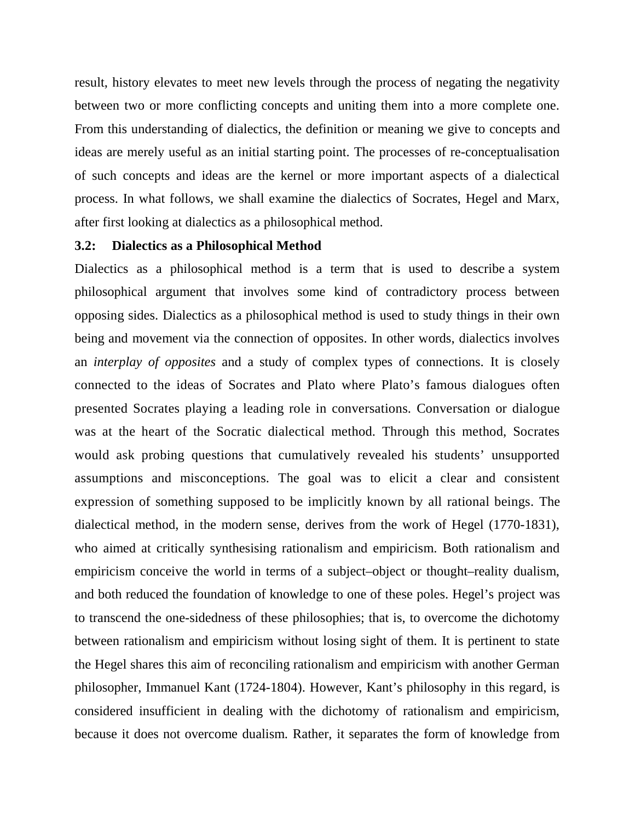result, history elevates to meet new levels through the process of negating the negativity between two or more conflicting concepts and uniting them into a more complete one. From this understanding of dialectics, the definition or meaning we give to concepts and ideas are merely useful as an initial starting point. The processes of re-conceptualisation of such concepts and ideas are the kernel or more important aspects of a dialectical process. In what follows, we shall examine the dialectics of Socrates, Hegel and Marx, after first looking at dialectics as a philosophical method.

#### **3.2: Dialectics as a Philosophical Method**

Dialectics as a philosophical method is a term that is used to describe a system philosophical argument that involves some kind of contradictory process between opposing sides. Dialectics as a philosophical method is used to study things in their own being and movement via the connection of opposites. In other words, dialectics involves an *interplay of opposites* and a study of complex types of connections. It is closely connected to the ideas of Socrates and Plato where Plato's famous dialogues often presented Socrates playing a leading role in conversations. Conversation or dialogue was at the heart of the Socratic dialectical method. Through this method, Socrates would ask probing questions that cumulatively revealed his students' unsupported assumptions and misconceptions. The goal was to elicit a clear and consistent expression of something supposed to be implicitly known by all rational beings. The dialectical method, in the modern sense, derives from the work of Hegel (1770-1831), who aimed at critically synthesising rationalism and empiricism. Both rationalism and empiricism conceive the world in terms of a subject–object or thought–reality dualism, and both reduced the foundation of knowledge to one of these poles. Hegel's project was to transcend the one-sidedness of these philosophies; that is, to overcome the dichotomy between rationalism and empiricism without losing sight of them. It is pertinent to state the Hegel shares this aim of reconciling rationalism and empiricism with another German philosopher, Immanuel Kant (1724-1804). However, Kant's philosophy in this regard, is considered insufficient in dealing with the dichotomy of rationalism and empiricism, because it does not overcome dualism. Rather, it separates the form of knowledge from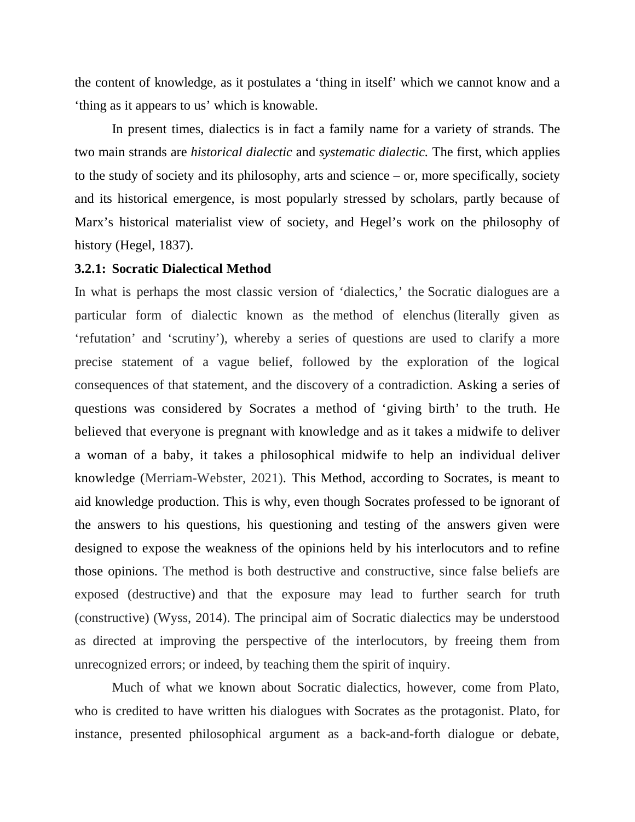the content of knowledge, as it postulates a 'thing in itself' which we cannot know and a 'thing as it appears to us' which is knowable.

In present times, dialectics is in fact a family name for a variety of strands. The two main strands are *historical dialectic* and *systematic dialectic.* The first, which applies to the study of society and its philosophy, arts and science – or, more specifically, society and its historical emergence, is most popularly stressed by scholars, partly because of Marx's historical materialist view of society, and Hegel's work on the philosophy of history (Hegel, 1837).

#### **3.2.1: Socratic Dialectical Method**

In what is perhaps the most classic version of 'dialectics,' the Socratic dialogues are a particular form of dialectic known as the method of elenchus (literally given as 'refutation' and 'scrutiny'), whereby a series of questions are used to clarify a more precise statement of a vague belief, followed by the exploration of the logical consequences of that statement, and the discovery of a contradiction. Asking a series of questions was considered by Socrates a method of 'giving birth' to the truth. He believed that everyone is pregnant with knowledge and as it takes a midwife to deliver a woman of a baby, it takes a philosophical midwife to help an individual deliver knowledge (Merriam-Webster, 2021). This Method, according to Socrates, is meant to aid knowledge production. This is why, even though Socrates professed to be ignorant of the answers to his questions, his questioning and testing of the answers given were designed to expose the weakness of the opinions held by his interlocutors and to refine those opinions. The method is both destructive and constructive, since false beliefs are exposed (destructive) and that the exposure may lead to further search for truth (constructive) (Wyss, 2014). The principal aim of Socratic dialectics may be understood as directed at improving the perspective of the interlocutors, by freeing them from unrecognized errors; or indeed, by teaching them the spirit of inquiry.

Much of what we known about Socratic dialectics, however, come from Plato, who is credited to have written his dialogues with Socrates as the protagonist. Plato, for instance, presented philosophical argument as a back-and-forth dialogue or debate,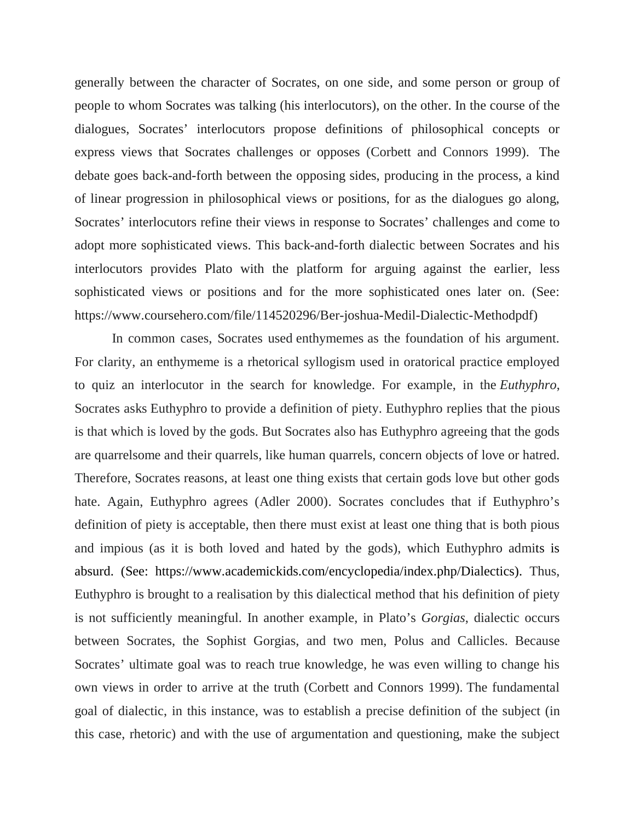generally between the character of Socrates, on one side, and some person or group of people to whom Socrates was talking (his interlocutors), on the other. In the course of the dialogues, Socrates' interlocutors propose definitions of philosophical concepts or express views that Socrates challenges or opposes (Corbett and Connors 1999). The debate goes back-and-forth between the opposing sides, producing in the process, a kind of linear progression in philosophical views or positions, for as the dialogues go along, Socrates' interlocutors refine their views in response to Socrates' challenges and come to adopt more sophisticated views. This back-and-forth dialectic between Socrates and his interlocutors provides Plato with the platform for arguing against the earlier, less sophisticated views or positions and for the more sophisticated ones later on. (See: https://www.coursehero.com/file/114520296/Ber-joshua-Medil-Dialectic-Methodpdf)

In common cases, Socrates used enthymemes as the foundation of his argument. For clarity, an enthymeme is a rhetorical syllogism used in oratorical practice employed to quiz an interlocutor in the search for knowledge. For example, in the *Euthyphro*, Socrates asks Euthyphro to provide a definition of piety. Euthyphro replies that the pious is that which is loved by the gods. But Socrates also has Euthyphro agreeing that the gods are quarrelsome and their quarrels, like human quarrels, concern objects of love or hatred. Therefore, Socrates reasons, at least one thing exists that certain gods love but other gods hate. Again, Euthyphro agrees (Adler 2000). Socrates concludes that if Euthyphro's definition of piety is acceptable, then there must exist at least one thing that is both pious and impious (as it is both loved and hated by the gods), which Euthyphro admits is absurd. (See: https://www.academickids.com/encyclopedia/index.php/Dialectics). Thus, Euthyphro is brought to a realisation by this dialectical method that his definition of piety is not sufficiently meaningful. In another example, in Plato's *Gorgias*, dialectic occurs between Socrates, the Sophist Gorgias, and two men, Polus and Callicles. Because Socrates' ultimate goal was to reach true knowledge, he was even willing to change his own views in order to arrive at the truth (Corbett and Connors 1999). The fundamental goal of dialectic, in this instance, was to establish a precise definition of the subject (in this case, rhetoric) and with the use of argumentation and questioning, make the subject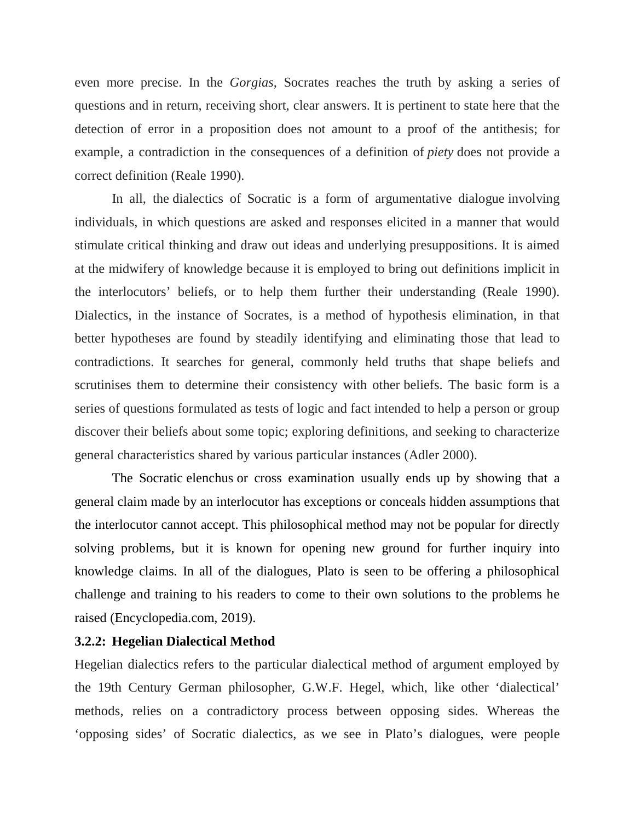even more precise. In the *Gorgias*, Socrates reaches the truth by asking a series of questions and in return, receiving short, clear answers. It is pertinent to state here that the detection of error in a proposition does not amount to a proof of the antithesis; for example, a contradiction in the consequences of a definition of *piety* does not provide a correct definition (Reale 1990).

In all, the dialectics of Socratic is a form of argumentative dialogue involving individuals, in which questions are asked and responses elicited in a manner that would stimulate critical thinking and draw out ideas and underlying presuppositions. It is aimed at the midwifery of knowledge because it is employed to bring out definitions implicit in the interlocutors' beliefs, or to help them further their understanding (Reale 1990). Dialectics, in the instance of Socrates, is a method of hypothesis elimination, in that better hypotheses are found by steadily identifying and eliminating those that lead to contradictions. It searches for general, commonly held truths that shape beliefs and scrutinises them to determine their consistency with other beliefs. The basic form is a series of questions formulated as tests of logic and fact intended to help a person or group discover their beliefs about some topic; exploring definitions, and seeking to characterize general characteristics shared by various particular instances (Adler 2000).

The Socratic elenchus or cross examination usually ends up by showing that a general claim made by an interlocutor has exceptions or conceals hidden assumptions that the interlocutor cannot accept. This philosophical method may not be popular for directly solving problems, but it is known for opening new ground for further inquiry into knowledge claims. In all of the dialogues, Plato is seen to be offering a philosophical challenge and training to his readers to come to their own solutions to the problems he raised (Encyclopedia.com, 2019).

#### **3.2.2: Hegelian Dialectical Method**

Hegelian dialectics refers to the particular dialectical method of argument employed by the 19th Century German philosopher, G.W.F. Hegel, which, like other 'dialectical' methods, relies on a contradictory process between opposing sides. Whereas the 'opposing sides' of Socratic dialectics, as we see in Plato's dialogues, were people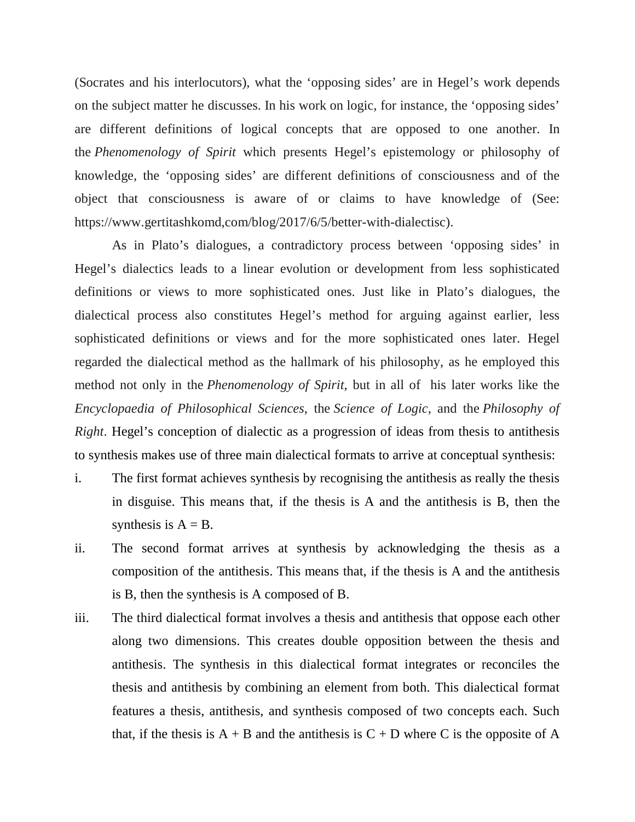(Socrates and his interlocutors), what the 'opposing sides' are in Hegel's work depends on the subject matter he discusses. In his work on logic, for instance, the 'opposing sides' are different definitions of logical concepts that are opposed to one another. In the *Phenomenology of Spirit* which presents Hegel's epistemology or philosophy of knowledge, the 'opposing sides' are different definitions of consciousness and of the object that consciousness is aware of or claims to have knowledge of (See: https://www.gertitashkomd,com/blog/2017/6/5/better-with-dialectisc).

As in Plato's dialogues, a contradictory process between 'opposing sides' in Hegel's dialectics leads to a linear evolution or development from less sophisticated definitions or views to more sophisticated ones. Just like in Plato's dialogues, the dialectical process also constitutes Hegel's method for arguing against earlier, less sophisticated definitions or views and for the more sophisticated ones later. Hegel regarded the dialectical method as the hallmark of his philosophy, as he employed this method not only in the *Phenomenology of Spirit*, but in all of his later works like the *Encyclopaedia of Philosophical Sciences*, the *Science of Logic*, and the *Philosophy of Right*. Hegel's conception of dialectic as a progression of ideas from thesis to antithesis to synthesis makes use of three main dialectical formats to arrive at conceptual synthesis:

- i. The first format achieves synthesis by recognising the antithesis as really the thesis in disguise. This means that, if the thesis is A and the antithesis is B, then the synthesis is  $A = B$ .
- ii. The second format arrives at synthesis by acknowledging the thesis as a composition of the antithesis. This means that, if the thesis is A and the antithesis is B, then the synthesis is A composed of B.
- iii. The third dialectical format involves a thesis and antithesis that oppose each other along two dimensions. This creates double opposition between the thesis and antithesis. The synthesis in this dialectical format integrates or reconciles the thesis and antithesis by combining an element from both. This dialectical format features a thesis, antithesis, and synthesis composed of two concepts each. Such that, if the thesis is  $A + B$  and the antithesis is  $C + D$  where C is the opposite of A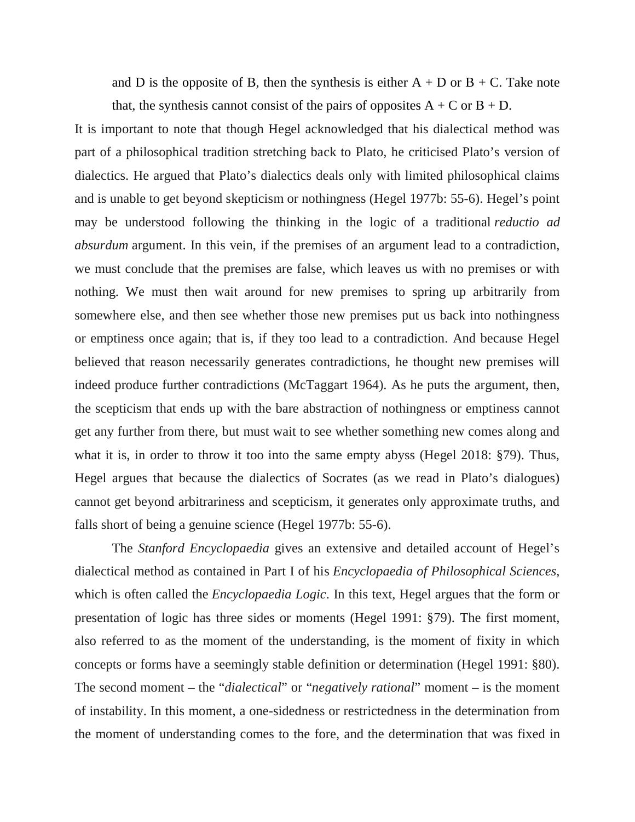and D is the opposite of B, then the synthesis is either  $A + D$  or  $B + C$ . Take note that, the synthesis cannot consist of the pairs of opposites  $A + C$  or  $B + D$ .

It is important to note that though Hegel acknowledged that his dialectical method was part of a philosophical tradition stretching back to Plato, he criticised Plato's version of dialectics. He argued that Plato's dialectics deals only with limited philosophical claims and is unable to get beyond skepticism or nothingness (Hegel 1977b: 55-6). Hegel's point may be understood following the thinking in the logic of a traditional *reductio ad absurdum* argument. In this vein, if the premises of an argument lead to a contradiction, we must conclude that the premises are false, which leaves us with no premises or with nothing. We must then wait around for new premises to spring up arbitrarily from somewhere else, and then see whether those new premises put us back into nothingness or emptiness once again; that is, if they too lead to a contradiction. And because Hegel believed that reason necessarily generates contradictions, he thought new premises will indeed produce further contradictions (McTaggart 1964). As he puts the argument, then, the scepticism that ends up with the bare abstraction of nothingness or emptiness cannot get any further from there, but must wait to see whether something new comes along and what it is, in order to throw it too into the same empty abyss (Hegel 2018: §79). Thus, Hegel argues that because the dialectics of Socrates (as we read in Plato's dialogues) cannot get beyond arbitrariness and scepticism, it generates only approximate truths, and falls short of being a genuine science (Hegel 1977b: 55-6).

The *Stanford Encyclopaedia* gives an extensive and detailed account of Hegel's dialectical method as contained in Part I of his *Encyclopaedia of Philosophical Sciences*, which is often called the *Encyclopaedia Logic*. In this text, Hegel argues that the form or presentation of logic has three sides or moments (Hegel 1991: §79). The first moment, also referred to as the moment of the understanding, is the moment of fixity in which concepts or forms have a seemingly stable definition or determination (Hegel 1991: §80). The second moment – the "*dialectical*" or "*negatively rational*" moment – is the moment of instability. In this moment, a one-sidedness or restrictedness in the determination from the moment of understanding comes to the fore, and the determination that was fixed in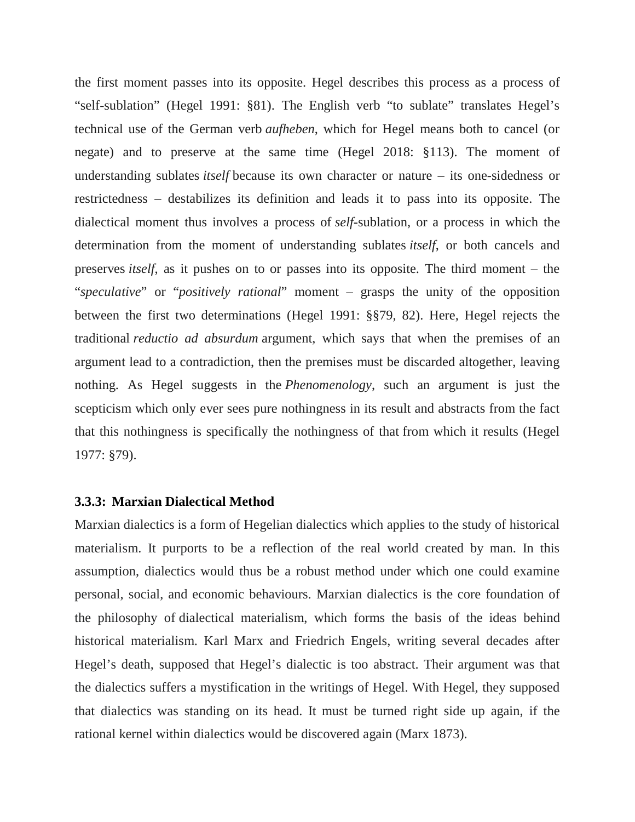the first moment passes into its opposite. Hegel describes this process as a process of "self-sublation" (Hegel 1991: §81). The English verb "to sublate" translates Hegel's technical use of the German verb *aufheben*, which for Hegel means both to cancel (or negate) and to preserve at the same time (Hegel 2018: §113). The moment of understanding sublates *itself* because its own character or nature – its one-sidedness or restrictedness – destabilizes its definition and leads it to pass into its opposite. The dialectical moment thus involves a process of *self*-sublation, or a process in which the determination from the moment of understanding sublates *itself*, or both cancels and preserves *itself*, as it pushes on to or passes into its opposite. The third moment – the "*speculative*" or "*positively rational*" moment – grasps the unity of the opposition between the first two determinations (Hegel 1991: §§79, 82). Here, Hegel rejects the traditional *reductio ad absurdum* argument, which says that when the premises of an argument lead to a contradiction, then the premises must be discarded altogether, leaving nothing. As Hegel suggests in the *Phenomenology*, such an argument is just the scepticism which only ever sees pure nothingness in its result and abstracts from the fact that this nothingness is specifically the nothingness of that from which it results (Hegel 1977: §79).

#### **3.3.3: Marxian Dialectical Method**

Marxian dialectics is a form of Hegelian dialectics which applies to the study of historical materialism. It purports to be a reflection of the real world created by man. In this assumption, dialectics would thus be a robust method under which one could examine personal, social, and economic behaviours. Marxian dialectics is the core foundation of the philosophy of dialectical materialism, which forms the basis of the ideas behind historical materialism. Karl Marx and Friedrich Engels, writing several decades after Hegel's death, supposed that Hegel's dialectic is too abstract. Their argument was that the dialectics suffers a mystification in the writings of Hegel. With Hegel, they supposed that dialectics was standing on its head. It must be turned right side up again, if the rational kernel within dialectics would be discovered again (Marx 1873).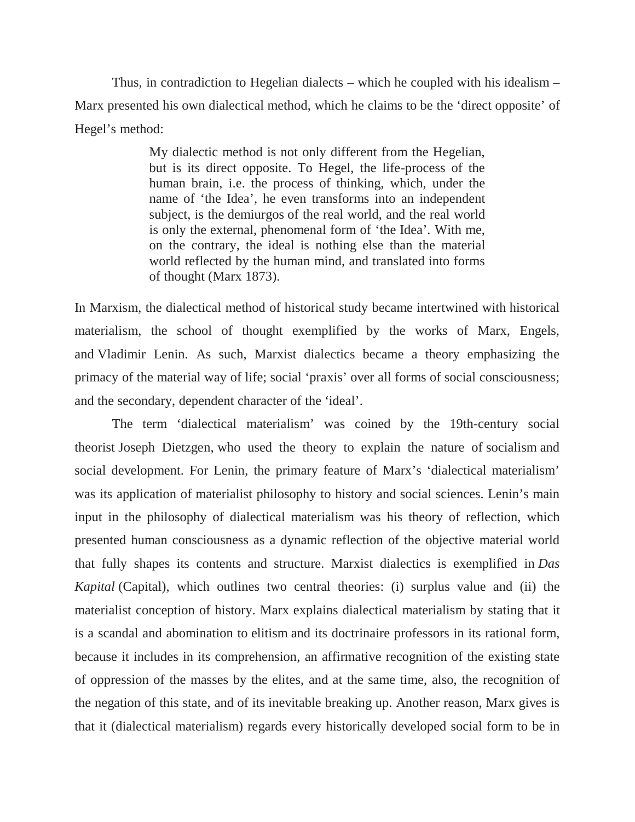Thus, in contradiction to Hegelian dialects – which he coupled with his idealism – Marx presented his own dialectical method, which he claims to be the 'direct opposite' of Hegel's method:

> My dialectic method is not only different from the Hegelian, but is its direct opposite. To Hegel, the life-process of the human brain, i.e. the process of thinking, which, under the name of 'the Idea', he even transforms into an independent subject, is the demiurgos of the real world, and the real world is only the external, phenomenal form of 'the Idea'. With me, on the contrary, the ideal is nothing else than the material world reflected by the human mind, and translated into forms of thought (Marx 1873).

In Marxism, the dialectical method of historical study became intertwined with historical materialism, the school of thought exemplified by the works of Marx, Engels, and Vladimir Lenin. As such, Marxist dialectics became a theory emphasizing the primacy of the material way of life; social 'praxis' over all forms of social consciousness; and the secondary, dependent character of the 'ideal'.

The term 'dialectical materialism' was coined by the 19th-century social theorist Joseph Dietzgen, who used the theory to explain the nature of socialism and social development. For Lenin, the primary feature of Marx's 'dialectical materialism' was its application of materialist philosophy to history and social sciences. Lenin's main input in the philosophy of dialectical materialism was his theory of reflection, which presented human consciousness as a dynamic reflection of the objective material world that fully shapes its contents and structure. Marxist dialectics is exemplified in *Das Kapital* (Capital), which outlines two central theories: (i) surplus value and (ii) the materialist conception of history. Marx explains dialectical materialism by stating that it is a scandal and abomination to elitism and its doctrinaire professors in its rational form, because it includes in its comprehension, an affirmative recognition of the existing state of oppression of the masses by the elites, and at the same time, also, the recognition of the negation of this state, and of its inevitable breaking up. Another reason, Marx gives is that it (dialectical materialism) regards every historically developed social form to be in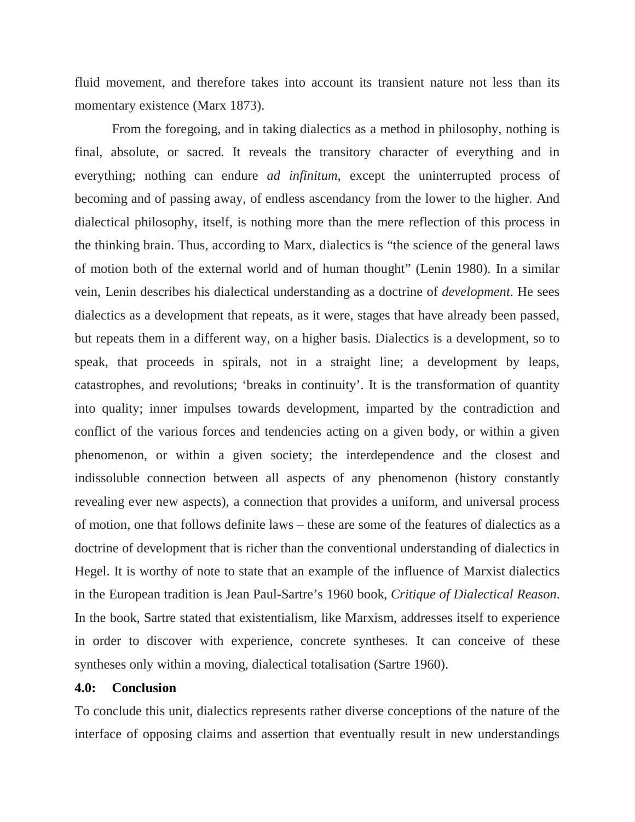fluid movement, and therefore takes into account its transient nature not less than its momentary existence (Marx 1873).

From the foregoing, and in taking dialectics as a method in philosophy, nothing is final, absolute, or sacred. It reveals the transitory character of everything and in everything; nothing can endure *ad infinitum*, except the uninterrupted process of becoming and of passing away, of endless ascendancy from the lower to the higher. And dialectical philosophy, itself, is nothing more than the mere reflection of this process in the thinking brain. Thus, according to Marx, dialectics is "the science of the general laws of motion both of the external world and of human thought" (Lenin 1980). In a similar vein, Lenin describes his dialectical understanding as a doctrine of *development*. He sees dialectics as a development that repeats, as it were, stages that have already been passed, but repeats them in a different way, on a higher basis. Dialectics is a development, so to speak, that proceeds in spirals, not in a straight line; a development by leaps, catastrophes, and revolutions; 'breaks in continuity'. It is the transformation of quantity into quality; inner impulses towards development, imparted by the contradiction and conflict of the various forces and tendencies acting on a given body, or within a given phenomenon, or within a given society; the interdependence and the closest and indissoluble connection between all aspects of any phenomenon (history constantly revealing ever new aspects), a connection that provides a uniform, and universal process of motion, one that follows definite laws – these are some of the features of dialectics as a doctrine of development that is richer than the conventional understanding of dialectics in Hegel. It is worthy of note to state that an example of the influence of Marxist dialectics in the European tradition is Jean Paul-Sartre's 1960 book, *Critique of Dialectical Reason*. In the book, Sartre stated that existentialism, like Marxism, addresses itself to experience in order to discover with experience, concrete syntheses. It can conceive of these syntheses only within a moving, dialectical totalisation (Sartre 1960).

#### **4.0: Conclusion**

To conclude this unit, dialectics represents rather diverse conceptions of the nature of the interface of opposing claims and assertion that eventually result in new understandings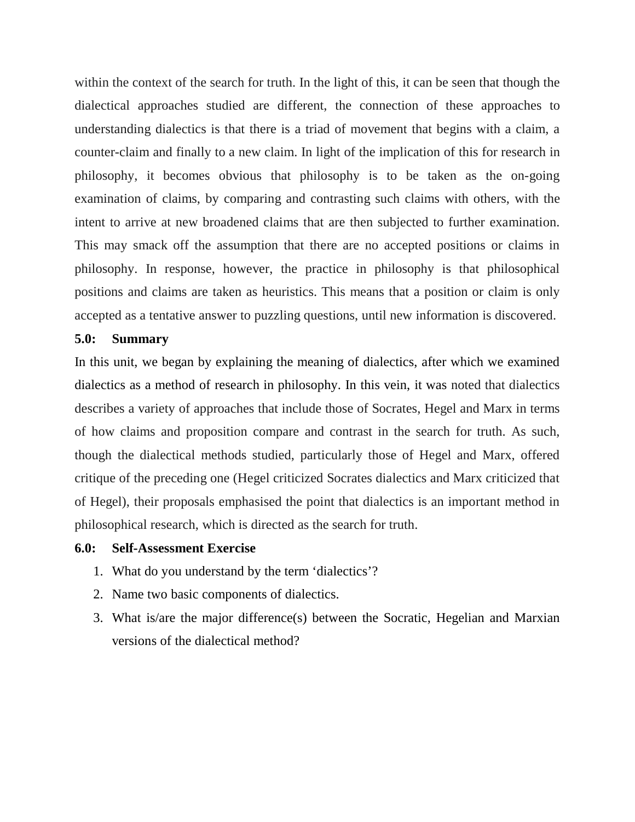within the context of the search for truth. In the light of this, it can be seen that though the dialectical approaches studied are different, the connection of these approaches to understanding dialectics is that there is a triad of movement that begins with a claim, a counter-claim and finally to a new claim. In light of the implication of this for research in philosophy, it becomes obvious that philosophy is to be taken as the on-going examination of claims, by comparing and contrasting such claims with others, with the intent to arrive at new broadened claims that are then subjected to further examination. This may smack off the assumption that there are no accepted positions or claims in philosophy. In response, however, the practice in philosophy is that philosophical positions and claims are taken as heuristics. This means that a position or claim is only accepted as a tentative answer to puzzling questions, until new information is discovered.

#### **5.0: Summary**

In this unit, we began by explaining the meaning of dialectics, after which we examined dialectics as a method of research in philosophy. In this vein, it was noted that dialectics describes a variety of approaches that include those of Socrates, Hegel and Marx in terms of how claims and proposition compare and contrast in the search for truth. As such, though the dialectical methods studied, particularly those of Hegel and Marx, offered critique of the preceding one (Hegel criticized Socrates dialectics and Marx criticized that of Hegel), their proposals emphasised the point that dialectics is an important method in philosophical research, which is directed as the search for truth.

#### **6.0: Self-Assessment Exercise**

- 1. What do you understand by the term 'dialectics'?
- 2. Name two basic components of dialectics.
- 3. What is/are the major difference(s) between the Socratic, Hegelian and Marxian versions of the dialectical method?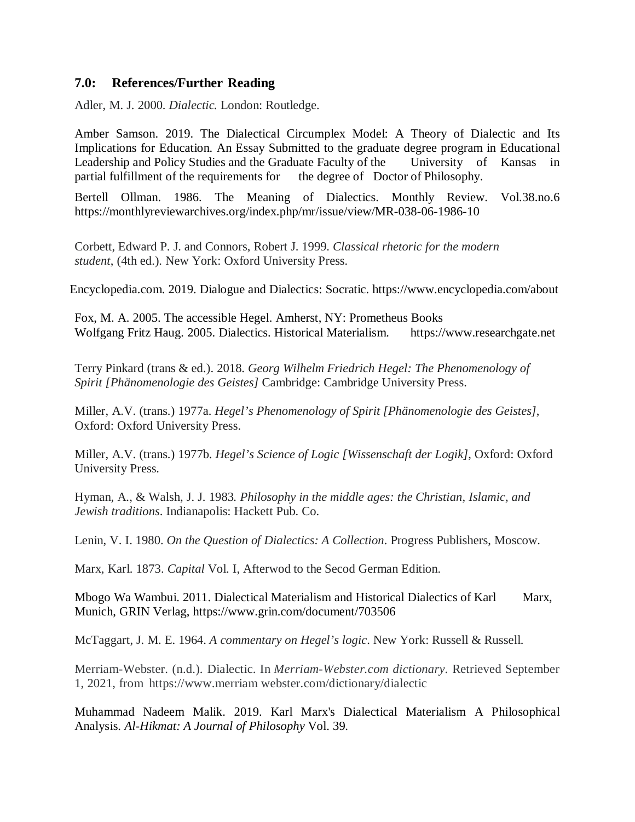### **7.0: References/Further Reading**

Adler, M. J. 2000. *Dialectic.* London: Routledge.

Amber Samson. 2019. The Dialectical Circumplex Model: A Theory of Dialectic and Its Implications for Education. An Essay Submitted to the graduate degree program in Educational Leadership and Policy Studies and the Graduate Faculty of the University of Kansas in partial fulfillment of the requirements for the degree of Doctor of Philosophy.

Bertell Ollman. 1986. The Meaning of Dialectics. Monthly Review. Vol.38.no.6 https://monthlyreviewarchives.org/index.php/mr/issue/view/MR-038-06-1986-10

Corbett, Edward P. J. and Connors, Robert J. 1999. *Classical rhetoric for the modern student*, (4th ed.). New York: Oxford University Press.

Encyclopedia.com. 2019. Dialogue and Dialectics: Socratic. https://www.encyclopedia.com/about

Fox, M. A. 2005. The accessible Hegel. Amherst, NY: Prometheus Books Wolfgang Fritz Haug. 2005. Dialectics. Historical Materialism. https://www.researchgate.net

Terry Pinkard (trans & ed.). 2018. *Georg Wilhelm Friedrich Hegel: The Phenomenology of Spirit [Phänomenologie des Geistes]* Cambridge: Cambridge University Press.

Miller, A.V. (trans.) 1977a. *Hegel's Phenomenology of Spirit [Phänomenologie des Geistes]*, Oxford: Oxford University Press.

Miller, A.V. (trans.) 1977b. *Hegel's Science of Logic [Wissenschaft der Logik]*, Oxford: Oxford University Press.

Hyman, A., & Walsh, J. J. 1983*. Philosophy in the middle ages: the Christian, Islamic, and Jewish traditions*. Indianapolis: Hackett Pub. Co.

Lenin, V. I. 1980. *On the Question of Dialectics: A Collection*. Progress Publishers, Moscow.

Marx, Karl. 1873. *Capital* Vol. I, Afterwod to the Secod German Edition.

Mbogo Wa Wambui. 2011. Dialectical Materialism and Historical Dialectics of Karl Marx, Munich, GRIN Verlag, https://www.grin.com/document/703506

McTaggart, J. M. E. 1964. *A commentary on Hegel's logic*. New York: Russell & Russell.

Merriam-Webster. (n.d.). Dialectic. In *Merriam-Webster.com dictionary*. Retrieved September 1, 2021, from https://www.merriam webster.com/dictionary/dialectic

Muhammad Nadeem Malik. 2019. Karl Marx's Dialectical Materialism A Philosophical Analysis. *Al-Hikmat: A Journal of Philosophy* Vol. 39.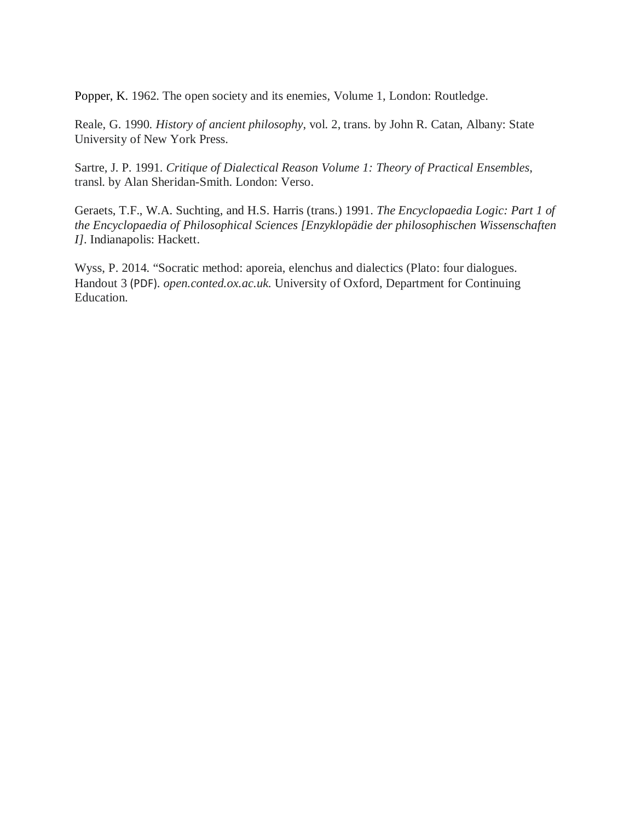Popper, K. 1962. The open society and its enemies, Volume 1, London: Routledge.

Reale, G. 1990. *History of ancient philosophy*, vol. 2, trans. by John R. Catan, Albany: State University of New York Press.

Sartre, J. P. 1991. *Critique of Dialectical Reason Volume 1: Theory of Practical Ensembles*, transl. by Alan Sheridan-Smith. London: Verso.

Geraets, T.F., W.A. Suchting, and H.S. Harris (trans.) 1991. *The Encyclopaedia Logic: Part 1 of the Encyclopaedia of Philosophical Sciences [Enzyklopädie der philosophischen Wissenschaften I]*. Indianapolis: Hackett.

Wyss, P. 2014. "Socratic method: aporeia, elenchus and dialectics (Plato: four dialogues. Handout 3 (PDF). *open.conted.ox.ac.uk*. University of Oxford, Department for Continuing Education.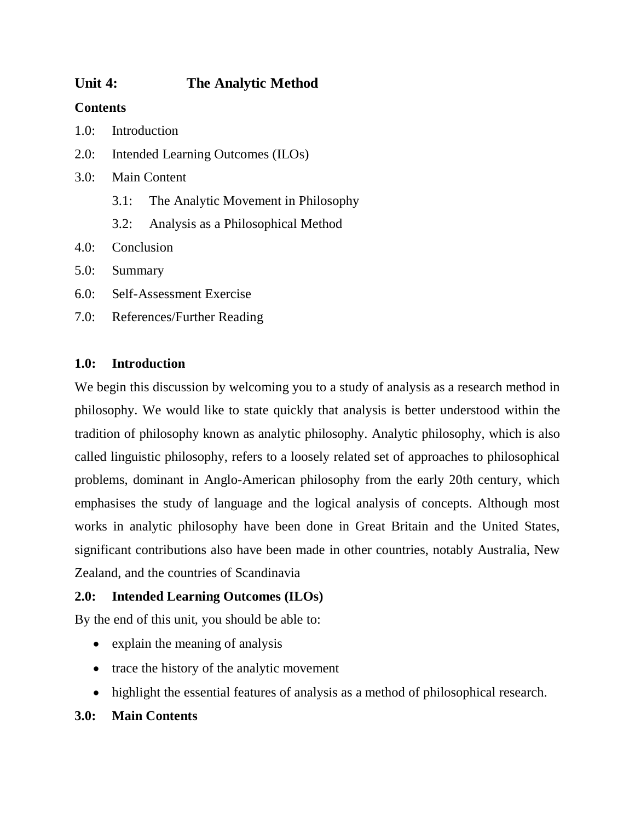# **Unit 4: The Analytic Method**

# **Contents**

- 1.0: Introduction
- 2.0: Intended Learning Outcomes (ILOs)
- 3.0: Main Content
	- 3.1: The Analytic Movement in Philosophy
	- 3.2: Analysis as a Philosophical Method
- 4.0: Conclusion
- 5.0: Summary
- 6.0: Self-Assessment Exercise
- 7.0: References/Further Reading

# **1.0: Introduction**

We begin this discussion by welcoming you to a study of analysis as a research method in philosophy. We would like to state quickly that analysis is better understood within the tradition of philosophy known as analytic philosophy. Analytic philosophy, which is also called linguistic philosophy, refers to a loosely related set of approaches to philosophical problems, dominant in Anglo-American philosophy from the early 20th century, which emphasises the study of language and the logical analysis of concepts. Although most works in analytic philosophy have been done in Great Britain and the United States, significant contributions also have been made in other countries, notably Australia, New Zealand, and the countries of Scandinavia

# **2.0: Intended Learning Outcomes (ILOs)**

By the end of this unit, you should be able to:

- explain the meaning of analysis
- trace the history of the analytic movement
- highlight the essential features of analysis as a method of philosophical research.

# **3.0: Main Contents**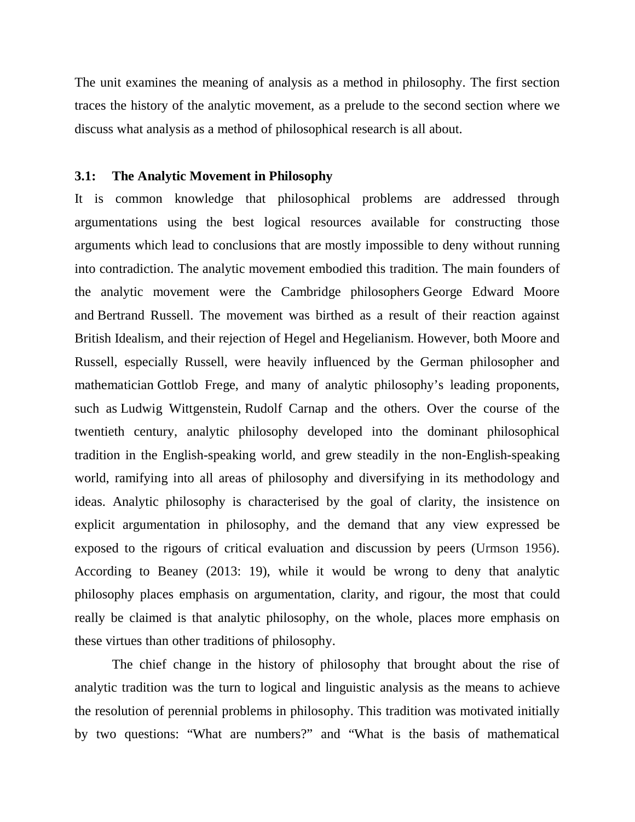The unit examines the meaning of analysis as a method in philosophy. The first section traces the history of the analytic movement, as a prelude to the second section where we discuss what analysis as a method of philosophical research is all about.

#### **3.1: The Analytic Movement in Philosophy**

It is common knowledge that philosophical problems are addressed through argumentations using the best logical resources available for constructing those arguments which lead to conclusions that are mostly impossible to deny without running into contradiction. The analytic movement embodied this tradition. The main founders of the analytic movement were the Cambridge philosophers George Edward Moore and Bertrand Russell. The movement was birthed as a result of their reaction against British Idealism, and their rejection of Hegel and Hegelianism. However, both Moore and Russell, especially Russell, were heavily influenced by the German philosopher and mathematician Gottlob Frege, and many of analytic philosophy's leading proponents, such as Ludwig Wittgenstein, Rudolf Carnap and the others. Over the course of the twentieth century, analytic philosophy developed into the dominant philosophical tradition in the English-speaking world, and grew steadily in the non-English-speaking world, ramifying into all areas of philosophy and diversifying in its methodology and ideas. Analytic philosophy is characterised by the goal of clarity, the insistence on explicit argumentation in philosophy, and the demand that any view expressed be exposed to the rigours of critical evaluation and discussion by peers (Urmson 1956). According to Beaney (2013: 19), while it would be wrong to deny that analytic philosophy places emphasis on argumentation, clarity, and rigour, the most that could really be claimed is that analytic philosophy, on the whole, places more emphasis on these virtues than other traditions of philosophy.

The chief change in the history of philosophy that brought about the rise of analytic tradition was the turn to logical and linguistic analysis as the means to achieve the resolution of perennial problems in philosophy. This tradition was motivated initially by two questions: "What are numbers?" and "What is the basis of mathematical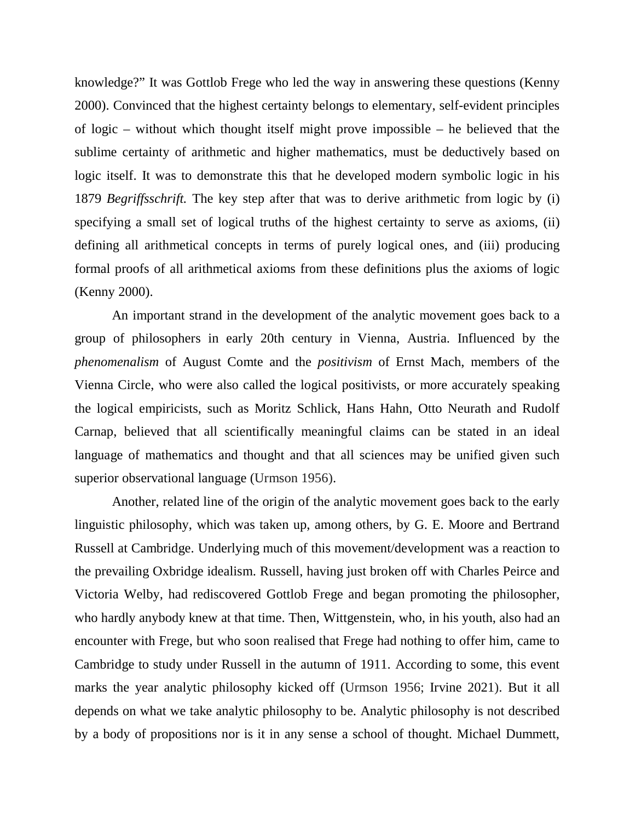knowledge?" It was Gottlob Frege who led the way in answering these questions (Kenny 2000). Convinced that the highest certainty belongs to elementary, self-evident principles of logic – without which thought itself might prove impossible – he believed that the sublime certainty of arithmetic and higher mathematics, must be deductively based on logic itself. It was to demonstrate this that he developed modern symbolic logic in his 1879 *Begriffsschrift.* The key step after that was to derive arithmetic from logic by (i) specifying a small set of logical truths of the highest certainty to serve as axioms, (ii) defining all arithmetical concepts in terms of purely logical ones, and (iii) producing formal proofs of all arithmetical axioms from these definitions plus the axioms of logic (Kenny 2000).

An important strand in the development of the analytic movement goes back to a group of philosophers in early 20th century in Vienna, Austria. Influenced by the *phenomenalism* of August Comte and the *positivism* of Ernst Mach, members of the Vienna Circle, who were also called the logical positivists, or more accurately speaking the logical empiricists, such as Moritz Schlick, Hans Hahn, Otto Neurath and Rudolf Carnap, believed that all scientifically meaningful claims can be stated in an ideal language of mathematics and thought and that all sciences may be unified given such superior observational language (Urmson 1956).

Another, related line of the origin of the analytic movement goes back to the early linguistic philosophy, which was taken up, among others, by G. E. Moore and Bertrand Russell at Cambridge. Underlying much of this movement/development was a reaction to the prevailing Oxbridge idealism. Russell, having just broken off with Charles Peirce and Victoria Welby, had rediscovered Gottlob Frege and began promoting the philosopher, who hardly anybody knew at that time. Then, Wittgenstein, who, in his youth, also had an encounter with Frege, but who soon realised that Frege had nothing to offer him, came to Cambridge to study under Russell in the autumn of 1911. According to some, this event marks the year analytic philosophy kicked off (Urmson 1956; Irvine 2021). But it all depends on what we take analytic philosophy to be. Analytic philosophy is not described by a body of propositions nor is it in any sense a school of thought. Michael Dummett,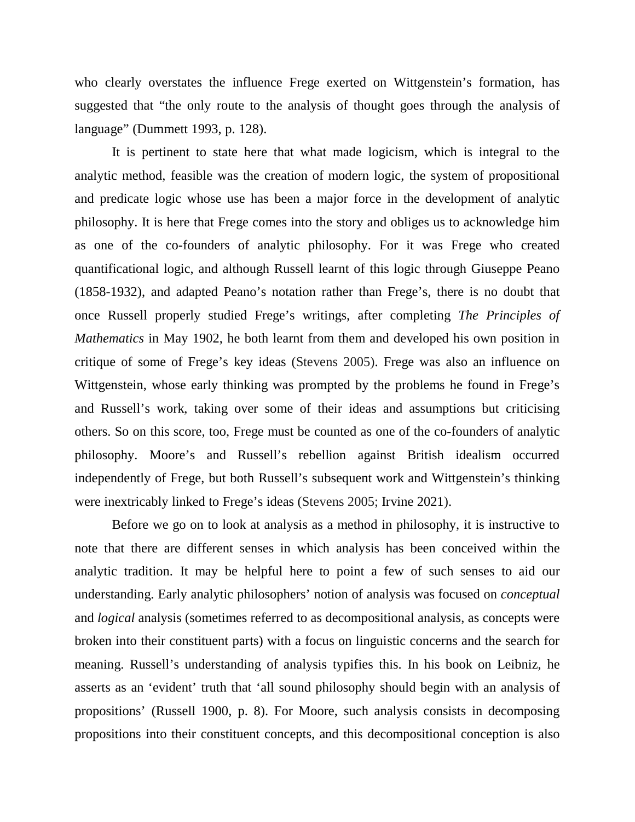who clearly overstates the influence Frege exerted on Wittgenstein's formation, has suggested that "the only route to the analysis of thought goes through the analysis of language" (Dummett 1993, p. 128).

It is pertinent to state here that what made logicism, which is integral to the analytic method, feasible was the creation of modern logic, the system of propositional and predicate logic whose use has been a major force in the development of analytic philosophy. It is here that Frege comes into the story and obliges us to acknowledge him as one of the co-founders of analytic philosophy. For it was Frege who created quantificational logic, and although Russell learnt of this logic through Giuseppe Peano (1858-1932), and adapted Peano's notation rather than Frege's, there is no doubt that once Russell properly studied Frege's writings, after completing *The Principles of Mathematics* in May 1902, he both learnt from them and developed his own position in critique of some of Frege's key ideas (Stevens 2005). Frege was also an influence on Wittgenstein, whose early thinking was prompted by the problems he found in Frege's and Russell's work, taking over some of their ideas and assumptions but criticising others. So on this score, too, Frege must be counted as one of the co-founders of analytic philosophy. Moore's and Russell's rebellion against British idealism occurred independently of Frege, but both Russell's subsequent work and Wittgenstein's thinking were inextricably linked to Frege's ideas (Stevens 2005; Irvine 2021).

Before we go on to look at analysis as a method in philosophy, it is instructive to note that there are different senses in which analysis has been conceived within the analytic tradition. It may be helpful here to point a few of such senses to aid our understanding. Early analytic philosophers' notion of analysis was focused on *conceptual*  and *logical* analysis (sometimes referred to as decompositional analysis, as concepts were broken into their constituent parts) with a focus on linguistic concerns and the search for meaning. Russell's understanding of analysis typifies this. In his book on Leibniz, he asserts as an 'evident' truth that 'all sound philosophy should begin with an analysis of propositions' (Russell 1900, p. 8). For Moore, such analysis consists in decomposing propositions into their constituent concepts, and this decompositional conception is also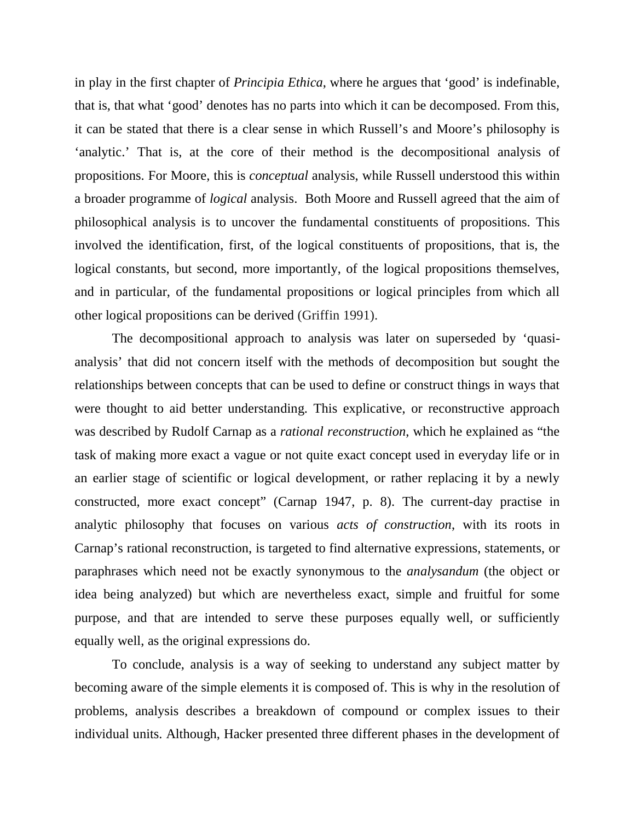in play in the first chapter of *Principia Ethica*, where he argues that 'good' is indefinable, that is, that what 'good' denotes has no parts into which it can be decomposed. From this, it can be stated that there is a clear sense in which Russell's and Moore's philosophy is 'analytic.' That is, at the core of their method is the decompositional analysis of propositions. For Moore, this is *conceptual* analysis, while Russell understood this within a broader programme of *logical* analysis. Both Moore and Russell agreed that the aim of philosophical analysis is to uncover the fundamental constituents of propositions. This involved the identification, first, of the logical constituents of propositions, that is, the logical constants, but second, more importantly, of the logical propositions themselves, and in particular, of the fundamental propositions or logical principles from which all other logical propositions can be derived (Griffin 1991).

The decompositional approach to analysis was later on superseded by 'quasianalysis' that did not concern itself with the methods of decomposition but sought the relationships between concepts that can be used to define or construct things in ways that were thought to aid better understanding. This explicative, or reconstructive approach was described by Rudolf Carnap as a *rational reconstruction*, which he explained as "the task of making more exact a vague or not quite exact concept used in everyday life or in an earlier stage of scientific or logical development, or rather replacing it by a newly constructed, more exact concept" (Carnap 1947, p. 8). The current-day practise in analytic philosophy that focuses on various *acts of construction*, with its roots in Carnap's rational reconstruction, is targeted to find alternative expressions, statements, or paraphrases which need not be exactly synonymous to the *analysandum* (the object or idea being analyzed) but which are nevertheless exact, simple and fruitful for some purpose, and that are intended to serve these purposes equally well, or sufficiently equally well, as the original expressions do.

To conclude, analysis is a way of seeking to understand any subject matter by becoming aware of the simple elements it is composed of. This is why in the resolution of problems, analysis describes a breakdown of compound or complex issues to their individual units. Although, Hacker presented three different phases in the development of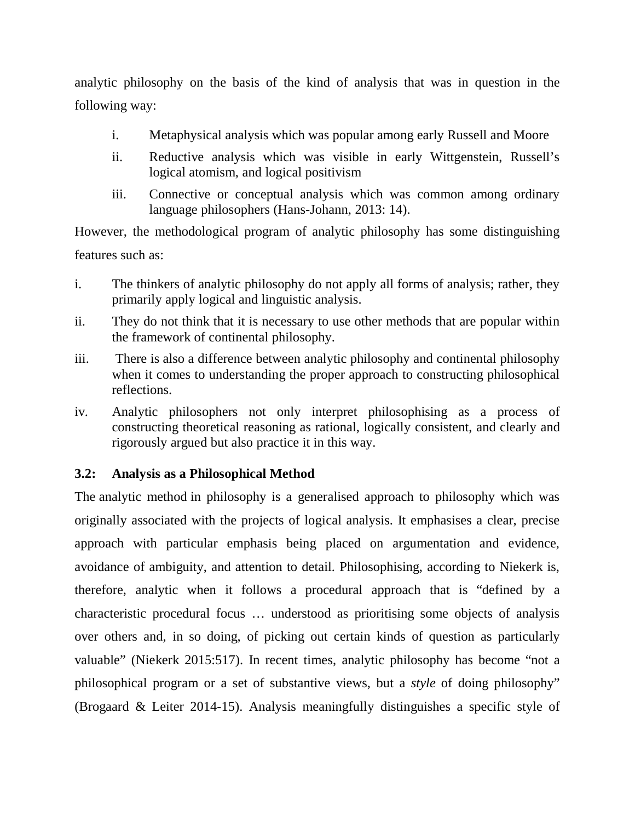analytic philosophy on the basis of the kind of analysis that was in question in the following way:

- i. Metaphysical analysis which was popular among early Russell and Moore
- ii. Reductive analysis which was visible in early Wittgenstein, Russell's logical atomism, and logical positivism
- iii. Connective or conceptual analysis which was common among ordinary language philosophers (Hans-Johann, 2013: 14).

However, the methodological program of analytic philosophy has some distinguishing features such as:

- i. The thinkers of analytic philosophy do not apply all forms of analysis; rather, they primarily apply logical and linguistic analysis.
- ii. They do not think that it is necessary to use other methods that are popular within the framework of continental philosophy.
- iii. There is also a difference between analytic philosophy and continental philosophy when it comes to understanding the proper approach to constructing philosophical reflections.
- iv. Analytic philosophers not only interpret philosophising as a process of constructing theoretical reasoning as rational, logically consistent, and clearly and rigorously argued but also practice it in this way.

## **3.2: Analysis as a Philosophical Method**

The analytic method in philosophy is a generalised approach to philosophy which was originally associated with the projects of logical analysis. It emphasises a clear, precise approach with particular emphasis being placed on argumentation and evidence, avoidance of ambiguity, and attention to detail. Philosophising, according to Niekerk is, therefore, analytic when it follows a procedural approach that is "defined by a characteristic procedural focus … understood as prioritising some objects of analysis over others and, in so doing, of picking out certain kinds of question as particularly valuable" (Niekerk 2015:517). In recent times, analytic philosophy has become "not a philosophical program or a set of substantive views, but a *style* of doing philosophy" (Brogaard & Leiter 2014-15). Analysis meaningfully distinguishes a specific style of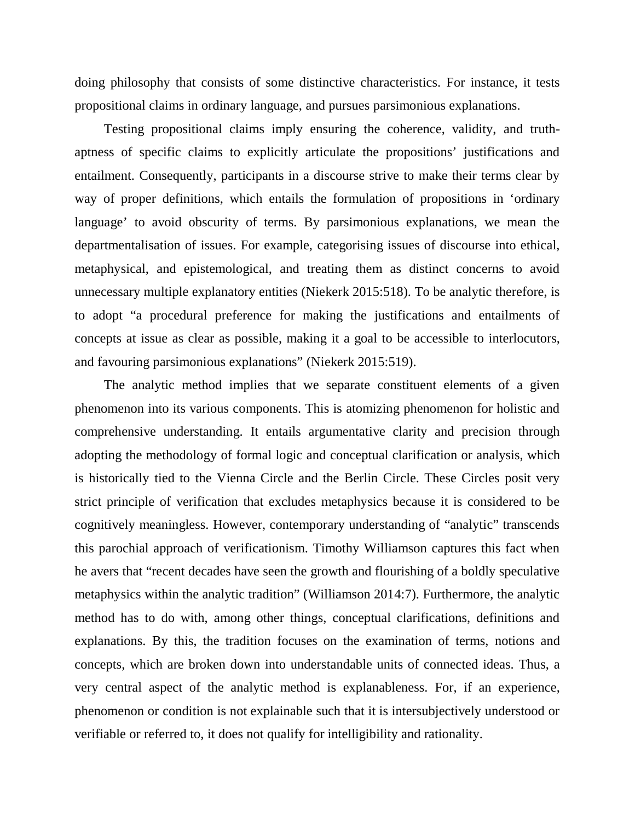doing philosophy that consists of some distinctive characteristics. For instance, it tests propositional claims in ordinary language, and pursues parsimonious explanations.

Testing propositional claims imply ensuring the coherence, validity, and truthaptness of specific claims to explicitly articulate the propositions' justifications and entailment. Consequently, participants in a discourse strive to make their terms clear by way of proper definitions, which entails the formulation of propositions in 'ordinary language' to avoid obscurity of terms. By parsimonious explanations, we mean the departmentalisation of issues. For example, categorising issues of discourse into ethical, metaphysical, and epistemological, and treating them as distinct concerns to avoid unnecessary multiple explanatory entities (Niekerk 2015:518). To be analytic therefore, is to adopt "a procedural preference for making the justifications and entailments of concepts at issue as clear as possible, making it a goal to be accessible to interlocutors, and favouring parsimonious explanations" (Niekerk 2015:519).

The analytic method implies that we separate constituent elements of a given phenomenon into its various components. This is atomizing phenomenon for holistic and comprehensive understanding. It entails argumentative clarity and precision through adopting the methodology of formal logic and conceptual clarification or analysis, which is historically tied to the Vienna Circle and the Berlin Circle. These Circles posit very strict principle of verification that excludes metaphysics because it is considered to be cognitively meaningless. However, contemporary understanding of "analytic" transcends this parochial approach of verificationism. Timothy Williamson captures this fact when he avers that "recent decades have seen the growth and flourishing of a boldly speculative metaphysics within the analytic tradition" (Williamson 2014:7). Furthermore, the analytic method has to do with, among other things, conceptual clarifications, definitions and explanations. By this, the tradition focuses on the examination of terms, notions and concepts, which are broken down into understandable units of connected ideas. Thus, a very central aspect of the analytic method is explanableness. For, if an experience, phenomenon or condition is not explainable such that it is intersubjectively understood or verifiable or referred to, it does not qualify for intelligibility and rationality.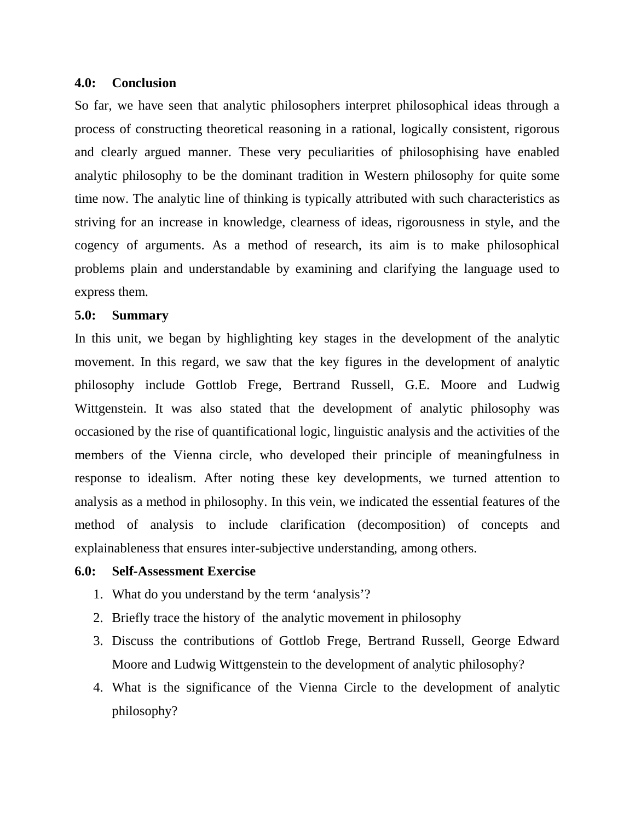#### **4.0: Conclusion**

So far, we have seen that analytic philosophers interpret philosophical ideas through a process of constructing theoretical reasoning in a rational, logically consistent, rigorous and clearly argued manner. These very peculiarities of philosophising have enabled analytic philosophy to be the dominant tradition in Western philosophy for quite some time now. The analytic line of thinking is typically attributed with such characteristics as striving for an increase in knowledge, clearness of ideas, rigorousness in style, and the cogency of arguments. As a method of research, its aim is to make philosophical problems plain and understandable by examining and clarifying the language used to express them.

#### **5.0: Summary**

In this unit, we began by highlighting key stages in the development of the analytic movement. In this regard, we saw that the key figures in the development of analytic philosophy include Gottlob Frege, Bertrand Russell, G.E. Moore and Ludwig Wittgenstein. It was also stated that the development of analytic philosophy was occasioned by the rise of quantificational logic, linguistic analysis and the activities of the members of the Vienna circle, who developed their principle of meaningfulness in response to idealism. After noting these key developments, we turned attention to analysis as a method in philosophy. In this vein, we indicated the essential features of the method of analysis to include clarification (decomposition) of concepts and explainableness that ensures inter-subjective understanding, among others.

#### **6.0: Self-Assessment Exercise**

- 1. What do you understand by the term 'analysis'?
- 2. Briefly trace the history of the analytic movement in philosophy
- 3. Discuss the contributions of Gottlob Frege, Bertrand Russell, George Edward Moore and Ludwig Wittgenstein to the development of analytic philosophy?
- 4. What is the significance of the Vienna Circle to the development of analytic philosophy?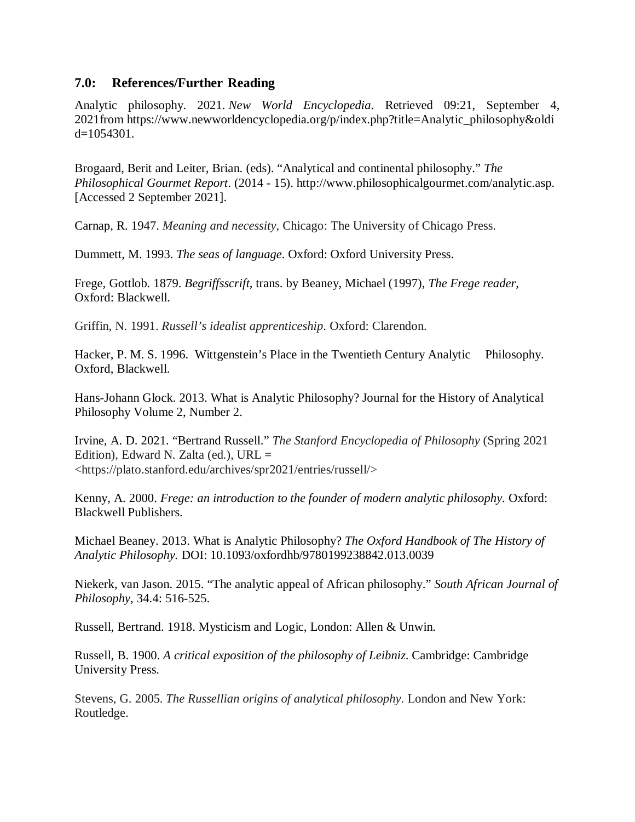### **7.0: References/Further Reading**

Analytic philosophy. 2021. *New World Encyclopedia*. Retrieved 09:21, September 4, 2021from https://www.newworldencyclopedia.org/p/index.php?title=Analytic\_philosophy&oldi  $d=1054301$ .

Brogaard, Berit and Leiter, Brian. (eds). "Analytical and continental philosophy." *The Philosophical Gourmet Report*. (2014 - 15). http://www.philosophicalgourmet.com/analytic.asp. [Accessed 2 September 2021].

Carnap, R. 1947. *Meaning and necessity*, Chicago: The University of Chicago Press.

Dummett, M. 1993. *The seas of language*. Oxford: Oxford University Press.

Frege, Gottlob. 1879. *Begriffsscrift*, trans. by Beaney, Michael (1997), *The Frege reader,*  Oxford: Blackwell.

Griffin, N. 1991. *Russell's idealist apprenticeship*. Oxford: Clarendon.

Hacker, P. M. S. 1996. Wittgenstein's Place in the Twentieth Century Analytic Philosophy. Oxford, Blackwell.

Hans-Johann Glock. 2013. What is Analytic Philosophy? Journal for the History of Analytical Philosophy Volume 2, Number 2.

Irvine, A. D. 2021. "Bertrand Russell." *The Stanford Encyclopedia of Philosophy* (Spring 2021 Edition), Edward N. Zalta (ed.),  $URL =$ <https://plato.stanford.edu/archives/spr2021/entries/russell/>

Kenny, A. 2000. *Frege: an introduction to the founder of modern analytic philosophy.* Oxford: Blackwell Publishers.

Michael Beaney. 2013. What is Analytic Philosophy? *The Oxford Handbook of The History of Analytic Philosophy.* DOI: 10.1093/oxfordhb/9780199238842.013.0039

Niekerk, van Jason. 2015. "The analytic appeal of African philosophy." *South African Journal of Philosophy*, 34.4: 516-525.

Russell, Bertrand. 1918. Mysticism and Logic, London: Allen & Unwin.

Russell, B. 1900. *A critical exposition of the philosophy of Leibniz*. Cambridge: Cambridge University Press.

Stevens, G. 2005. *The Russellian origins of analytical philosophy*. London and New York: Routledge.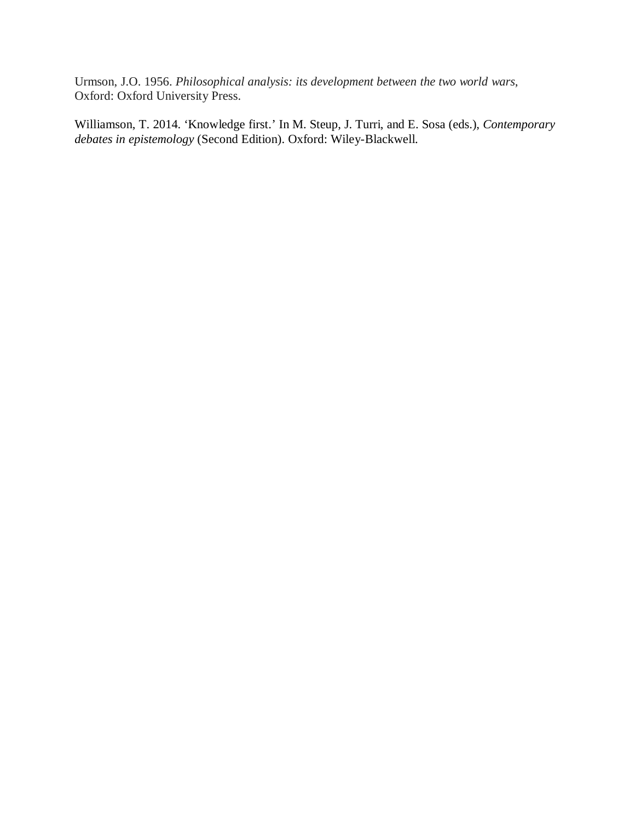Urmson, J.O. 1956. *Philosophical analysis: its development between the two world wars*, Oxford: Oxford University Press.

Williamson, T. 2014. 'Knowledge first.' In M. Steup, J. Turri, and E. Sosa (eds.), *Contemporary debates in epistemology* (Second Edition). Oxford: Wiley-Blackwell.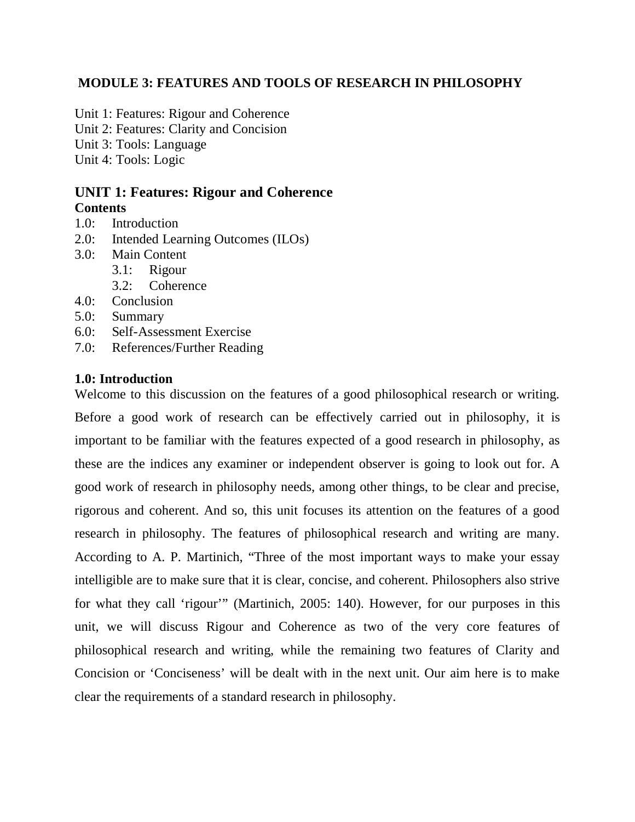## **MODULE 3: FEATURES AND TOOLS OF RESEARCH IN PHILOSOPHY**

Unit 1: Features: Rigour and Coherence Unit 2: Features: Clarity and Concision Unit 3: Tools: Language Unit 4: Tools: Logic

# **UNIT 1: Features: Rigour and Coherence Contents**

- 1.0: Introduction
- 2.0: Intended Learning Outcomes (ILOs)
- 3.0: Main Content
	- 3.1: Rigour
		- 3.2: Coherence
- 4.0: Conclusion
- 5.0: Summary
- 6.0: Self-Assessment Exercise
- 7.0: References/Further Reading

#### **1.0: Introduction**

Welcome to this discussion on the features of a good philosophical research or writing. Before a good work of research can be effectively carried out in philosophy, it is important to be familiar with the features expected of a good research in philosophy, as these are the indices any examiner or independent observer is going to look out for. A good work of research in philosophy needs, among other things, to be clear and precise, rigorous and coherent. And so, this unit focuses its attention on the features of a good research in philosophy. The features of philosophical research and writing are many. According to A. P. Martinich, "Three of the most important ways to make your essay intelligible are to make sure that it is clear, concise, and coherent. Philosophers also strive for what they call 'rigour'" (Martinich, 2005: 140). However, for our purposes in this unit, we will discuss Rigour and Coherence as two of the very core features of philosophical research and writing, while the remaining two features of Clarity and Concision or 'Conciseness' will be dealt with in the next unit. Our aim here is to make clear the requirements of a standard research in philosophy.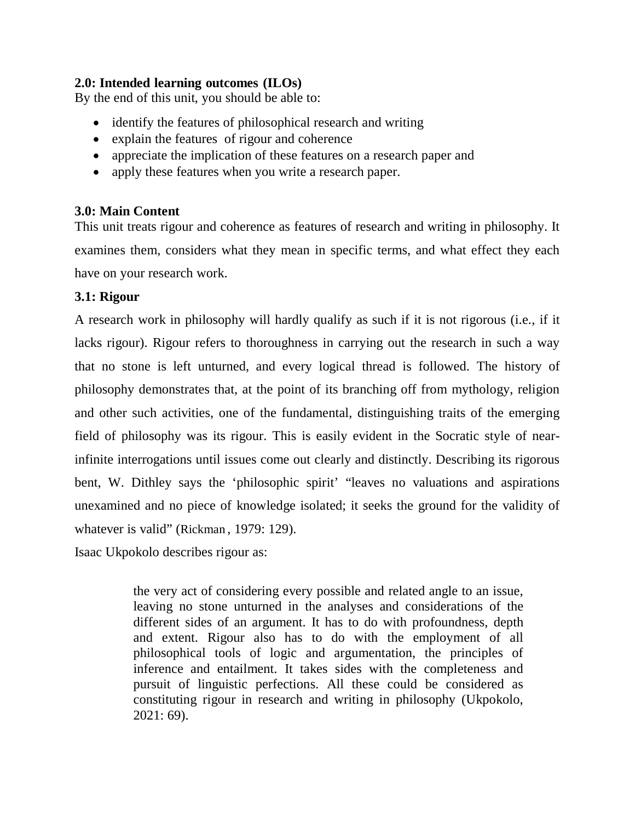## **2.0: Intended learning outcomes (ILOs)**

By the end of this unit, you should be able to:

- identify the features of philosophical research and writing
- explain the features of rigour and coherence
- appreciate the implication of these features on a research paper and
- apply these features when you write a research paper.

## **3.0: Main Content**

This unit treats rigour and coherence as features of research and writing in philosophy. It examines them, considers what they mean in specific terms, and what effect they each have on your research work.

## **3.1: Rigour**

A research work in philosophy will hardly qualify as such if it is not rigorous (i.e., if it lacks rigour). Rigour refers to thoroughness in carrying out the research in such a way that no stone is left unturned, and every logical thread is followed. The history of philosophy demonstrates that, at the point of its branching off from mythology, religion and other such activities, one of the fundamental, distinguishing traits of the emerging field of philosophy was its rigour. This is easily evident in the Socratic style of nearinfinite interrogations until issues come out clearly and distinctly. Describing its rigorous bent, W. Dithley says the 'philosophic spirit' "leaves no valuations and aspirations unexamined and no piece of knowledge isolated; it seeks the ground for the validity of whatever is valid" (Rickman, 1979: 129).

Isaac Ukpokolo describes rigour as:

the very act of considering every possible and related angle to an issue, leaving no stone unturned in the analyses and considerations of the different sides of an argument. It has to do with profoundness, depth and extent. Rigour also has to do with the employment of all philosophical tools of logic and argumentation, the principles of inference and entailment. It takes sides with the completeness and pursuit of linguistic perfections. All these could be considered as constituting rigour in research and writing in philosophy (Ukpokolo, 2021: 69).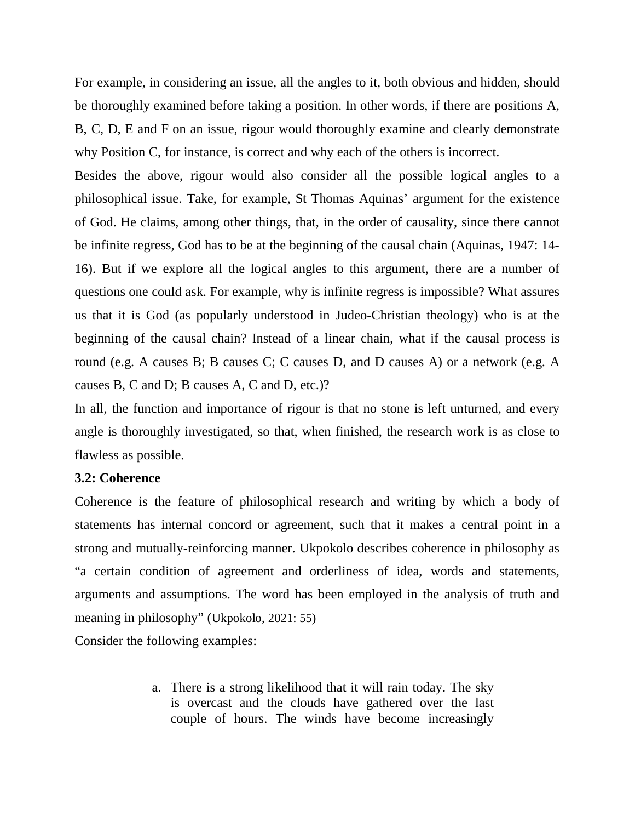For example, in considering an issue, all the angles to it, both obvious and hidden, should be thoroughly examined before taking a position. In other words, if there are positions A, B, C, D, E and F on an issue, rigour would thoroughly examine and clearly demonstrate why Position C, for instance, is correct and why each of the others is incorrect.

Besides the above, rigour would also consider all the possible logical angles to a philosophical issue. Take, for example, St Thomas Aquinas' argument for the existence of God. He claims, among other things, that, in the order of causality, since there cannot be infinite regress, God has to be at the beginning of the causal chain (Aquinas, 1947: 14- 16). But if we explore all the logical angles to this argument, there are a number of questions one could ask. For example, why is infinite regress is impossible? What assures us that it is God (as popularly understood in Judeo-Christian theology) who is at the beginning of the causal chain? Instead of a linear chain, what if the causal process is round (e.g. A causes B; B causes C; C causes D, and D causes A) or a network (e.g. A causes B, C and D; B causes A, C and D, etc.)?

In all, the function and importance of rigour is that no stone is left unturned, and every angle is thoroughly investigated, so that, when finished, the research work is as close to flawless as possible.

#### **3.2: Coherence**

Coherence is the feature of philosophical research and writing by which a body of statements has internal concord or agreement, such that it makes a central point in a strong and mutually-reinforcing manner. Ukpokolo describes coherence in philosophy as "a certain condition of agreement and orderliness of idea, words and statements, arguments and assumptions. The word has been employed in the analysis of truth and meaning in philosophy" (Ukpokolo, 2021: 55)

Consider the following examples:

a. There is a strong likelihood that it will rain today. The sky is overcast and the clouds have gathered over the last couple of hours. The winds have become increasingly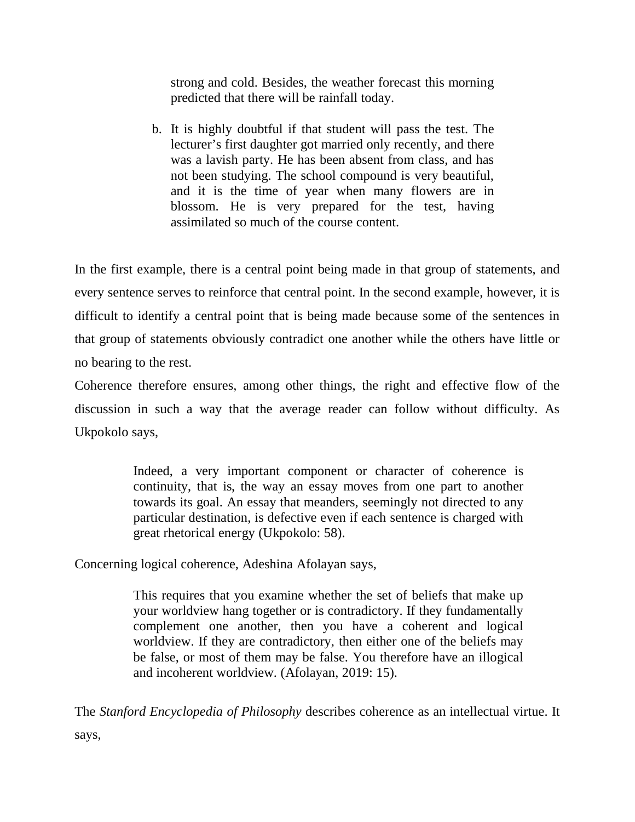strong and cold. Besides, the weather forecast this morning predicted that there will be rainfall today.

b. It is highly doubtful if that student will pass the test. The lecturer's first daughter got married only recently, and there was a lavish party. He has been absent from class, and has not been studying. The school compound is very beautiful, and it is the time of year when many flowers are in blossom. He is very prepared for the test, having assimilated so much of the course content.

In the first example, there is a central point being made in that group of statements, and every sentence serves to reinforce that central point. In the second example, however, it is difficult to identify a central point that is being made because some of the sentences in that group of statements obviously contradict one another while the others have little or no bearing to the rest.

Coherence therefore ensures, among other things, the right and effective flow of the discussion in such a way that the average reader can follow without difficulty. As Ukpokolo says,

> Indeed, a very important component or character of coherence is continuity, that is, the way an essay moves from one part to another towards its goal. An essay that meanders, seemingly not directed to any particular destination, is defective even if each sentence is charged with great rhetorical energy (Ukpokolo: 58).

Concerning logical coherence, Adeshina Afolayan says,

This requires that you examine whether the set of beliefs that make up your worldview hang together or is contradictory. If they fundamentally complement one another, then you have a coherent and logical worldview. If they are contradictory, then either one of the beliefs may be false, or most of them may be false. You therefore have an illogical and incoherent worldview. (Afolayan, 2019: 15).

The *Stanford Encyclopedia of Philosophy* describes coherence as an intellectual virtue. It says,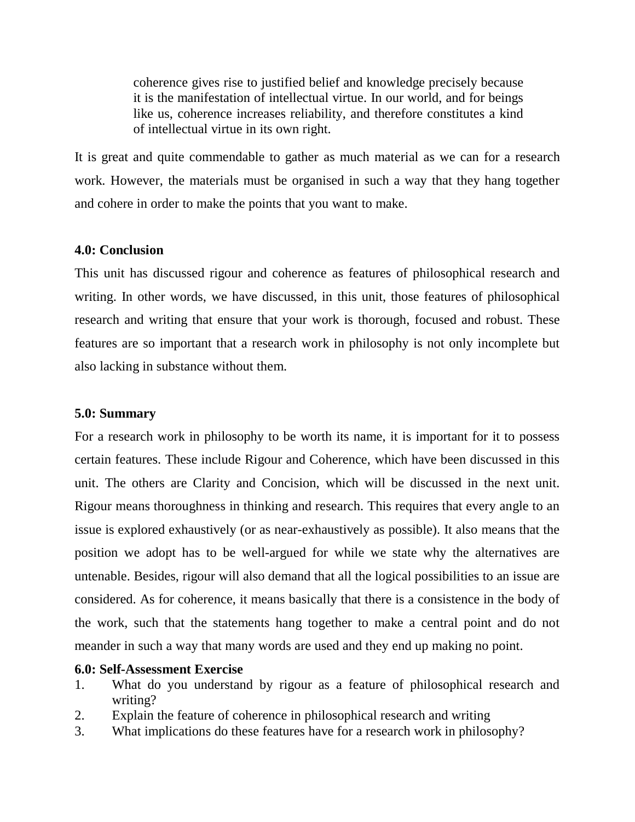coherence gives rise to justified belief and knowledge precisely because it is the manifestation of intellectual virtue. In our world, and for beings like us, coherence increases reliability, and therefore constitutes a kind of intellectual virtue in its own right.

It is great and quite commendable to gather as much material as we can for a research work. However, the materials must be organised in such a way that they hang together and cohere in order to make the points that you want to make.

## **4.0: Conclusion**

This unit has discussed rigour and coherence as features of philosophical research and writing. In other words, we have discussed, in this unit, those features of philosophical research and writing that ensure that your work is thorough, focused and robust. These features are so important that a research work in philosophy is not only incomplete but also lacking in substance without them.

### **5.0: Summary**

For a research work in philosophy to be worth its name, it is important for it to possess certain features. These include Rigour and Coherence, which have been discussed in this unit. The others are Clarity and Concision, which will be discussed in the next unit. Rigour means thoroughness in thinking and research. This requires that every angle to an issue is explored exhaustively (or as near-exhaustively as possible). It also means that the position we adopt has to be well-argued for while we state why the alternatives are untenable. Besides, rigour will also demand that all the logical possibilities to an issue are considered. As for coherence, it means basically that there is a consistence in the body of the work, such that the statements hang together to make a central point and do not meander in such a way that many words are used and they end up making no point.

### **6.0: Self-Assessment Exercise**

- 1. What do you understand by rigour as a feature of philosophical research and writing?
- 2. Explain the feature of coherence in philosophical research and writing
- 3. What implications do these features have for a research work in philosophy?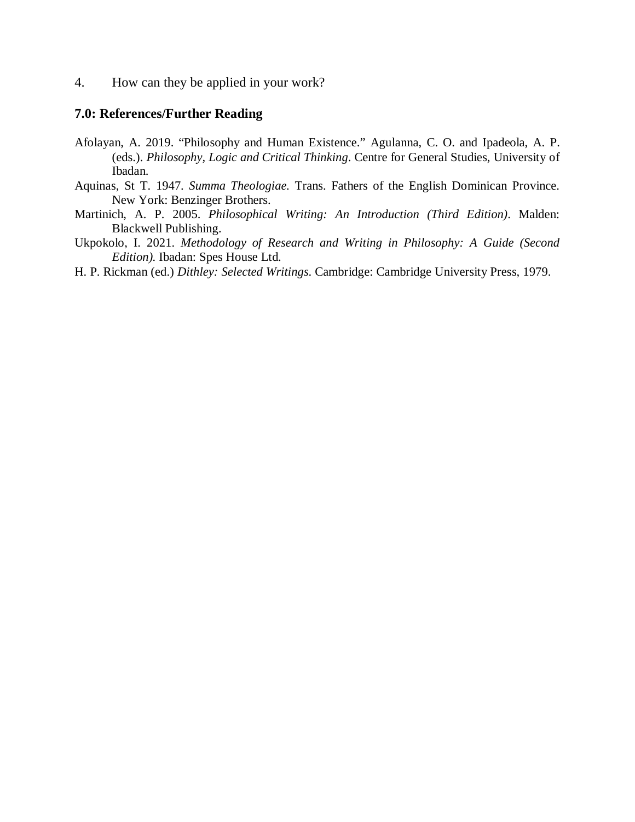4. How can they be applied in your work?

#### **7.0: References/Further Reading**

- Afolayan, A. 2019. "Philosophy and Human Existence." Agulanna, C. O. and Ipadeola, A. P. (eds.). *Philosophy, Logic and Critical Thinking*. Centre for General Studies, University of Ibadan.
- Aquinas, St T. 1947. *Summa Theologiae.* Trans. Fathers of the English Dominican Province. New York: Benzinger Brothers.
- Martinich, A. P. 2005. *Philosophical Writing: An Introduction (Third Edition)*. Malden: Blackwell Publishing.
- Ukpokolo, I. 2021. *Methodology of Research and Writing in Philosophy: A Guide (Second Edition).* Ibadan: Spes House Ltd.
- H. P. Rickman (ed.) *Dithley: Selected Writings*. Cambridge: Cambridge University Press, 1979.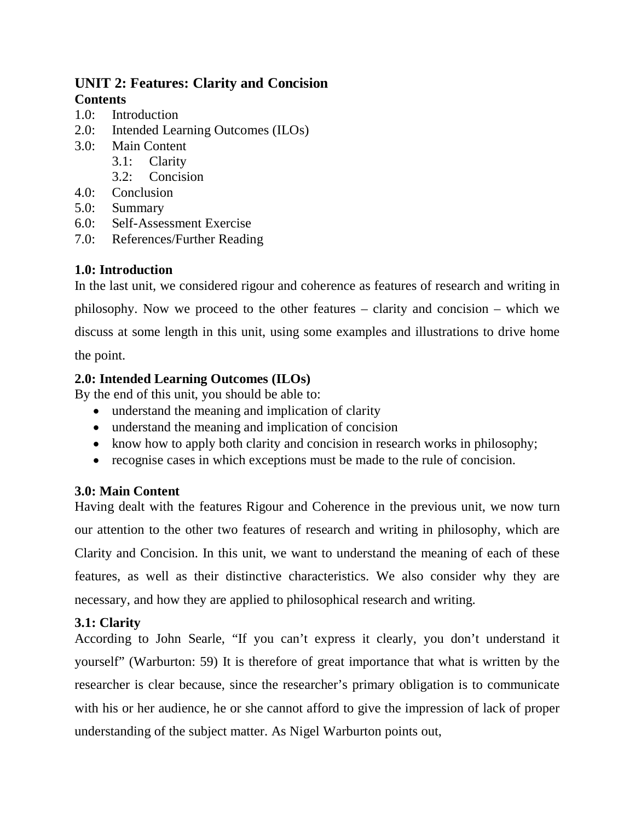# **UNIT 2: Features: Clarity and Concision Contents**

- 1.0: Introduction
- 2.0: Intended Learning Outcomes (ILOs)
- 3.0: Main Content
	- 3.1: Clarity
	- 3.2: Concision
- 4.0: Conclusion
- 5.0: Summary
- 6.0: Self-Assessment Exercise
- 7.0: References/Further Reading

# **1.0: Introduction**

In the last unit, we considered rigour and coherence as features of research and writing in philosophy. Now we proceed to the other features – clarity and concision – which we discuss at some length in this unit, using some examples and illustrations to drive home the point.

**2.0: Intended Learning Outcomes (ILOs)** 

By the end of this unit, you should be able to:

- understand the meaning and implication of clarity
- understand the meaning and implication of concision
- know how to apply both clarity and concision in research works in philosophy;
- recognise cases in which exceptions must be made to the rule of concision.

# **3.0: Main Content**

Having dealt with the features Rigour and Coherence in the previous unit, we now turn our attention to the other two features of research and writing in philosophy, which are Clarity and Concision. In this unit, we want to understand the meaning of each of these features, as well as their distinctive characteristics. We also consider why they are necessary, and how they are applied to philosophical research and writing.

# **3.1: Clarity**

According to John Searle, "If you can't express it clearly, you don't understand it yourself" (Warburton: 59) It is therefore of great importance that what is written by the researcher is clear because, since the researcher's primary obligation is to communicate with his or her audience, he or she cannot afford to give the impression of lack of proper understanding of the subject matter. As Nigel Warburton points out,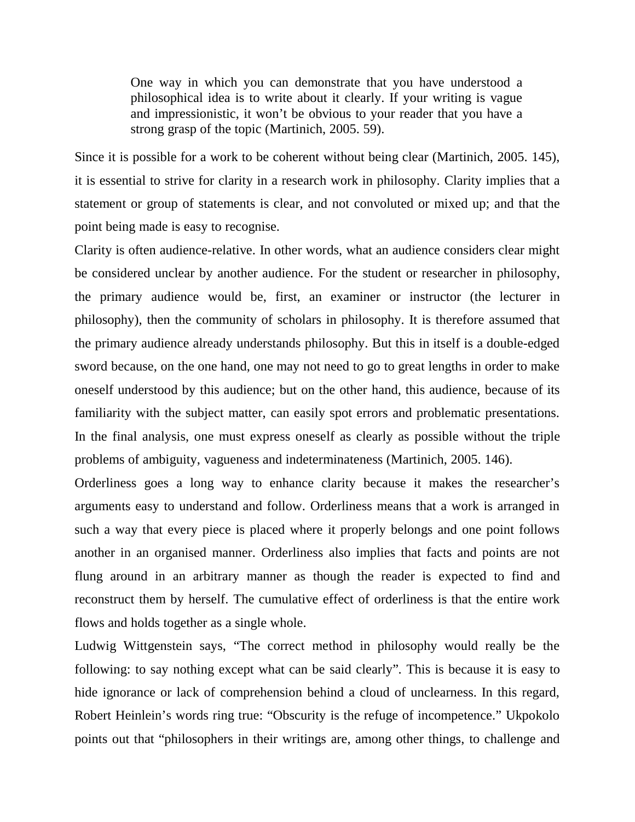One way in which you can demonstrate that you have understood a philosophical idea is to write about it clearly. If your writing is vague and impressionistic, it won't be obvious to your reader that you have a strong grasp of the topic (Martinich, 2005. 59).

Since it is possible for a work to be coherent without being clear (Martinich, 2005. 145), it is essential to strive for clarity in a research work in philosophy. Clarity implies that a statement or group of statements is clear, and not convoluted or mixed up; and that the point being made is easy to recognise.

Clarity is often audience-relative. In other words, what an audience considers clear might be considered unclear by another audience. For the student or researcher in philosophy, the primary audience would be, first, an examiner or instructor (the lecturer in philosophy), then the community of scholars in philosophy. It is therefore assumed that the primary audience already understands philosophy. But this in itself is a double-edged sword because, on the one hand, one may not need to go to great lengths in order to make oneself understood by this audience; but on the other hand, this audience, because of its familiarity with the subject matter, can easily spot errors and problematic presentations. In the final analysis, one must express oneself as clearly as possible without the triple problems of ambiguity, vagueness and indeterminateness (Martinich, 2005. 146).

Orderliness goes a long way to enhance clarity because it makes the researcher's arguments easy to understand and follow. Orderliness means that a work is arranged in such a way that every piece is placed where it properly belongs and one point follows another in an organised manner. Orderliness also implies that facts and points are not flung around in an arbitrary manner as though the reader is expected to find and reconstruct them by herself. The cumulative effect of orderliness is that the entire work flows and holds together as a single whole.

Ludwig Wittgenstein says, "The correct method in philosophy would really be the following: to say nothing except what can be said clearly". This is because it is easy to hide ignorance or lack of comprehension behind a cloud of unclearness. In this regard, Robert Heinlein's words ring true: "Obscurity is the refuge of incompetence." Ukpokolo points out that "philosophers in their writings are, among other things, to challenge and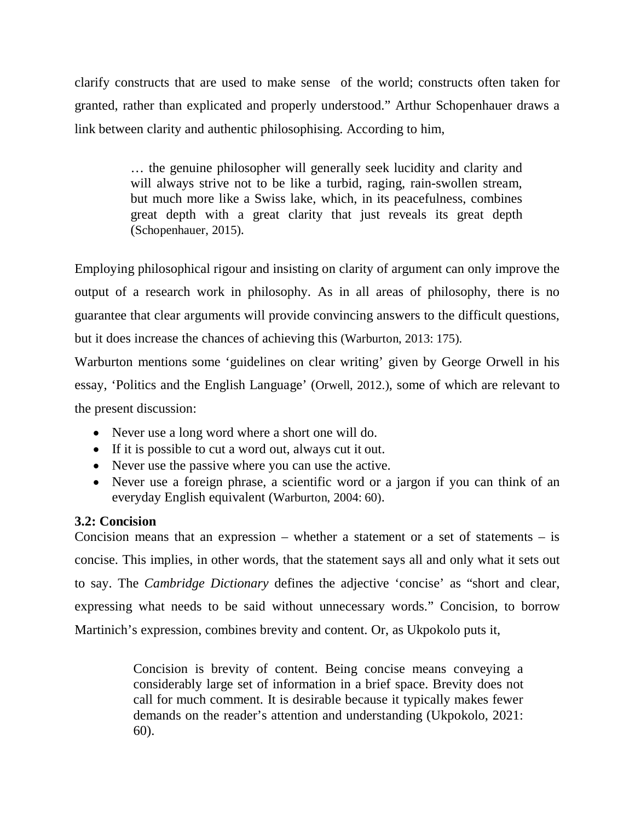clarify constructs that are used to make sense of the world; constructs often taken for granted, rather than explicated and properly understood." Arthur Schopenhauer draws a link between clarity and authentic philosophising. According to him,

> … the genuine philosopher will generally seek lucidity and clarity and will always strive not to be like a turbid, raging, rain-swollen stream, but much more like a Swiss lake, which, in its peacefulness, combines great depth with a great clarity that just reveals its great depth (Schopenhauer, 2015).

Employing philosophical rigour and insisting on clarity of argument can only improve the output of a research work in philosophy. As in all areas of philosophy, there is no guarantee that clear arguments will provide convincing answers to the difficult questions, but it does increase the chances of achieving this (Warburton, 2013: 175).

Warburton mentions some 'guidelines on clear writing' given by George Orwell in his essay, 'Politics and the English Language' (Orwell, 2012.), some of which are relevant to the present discussion:

- Never use a long word where a short one will do.
- If it is possible to cut a word out, always cut it out.
- Never use the passive where you can use the active.
- Never use a foreign phrase, a scientific word or a jargon if you can think of an everyday English equivalent (Warburton, 2004: 60).

# **3.2: Concision**

Concision means that an expression – whether a statement or a set of statements – is concise. This implies, in other words, that the statement says all and only what it sets out to say. The *Cambridge Dictionary* defines the adjective 'concise' as "short and clear, expressing what needs to be said without unnecessary words." Concision, to borrow Martinich's expression, combines brevity and content. Or, as Ukpokolo puts it,

> Concision is brevity of content. Being concise means conveying a considerably large set of information in a brief space. Brevity does not call for much comment. It is desirable because it typically makes fewer demands on the reader's attention and understanding (Ukpokolo, 2021: 60).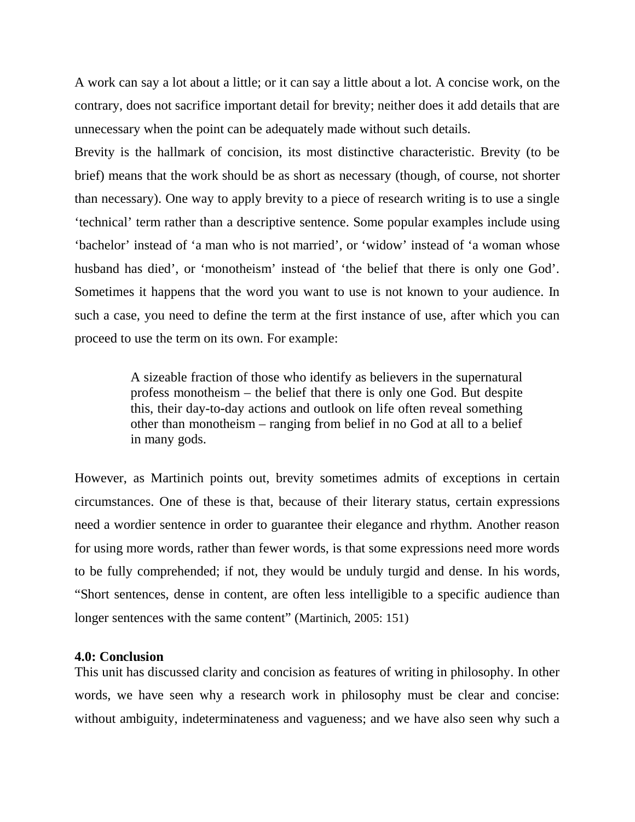A work can say a lot about a little; or it can say a little about a lot. A concise work, on the contrary, does not sacrifice important detail for brevity; neither does it add details that are unnecessary when the point can be adequately made without such details.

Brevity is the hallmark of concision, its most distinctive characteristic. Brevity (to be brief) means that the work should be as short as necessary (though, of course, not shorter than necessary). One way to apply brevity to a piece of research writing is to use a single 'technical' term rather than a descriptive sentence. Some popular examples include using 'bachelor' instead of 'a man who is not married', or 'widow' instead of 'a woman whose husband has died', or 'monotheism' instead of 'the belief that there is only one God'. Sometimes it happens that the word you want to use is not known to your audience. In such a case, you need to define the term at the first instance of use, after which you can proceed to use the term on its own. For example:

> A sizeable fraction of those who identify as believers in the supernatural profess monotheism – the belief that there is only one God. But despite this, their day-to-day actions and outlook on life often reveal something other than monotheism – ranging from belief in no God at all to a belief in many gods.

However, as Martinich points out, brevity sometimes admits of exceptions in certain circumstances. One of these is that, because of their literary status, certain expressions need a wordier sentence in order to guarantee their elegance and rhythm. Another reason for using more words, rather than fewer words, is that some expressions need more words to be fully comprehended; if not, they would be unduly turgid and dense. In his words, "Short sentences, dense in content, are often less intelligible to a specific audience than longer sentences with the same content" (Martinich, 2005: 151)

#### **4.0: Conclusion**

This unit has discussed clarity and concision as features of writing in philosophy. In other words, we have seen why a research work in philosophy must be clear and concise: without ambiguity, indeterminateness and vagueness; and we have also seen why such a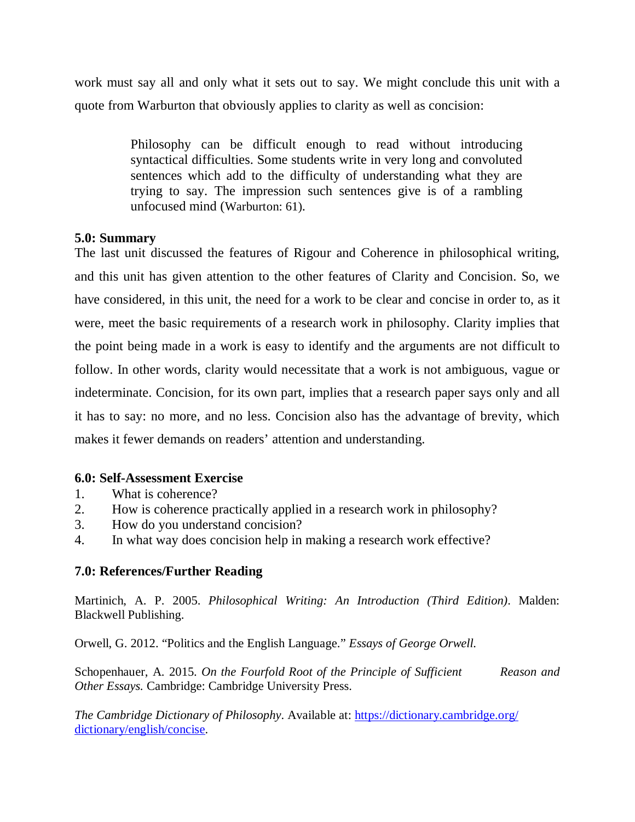work must say all and only what it sets out to say. We might conclude this unit with a quote from Warburton that obviously applies to clarity as well as concision:

> Philosophy can be difficult enough to read without introducing syntactical difficulties. Some students write in very long and convoluted sentences which add to the difficulty of understanding what they are trying to say. The impression such sentences give is of a rambling unfocused mind (Warburton: 61).

## **5.0: Summary**

The last unit discussed the features of Rigour and Coherence in philosophical writing, and this unit has given attention to the other features of Clarity and Concision. So, we have considered, in this unit, the need for a work to be clear and concise in order to, as it were, meet the basic requirements of a research work in philosophy. Clarity implies that the point being made in a work is easy to identify and the arguments are not difficult to follow. In other words, clarity would necessitate that a work is not ambiguous, vague or indeterminate. Concision, for its own part, implies that a research paper says only and all it has to say: no more, and no less. Concision also has the advantage of brevity, which makes it fewer demands on readers' attention and understanding.

### **6.0: Self-Assessment Exercise**

- 1. What is coherence?
- 2. How is coherence practically applied in a research work in philosophy?
- 3. How do you understand concision?
- 4. In what way does concision help in making a research work effective?

## **7.0: References/Further Reading**

Martinich, A. P. 2005. *Philosophical Writing: An Introduction (Third Edition)*. Malden: Blackwell Publishing.

Orwell, G. 2012. "Politics and the English Language." *Essays of George Orwell.*

Schopenhauer, A. 2015. *On the Fourfold Root of the Principle of Sufficient* Reason and *Other Essays.* Cambridge: Cambridge University Press.

*The Cambridge Dictionary of Philosophy*. Available at: https://dictionary.cambridge.org/ dictionary/english/concise.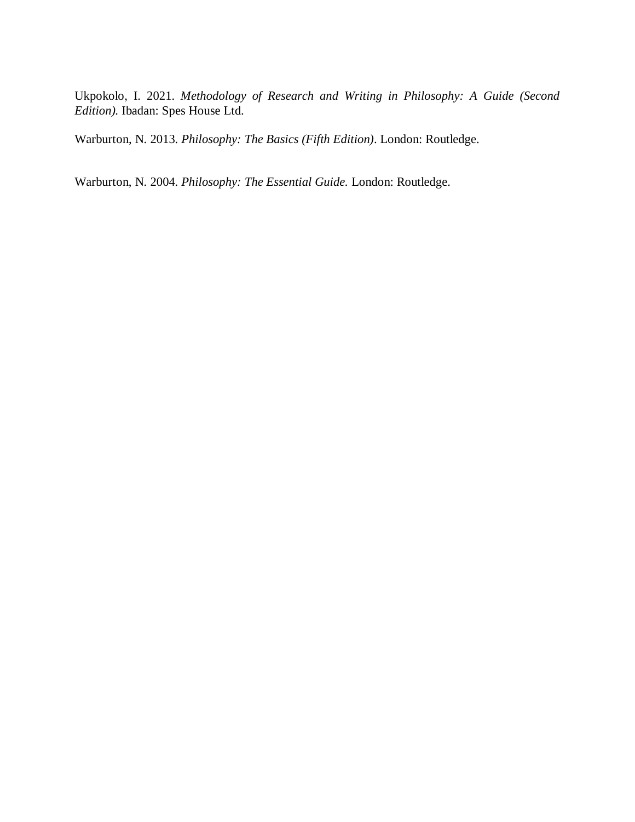Ukpokolo, I. 2021. *Methodology of Research and Writing in Philosophy: A Guide (Second Edition).* Ibadan: Spes House Ltd.

Warburton, N. 2013. *Philosophy: The Basics (Fifth Edition)*. London: Routledge.

Warburton, N. 2004. *Philosophy: The Essential Guide.* London: Routledge.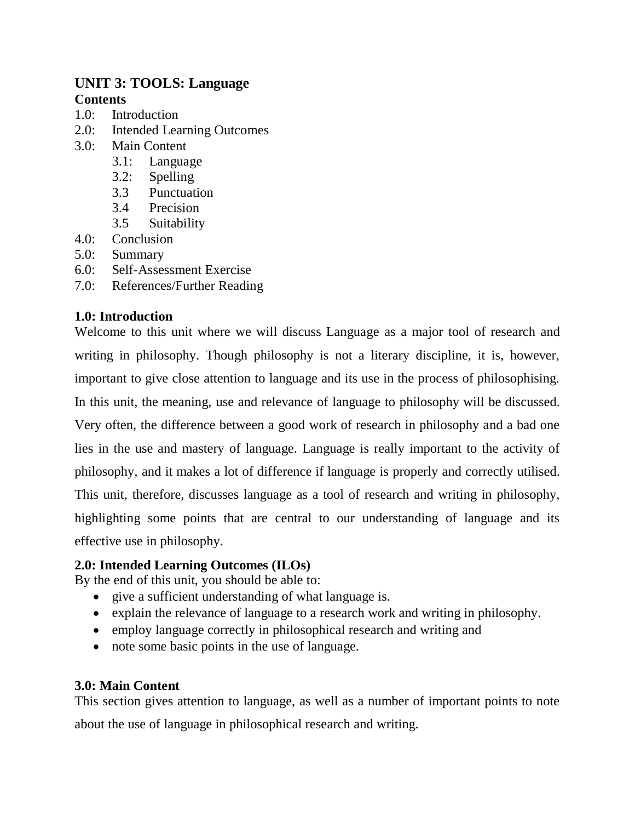# **UNIT 3: TOOLS: Language Contents**

- 1.0: Introduction
- 2.0: Intended Learning Outcomes
- 3.0: Main Content
	- 3.1: Language
	- 3.2: Spelling
	- 3.3 Punctuation
	- 3.4 Precision
	- 3.5 Suitability
- 4.0: Conclusion
- 5.0: Summary
- 6.0: Self-Assessment Exercise
- 7.0: References/Further Reading

## **1.0: Introduction**

Welcome to this unit where we will discuss Language as a major tool of research and writing in philosophy. Though philosophy is not a literary discipline, it is, however, important to give close attention to language and its use in the process of philosophising. In this unit, the meaning, use and relevance of language to philosophy will be discussed. Very often, the difference between a good work of research in philosophy and a bad one lies in the use and mastery of language. Language is really important to the activity of philosophy, and it makes a lot of difference if language is properly and correctly utilised. This unit, therefore, discusses language as a tool of research and writing in philosophy, highlighting some points that are central to our understanding of language and its effective use in philosophy.

### **2.0: Intended Learning Outcomes (ILOs)**

By the end of this unit, you should be able to:

- give a sufficient understanding of what language is.
- explain the relevance of language to a research work and writing in philosophy.
- employ language correctly in philosophical research and writing and
- note some basic points in the use of language.

### **3.0: Main Content**

This section gives attention to language, as well as a number of important points to note about the use of language in philosophical research and writing.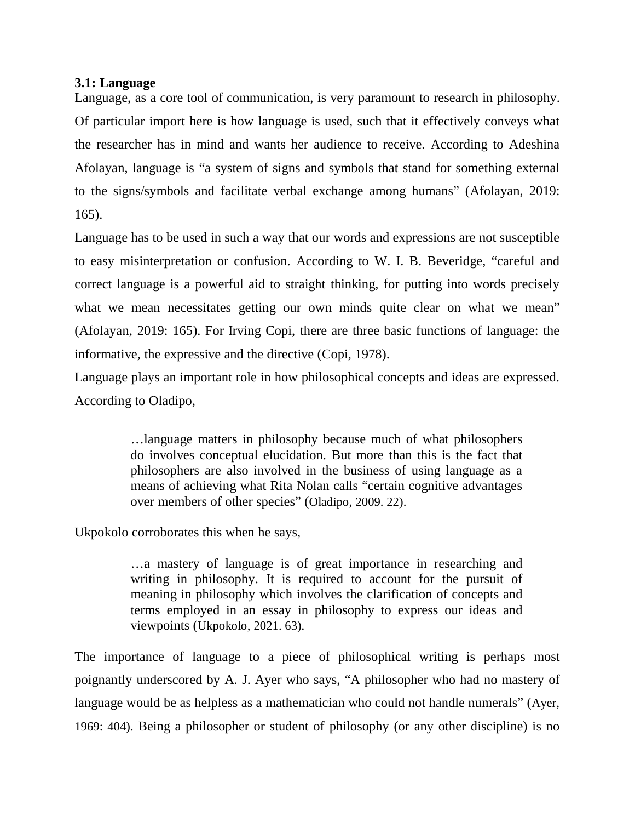### **3.1: Language**

Language, as a core tool of communication, is very paramount to research in philosophy. Of particular import here is how language is used, such that it effectively conveys what the researcher has in mind and wants her audience to receive. According to Adeshina Afolayan, language is "a system of signs and symbols that stand for something external to the signs/symbols and facilitate verbal exchange among humans" (Afolayan, 2019: 165).

Language has to be used in such a way that our words and expressions are not susceptible to easy misinterpretation or confusion. According to W. I. B. Beveridge, "careful and correct language is a powerful aid to straight thinking, for putting into words precisely what we mean necessitates getting our own minds quite clear on what we mean" (Afolayan, 2019: 165). For Irving Copi, there are three basic functions of language: the informative, the expressive and the directive (Copi, 1978).

Language plays an important role in how philosophical concepts and ideas are expressed. According to Oladipo,

> …language matters in philosophy because much of what philosophers do involves conceptual elucidation. But more than this is the fact that philosophers are also involved in the business of using language as a means of achieving what Rita Nolan calls "certain cognitive advantages over members of other species" (Oladipo, 2009. 22).

Ukpokolo corroborates this when he says,

…a mastery of language is of great importance in researching and writing in philosophy. It is required to account for the pursuit of meaning in philosophy which involves the clarification of concepts and terms employed in an essay in philosophy to express our ideas and viewpoints (Ukpokolo, 2021. 63).

The importance of language to a piece of philosophical writing is perhaps most poignantly underscored by A. J. Ayer who says, "A philosopher who had no mastery of language would be as helpless as a mathematician who could not handle numerals" (Ayer, 1969: 404). Being a philosopher or student of philosophy (or any other discipline) is no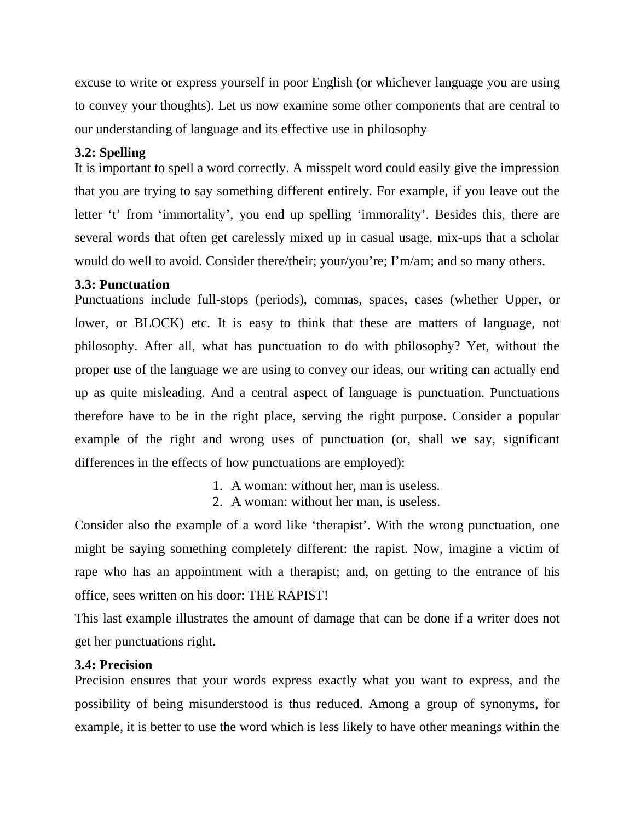excuse to write or express yourself in poor English (or whichever language you are using to convey your thoughts). Let us now examine some other components that are central to our understanding of language and its effective use in philosophy

# **3.2: Spelling**

It is important to spell a word correctly. A misspelt word could easily give the impression that you are trying to say something different entirely. For example, if you leave out the letter 't' from 'immortality', you end up spelling 'immorality'. Besides this, there are several words that often get carelessly mixed up in casual usage, mix-ups that a scholar would do well to avoid. Consider there/their; your/you're; I'm/am; and so many others.

## **3.3: Punctuation**

Punctuations include full-stops (periods), commas, spaces, cases (whether Upper, or lower, or BLOCK) etc. It is easy to think that these are matters of language, not philosophy. After all, what has punctuation to do with philosophy? Yet, without the proper use of the language we are using to convey our ideas, our writing can actually end up as quite misleading. And a central aspect of language is punctuation. Punctuations therefore have to be in the right place, serving the right purpose. Consider a popular example of the right and wrong uses of punctuation (or, shall we say, significant differences in the effects of how punctuations are employed):

- 1. A woman: without her, man is useless.
- 2. A woman: without her man, is useless.

Consider also the example of a word like 'therapist'. With the wrong punctuation, one might be saying something completely different: the rapist. Now, imagine a victim of rape who has an appointment with a therapist; and, on getting to the entrance of his office, sees written on his door: THE RAPIST!

This last example illustrates the amount of damage that can be done if a writer does not get her punctuations right.

## **3.4: Precision**

Precision ensures that your words express exactly what you want to express, and the possibility of being misunderstood is thus reduced. Among a group of synonyms, for example, it is better to use the word which is less likely to have other meanings within the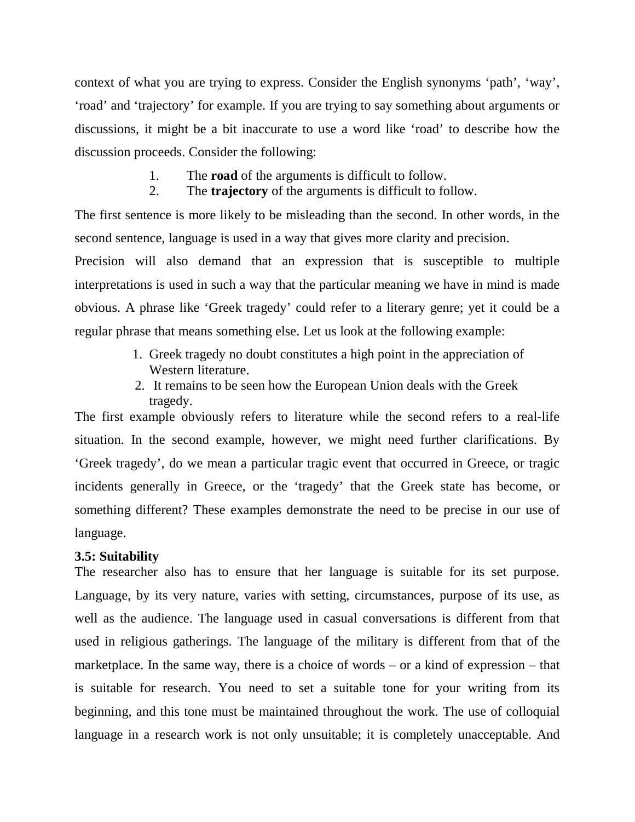context of what you are trying to express. Consider the English synonyms 'path', 'way', 'road' and 'trajectory' for example. If you are trying to say something about arguments or discussions, it might be a bit inaccurate to use a word like 'road' to describe how the discussion proceeds. Consider the following:

- 1. The **road** of the arguments is difficult to follow.
- 2. The **trajectory** of the arguments is difficult to follow.

The first sentence is more likely to be misleading than the second. In other words, in the second sentence, language is used in a way that gives more clarity and precision.

Precision will also demand that an expression that is susceptible to multiple interpretations is used in such a way that the particular meaning we have in mind is made obvious. A phrase like 'Greek tragedy' could refer to a literary genre; yet it could be a regular phrase that means something else. Let us look at the following example:

- 1. Greek tragedy no doubt constitutes a high point in the appreciation of Western literature.
- 2. It remains to be seen how the European Union deals with the Greek tragedy.

The first example obviously refers to literature while the second refers to a real-life situation. In the second example, however, we might need further clarifications. By 'Greek tragedy', do we mean a particular tragic event that occurred in Greece, or tragic incidents generally in Greece, or the 'tragedy' that the Greek state has become, or something different? These examples demonstrate the need to be precise in our use of language.

#### **3.5: Suitability**

The researcher also has to ensure that her language is suitable for its set purpose. Language, by its very nature, varies with setting, circumstances, purpose of its use, as well as the audience. The language used in casual conversations is different from that used in religious gatherings. The language of the military is different from that of the marketplace. In the same way, there is a choice of words – or a kind of expression – that is suitable for research. You need to set a suitable tone for your writing from its beginning, and this tone must be maintained throughout the work. The use of colloquial language in a research work is not only unsuitable; it is completely unacceptable. And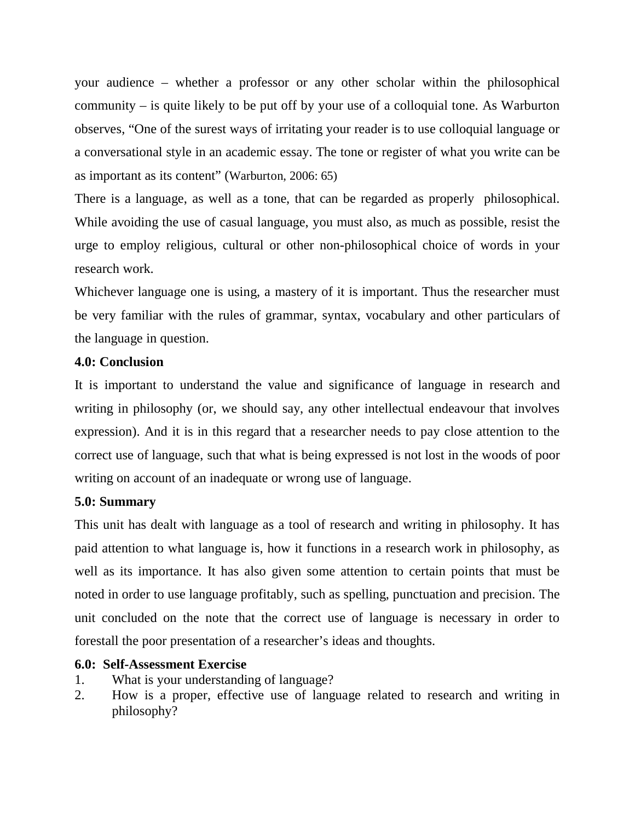your audience – whether a professor or any other scholar within the philosophical community – is quite likely to be put off by your use of a colloquial tone. As Warburton observes, "One of the surest ways of irritating your reader is to use colloquial language or a conversational style in an academic essay. The tone or register of what you write can be as important as its content" (Warburton, 2006: 65)

There is a language, as well as a tone, that can be regarded as properly philosophical. While avoiding the use of casual language, you must also, as much as possible, resist the urge to employ religious, cultural or other non-philosophical choice of words in your research work.

Whichever language one is using, a mastery of it is important. Thus the researcher must be very familiar with the rules of grammar, syntax, vocabulary and other particulars of the language in question.

## **4.0: Conclusion**

It is important to understand the value and significance of language in research and writing in philosophy (or, we should say, any other intellectual endeavour that involves expression). And it is in this regard that a researcher needs to pay close attention to the correct use of language, such that what is being expressed is not lost in the woods of poor writing on account of an inadequate or wrong use of language.

## **5.0: Summary**

This unit has dealt with language as a tool of research and writing in philosophy. It has paid attention to what language is, how it functions in a research work in philosophy, as well as its importance. It has also given some attention to certain points that must be noted in order to use language profitably, such as spelling, punctuation and precision. The unit concluded on the note that the correct use of language is necessary in order to forestall the poor presentation of a researcher's ideas and thoughts.

## **6.0: Self-Assessment Exercise**

- 1. What is your understanding of language?
- 2. How is a proper, effective use of language related to research and writing in philosophy?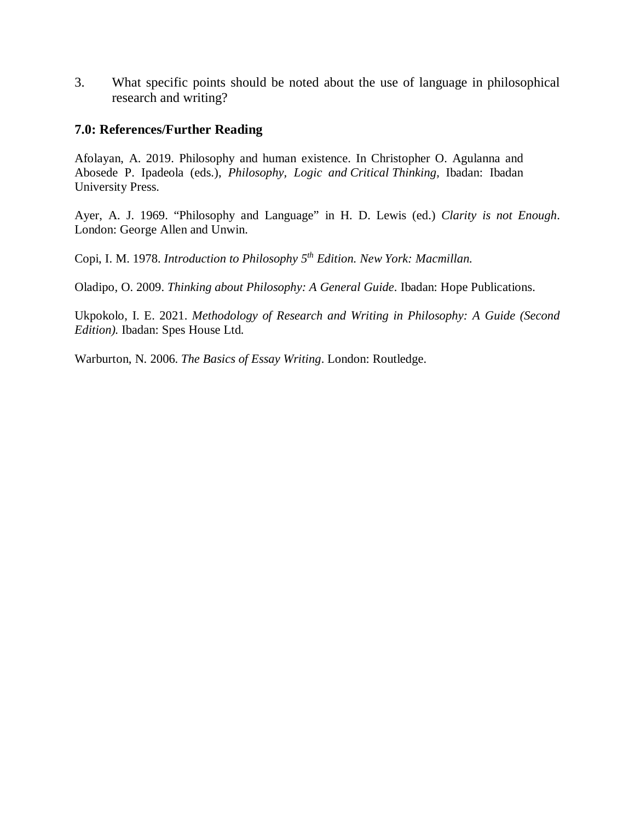3. What specific points should be noted about the use of language in philosophical research and writing?

### **7.0: References/Further Reading**

Afolayan, A. 2019. Philosophy and human existence. In Christopher O. Agulanna and Abosede P. Ipadeola (eds.), *Philosophy, Logic and Critical Thinking,* Ibadan: Ibadan University Press.

Ayer, A. J. 1969. "Philosophy and Language" in H. D. Lewis (ed.) *Clarity is not Enough*. London: George Allen and Unwin.

Copi, I. M. 1978. *Introduction to Philosophy 5th Edition. New York: Macmillan.* 

Oladipo, O. 2009. *Thinking about Philosophy: A General Guide*. Ibadan: Hope Publications.

Ukpokolo, I. E. 2021. *Methodology of Research and Writing in Philosophy: A Guide (Second Edition).* Ibadan: Spes House Ltd.

Warburton, N. 2006. *The Basics of Essay Writing*. London: Routledge.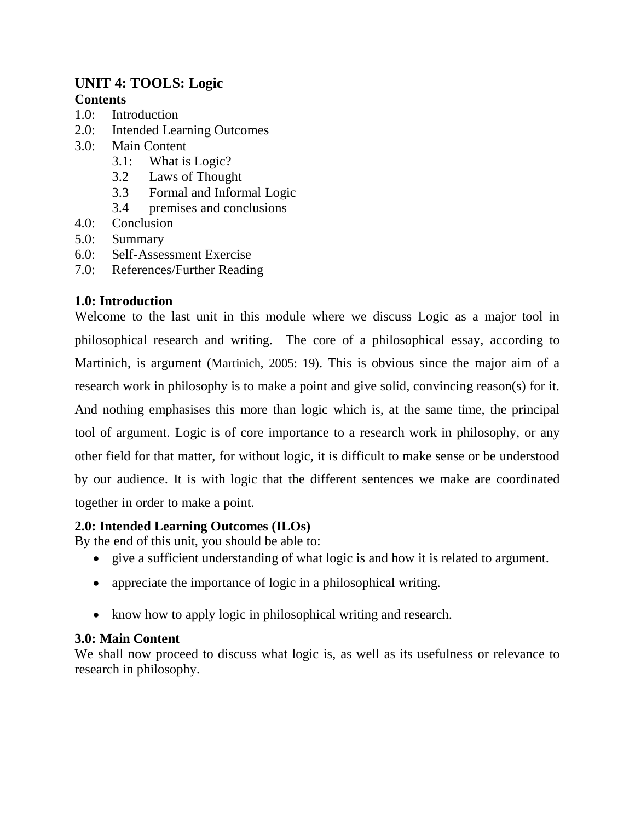# **UNIT 4: TOOLS: Logic Contents**

- 1.0: Introduction
- 2.0: Intended Learning Outcomes
- 3.0: Main Content
	- 3.1: What is Logic?
	- 3.2 Laws of Thought
	- 3.3 Formal and Informal Logic
	- 3.4 premises and conclusions
- 4.0: Conclusion
- 5.0: Summary
- 6.0: Self-Assessment Exercise
- 7.0: References/Further Reading

## **1.0: Introduction**

Welcome to the last unit in this module where we discuss Logic as a major tool in philosophical research and writing. The core of a philosophical essay, according to Martinich, is argument (Martinich, 2005: 19). This is obvious since the major aim of a research work in philosophy is to make a point and give solid, convincing reason(s) for it. And nothing emphasises this more than logic which is, at the same time, the principal tool of argument. Logic is of core importance to a research work in philosophy, or any other field for that matter, for without logic, it is difficult to make sense or be understood by our audience. It is with logic that the different sentences we make are coordinated together in order to make a point.

## **2.0: Intended Learning Outcomes (ILOs)**

By the end of this unit, you should be able to:

- give a sufficient understanding of what logic is and how it is related to argument.
- appreciate the importance of logic in a philosophical writing.
- know how to apply logic in philosophical writing and research.

## **3.0: Main Content**

We shall now proceed to discuss what logic is, as well as its usefulness or relevance to research in philosophy.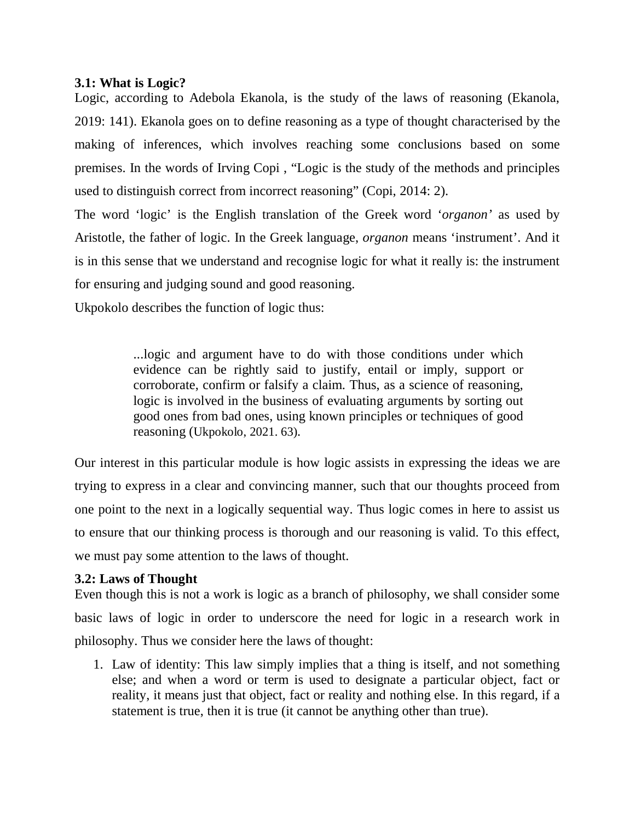## **3.1: What is Logic?**

Logic, according to Adebola Ekanola, is the study of the laws of reasoning (Ekanola, 2019: 141). Ekanola goes on to define reasoning as a type of thought characterised by the making of inferences, which involves reaching some conclusions based on some premises. In the words of Irving Copi , "Logic is the study of the methods and principles used to distinguish correct from incorrect reasoning" (Copi, 2014: 2).

The word 'logic' is the English translation of the Greek word '*organon'* as used by Aristotle, the father of logic. In the Greek language, *organon* means 'instrument'. And it is in this sense that we understand and recognise logic for what it really is: the instrument for ensuring and judging sound and good reasoning.

Ukpokolo describes the function of logic thus:

...logic and argument have to do with those conditions under which evidence can be rightly said to justify, entail or imply, support or corroborate, confirm or falsify a claim. Thus, as a science of reasoning, logic is involved in the business of evaluating arguments by sorting out good ones from bad ones, using known principles or techniques of good reasoning (Ukpokolo, 2021. 63).

Our interest in this particular module is how logic assists in expressing the ideas we are trying to express in a clear and convincing manner, such that our thoughts proceed from one point to the next in a logically sequential way. Thus logic comes in here to assist us to ensure that our thinking process is thorough and our reasoning is valid. To this effect, we must pay some attention to the laws of thought.

## **3.2: Laws of Thought**

Even though this is not a work is logic as a branch of philosophy, we shall consider some basic laws of logic in order to underscore the need for logic in a research work in philosophy. Thus we consider here the laws of thought:

1. Law of identity: This law simply implies that a thing is itself, and not something else; and when a word or term is used to designate a particular object, fact or reality, it means just that object, fact or reality and nothing else. In this regard, if a statement is true, then it is true (it cannot be anything other than true).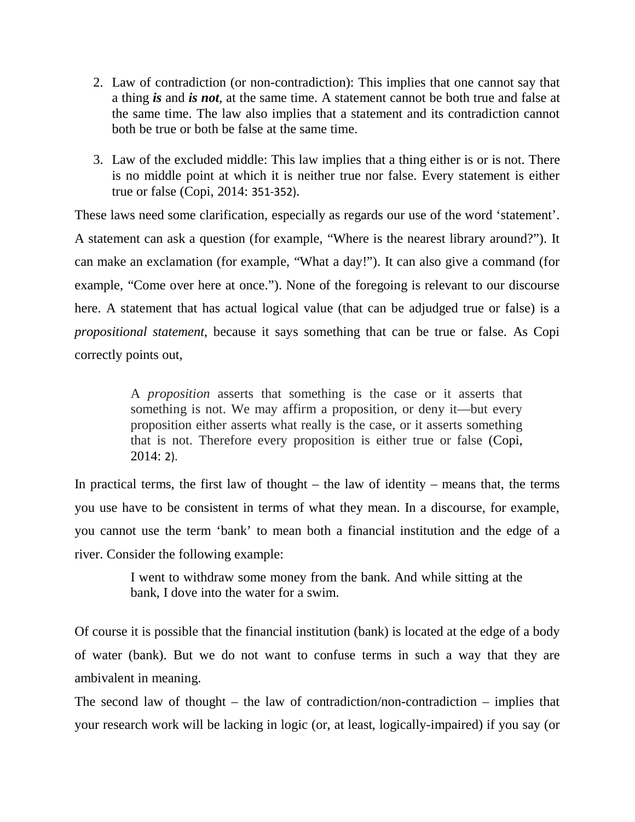- 2. Law of contradiction (or non-contradiction): This implies that one cannot say that a thing *is* and *is not*, at the same time. A statement cannot be both true and false at the same time. The law also implies that a statement and its contradiction cannot both be true or both be false at the same time.
- 3. Law of the excluded middle: This law implies that a thing either is or is not. There is no middle point at which it is neither true nor false. Every statement is either true or false (Copi, 2014: 351-352).

These laws need some clarification, especially as regards our use of the word 'statement'. A statement can ask a question (for example, "Where is the nearest library around?"). It can make an exclamation (for example, "What a day!"). It can also give a command (for example, "Come over here at once."). None of the foregoing is relevant to our discourse here. A statement that has actual logical value (that can be adjudged true or false) is a *propositional statement*, because it says something that can be true or false. As Copi correctly points out,

> A *proposition* asserts that something is the case or it asserts that something is not. We may affirm a proposition, or deny it—but every proposition either asserts what really is the case, or it asserts something that is not. Therefore every proposition is either true or false (Copi, 2014: 2).

In practical terms, the first law of thought  $-$  the law of identity  $-$  means that, the terms you use have to be consistent in terms of what they mean. In a discourse, for example, you cannot use the term 'bank' to mean both a financial institution and the edge of a river. Consider the following example:

> I went to withdraw some money from the bank. And while sitting at the bank, I dove into the water for a swim.

Of course it is possible that the financial institution (bank) is located at the edge of a body of water (bank). But we do not want to confuse terms in such a way that they are ambivalent in meaning.

The second law of thought – the law of contradiction/non-contradiction – implies that your research work will be lacking in logic (or, at least, logically-impaired) if you say (or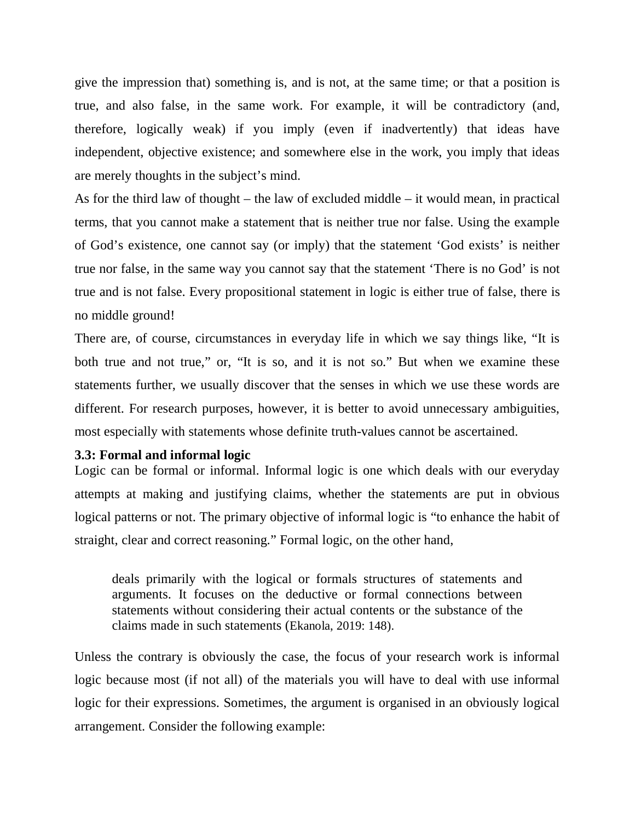give the impression that) something is, and is not, at the same time; or that a position is true, and also false, in the same work. For example, it will be contradictory (and, therefore, logically weak) if you imply (even if inadvertently) that ideas have independent, objective existence; and somewhere else in the work, you imply that ideas are merely thoughts in the subject's mind.

As for the third law of thought – the law of excluded middle – it would mean, in practical terms, that you cannot make a statement that is neither true nor false. Using the example of God's existence, one cannot say (or imply) that the statement 'God exists' is neither true nor false, in the same way you cannot say that the statement 'There is no God' is not true and is not false. Every propositional statement in logic is either true of false, there is no middle ground!

There are, of course, circumstances in everyday life in which we say things like, "It is both true and not true," or, "It is so, and it is not so." But when we examine these statements further, we usually discover that the senses in which we use these words are different. For research purposes, however, it is better to avoid unnecessary ambiguities, most especially with statements whose definite truth-values cannot be ascertained.

### **3.3: Formal and informal logic**

Logic can be formal or informal. Informal logic is one which deals with our everyday attempts at making and justifying claims, whether the statements are put in obvious logical patterns or not. The primary objective of informal logic is "to enhance the habit of straight, clear and correct reasoning." Formal logic, on the other hand,

deals primarily with the logical or formals structures of statements and arguments. It focuses on the deductive or formal connections between statements without considering their actual contents or the substance of the claims made in such statements (Ekanola, 2019: 148).

Unless the contrary is obviously the case, the focus of your research work is informal logic because most (if not all) of the materials you will have to deal with use informal logic for their expressions. Sometimes, the argument is organised in an obviously logical arrangement. Consider the following example: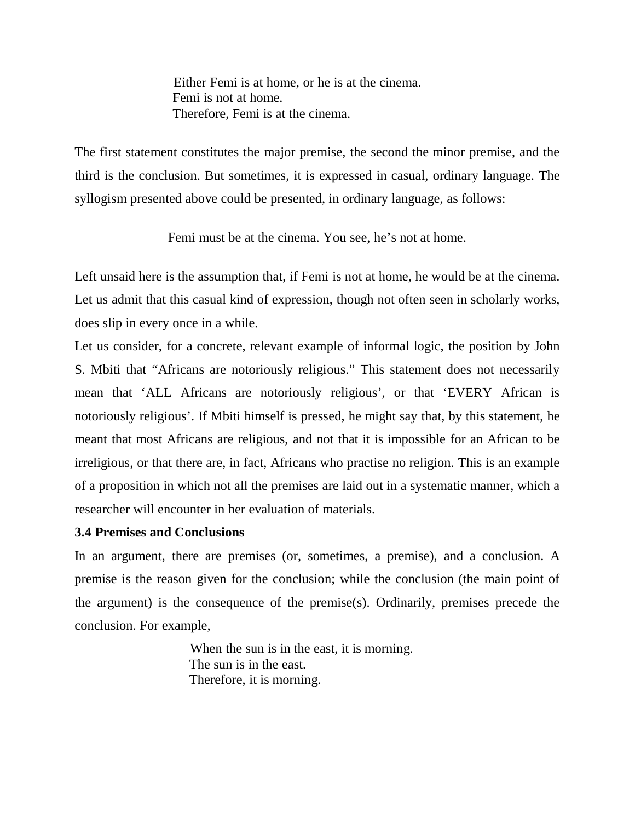Either Femi is at home, or he is at the cinema. Femi is not at home. Therefore, Femi is at the cinema.

The first statement constitutes the major premise, the second the minor premise, and the third is the conclusion. But sometimes, it is expressed in casual, ordinary language. The syllogism presented above could be presented, in ordinary language, as follows:

Femi must be at the cinema. You see, he's not at home.

Left unsaid here is the assumption that, if Femi is not at home, he would be at the cinema. Let us admit that this casual kind of expression, though not often seen in scholarly works, does slip in every once in a while.

Let us consider, for a concrete, relevant example of informal logic, the position by John S. Mbiti that "Africans are notoriously religious." This statement does not necessarily mean that 'ALL Africans are notoriously religious', or that 'EVERY African is notoriously religious'. If Mbiti himself is pressed, he might say that, by this statement, he meant that most Africans are religious, and not that it is impossible for an African to be irreligious, or that there are, in fact, Africans who practise no religion. This is an example of a proposition in which not all the premises are laid out in a systematic manner, which a researcher will encounter in her evaluation of materials.

## **3.4 Premises and Conclusions**

In an argument, there are premises (or, sometimes, a premise), and a conclusion. A premise is the reason given for the conclusion; while the conclusion (the main point of the argument) is the consequence of the premise(s). Ordinarily, premises precede the conclusion. For example,

> When the sun is in the east, it is morning. The sun is in the east. Therefore, it is morning.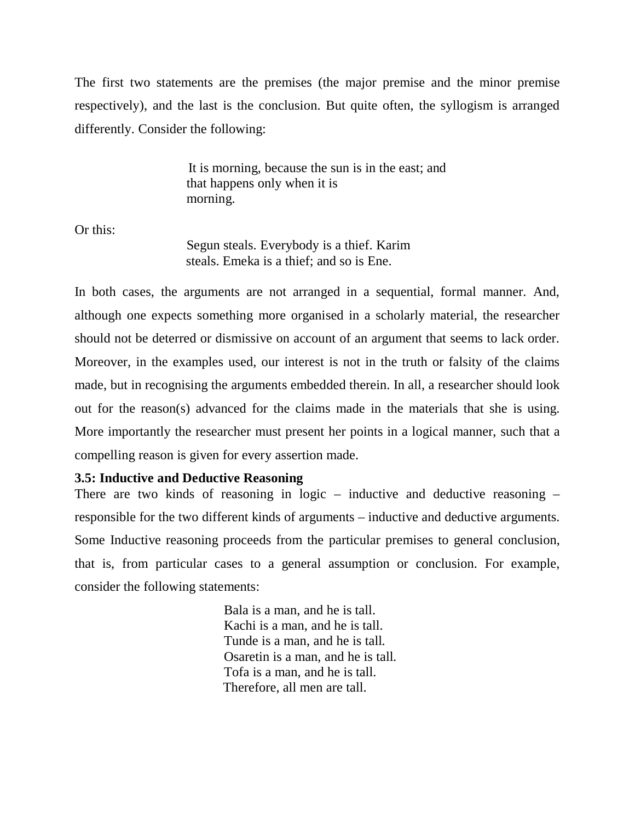The first two statements are the premises (the major premise and the minor premise respectively), and the last is the conclusion. But quite often, the syllogism is arranged differently. Consider the following:

> It is morning, because the sun is in the east; and that happens only when it is morning.

Or this:

Segun steals. Everybody is a thief. Karim steals. Emeka is a thief; and so is Ene.

In both cases, the arguments are not arranged in a sequential, formal manner. And, although one expects something more organised in a scholarly material, the researcher should not be deterred or dismissive on account of an argument that seems to lack order. Moreover, in the examples used, our interest is not in the truth or falsity of the claims made, but in recognising the arguments embedded therein. In all, a researcher should look out for the reason(s) advanced for the claims made in the materials that she is using. More importantly the researcher must present her points in a logical manner, such that a compelling reason is given for every assertion made.

### **3.5: Inductive and Deductive Reasoning**

There are two kinds of reasoning in logic – inductive and deductive reasoning – responsible for the two different kinds of arguments – inductive and deductive arguments. Some Inductive reasoning proceeds from the particular premises to general conclusion, that is, from particular cases to a general assumption or conclusion. For example, consider the following statements:

> Bala is a man, and he is tall. Kachi is a man, and he is tall. Tunde is a man, and he is tall. Osaretin is a man, and he is tall. Tofa is a man, and he is tall. Therefore, all men are tall.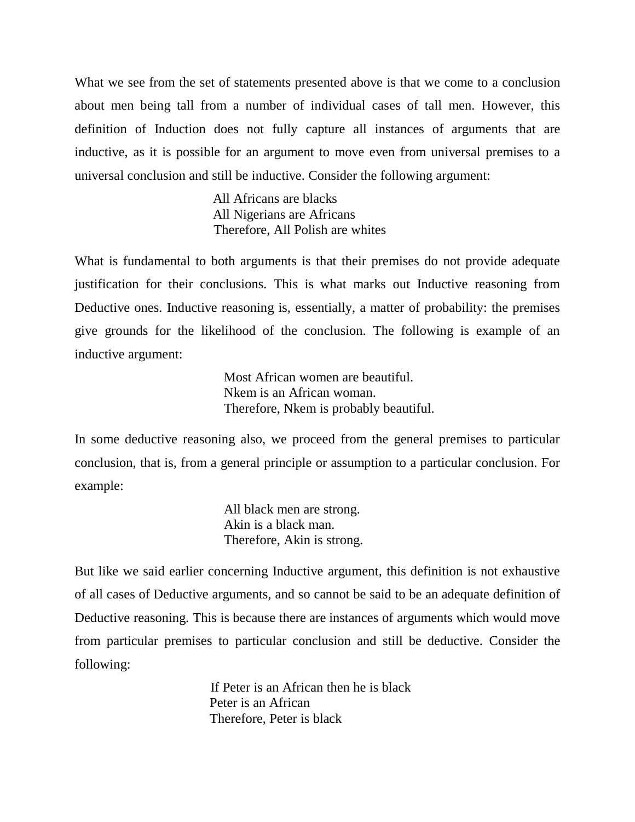What we see from the set of statements presented above is that we come to a conclusion about men being tall from a number of individual cases of tall men. However, this definition of Induction does not fully capture all instances of arguments that are inductive, as it is possible for an argument to move even from universal premises to a universal conclusion and still be inductive. Consider the following argument:

> All Africans are blacks All Nigerians are Africans Therefore, All Polish are whites

What is fundamental to both arguments is that their premises do not provide adequate justification for their conclusions. This is what marks out Inductive reasoning from Deductive ones. Inductive reasoning is, essentially, a matter of probability: the premises give grounds for the likelihood of the conclusion. The following is example of an inductive argument:

> Most African women are beautiful. Nkem is an African woman. Therefore, Nkem is probably beautiful.

In some deductive reasoning also, we proceed from the general premises to particular conclusion, that is, from a general principle or assumption to a particular conclusion. For example:

> All black men are strong. Akin is a black man. Therefore, Akin is strong.

But like we said earlier concerning Inductive argument, this definition is not exhaustive of all cases of Deductive arguments, and so cannot be said to be an adequate definition of Deductive reasoning. This is because there are instances of arguments which would move from particular premises to particular conclusion and still be deductive. Consider the following:

> If Peter is an African then he is black Peter is an African Therefore, Peter is black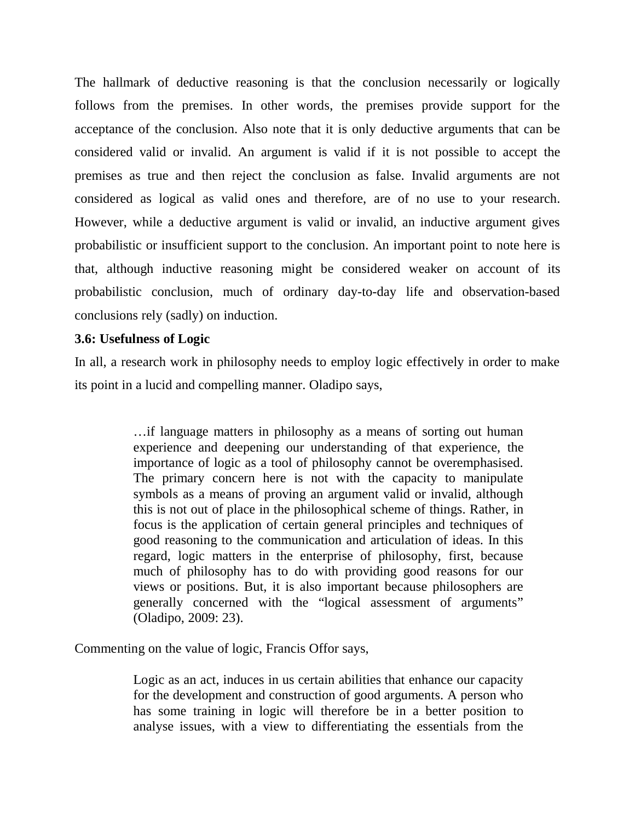The hallmark of deductive reasoning is that the conclusion necessarily or logically follows from the premises. In other words, the premises provide support for the acceptance of the conclusion. Also note that it is only deductive arguments that can be considered valid or invalid. An argument is valid if it is not possible to accept the premises as true and then reject the conclusion as false. Invalid arguments are not considered as logical as valid ones and therefore, are of no use to your research. However, while a deductive argument is valid or invalid, an inductive argument gives probabilistic or insufficient support to the conclusion. An important point to note here is that, although inductive reasoning might be considered weaker on account of its probabilistic conclusion, much of ordinary day-to-day life and observation-based conclusions rely (sadly) on induction.

### **3.6: Usefulness of Logic**

In all, a research work in philosophy needs to employ logic effectively in order to make its point in a lucid and compelling manner. Oladipo says,

> …if language matters in philosophy as a means of sorting out human experience and deepening our understanding of that experience, the importance of logic as a tool of philosophy cannot be overemphasised. The primary concern here is not with the capacity to manipulate symbols as a means of proving an argument valid or invalid, although this is not out of place in the philosophical scheme of things. Rather, in focus is the application of certain general principles and techniques of good reasoning to the communication and articulation of ideas. In this regard, logic matters in the enterprise of philosophy, first, because much of philosophy has to do with providing good reasons for our views or positions. But, it is also important because philosophers are generally concerned with the "logical assessment of arguments" (Oladipo, 2009: 23).

Commenting on the value of logic, Francis Offor says,

Logic as an act, induces in us certain abilities that enhance our capacity for the development and construction of good arguments. A person who has some training in logic will therefore be in a better position to analyse issues, with a view to differentiating the essentials from the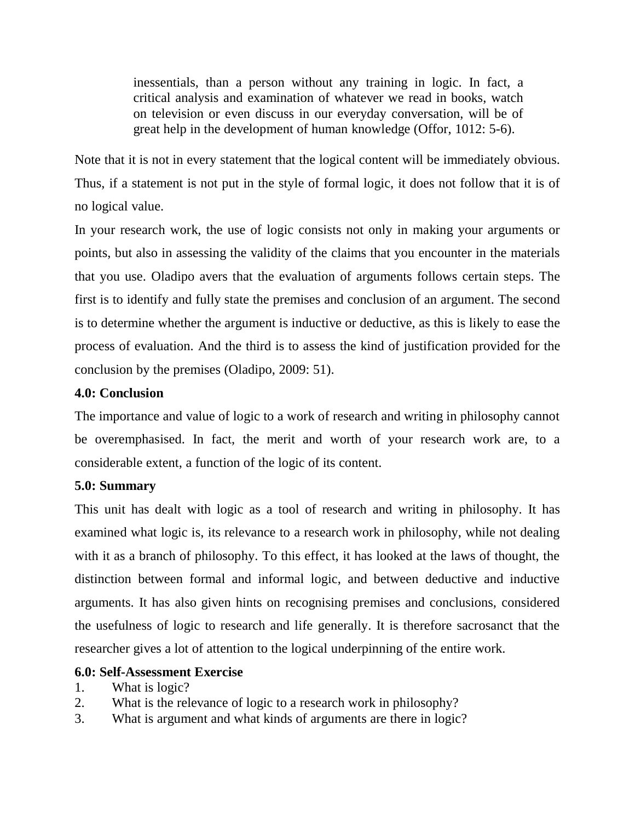inessentials, than a person without any training in logic. In fact, a critical analysis and examination of whatever we read in books, watch on television or even discuss in our everyday conversation, will be of great help in the development of human knowledge (Offor, 1012: 5-6).

Note that it is not in every statement that the logical content will be immediately obvious. Thus, if a statement is not put in the style of formal logic, it does not follow that it is of no logical value.

In your research work, the use of logic consists not only in making your arguments or points, but also in assessing the validity of the claims that you encounter in the materials that you use. Oladipo avers that the evaluation of arguments follows certain steps. The first is to identify and fully state the premises and conclusion of an argument. The second is to determine whether the argument is inductive or deductive, as this is likely to ease the process of evaluation. And the third is to assess the kind of justification provided for the conclusion by the premises (Oladipo, 2009: 51).

## **4.0: Conclusion**

The importance and value of logic to a work of research and writing in philosophy cannot be overemphasised. In fact, the merit and worth of your research work are, to a considerable extent, a function of the logic of its content.

# **5.0: Summary**

This unit has dealt with logic as a tool of research and writing in philosophy. It has examined what logic is, its relevance to a research work in philosophy, while not dealing with it as a branch of philosophy. To this effect, it has looked at the laws of thought, the distinction between formal and informal logic, and between deductive and inductive arguments. It has also given hints on recognising premises and conclusions, considered the usefulness of logic to research and life generally. It is therefore sacrosanct that the researcher gives a lot of attention to the logical underpinning of the entire work.

## **6.0: Self-Assessment Exercise**

- 1. What is logic?
- 2. What is the relevance of logic to a research work in philosophy?
- 3. What is argument and what kinds of arguments are there in logic?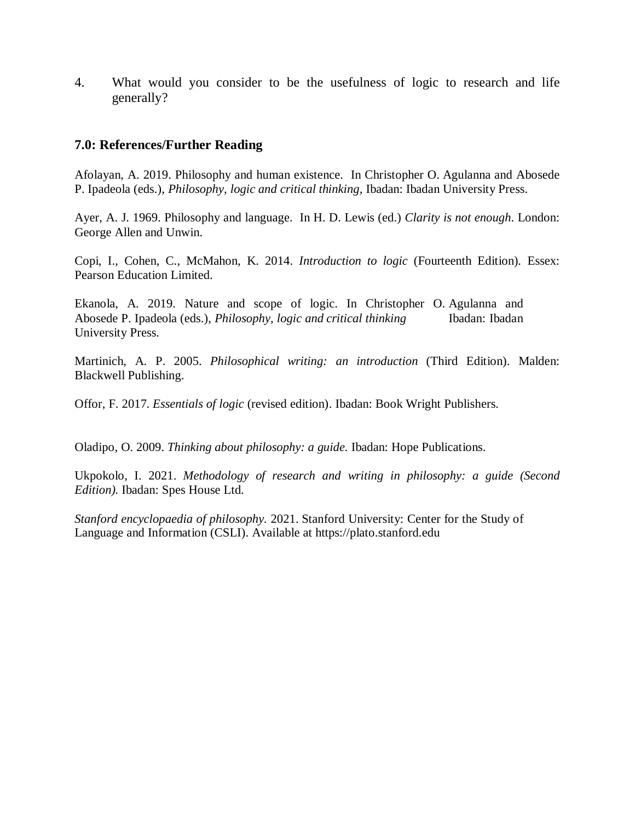4. What would you consider to be the usefulness of logic to research and life generally?

### **7.0: References/Further Reading**

Afolayan, A. 2019. Philosophy and human existence. In Christopher O. Agulanna and Abosede P. Ipadeola (eds.), *Philosophy, logic and critical thinking,* Ibadan: Ibadan University Press.

Ayer, A. J. 1969. Philosophy and language. In H. D. Lewis (ed.) *Clarity is not enough*. London: George Allen and Unwin.

Copi, I., Cohen, C., McMahon, K. 2014. *Introduction to logic* (Fourteenth Edition)*.* Essex: Pearson Education Limited.

Ekanola, A. 2019. Nature and scope of logic. In Christopher O. Agulanna and Abosede P. Ipadeola (eds.), *Philosophy, logic and critical thinking* Ibadan: Ibadan University Press.

Martinich, A. P. 2005. *Philosophical writing: an introduction* (Third Edition). Malden: Blackwell Publishing.

Offor, F. 2017. *Essentials of logic* (revised edition). Ibadan: Book Wright Publishers.

Oladipo, O. 2009. *Thinking about philosophy: a guide.* Ibadan: Hope Publications.

Ukpokolo, I. 2021. *Methodology of research and writing in philosophy: a guide (Second Edition).* Ibadan: Spes House Ltd.

*Stanford encyclopaedia of philosophy.* 2021. Stanford University: Center for the Study of Language and Information (CSLI). Available at https://plato.stanford.edu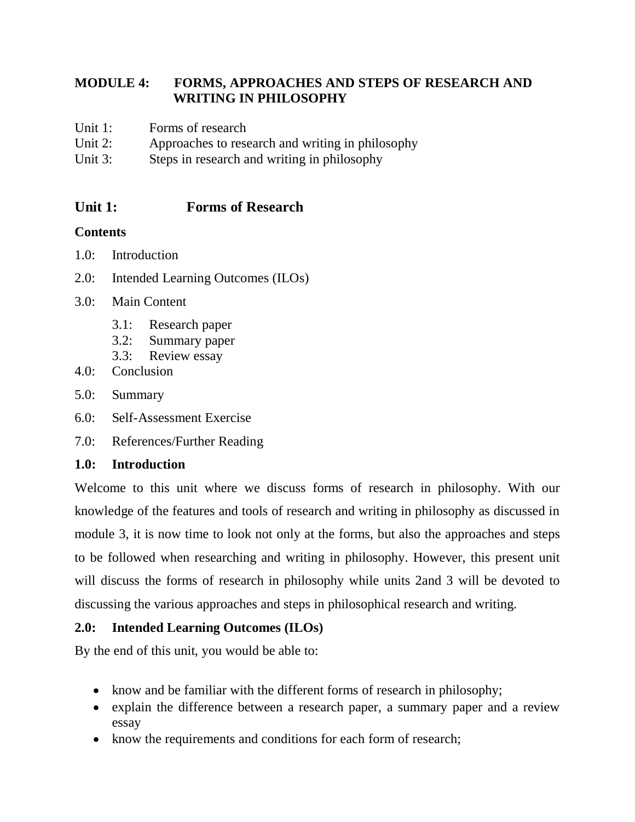# **MODULE 4: FORMS, APPROACHES AND STEPS OF RESEARCH AND WRITING IN PHILOSOPHY**

- Unit 1: Forms of research
- Unit 2: Approaches to research and writing in philosophy
- Unit 3: Steps in research and writing in philosophy

# **Unit 1: Forms of Research**

# **Contents**

- 1.0: Introduction
- 2.0: Intended Learning Outcomes (ILOs)
- 3.0: Main Content
	- 3.1: Research paper
	- 3.2: Summary paper
	- 3.3: Review essay
- 4.0: Conclusion
- 5.0: Summary
- 6.0: Self-Assessment Exercise
- 7.0: References/Further Reading

# **1.0: Introduction**

Welcome to this unit where we discuss forms of research in philosophy. With our knowledge of the features and tools of research and writing in philosophy as discussed in module 3, it is now time to look not only at the forms, but also the approaches and steps to be followed when researching and writing in philosophy. However, this present unit will discuss the forms of research in philosophy while units 2and 3 will be devoted to discussing the various approaches and steps in philosophical research and writing.

# **2.0: Intended Learning Outcomes (ILOs)**

By the end of this unit, you would be able to:

- know and be familiar with the different forms of research in philosophy;
- explain the difference between a research paper, a summary paper and a review essay
- know the requirements and conditions for each form of research;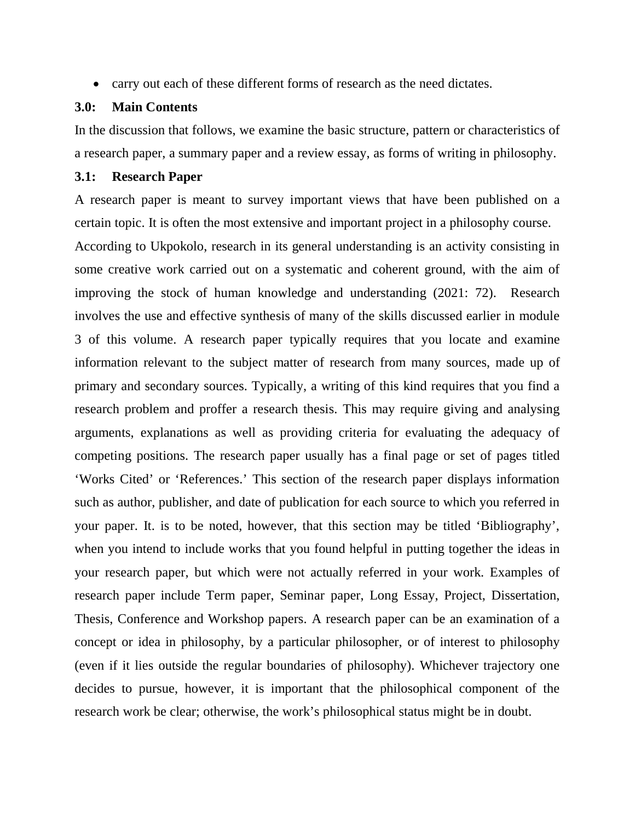carry out each of these different forms of research as the need dictates.

#### **3.0: Main Contents**

In the discussion that follows, we examine the basic structure, pattern or characteristics of a research paper, a summary paper and a review essay, as forms of writing in philosophy.

#### **3.1: Research Paper**

A research paper is meant to survey important views that have been published on a certain topic. It is often the most extensive and important project in a philosophy course.

According to Ukpokolo, research in its general understanding is an activity consisting in some creative work carried out on a systematic and coherent ground, with the aim of improving the stock of human knowledge and understanding (2021: 72). Research involves the use and effective synthesis of many of the skills discussed earlier in module 3 of this volume. A research paper typically requires that you locate and examine information relevant to the subject matter of research from many sources, made up of primary and secondary sources. Typically, a writing of this kind requires that you find a research problem and proffer a research thesis. This may require giving and analysing arguments, explanations as well as providing criteria for evaluating the adequacy of competing positions. The research paper usually has a final page or set of pages titled 'Works Cited' or 'References.' This section of the research paper displays information such as author, publisher, and date of publication for each source to which you referred in your paper. It. is to be noted, however, that this section may be titled 'Bibliography', when you intend to include works that you found helpful in putting together the ideas in your research paper, but which were not actually referred in your work. Examples of research paper include Term paper, Seminar paper, Long Essay, Project, Dissertation, Thesis, Conference and Workshop papers. A research paper can be an examination of a concept or idea in philosophy, by a particular philosopher, or of interest to philosophy (even if it lies outside the regular boundaries of philosophy). Whichever trajectory one decides to pursue, however, it is important that the philosophical component of the research work be clear; otherwise, the work's philosophical status might be in doubt.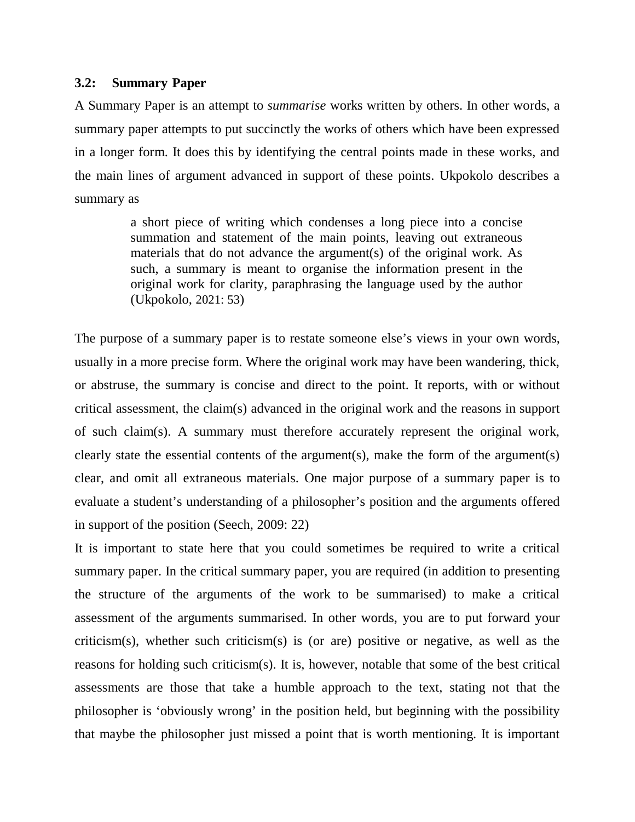#### **3.2: Summary Paper**

A Summary Paper is an attempt to *summarise* works written by others. In other words, a summary paper attempts to put succinctly the works of others which have been expressed in a longer form. It does this by identifying the central points made in these works, and the main lines of argument advanced in support of these points. Ukpokolo describes a summary as

> a short piece of writing which condenses a long piece into a concise summation and statement of the main points, leaving out extraneous materials that do not advance the argument(s) of the original work. As such, a summary is meant to organise the information present in the original work for clarity, paraphrasing the language used by the author (Ukpokolo, 2021: 53)

The purpose of a summary paper is to restate someone else's views in your own words, usually in a more precise form. Where the original work may have been wandering, thick, or abstruse, the summary is concise and direct to the point. It reports, with or without critical assessment, the claim(s) advanced in the original work and the reasons in support of such claim(s). A summary must therefore accurately represent the original work, clearly state the essential contents of the argument(s), make the form of the argument(s) clear, and omit all extraneous materials. One major purpose of a summary paper is to evaluate a student's understanding of a philosopher's position and the arguments offered in support of the position (Seech, 2009: 22)

It is important to state here that you could sometimes be required to write a critical summary paper. In the critical summary paper, you are required (in addition to presenting the structure of the arguments of the work to be summarised) to make a critical assessment of the arguments summarised. In other words, you are to put forward your criticism(s), whether such criticism(s) is (or are) positive or negative, as well as the reasons for holding such criticism(s). It is, however, notable that some of the best critical assessments are those that take a humble approach to the text, stating not that the philosopher is 'obviously wrong' in the position held, but beginning with the possibility that maybe the philosopher just missed a point that is worth mentioning. It is important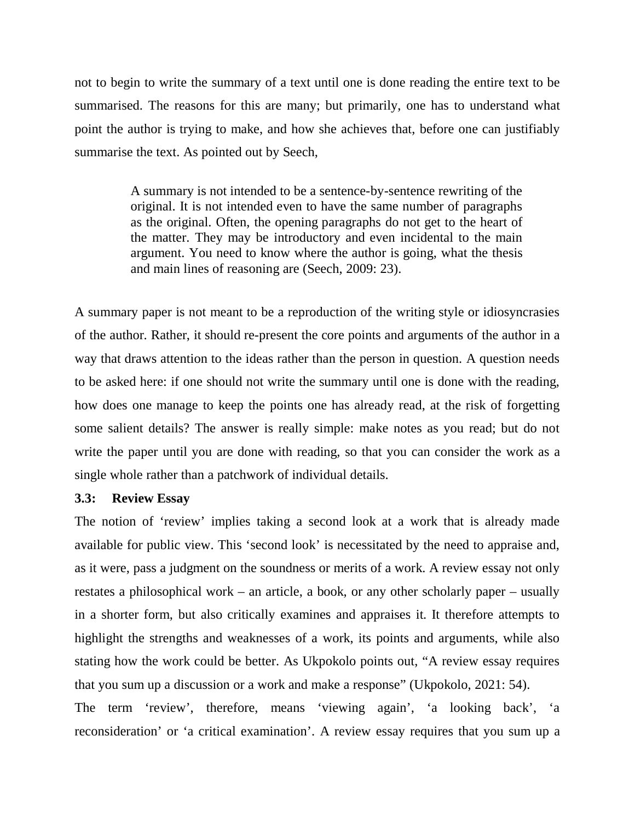not to begin to write the summary of a text until one is done reading the entire text to be summarised. The reasons for this are many; but primarily, one has to understand what point the author is trying to make, and how she achieves that, before one can justifiably summarise the text. As pointed out by Seech,

> A summary is not intended to be a sentence-by-sentence rewriting of the original. It is not intended even to have the same number of paragraphs as the original. Often, the opening paragraphs do not get to the heart of the matter. They may be introductory and even incidental to the main argument. You need to know where the author is going, what the thesis and main lines of reasoning are (Seech, 2009: 23).

A summary paper is not meant to be a reproduction of the writing style or idiosyncrasies of the author. Rather, it should re-present the core points and arguments of the author in a way that draws attention to the ideas rather than the person in question. A question needs to be asked here: if one should not write the summary until one is done with the reading, how does one manage to keep the points one has already read, at the risk of forgetting some salient details? The answer is really simple: make notes as you read; but do not write the paper until you are done with reading, so that you can consider the work as a single whole rather than a patchwork of individual details.

### **3.3: Review Essay**

The notion of 'review' implies taking a second look at a work that is already made available for public view. This 'second look' is necessitated by the need to appraise and, as it were, pass a judgment on the soundness or merits of a work. A review essay not only restates a philosophical work – an article, a book, or any other scholarly paper – usually in a shorter form, but also critically examines and appraises it. It therefore attempts to highlight the strengths and weaknesses of a work, its points and arguments, while also stating how the work could be better. As Ukpokolo points out, "A review essay requires that you sum up a discussion or a work and make a response" (Ukpokolo, 2021: 54). The term 'review', therefore, means 'viewing again', 'a looking back', 'a reconsideration' or 'a critical examination'. A review essay requires that you sum up a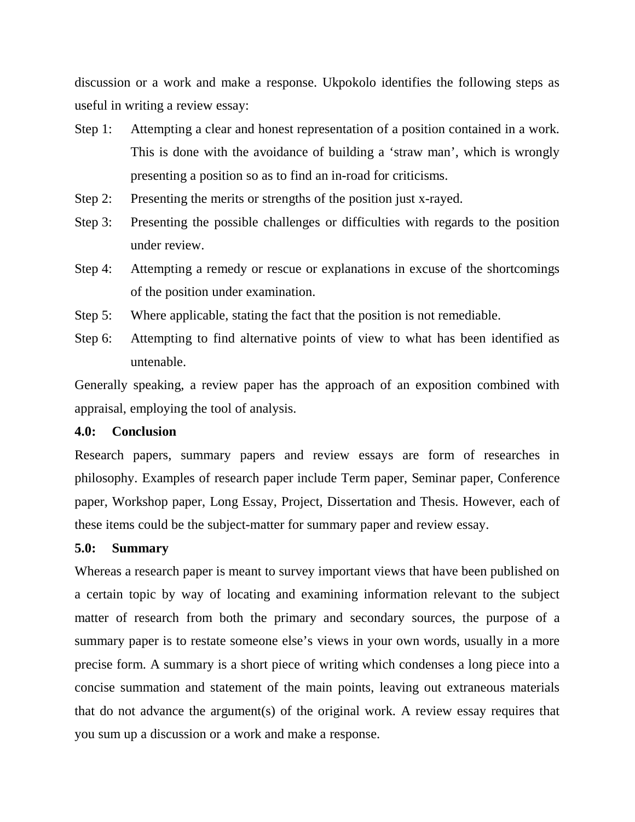discussion or a work and make a response. Ukpokolo identifies the following steps as useful in writing a review essay:

- Step 1: Attempting a clear and honest representation of a position contained in a work. This is done with the avoidance of building a 'straw man', which is wrongly presenting a position so as to find an in-road for criticisms.
- Step 2: Presenting the merits or strengths of the position just x-rayed.
- Step 3: Presenting the possible challenges or difficulties with regards to the position under review.
- Step 4: Attempting a remedy or rescue or explanations in excuse of the shortcomings of the position under examination.
- Step 5: Where applicable, stating the fact that the position is not remediable.
- Step 6: Attempting to find alternative points of view to what has been identified as untenable.

Generally speaking, a review paper has the approach of an exposition combined with appraisal, employing the tool of analysis.

#### **4.0: Conclusion**

Research papers, summary papers and review essays are form of researches in philosophy. Examples of research paper include Term paper, Seminar paper, Conference paper, Workshop paper, Long Essay, Project, Dissertation and Thesis. However, each of these items could be the subject-matter for summary paper and review essay.

#### **5.0: Summary**

Whereas a research paper is meant to survey important views that have been published on a certain topic by way of locating and examining information relevant to the subject matter of research from both the primary and secondary sources, the purpose of a summary paper is to restate someone else's views in your own words, usually in a more precise form. A summary is a short piece of writing which condenses a long piece into a concise summation and statement of the main points, leaving out extraneous materials that do not advance the argument(s) of the original work. A review essay requires that you sum up a discussion or a work and make a response.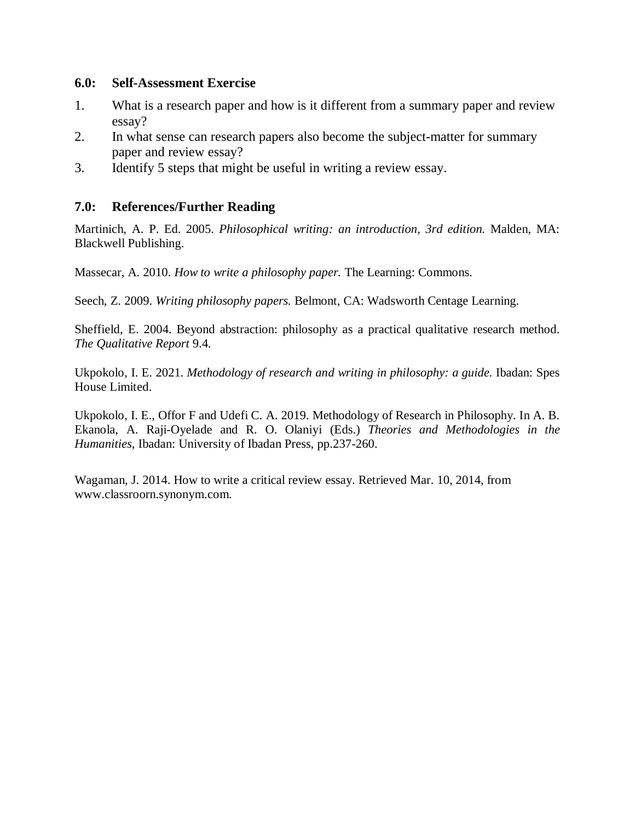### **6.0: Self-Assessment Exercise**

- 1. What is a research paper and how is it different from a summary paper and review essay?
- 2. In what sense can research papers also become the subject-matter for summary paper and review essay?
- 3. Identify 5 steps that might be useful in writing a review essay.

### **7.0: References/Further Reading**

Martinich, A. P. Ed. 2005. *Philosophical writing: an introduction, 3rd edition.* Malden, MA: Blackwell Publishing.

Massecar, A. 2010. *How to write a philosophy paper.* The Learning: Commons.

Seech, Z. 2009. *Writing philosophy papers.* Belmont, CA: Wadsworth Centage Learning.

Sheffield, E. 2004. Beyond abstraction: philosophy as a practical qualitative research method. *The Qualitative Report* 9.4.

Ukpokolo, I. E. 2021. *Methodology of research and writing in philosophy: a guide.* Ibadan: Spes House Limited.

Ukpokolo, I. E., Offor F and Udefi C. A. 2019. Methodology of Research in Philosophy. In A. B. Ekanola, A. Raji-Oyelade and R. O. Olaniyi (Eds.) *Theories and Methodologies in the Humanities,* Ibadan: University of Ibadan Press, pp.237-260.

Wagaman, J. 2014. How to write a critical review essay. Retrieved Mar. 10, 2014, from www.classroorn.synonym.com.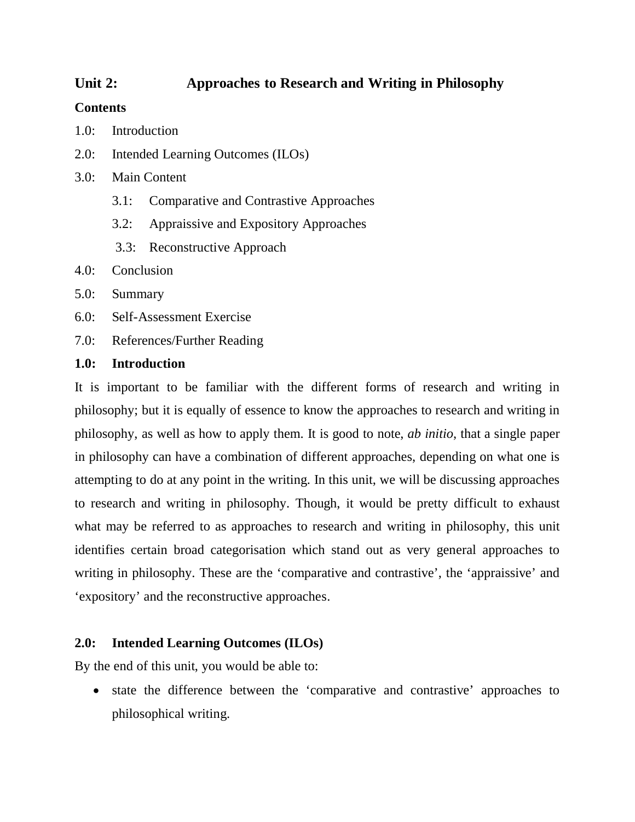# **Unit 2: Approaches to Research and Writing in Philosophy**

### **Contents**

- 1.0: Introduction
- 2.0: Intended Learning Outcomes (ILOs)
- 3.0: Main Content
	- 3.1: Comparative and Contrastive Approaches
	- 3.2: Appraissive and Expository Approaches
	- 3.3: Reconstructive Approach
- 4.0: Conclusion
- 5.0: Summary
- 6.0: Self-Assessment Exercise
- 7.0: References/Further Reading

### **1.0: Introduction**

It is important to be familiar with the different forms of research and writing in philosophy; but it is equally of essence to know the approaches to research and writing in philosophy, as well as how to apply them. It is good to note, *ab initio*, that a single paper in philosophy can have a combination of different approaches, depending on what one is attempting to do at any point in the writing. In this unit, we will be discussing approaches to research and writing in philosophy. Though, it would be pretty difficult to exhaust what may be referred to as approaches to research and writing in philosophy, this unit identifies certain broad categorisation which stand out as very general approaches to writing in philosophy. These are the 'comparative and contrastive', the 'appraissive' and 'expository' and the reconstructive approaches.

## **2.0: Intended Learning Outcomes (ILOs)**

By the end of this unit, you would be able to:

 state the difference between the 'comparative and contrastive' approaches to philosophical writing.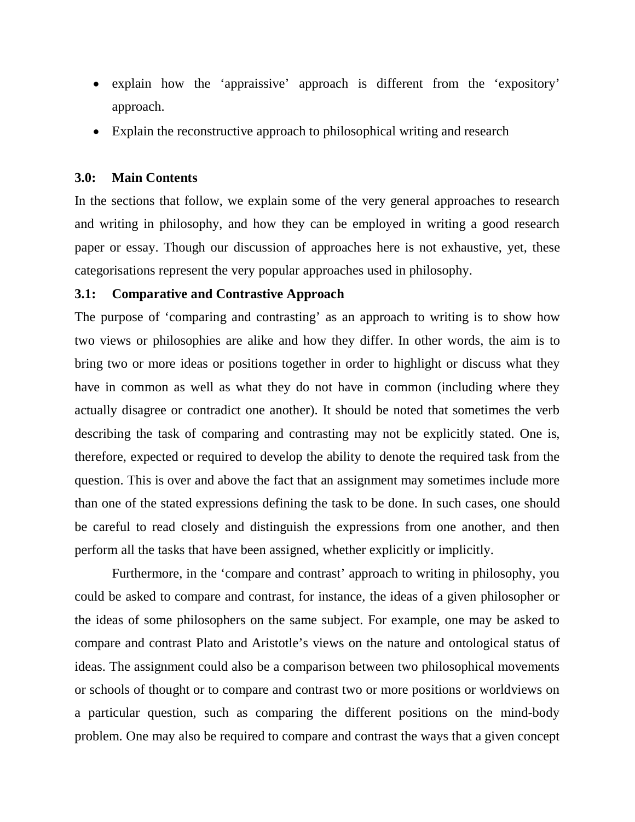- explain how the 'appraissive' approach is different from the 'expository' approach.
- Explain the reconstructive approach to philosophical writing and research

### **3.0: Main Contents**

In the sections that follow, we explain some of the very general approaches to research and writing in philosophy, and how they can be employed in writing a good research paper or essay. Though our discussion of approaches here is not exhaustive, yet, these categorisations represent the very popular approaches used in philosophy.

### **3.1: Comparative and Contrastive Approach**

The purpose of 'comparing and contrasting' as an approach to writing is to show how two views or philosophies are alike and how they differ. In other words, the aim is to bring two or more ideas or positions together in order to highlight or discuss what they have in common as well as what they do not have in common (including where they actually disagree or contradict one another). It should be noted that sometimes the verb describing the task of comparing and contrasting may not be explicitly stated. One is, therefore, expected or required to develop the ability to denote the required task from the question. This is over and above the fact that an assignment may sometimes include more than one of the stated expressions defining the task to be done. In such cases, one should be careful to read closely and distinguish the expressions from one another, and then perform all the tasks that have been assigned, whether explicitly or implicitly.

Furthermore, in the 'compare and contrast' approach to writing in philosophy, you could be asked to compare and contrast, for instance, the ideas of a given philosopher or the ideas of some philosophers on the same subject. For example, one may be asked to compare and contrast Plato and Aristotle's views on the nature and ontological status of ideas. The assignment could also be a comparison between two philosophical movements or schools of thought or to compare and contrast two or more positions or worldviews on a particular question, such as comparing the different positions on the mind-body problem. One may also be required to compare and contrast the ways that a given concept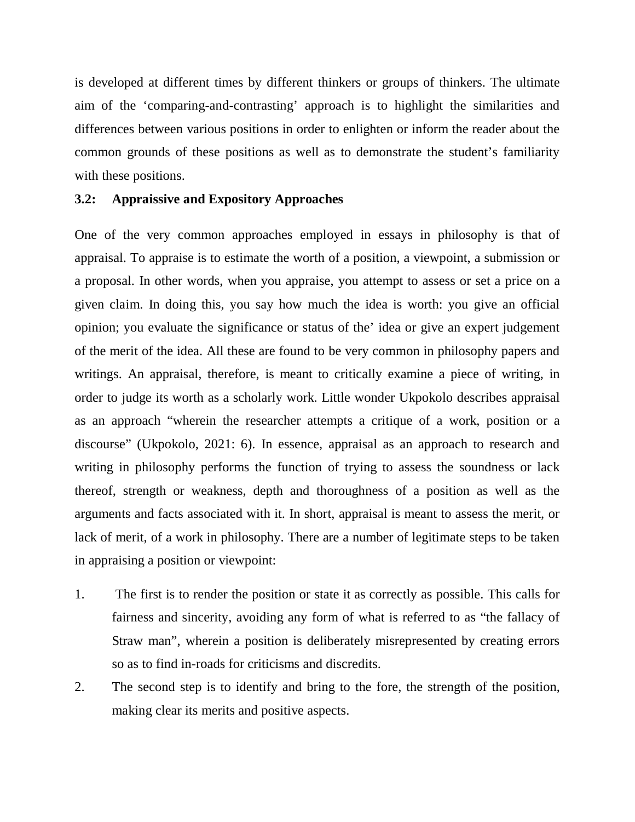is developed at different times by different thinkers or groups of thinkers. The ultimate aim of the 'comparing-and-contrasting' approach is to highlight the similarities and differences between various positions in order to enlighten or inform the reader about the common grounds of these positions as well as to demonstrate the student's familiarity with these positions.

### **3.2: Appraissive and Expository Approaches**

One of the very common approaches employed in essays in philosophy is that of appraisal. To appraise is to estimate the worth of a position, a viewpoint, a submission or a proposal. In other words, when you appraise, you attempt to assess or set a price on a given claim. In doing this, you say how much the idea is worth: you give an official opinion; you evaluate the significance or status of the' idea or give an expert judgement of the merit of the idea. All these are found to be very common in philosophy papers and writings. An appraisal, therefore, is meant to critically examine a piece of writing, in order to judge its worth as a scholarly work. Little wonder Ukpokolo describes appraisal as an approach "wherein the researcher attempts a critique of a work, position or a discourse" (Ukpokolo, 2021: 6). In essence, appraisal as an approach to research and writing in philosophy performs the function of trying to assess the soundness or lack thereof, strength or weakness, depth and thoroughness of a position as well as the arguments and facts associated with it. In short, appraisal is meant to assess the merit, or lack of merit, of a work in philosophy. There are a number of legitimate steps to be taken in appraising a position or viewpoint:

- 1. The first is to render the position or state it as correctly as possible. This calls for fairness and sincerity, avoiding any form of what is referred to as "the fallacy of Straw man", wherein a position is deliberately misrepresented by creating errors so as to find in-roads for criticisms and discredits.
- 2. The second step is to identify and bring to the fore, the strength of the position, making clear its merits and positive aspects.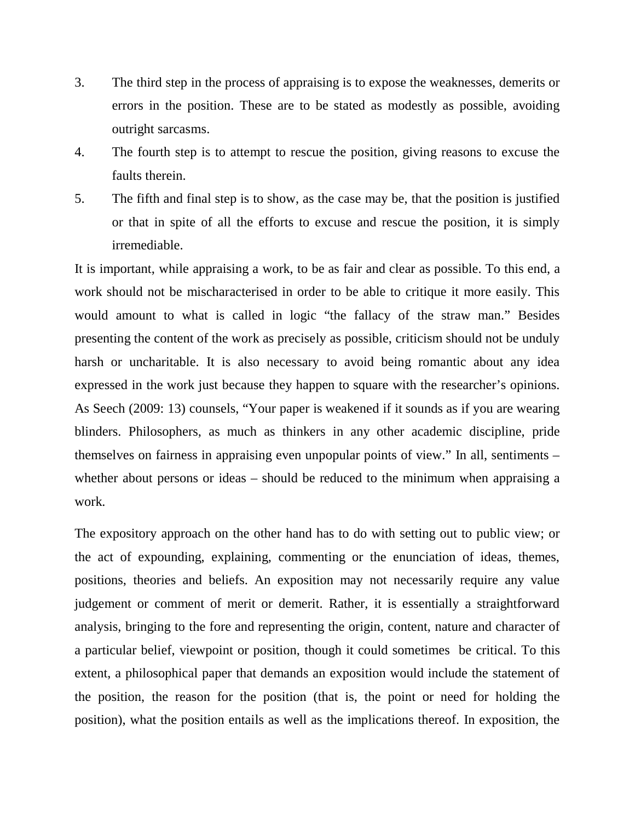- 3. The third step in the process of appraising is to expose the weaknesses, demerits or errors in the position. These are to be stated as modestly as possible, avoiding outright sarcasms.
- 4. The fourth step is to attempt to rescue the position, giving reasons to excuse the faults therein.
- 5. The fifth and final step is to show, as the case may be, that the position is justified or that in spite of all the efforts to excuse and rescue the position, it is simply irremediable.

It is important, while appraising a work, to be as fair and clear as possible. To this end, a work should not be mischaracterised in order to be able to critique it more easily. This would amount to what is called in logic "the fallacy of the straw man." Besides presenting the content of the work as precisely as possible, criticism should not be unduly harsh or uncharitable. It is also necessary to avoid being romantic about any idea expressed in the work just because they happen to square with the researcher's opinions. As Seech (2009: 13) counsels, "Your paper is weakened if it sounds as if you are wearing blinders. Philosophers, as much as thinkers in any other academic discipline, pride themselves on fairness in appraising even unpopular points of view." In all, sentiments – whether about persons or ideas – should be reduced to the minimum when appraising a work.

The expository approach on the other hand has to do with setting out to public view; or the act of expounding, explaining, commenting or the enunciation of ideas, themes, positions, theories and beliefs. An exposition may not necessarily require any value judgement or comment of merit or demerit. Rather, it is essentially a straightforward analysis, bringing to the fore and representing the origin, content, nature and character of a particular belief, viewpoint or position, though it could sometimes be critical. To this extent, a philosophical paper that demands an exposition would include the statement of the position, the reason for the position (that is, the point or need for holding the position), what the position entails as well as the implications thereof. In exposition, the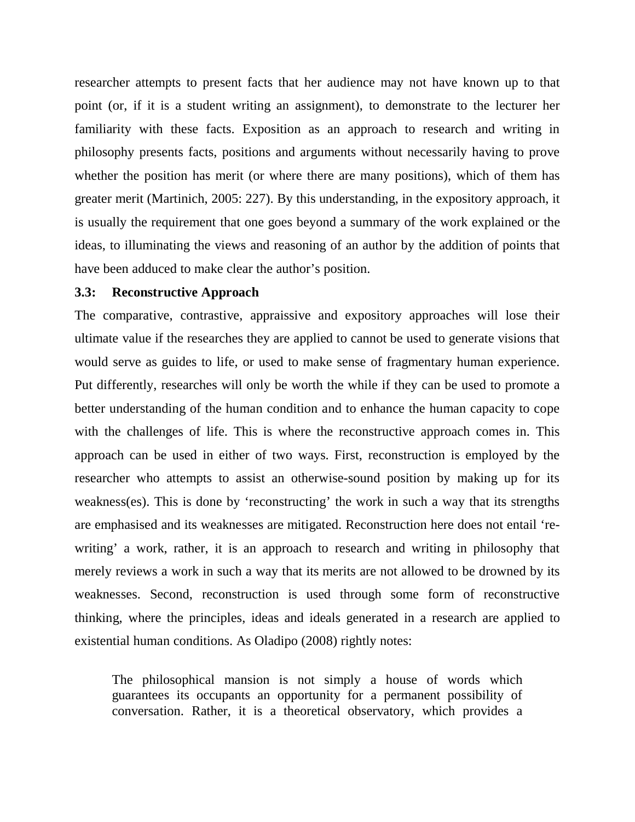researcher attempts to present facts that her audience may not have known up to that point (or, if it is a student writing an assignment), to demonstrate to the lecturer her familiarity with these facts. Exposition as an approach to research and writing in philosophy presents facts, positions and arguments without necessarily having to prove whether the position has merit (or where there are many positions), which of them has greater merit (Martinich, 2005: 227). By this understanding, in the expository approach, it is usually the requirement that one goes beyond a summary of the work explained or the ideas, to illuminating the views and reasoning of an author by the addition of points that have been adduced to make clear the author's position.

#### **3.3: Reconstructive Approach**

The comparative, contrastive, appraissive and expository approaches will lose their ultimate value if the researches they are applied to cannot be used to generate visions that would serve as guides to life, or used to make sense of fragmentary human experience. Put differently, researches will only be worth the while if they can be used to promote a better understanding of the human condition and to enhance the human capacity to cope with the challenges of life. This is where the reconstructive approach comes in. This approach can be used in either of two ways. First, reconstruction is employed by the researcher who attempts to assist an otherwise-sound position by making up for its weakness(es). This is done by 'reconstructing' the work in such a way that its strengths are emphasised and its weaknesses are mitigated. Reconstruction here does not entail 'rewriting' a work, rather, it is an approach to research and writing in philosophy that merely reviews a work in such a way that its merits are not allowed to be drowned by its weaknesses. Second, reconstruction is used through some form of reconstructive thinking, where the principles, ideas and ideals generated in a research are applied to existential human conditions. As Oladipo (2008) rightly notes:

The philosophical mansion is not simply a house of words which guarantees its occupants an opportunity for a permanent possibility of conversation. Rather, it is a theoretical observatory, which provides a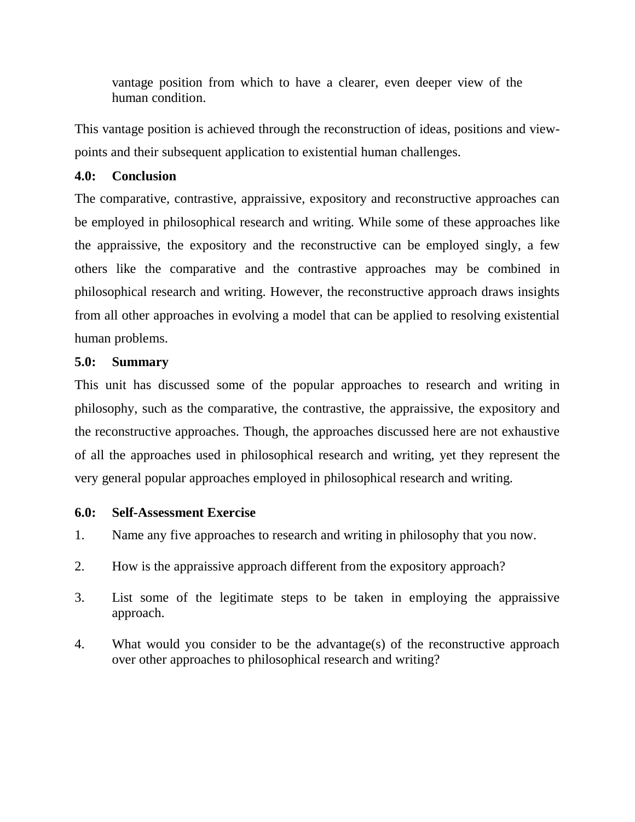vantage position from which to have a clearer, even deeper view of the human condition.

This vantage position is achieved through the reconstruction of ideas, positions and viewpoints and their subsequent application to existential human challenges.

## **4.0: Conclusion**

The comparative, contrastive, appraissive, expository and reconstructive approaches can be employed in philosophical research and writing. While some of these approaches like the appraissive, the expository and the reconstructive can be employed singly, a few others like the comparative and the contrastive approaches may be combined in philosophical research and writing. However, the reconstructive approach draws insights from all other approaches in evolving a model that can be applied to resolving existential human problems.

# **5.0: Summary**

This unit has discussed some of the popular approaches to research and writing in philosophy, such as the comparative, the contrastive, the appraissive, the expository and the reconstructive approaches. Though, the approaches discussed here are not exhaustive of all the approaches used in philosophical research and writing, yet they represent the very general popular approaches employed in philosophical research and writing.

## **6.0: Self-Assessment Exercise**

- 1. Name any five approaches to research and writing in philosophy that you now.
- 2. How is the appraissive approach different from the expository approach?
- 3. List some of the legitimate steps to be taken in employing the appraissive approach.
- 4. What would you consider to be the advantage(s) of the reconstructive approach over other approaches to philosophical research and writing?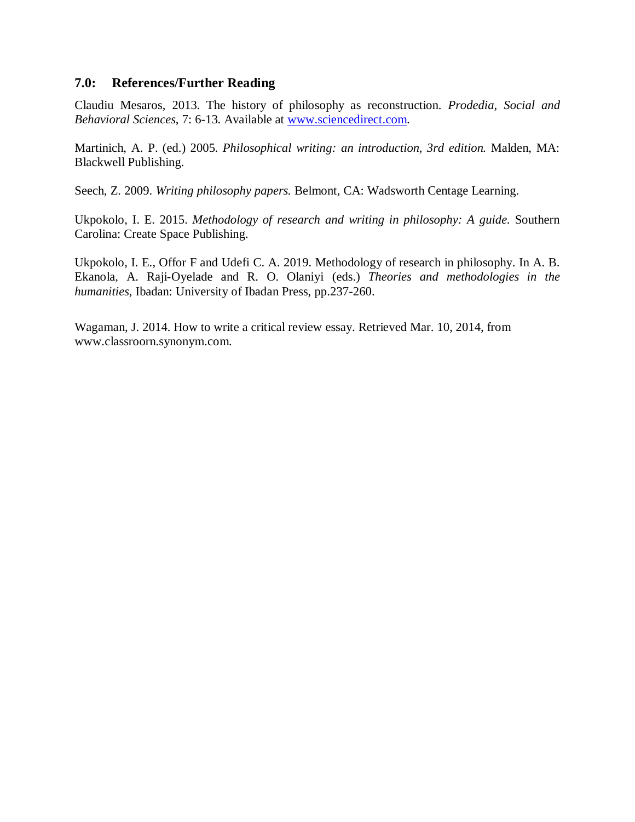### **7.0: References/Further Reading**

Claudiu Mesaros, 2013. The history of philosophy as reconstruction. *Prodedia, Social and Behavioral Sciences*, 7: 6-13. Available at www.sciencedirect.com.

Martinich, A. P. (ed.) 2005. *Philosophical writing: an introduction, 3rd edition.* Malden, MA: Blackwell Publishing.

Seech, Z. 2009. *Writing philosophy papers.* Belmont, CA: Wadsworth Centage Learning.

Ukpokolo, I. E. 2015. *Methodology of research and writing in philosophy: A guide.* Southern Carolina: Create Space Publishing.

Ukpokolo, I. E., Offor F and Udefi C. A. 2019. Methodology of research in philosophy. In A. B. Ekanola, A. Raji-Oyelade and R. O. Olaniyi (eds.) *Theories and methodologies in the humanities,* Ibadan: University of Ibadan Press, pp.237-260.

Wagaman, J. 2014. How to write a critical review essay. Retrieved Mar. 10, 2014, from www.classroorn.synonym.com.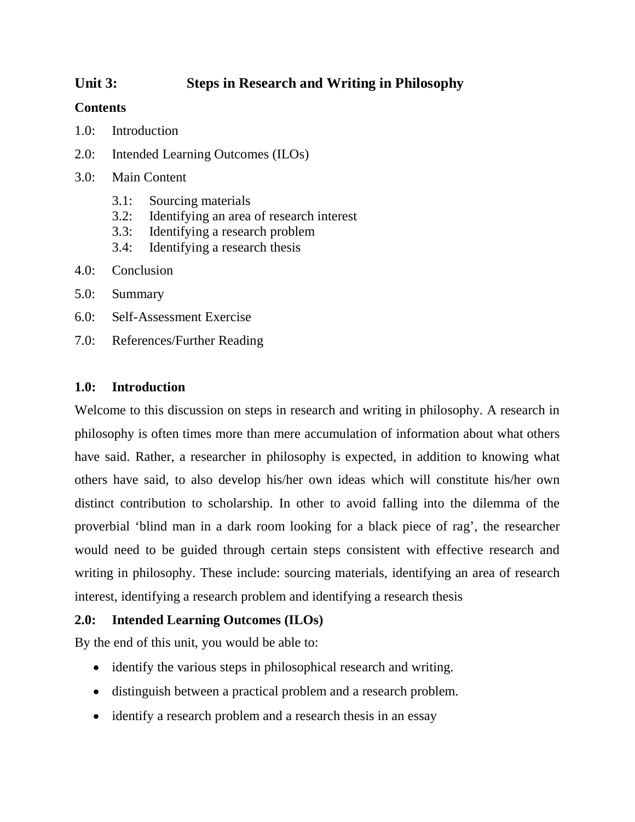# **Unit 3: Steps in Research and Writing in Philosophy**

## **Contents**

- 1.0: Introduction
- 2.0: Intended Learning Outcomes (ILOs)
- 3.0: Main Content
	- 3.1: Sourcing materials
	- 3.2: Identifying an area of research interest
	- 3.3: Identifying a research problem
	- 3.4: Identifying a research thesis
- 4.0: Conclusion
- 5.0: Summary
- 6.0: Self-Assessment Exercise
- 7.0: References/Further Reading

## **1.0: Introduction**

Welcome to this discussion on steps in research and writing in philosophy. A research in philosophy is often times more than mere accumulation of information about what others have said. Rather, a researcher in philosophy is expected, in addition to knowing what others have said, to also develop his/her own ideas which will constitute his/her own distinct contribution to scholarship. In other to avoid falling into the dilemma of the proverbial 'blind man in a dark room looking for a black piece of rag', the researcher would need to be guided through certain steps consistent with effective research and writing in philosophy. These include: sourcing materials, identifying an area of research interest, identifying a research problem and identifying a research thesis

## **2.0: Intended Learning Outcomes (ILOs)**

By the end of this unit, you would be able to:

- identify the various steps in philosophical research and writing.
- distinguish between a practical problem and a research problem.
- identify a research problem and a research thesis in an essay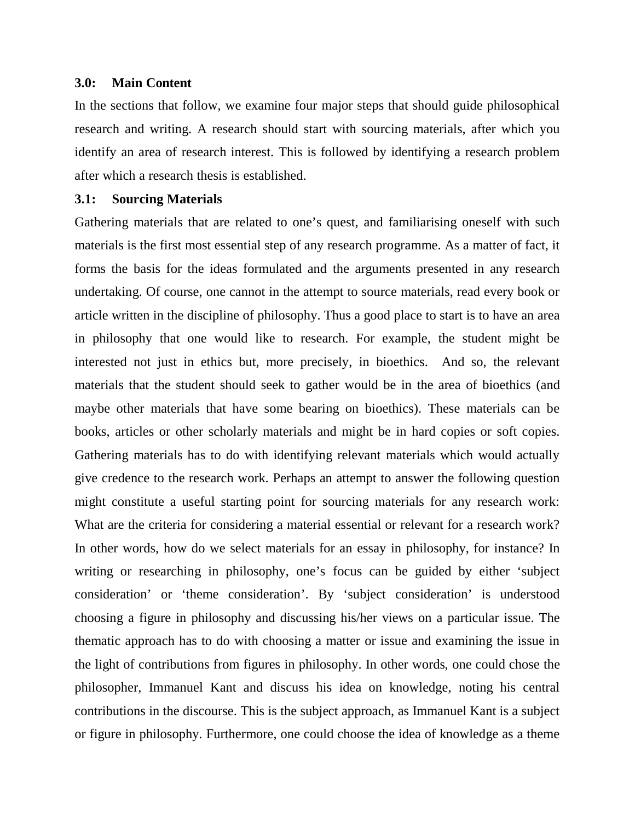#### **3.0: Main Content**

In the sections that follow, we examine four major steps that should guide philosophical research and writing. A research should start with sourcing materials, after which you identify an area of research interest. This is followed by identifying a research problem after which a research thesis is established.

#### **3.1: Sourcing Materials**

Gathering materials that are related to one's quest, and familiarising oneself with such materials is the first most essential step of any research programme. As a matter of fact, it forms the basis for the ideas formulated and the arguments presented in any research undertaking. Of course, one cannot in the attempt to source materials, read every book or article written in the discipline of philosophy. Thus a good place to start is to have an area in philosophy that one would like to research. For example, the student might be interested not just in ethics but, more precisely, in bioethics. And so, the relevant materials that the student should seek to gather would be in the area of bioethics (and maybe other materials that have some bearing on bioethics). These materials can be books, articles or other scholarly materials and might be in hard copies or soft copies. Gathering materials has to do with identifying relevant materials which would actually give credence to the research work. Perhaps an attempt to answer the following question might constitute a useful starting point for sourcing materials for any research work: What are the criteria for considering a material essential or relevant for a research work? In other words, how do we select materials for an essay in philosophy, for instance? In writing or researching in philosophy, one's focus can be guided by either 'subject consideration' or 'theme consideration'. By 'subject consideration' is understood choosing a figure in philosophy and discussing his/her views on a particular issue. The thematic approach has to do with choosing a matter or issue and examining the issue in the light of contributions from figures in philosophy. In other words, one could chose the philosopher, Immanuel Kant and discuss his idea on knowledge, noting his central contributions in the discourse. This is the subject approach, as Immanuel Kant is a subject or figure in philosophy. Furthermore, one could choose the idea of knowledge as a theme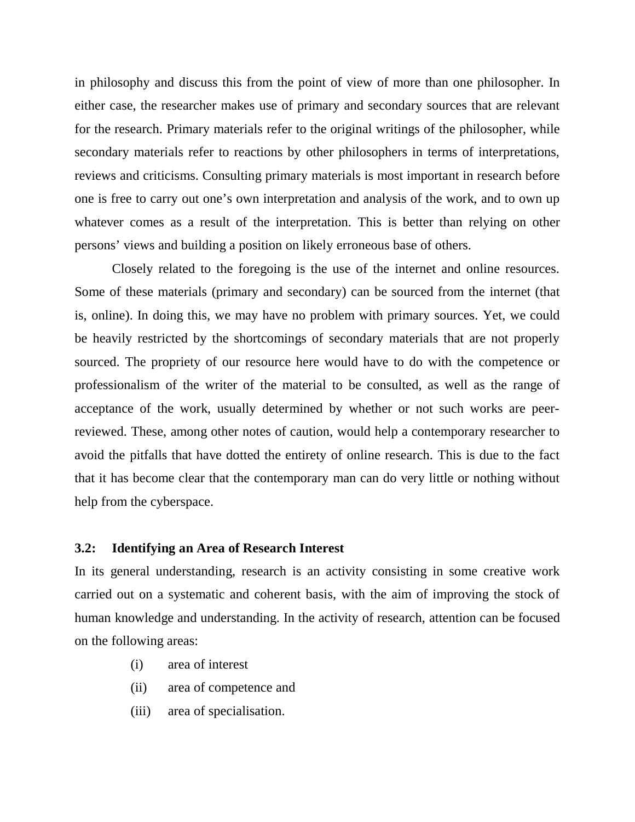in philosophy and discuss this from the point of view of more than one philosopher. In either case, the researcher makes use of primary and secondary sources that are relevant for the research. Primary materials refer to the original writings of the philosopher, while secondary materials refer to reactions by other philosophers in terms of interpretations, reviews and criticisms. Consulting primary materials is most important in research before one is free to carry out one's own interpretation and analysis of the work, and to own up whatever comes as a result of the interpretation. This is better than relying on other persons' views and building a position on likely erroneous base of others.

Closely related to the foregoing is the use of the internet and online resources. Some of these materials (primary and secondary) can be sourced from the internet (that is, online). In doing this, we may have no problem with primary sources. Yet, we could be heavily restricted by the shortcomings of secondary materials that are not properly sourced. The propriety of our resource here would have to do with the competence or professionalism of the writer of the material to be consulted, as well as the range of acceptance of the work, usually determined by whether or not such works are peerreviewed. These, among other notes of caution, would help a contemporary researcher to avoid the pitfalls that have dotted the entirety of online research. This is due to the fact that it has become clear that the contemporary man can do very little or nothing without help from the cyberspace.

#### **3.2: Identifying an Area of Research Interest**

In its general understanding, research is an activity consisting in some creative work carried out on a systematic and coherent basis, with the aim of improving the stock of human knowledge and understanding. In the activity of research, attention can be focused on the following areas:

- (i) area of interest
- (ii) area of competence and
- (iii) area of specialisation.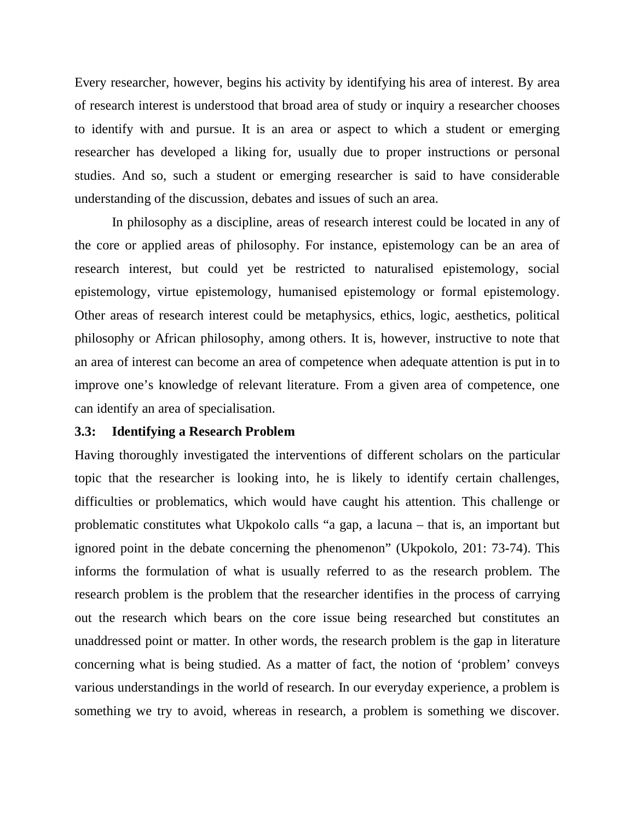Every researcher, however, begins his activity by identifying his area of interest. By area of research interest is understood that broad area of study or inquiry a researcher chooses to identify with and pursue. It is an area or aspect to which a student or emerging researcher has developed a liking for, usually due to proper instructions or personal studies. And so, such a student or emerging researcher is said to have considerable understanding of the discussion, debates and issues of such an area.

In philosophy as a discipline, areas of research interest could be located in any of the core or applied areas of philosophy. For instance, epistemology can be an area of research interest, but could yet be restricted to naturalised epistemology, social epistemology, virtue epistemology, humanised epistemology or formal epistemology. Other areas of research interest could be metaphysics, ethics, logic, aesthetics, political philosophy or African philosophy, among others. It is, however, instructive to note that an area of interest can become an area of competence when adequate attention is put in to improve one's knowledge of relevant literature. From a given area of competence, one can identify an area of specialisation.

#### **3.3: Identifying a Research Problem**

Having thoroughly investigated the interventions of different scholars on the particular topic that the researcher is looking into, he is likely to identify certain challenges, difficulties or problematics, which would have caught his attention. This challenge or problematic constitutes what Ukpokolo calls "a gap, a lacuna – that is, an important but ignored point in the debate concerning the phenomenon" (Ukpokolo, 201: 73-74). This informs the formulation of what is usually referred to as the research problem. The research problem is the problem that the researcher identifies in the process of carrying out the research which bears on the core issue being researched but constitutes an unaddressed point or matter. In other words, the research problem is the gap in literature concerning what is being studied. As a matter of fact, the notion of 'problem' conveys various understandings in the world of research. In our everyday experience, a problem is something we try to avoid, whereas in research, a problem is something we discover.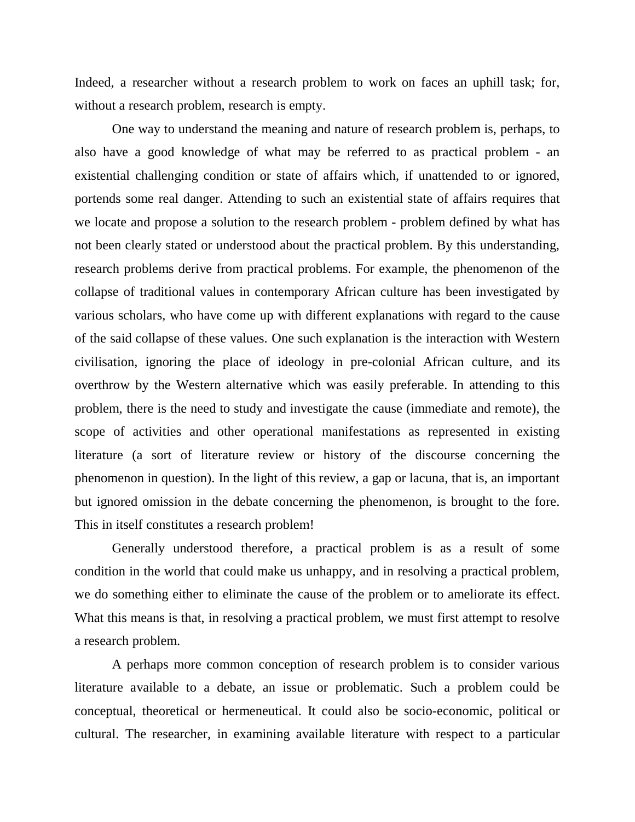Indeed, a researcher without a research problem to work on faces an uphill task; for, without a research problem, research is empty.

One way to understand the meaning and nature of research problem is, perhaps, to also have a good knowledge of what may be referred to as practical problem - an existential challenging condition or state of affairs which, if unattended to or ignored, portends some real danger. Attending to such an existential state of affairs requires that we locate and propose a solution to the research problem - problem defined by what has not been clearly stated or understood about the practical problem. By this understanding, research problems derive from practical problems. For example, the phenomenon of the collapse of traditional values in contemporary African culture has been investigated by various scholars, who have come up with different explanations with regard to the cause of the said collapse of these values. One such explanation is the interaction with Western civilisation, ignoring the place of ideology in pre-colonial African culture, and its overthrow by the Western alternative which was easily preferable. In attending to this problem, there is the need to study and investigate the cause (immediate and remote), the scope of activities and other operational manifestations as represented in existing literature (a sort of literature review or history of the discourse concerning the phenomenon in question). In the light of this review, a gap or lacuna, that is, an important but ignored omission in the debate concerning the phenomenon, is brought to the fore. This in itself constitutes a research problem!

Generally understood therefore, a practical problem is as a result of some condition in the world that could make us unhappy, and in resolving a practical problem, we do something either to eliminate the cause of the problem or to ameliorate its effect. What this means is that, in resolving a practical problem, we must first attempt to resolve a research problem.

A perhaps more common conception of research problem is to consider various literature available to a debate, an issue or problematic. Such a problem could be conceptual, theoretical or hermeneutical. It could also be socio-economic, political or cultural. The researcher, in examining available literature with respect to a particular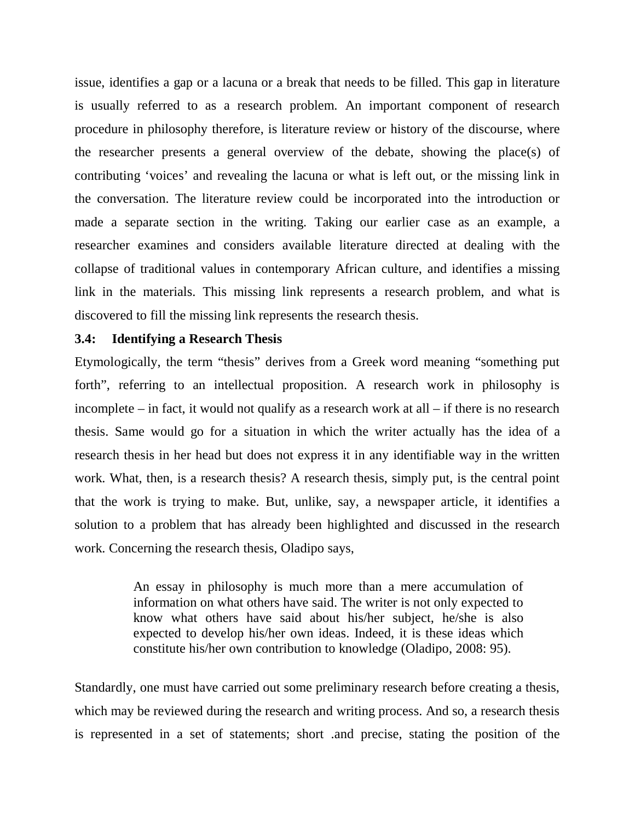issue, identifies a gap or a lacuna or a break that needs to be filled. This gap in literature is usually referred to as a research problem. An important component of research procedure in philosophy therefore, is literature review or history of the discourse, where the researcher presents a general overview of the debate, showing the place(s) of contributing 'voices' and revealing the lacuna or what is left out, or the missing link in the conversation. The literature review could be incorporated into the introduction or made a separate section in the writing. Taking our earlier case as an example, a researcher examines and considers available literature directed at dealing with the collapse of traditional values in contemporary African culture, and identifies a missing link in the materials. This missing link represents a research problem, and what is discovered to fill the missing link represents the research thesis.

### **3.4: Identifying a Research Thesis**

Etymologically, the term "thesis" derives from a Greek word meaning "something put forth", referring to an intellectual proposition. A research work in philosophy is incomplete – in fact, it would not qualify as a research work at all – if there is no research thesis. Same would go for a situation in which the writer actually has the idea of a research thesis in her head but does not express it in any identifiable way in the written work. What, then, is a research thesis? A research thesis, simply put, is the central point that the work is trying to make. But, unlike, say, a newspaper article, it identifies a solution to a problem that has already been highlighted and discussed in the research work. Concerning the research thesis, Oladipo says,

> An essay in philosophy is much more than a mere accumulation of information on what others have said. The writer is not only expected to know what others have said about his/her subject, he/she is also expected to develop his/her own ideas. Indeed, it is these ideas which constitute his/her own contribution to knowledge (Oladipo, 2008: 95).

Standardly, one must have carried out some preliminary research before creating a thesis, which may be reviewed during the research and writing process. And so, a research thesis is represented in a set of statements; short .and precise, stating the position of the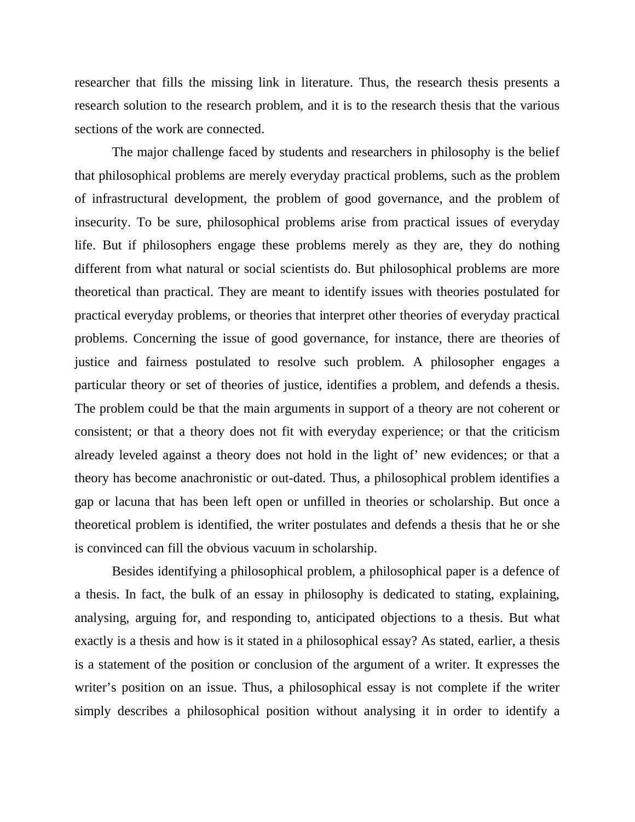researcher that fills the missing link in literature. Thus, the research thesis presents a research solution to the research problem, and it is to the research thesis that the various sections of the work are connected.

The major challenge faced by students and researchers in philosophy is the belief that philosophical problems are merely everyday practical problems, such as the problem of infrastructural development, the problem of good governance, and the problem of insecurity. To be sure, philosophical problems arise from practical issues of everyday life. But if philosophers engage these problems merely as they are, they do nothing different from what natural or social scientists do. But philosophical problems are more theoretical than practical. They are meant to identify issues with theories postulated for practical everyday problems, or theories that interpret other theories of everyday practical problems. Concerning the issue of good governance, for instance, there are theories of justice and fairness postulated to resolve such problem. A philosopher engages a particular theory or set of theories of justice, identifies a problem, and defends a thesis. The problem could be that the main arguments in support of a theory are not coherent or consistent; or that a theory does not fit with everyday experience; or that the criticism already leveled against a theory does not hold in the light of' new evidences; or that a theory has become anachronistic or out-dated. Thus, a philosophical problem identifies a gap or lacuna that has been left open or unfilled in theories or scholarship. But once a theoretical problem is identified, the writer postulates and defends a thesis that he or she is convinced can fill the obvious vacuum in scholarship.

Besides identifying a philosophical problem, a philosophical paper is a defence of a thesis. In fact, the bulk of an essay in philosophy is dedicated to stating, explaining, analysing, arguing for, and responding to, anticipated objections to a thesis. But what exactly is a thesis and how is it stated in a philosophical essay? As stated, earlier, a thesis is a statement of the position or conclusion of the argument of a writer. It expresses the writer's position on an issue. Thus, a philosophical essay is not complete if the writer simply describes a philosophical position without analysing it in order to identify a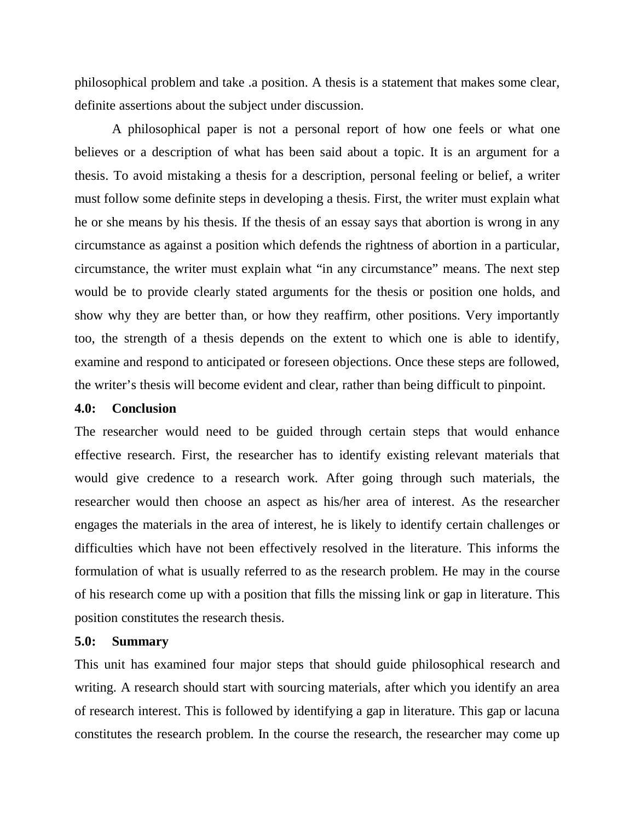philosophical problem and take .a position. A thesis is a statement that makes some clear, definite assertions about the subject under discussion.

A philosophical paper is not a personal report of how one feels or what one believes or a description of what has been said about a topic. It is an argument for a thesis. To avoid mistaking a thesis for a description, personal feeling or belief, a writer must follow some definite steps in developing a thesis. First, the writer must explain what he or she means by his thesis. If the thesis of an essay says that abortion is wrong in any circumstance as against a position which defends the rightness of abortion in a particular, circumstance, the writer must explain what "in any circumstance" means. The next step would be to provide clearly stated arguments for the thesis or position one holds, and show why they are better than, or how they reaffirm, other positions. Very importantly too, the strength of a thesis depends on the extent to which one is able to identify, examine and respond to anticipated or foreseen objections. Once these steps are followed, the writer's thesis will become evident and clear, rather than being difficult to pinpoint.

#### **4.0: Conclusion**

The researcher would need to be guided through certain steps that would enhance effective research. First, the researcher has to identify existing relevant materials that would give credence to a research work. After going through such materials, the researcher would then choose an aspect as his/her area of interest. As the researcher engages the materials in the area of interest, he is likely to identify certain challenges or difficulties which have not been effectively resolved in the literature. This informs the formulation of what is usually referred to as the research problem. He may in the course of his research come up with a position that fills the missing link or gap in literature. This position constitutes the research thesis.

#### **5.0: Summary**

This unit has examined four major steps that should guide philosophical research and writing. A research should start with sourcing materials, after which you identify an area of research interest. This is followed by identifying a gap in literature. This gap or lacuna constitutes the research problem. In the course the research, the researcher may come up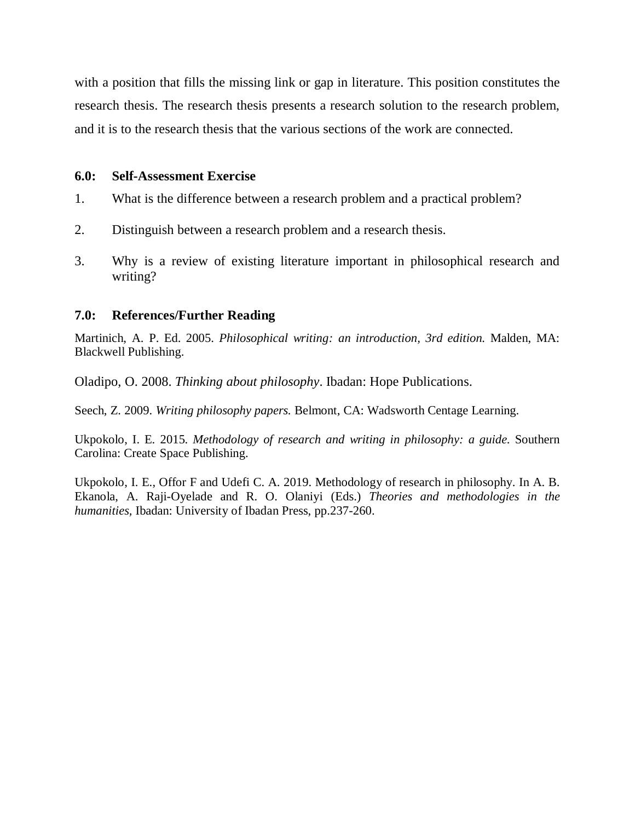with a position that fills the missing link or gap in literature. This position constitutes the research thesis. The research thesis presents a research solution to the research problem, and it is to the research thesis that the various sections of the work are connected.

### **6.0: Self-Assessment Exercise**

- 1. What is the difference between a research problem and a practical problem?
- 2. Distinguish between a research problem and a research thesis.
- 3. Why is a review of existing literature important in philosophical research and writing?

### **7.0: References/Further Reading**

Martinich, A. P. Ed. 2005. *Philosophical writing: an introduction, 3rd edition.* Malden, MA: Blackwell Publishing.

Oladipo, O. 2008. *Thinking about philosophy*. Ibadan: Hope Publications.

Seech, Z. 2009. *Writing philosophy papers.* Belmont, CA: Wadsworth Centage Learning.

Ukpokolo, I. E. 2015. *Methodology of research and writing in philosophy: a guide.* Southern Carolina: Create Space Publishing.

Ukpokolo, I. E., Offor F and Udefi C. A. 2019. Methodology of research in philosophy. In A. B. Ekanola, A. Raji-Oyelade and R. O. Olaniyi (Eds.) *Theories and methodologies in the humanities,* Ibadan: University of Ibadan Press, pp.237-260.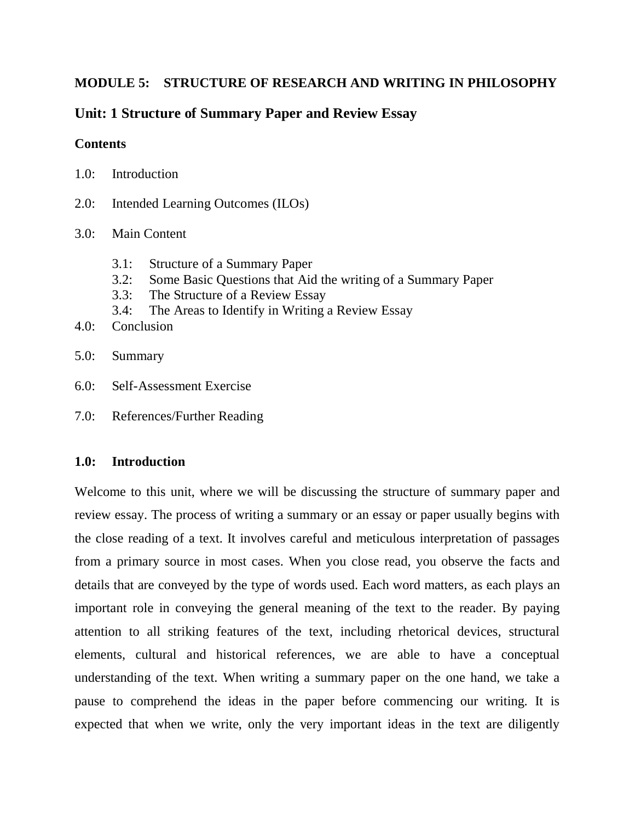## **MODULE 5: STRUCTURE OF RESEARCH AND WRITING IN PHILOSOPHY**

# **Unit: 1 Structure of Summary Paper and Review Essay**

## **Contents**

| 1.0:<br>Introduction |  |
|----------------------|--|
|----------------------|--|

- 2.0: Intended Learning Outcomes (ILOs)
- 3.0: Main Content
	- 3.1: Structure of a Summary Paper
	- 3.2: Some Basic Questions that Aid the writing of a Summary Paper
	- 3.3: The Structure of a Review Essay
	- 3.4: The Areas to Identify in Writing a Review Essay
- 4.0: Conclusion
- 5.0: Summary
- 6.0: Self-Assessment Exercise
- 7.0: References/Further Reading

## **1.0: Introduction**

Welcome to this unit, where we will be discussing the structure of summary paper and review essay. The process of writing a summary or an essay or paper usually begins with the close reading of a text. It involves careful and meticulous interpretation of passages from a primary source in most cases. When you close read, you observe the facts and details that are conveyed by the type of words used. Each word matters, as each plays an important role in conveying the general meaning of the text to the reader. By paying attention to all striking features of the text, including rhetorical devices, structural elements, cultural and historical references, we are able to have a conceptual understanding of the text. When writing a summary paper on the one hand, we take a pause to comprehend the ideas in the paper before commencing our writing. It is expected that when we write, only the very important ideas in the text are diligently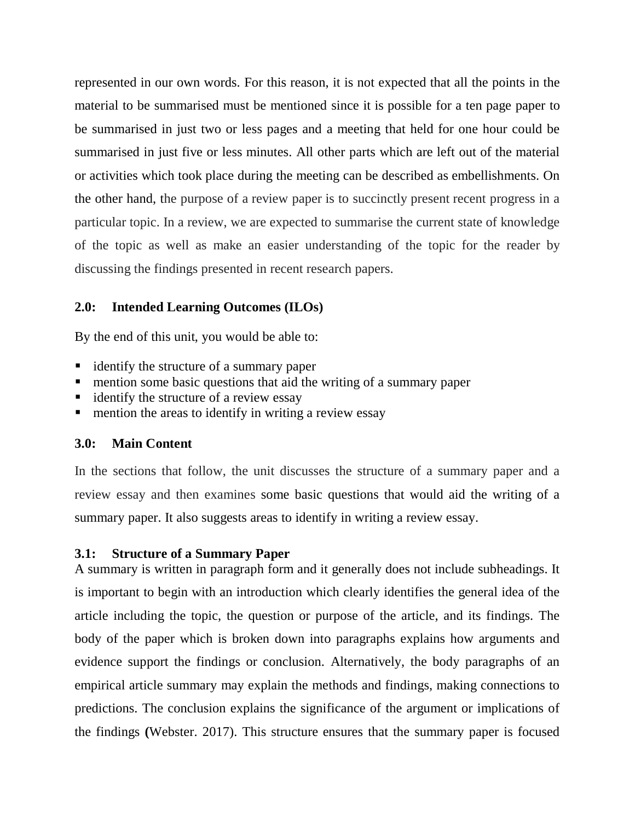represented in our own words. For this reason, it is not expected that all the points in the material to be summarised must be mentioned since it is possible for a ten page paper to be summarised in just two or less pages and a meeting that held for one hour could be summarised in just five or less minutes. All other parts which are left out of the material or activities which took place during the meeting can be described as embellishments. On the other hand, the purpose of a review paper is to succinctly present recent progress in a particular topic. In a review, we are expected to summarise the current state of knowledge of the topic as well as make an easier understanding of the topic for the reader by discussing the findings presented in recent research papers.

### **2.0: Intended Learning Outcomes (ILOs)**

By the end of this unit, you would be able to:

- identify the structure of a summary paper
- mention some basic questions that aid the writing of a summary paper
- identify the structure of a review essay
- mention the areas to identify in writing a review essay

### **3.0: Main Content**

In the sections that follow, the unit discusses the structure of a summary paper and a review essay and then examines some basic questions that would aid the writing of a summary paper. It also suggests areas to identify in writing a review essay.

### **3.1: Structure of a Summary Paper**

A summary is written in paragraph form and it generally does not include subheadings. It is important to begin with an introduction which clearly identifies the general idea of the article including the topic, the question or purpose of the article, and its findings. The body of the paper which is broken down into paragraphs explains how arguments and evidence support the findings or conclusion. Alternatively, the body paragraphs of an empirical article summary may explain the methods and findings, making connections to predictions. The conclusion explains the significance of the argument or implications of the findings **(**Webster. 2017). This structure ensures that the summary paper is focused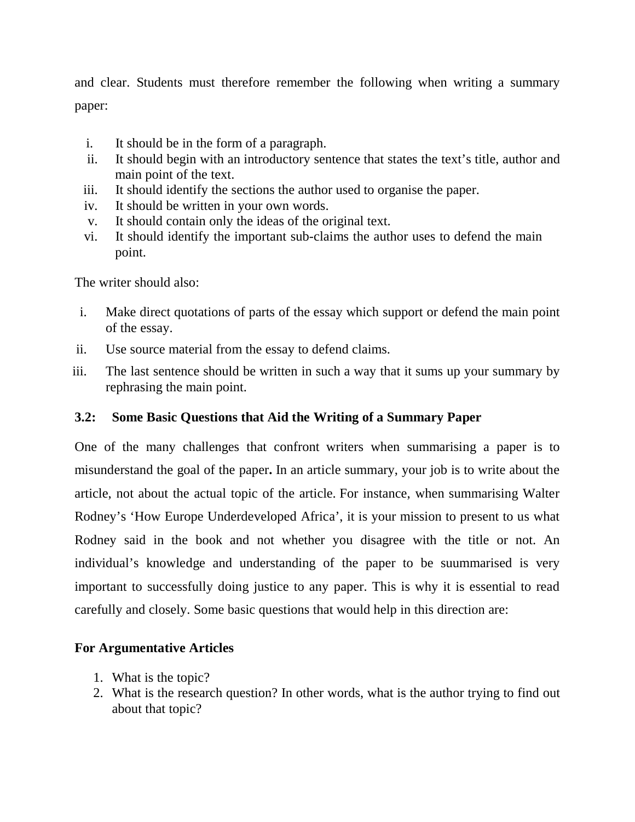and clear. Students must therefore remember the following when writing a summary paper:

- i. It should be in the form of a paragraph.
- ii. It should begin with an introductory sentence that states the text's title, author and main point of the text.
- iii. It should identify the sections the author used to organise the paper.
- iv. It should be written in your own words.
- v. It should contain only the ideas of the original text.
- vi. It should identify the important sub-claims the author uses to defend the main point.

The writer should also:

- i. Make direct quotations of parts of the essay which support or defend the main point of the essay.
- ii. Use source material from the essay to defend claims.
- iii. The last sentence should be written in such a way that it sums up your summary by rephrasing the main point.

# **3.2: Some Basic Questions that Aid the Writing of a Summary Paper**

One of the many challenges that confront writers when summarising a paper is to misunderstand the goal of the paper**.** In an article summary, your job is to write about the article, not about the actual topic of the article. For instance, when summarising Walter Rodney's 'How Europe Underdeveloped Africa', it is your mission to present to us what Rodney said in the book and not whether you disagree with the title or not. An individual's knowledge and understanding of the paper to be suummarised is very important to successfully doing justice to any paper. This is why it is essential to read carefully and closely. Some basic questions that would help in this direction are:

# **For Argumentative Articles**

- 1. What is the topic?
- 2. What is the research question? In other words, what is the author trying to find out about that topic?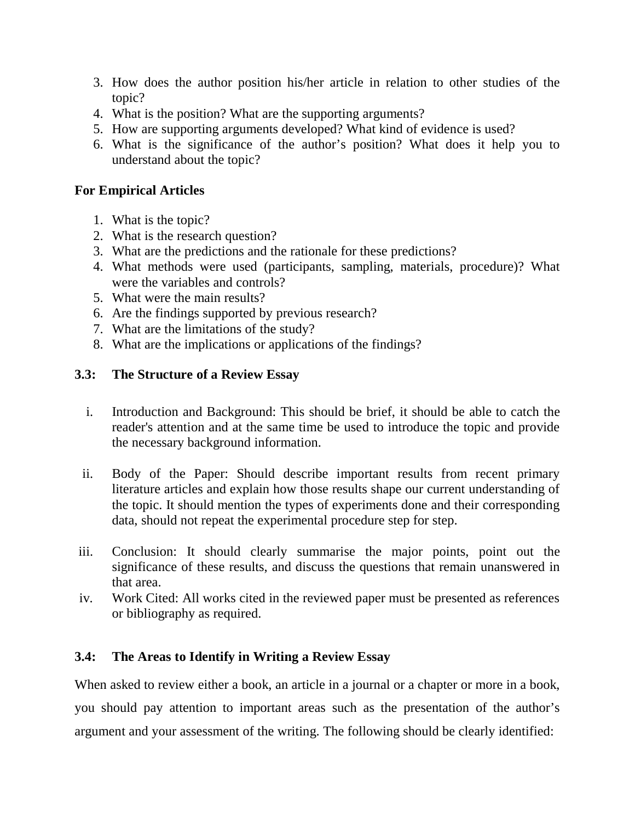- 3. How does the author position his/her article in relation to other studies of the topic?
- 4. What is the position? What are the supporting arguments?
- 5. How are supporting arguments developed? What kind of evidence is used?
- 6. What is the significance of the author's position? What does it help you to understand about the topic?

## **For Empirical Articles**

- 1. What is the topic?
- 2. What is the research question?
- 3. What are the predictions and the rationale for these predictions?
- 4. What methods were used (participants, sampling, materials, procedure)? What were the variables and controls?
- 5. What were the main results?
- 6. Are the findings supported by previous research?
- 7. What are the limitations of the study?
- 8. What are the implications or applications of the findings?

## **3.3: The Structure of a Review Essay**

- i. Introduction and Background: This should be brief, it should be able to catch the reader's attention and at the same time be used to introduce the topic and provide the necessary background information.
- ii. Body of the Paper: Should describe important results from recent primary literature articles and explain how those results shape our current understanding of the topic. It should mention the types of experiments done and their corresponding data, should not repeat the experimental procedure step for step.
- iii. Conclusion: It should clearly summarise the major points, point out the significance of these results, and discuss the questions that remain unanswered in that area.
- iv. Work Cited: All works cited in the reviewed paper must be presented as references or bibliography as required.

# **3.4: The Areas to Identify in Writing a Review Essay**

When asked to review either a book, an article in a journal or a chapter or more in a book, you should pay attention to important areas such as the presentation of the author's argument and your assessment of the writing. The following should be clearly identified: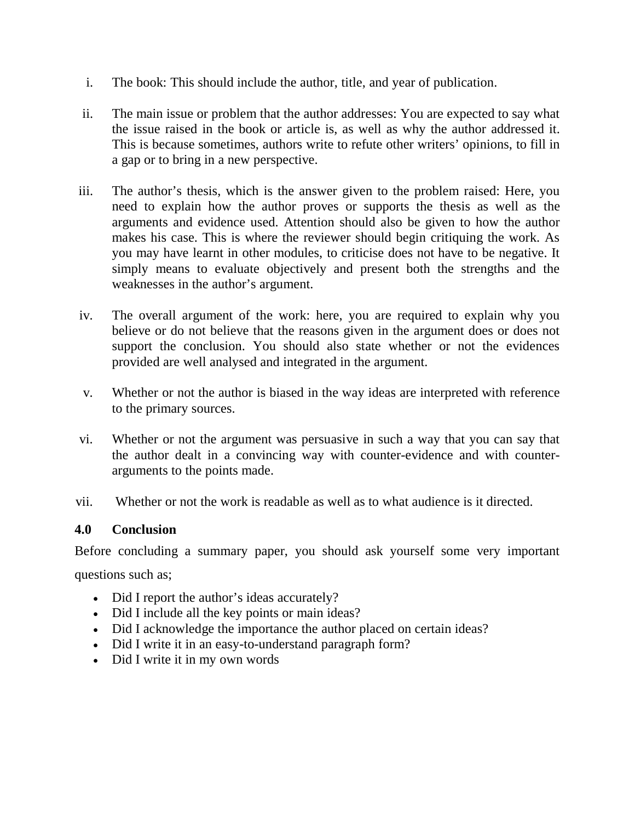- i. The book: This should include the author, title, and year of publication.
- ii. The main issue or problem that the author addresses: You are expected to say what the issue raised in the book or article is, as well as why the author addressed it. This is because sometimes, authors write to refute other writers' opinions, to fill in a gap or to bring in a new perspective.
- iii. The author's thesis, which is the answer given to the problem raised: Here, you need to explain how the author proves or supports the thesis as well as the arguments and evidence used. Attention should also be given to how the author makes his case. This is where the reviewer should begin critiquing the work. As you may have learnt in other modules, to criticise does not have to be negative. It simply means to evaluate objectively and present both the strengths and the weaknesses in the author's argument.
- iv. The overall argument of the work: here, you are required to explain why you believe or do not believe that the reasons given in the argument does or does not support the conclusion. You should also state whether or not the evidences provided are well analysed and integrated in the argument.
- v. Whether or not the author is biased in the way ideas are interpreted with reference to the primary sources.
- vi. Whether or not the argument was persuasive in such a way that you can say that the author dealt in a convincing way with counter-evidence and with counterarguments to the points made.
- vii. Whether or not the work is readable as well as to what audience is it directed.

## **4.0 Conclusion**

Before concluding a summary paper, you should ask yourself some very important questions such as;

- Did I report the author's ideas accurately?
- Did I include all the key points or main ideas?
- Did I acknowledge the importance the author placed on certain ideas?
- Did I write it in an easy-to-understand paragraph form?
- Did I write it in my own words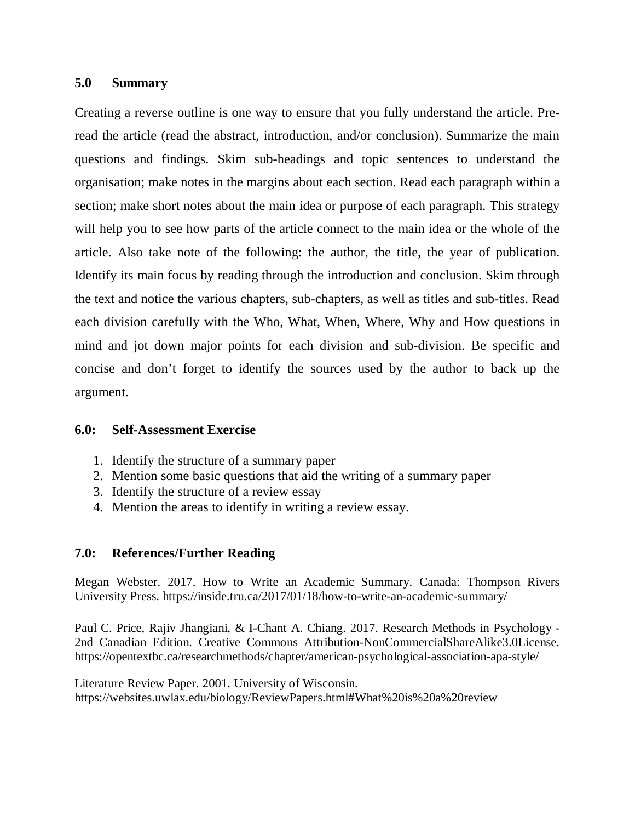#### **5.0 Summary**

Creating a reverse outline is one way to ensure that you fully understand the article. Preread the article (read the abstract, introduction, and/or conclusion). Summarize the main questions and findings. Skim sub-headings and topic sentences to understand the organisation; make notes in the margins about each section. Read each paragraph within a section; make short notes about the main idea or purpose of each paragraph. This strategy will help you to see how parts of the article connect to the main idea or the whole of the article. Also take note of the following: the author, the title, the year of publication. Identify its main focus by reading through the introduction and conclusion. Skim through the text and notice the various chapters, sub-chapters, as well as titles and sub-titles. Read each division carefully with the Who, What, When, Where, Why and How questions in mind and jot down major points for each division and sub-division. Be specific and concise and don't forget to identify the sources used by the author to back up the argument.

#### **6.0: Self-Assessment Exercise**

- 1. Identify the structure of a summary paper
- 2. Mention some basic questions that aid the writing of a summary paper
- 3. Identify the structure of a review essay
- 4. Mention the areas to identify in writing a review essay.

#### **7.0: References/Further Reading**

Megan Webster. 2017. How to Write an Academic Summary. Canada: Thompson Rivers University Press. https://inside.tru.ca/2017/01/18/how-to-write-an-academic-summary/

Paul C. Price, Rajiv Jhangiani, & I-Chant A. Chiang. 2017. Research Methods in Psychology - 2nd Canadian Edition. Creative Commons Attribution-NonCommercialShareAlike3.0License. https://opentextbc.ca/researchmethods/chapter/american-psychological-association-apa-style/

Literature Review Paper. 2001. University of Wisconsin. https://websites.uwlax.edu/biology/ReviewPapers.html#What%20is%20a%20review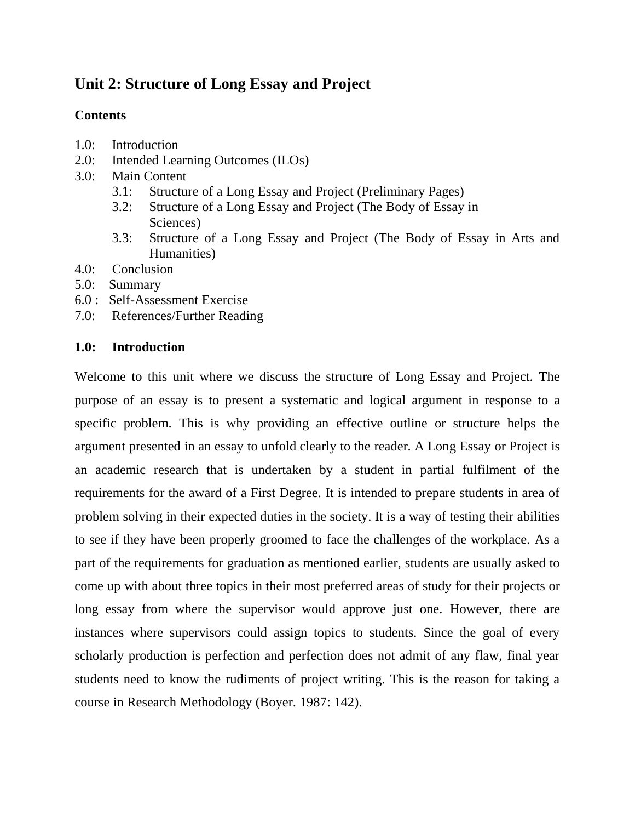# **Unit 2: Structure of Long Essay and Project**

## **Contents**

- 1.0: Introduction
- 2.0: Intended Learning Outcomes (ILOs)
- 3.0: Main Content
	- 3.1: Structure of a Long Essay and Project (Preliminary Pages)
	- 3.2: Structure of a Long Essay and Project (The Body of Essay in Sciences)
	- 3.3: Structure of a Long Essay and Project (The Body of Essay in Arts and Humanities)
- 4.0: Conclusion
- 5.0: Summary
- 6.0 : Self-Assessment Exercise
- 7.0: References/Further Reading

## **1.0: Introduction**

Welcome to this unit where we discuss the structure of Long Essay and Project. The purpose of an essay is to present a systematic and logical argument in response to a specific problem. This is why providing an effective outline or structure helps the argument presented in an essay to unfold clearly to the reader. A Long Essay or Project is an academic research that is undertaken by a student in partial fulfilment of the requirements for the award of a First Degree. It is intended to prepare students in area of problem solving in their expected duties in the society. It is a way of testing their abilities to see if they have been properly groomed to face the challenges of the workplace. As a part of the requirements for graduation as mentioned earlier, students are usually asked to come up with about three topics in their most preferred areas of study for their projects or long essay from where the supervisor would approve just one. However, there are instances where supervisors could assign topics to students. Since the goal of every scholarly production is perfection and perfection does not admit of any flaw, final year students need to know the rudiments of project writing. This is the reason for taking a course in Research Methodology (Boyer. 1987: 142).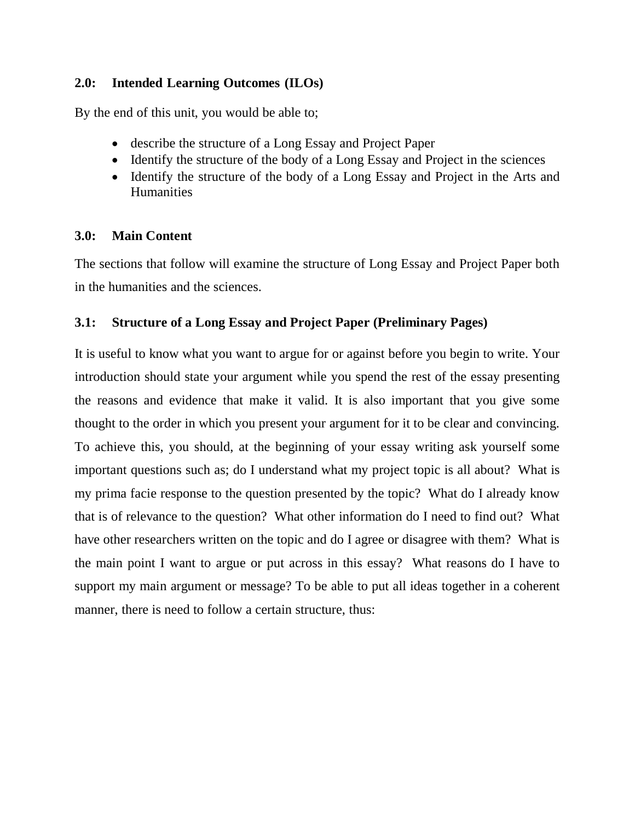## **2.0: Intended Learning Outcomes (ILOs)**

By the end of this unit, you would be able to;

- describe the structure of a Long Essay and Project Paper
- Identify the structure of the body of a Long Essay and Project in the sciences
- Identify the structure of the body of a Long Essay and Project in the Arts and **Humanities**

## **3.0: Main Content**

The sections that follow will examine the structure of Long Essay and Project Paper both in the humanities and the sciences.

## **3.1: Structure of a Long Essay and Project Paper (Preliminary Pages)**

It is useful to know what you want to argue for or against before you begin to write. Your introduction should state your argument while you spend the rest of the essay presenting the reasons and evidence that make it valid. It is also important that you give some thought to the order in which you present your argument for it to be clear and convincing. To achieve this, you should, at the beginning of your essay writing ask yourself some important questions such as; do I understand what my project topic is all about? What is my prima facie response to the question presented by the topic? What do I already know that is of relevance to the question? What other information do I need to find out? What have other researchers written on the topic and do I agree or disagree with them? What is the main point I want to argue or put across in this essay? What reasons do I have to support my main argument or message? To be able to put all ideas together in a coherent manner, there is need to follow a certain structure, thus: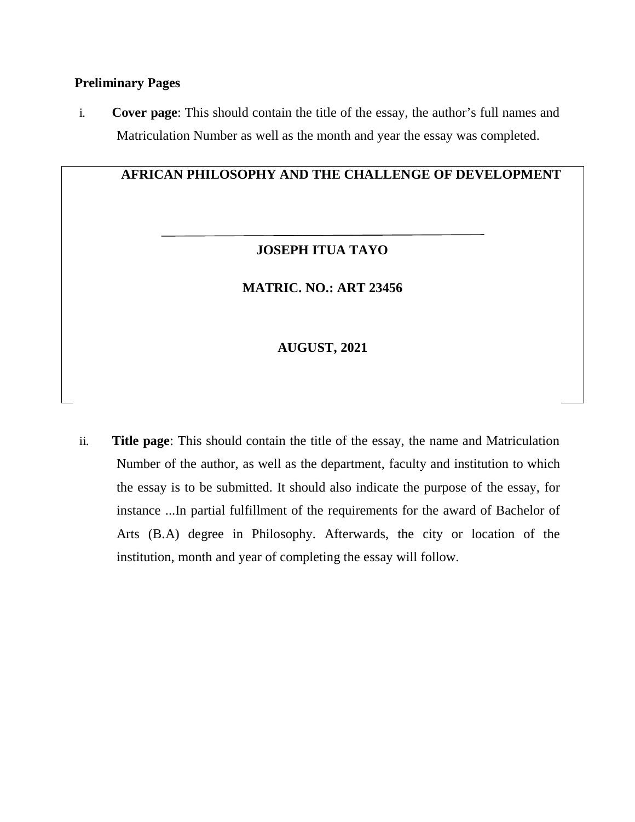#### **Preliminary Pages**

i. **Cover page**: This should contain the title of the essay, the author's full names and Matriculation Number as well as the month and year the essay was completed.

## **AFRICAN PHILOSOPHY AND THE CHALLENGE OF DEVELOPMENT**

## **JOSEPH ITUA TAYO**

## **MATRIC. NO.: ART 23456**

## **AUGUST, 2021**

ii. **Title page**: This should contain the title of the essay, the name and Matriculation Number of the author, as well as the department, faculty and institution to which the essay is to be submitted. It should also indicate the purpose of the essay, for instance ...In partial fulfillment of the requirements for the award of Bachelor of Arts (B.A) degree in Philosophy. Afterwards, the city or location of the institution, month and year of completing the essay will follow.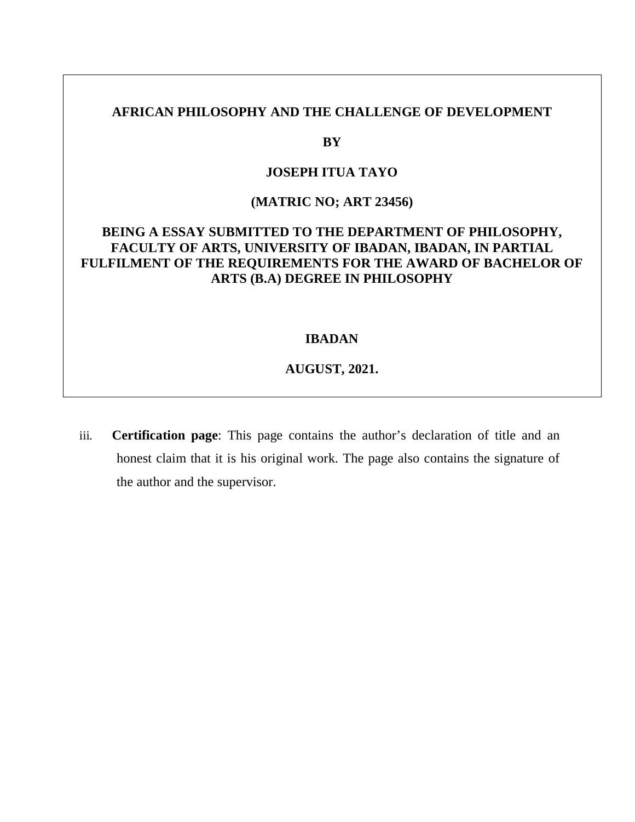## **AFRICAN PHILOSOPHY AND THE CHALLENGE OF DEVELOPMENT**

#### **BY**

#### **JOSEPH ITUA TAYO**

## **(MATRIC NO; ART 23456)**

## **BEING A ESSAY SUBMITTED TO THE DEPARTMENT OF PHILOSOPHY, FACULTY OF ARTS, UNIVERSITY OF IBADAN, IBADAN, IN PARTIAL FULFILMENT OF THE REQUIREMENTS FOR THE AWARD OF BACHELOR OF ARTS (B.A) DEGREE IN PHILOSOPHY**

#### **IBADAN**

#### **AUGUST, 2021.**

iii. **Certification page**: This page contains the author's declaration of title and an honest claim that it is his original work. The page also contains the signature of the author and the supervisor.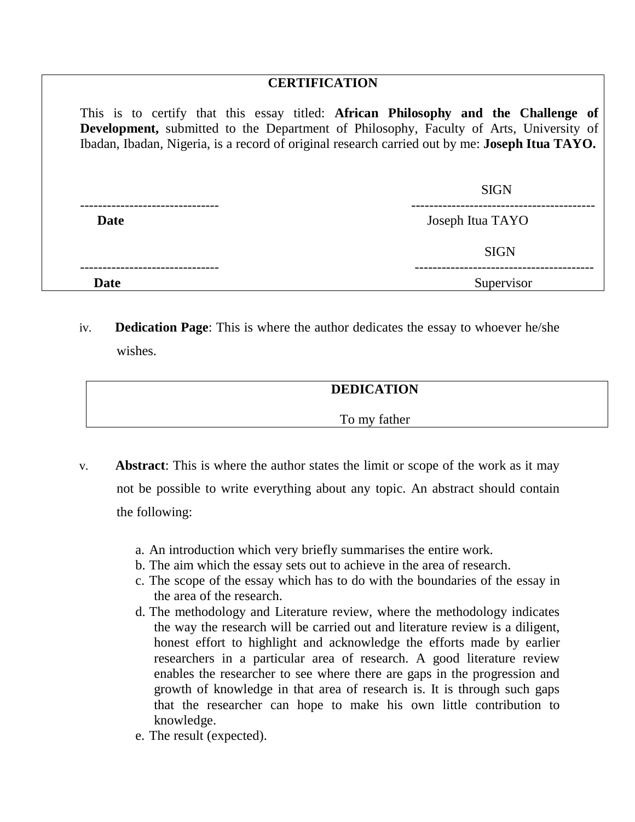## **CERTIFICATION**

This is to certify that this essay titled: **African Philosophy and the Challenge of Development,** submitted to the Department of Philosophy, Faculty of Arts, University of Ibadan, Ibadan, Nigeria, is a record of original research carried out by me: **Joseph Itua TAYO.** 

|             | <b>SIGN</b>      |
|-------------|------------------|
| <b>Date</b> | Joseph Itua TAYO |
|             | <b>SIGN</b>      |
| Date        | Supervisor       |

iv. **Dedication Page**: This is where the author dedicates the essay to whoever he/she wishes.

## **DEDICATION**

To my father

- v. **Abstract**: This is where the author states the limit or scope of the work as it may not be possible to write everything about any topic. An abstract should contain the following:
	- a. An introduction which very briefly summarises the entire work.
	- b. The aim which the essay sets out to achieve in the area of research.
	- c. The scope of the essay which has to do with the boundaries of the essay in the area of the research.
	- d. The methodology and Literature review, where the methodology indicates the way the research will be carried out and literature review is a diligent, honest effort to highlight and acknowledge the efforts made by earlier researchers in a particular area of research. A good literature review enables the researcher to see where there are gaps in the progression and growth of knowledge in that area of research is. It is through such gaps that the researcher can hope to make his own little contribution to knowledge.
	- e. The result (expected).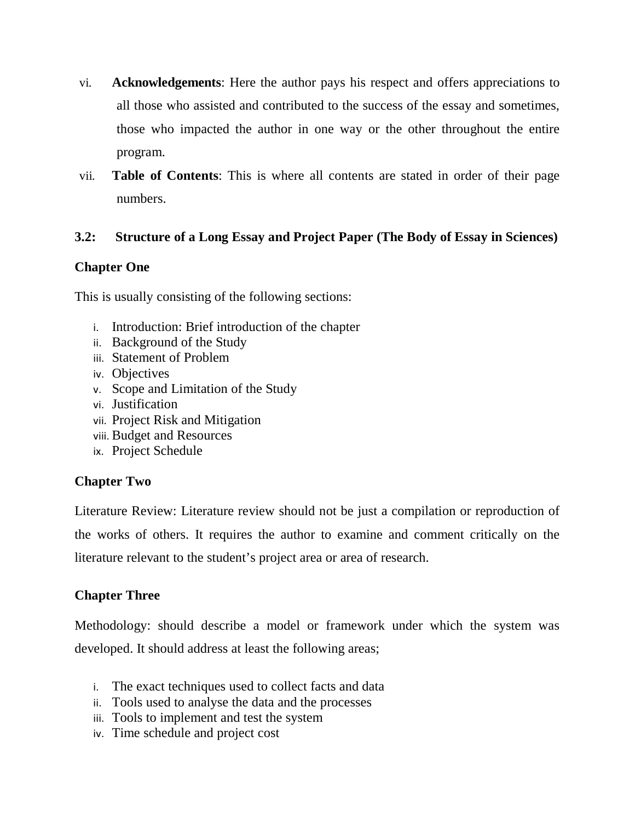- vi. **Acknowledgements**: Here the author pays his respect and offers appreciations to all those who assisted and contributed to the success of the essay and sometimes, those who impacted the author in one way or the other throughout the entire program.
- vii. **Table of Contents**: This is where all contents are stated in order of their page numbers.

## **3.2: Structure of a Long Essay and Project Paper (The Body of Essay in Sciences)**

## **Chapter One**

This is usually consisting of the following sections:

- i. Introduction: Brief introduction of the chapter
- ii. Background of the Study
- iii. Statement of Problem
- iv. Objectives
- v. Scope and Limitation of the Study
- vi. Justification
- vii. Project Risk and Mitigation
- viii. Budget and Resources
- ix. Project Schedule

## **Chapter Two**

Literature Review: Literature review should not be just a compilation or reproduction of the works of others. It requires the author to examine and comment critically on the literature relevant to the student's project area or area of research.

## **Chapter Three**

Methodology: should describe a model or framework under which the system was developed. It should address at least the following areas;

- i. The exact techniques used to collect facts and data
- ii. Tools used to analyse the data and the processes
- iii. Tools to implement and test the system
- iv. Time schedule and project cost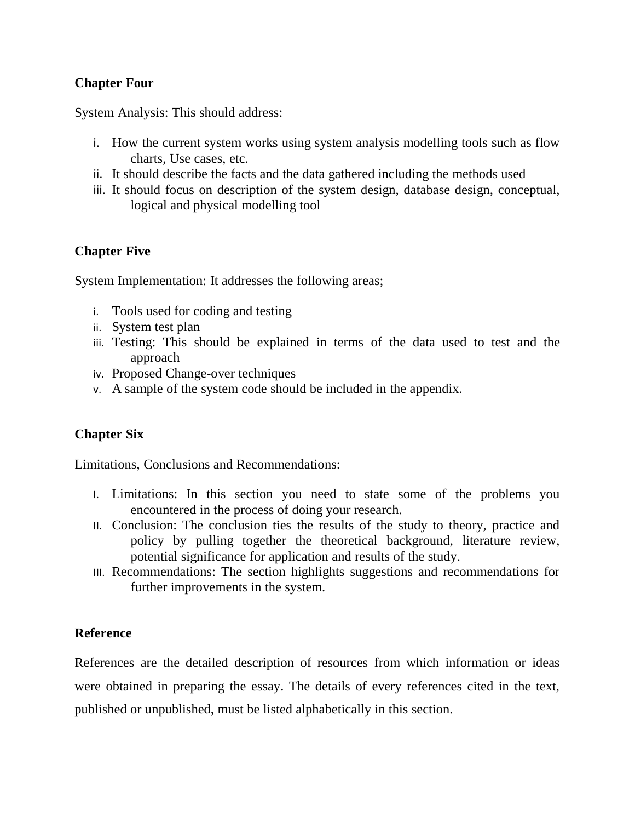## **Chapter Four**

System Analysis: This should address:

- i. How the current system works using system analysis modelling tools such as flow charts, Use cases, etc.
- ii. It should describe the facts and the data gathered including the methods used
- iii. It should focus on description of the system design, database design, conceptual, logical and physical modelling tool

## **Chapter Five**

System Implementation: It addresses the following areas;

- i. Tools used for coding and testing
- ii. System test plan
- iii. Testing: This should be explained in terms of the data used to test and the approach
- iv. Proposed Change-over techniques
- v. A sample of the system code should be included in the appendix.

## **Chapter Six**

Limitations, Conclusions and Recommendations:

- I. Limitations: In this section you need to state some of the problems you encountered in the process of doing your research.
- II. Conclusion: The conclusion ties the results of the study to theory, practice and policy by pulling together the theoretical background, literature review, potential significance for application and results of the study.
- III. Recommendations: The section highlights suggestions and recommendations for further improvements in the system.

## **Reference**

References are the detailed description of resources from which information or ideas were obtained in preparing the essay. The details of every references cited in the text, published or unpublished, must be listed alphabetically in this section.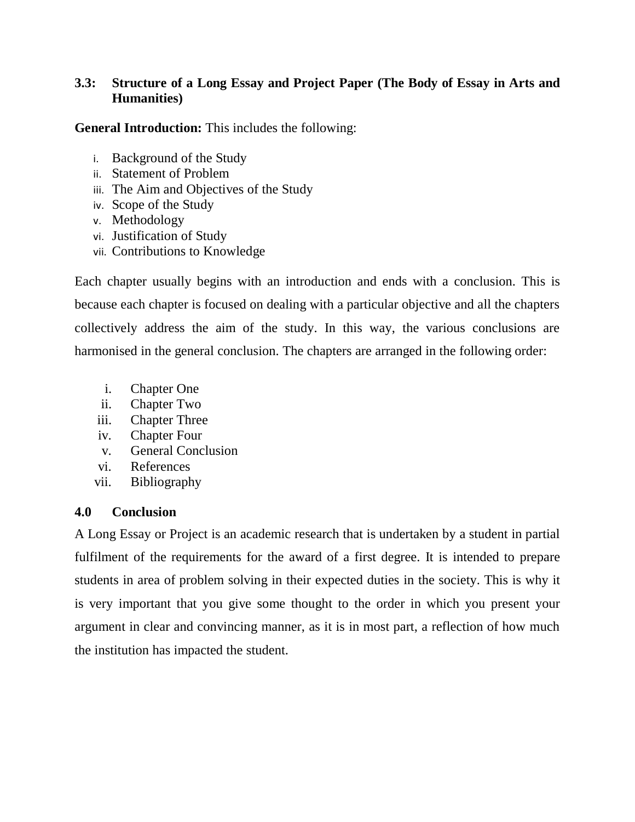## **3.3: Structure of a Long Essay and Project Paper (The Body of Essay in Arts and Humanities)**

**General Introduction:** This includes the following:

- i. Background of the Study
- ii. Statement of Problem
- iii. The Aim and Objectives of the Study
- iv. Scope of the Study
- v. Methodology
- vi. Justification of Study
- vii. Contributions to Knowledge

Each chapter usually begins with an introduction and ends with a conclusion. This is because each chapter is focused on dealing with a particular objective and all the chapters collectively address the aim of the study. In this way, the various conclusions are harmonised in the general conclusion. The chapters are arranged in the following order:

- i. Chapter One
- ii. Chapter Two
- iii. Chapter Three
- iv. Chapter Four
- v. General Conclusion
- vi. References
- vii. Bibliography

## **4.0 Conclusion**

A Long Essay or Project is an academic research that is undertaken by a student in partial fulfilment of the requirements for the award of a first degree. It is intended to prepare students in area of problem solving in their expected duties in the society. This is why it is very important that you give some thought to the order in which you present your argument in clear and convincing manner, as it is in most part, a reflection of how much the institution has impacted the student.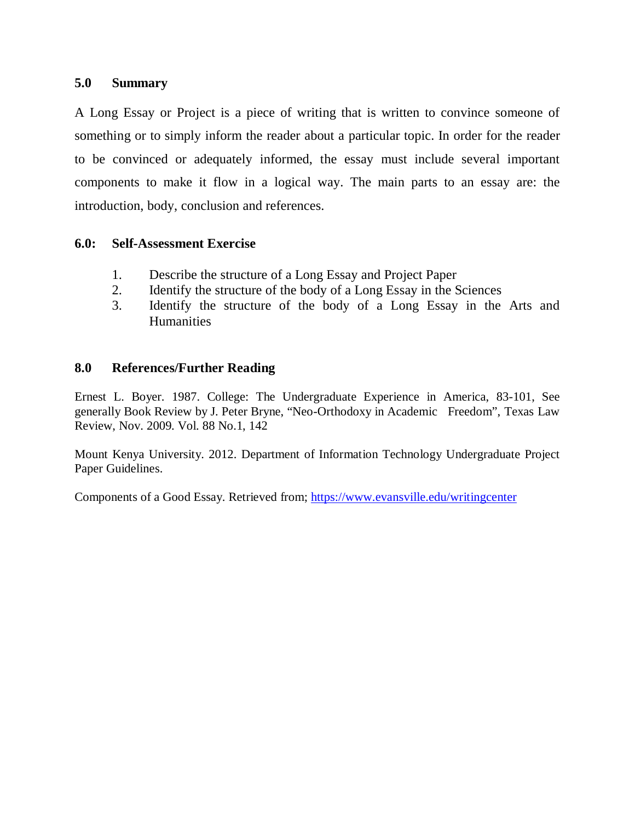#### **5.0 Summary**

A Long Essay or Project is a piece of writing that is written to convince someone of something or to simply inform the reader about a particular topic. In order for the reader to be convinced or adequately informed, the essay must include several important components to make it flow in a logical way. The main parts to an essay are: the introduction, body, conclusion and references.

#### **6.0: Self-Assessment Exercise**

- 1. Describe the structure of a Long Essay and Project Paper
- 2. Identify the structure of the body of a Long Essay in the Sciences
- 3. Identify the structure of the body of a Long Essay in the Arts and **Humanities**

#### **8.0 References/Further Reading**

Ernest L. Boyer. 1987. College: The Undergraduate Experience in America, 83-101, See generally Book Review by J. Peter Bryne, "Neo-Orthodoxy in Academic Freedom", Texas Law Review, Nov. 2009. Vol. 88 No.1, 142

Mount Kenya University. 2012. Department of Information Technology Undergraduate Project Paper Guidelines.

Components of a Good Essay. Retrieved from; https://www.evansville.edu/writingcenter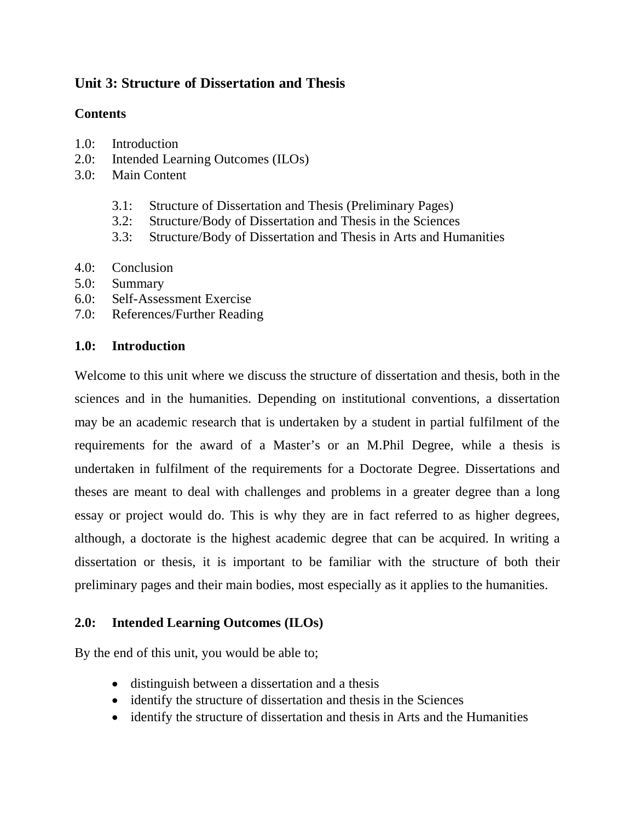# **Unit 3: Structure of Dissertation and Thesis**

## **Contents**

- 1.0: Introduction
- 2.0: Intended Learning Outcomes (ILOs)
- 3.0: Main Content
	- 3.1: Structure of Dissertation and Thesis (Preliminary Pages)
	- 3.2: Structure/Body of Dissertation and Thesis in the Sciences
	- 3.3: Structure/Body of Dissertation and Thesis in Arts and Humanities
- 4.0: Conclusion
- 5.0: Summary
- 6.0: Self-Assessment Exercise
- 7.0: References/Further Reading

## **1.0: Introduction**

Welcome to this unit where we discuss the structure of dissertation and thesis, both in the sciences and in the humanities. Depending on institutional conventions, a dissertation may be an academic research that is undertaken by a student in partial fulfilment of the requirements for the award of a Master's or an M.Phil Degree, while a thesis is undertaken in fulfilment of the requirements for a Doctorate Degree. Dissertations and theses are meant to deal with challenges and problems in a greater degree than a long essay or project would do. This is why they are in fact referred to as higher degrees, although, a doctorate is the highest academic degree that can be acquired. In writing a dissertation or thesis, it is important to be familiar with the structure of both their preliminary pages and their main bodies, most especially as it applies to the humanities.

## **2.0: Intended Learning Outcomes (ILOs)**

By the end of this unit, you would be able to;

- distinguish between a dissertation and a thesis
- identify the structure of dissertation and thesis in the Sciences
- identify the structure of dissertation and thesis in Arts and the Humanities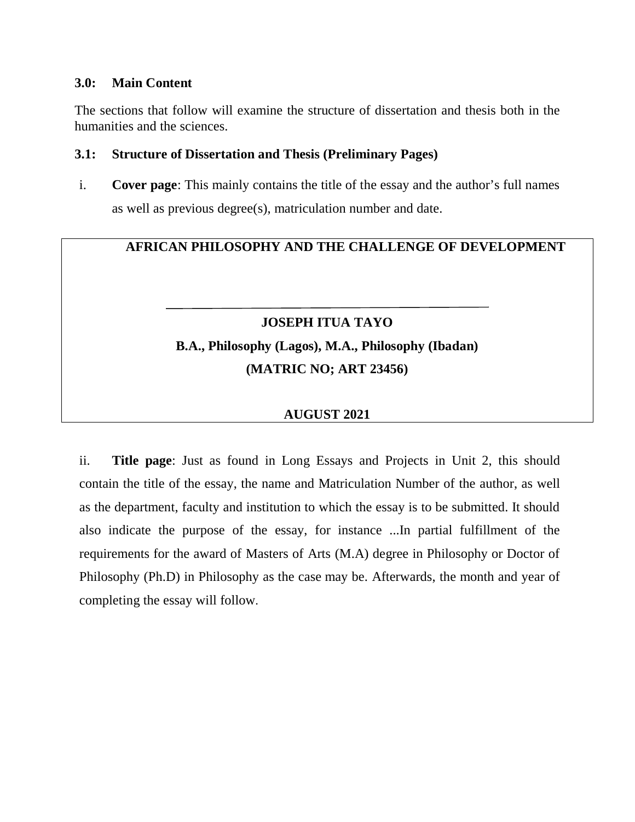#### **3.0: Main Content**

The sections that follow will examine the structure of dissertation and thesis both in the humanities and the sciences.

### **3.1: Structure of Dissertation and Thesis (Preliminary Pages)**

i. **Cover page**: This mainly contains the title of the essay and the author's full names as well as previous degree(s), matriculation number and date.

# **AFRICAN PHILOSOPHY AND THE CHALLENGE OF DEVELOPMENT**

# **JOSEPH ITUA TAYO B.A., Philosophy (Lagos), M.A., Philosophy (Ibadan) (MATRIC NO; ART 23456)**

## **AUGUST 2021**

ii. **Title page**: Just as found in Long Essays and Projects in Unit 2, this should contain the title of the essay, the name and Matriculation Number of the author, as well as the department, faculty and institution to which the essay is to be submitted. It should also indicate the purpose of the essay, for instance ...In partial fulfillment of the requirements for the award of Masters of Arts (M.A) degree in Philosophy or Doctor of Philosophy (Ph.D) in Philosophy as the case may be. Afterwards, the month and year of completing the essay will follow.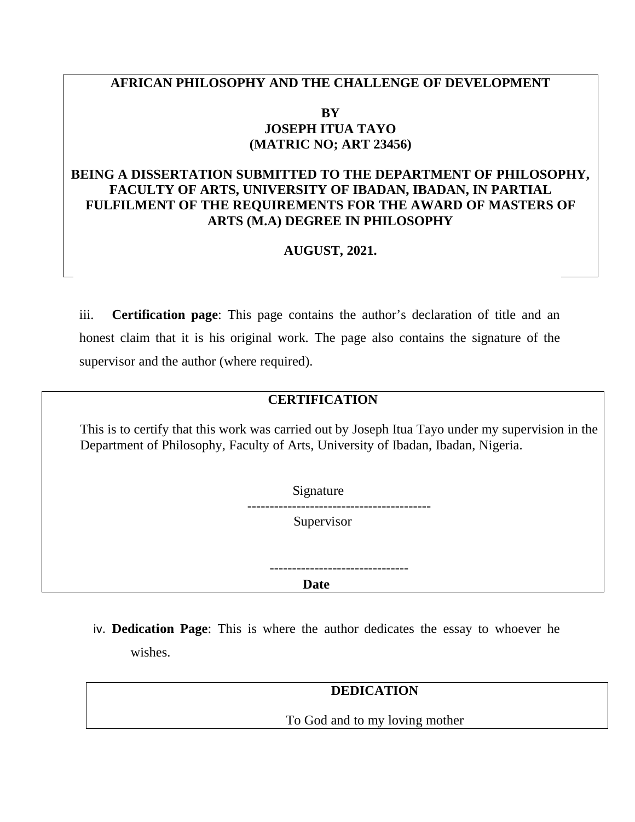## **AFRICAN PHILOSOPHY AND THE CHALLENGE OF DEVELOPMENT**

#### **BY JOSEPH ITUA TAYO (MATRIC NO; ART 23456)**

## **BEING A DISSERTATION SUBMITTED TO THE DEPARTMENT OF PHILOSOPHY, FACULTY OF ARTS, UNIVERSITY OF IBADAN, IBADAN, IN PARTIAL FULFILMENT OF THE REQUIREMENTS FOR THE AWARD OF MASTERS OF ARTS (M.A) DEGREE IN PHILOSOPHY**

## **AUGUST, 2021.**

iii. **Certification page**: This page contains the author's declaration of title and an honest claim that it is his original work. The page also contains the signature of the supervisor and the author (where required).

## **CERTIFICATION**

This is to certify that this work was carried out by Joseph Itua Tayo under my supervision in the Department of Philosophy, Faculty of Arts, University of Ibadan, Ibadan, Nigeria.



-------------------------------

*Date* **Date** 

iv. **Dedication Page**: This is where the author dedicates the essay to whoever he wishes.

#### **DEDICATION**

To God and to my loving mother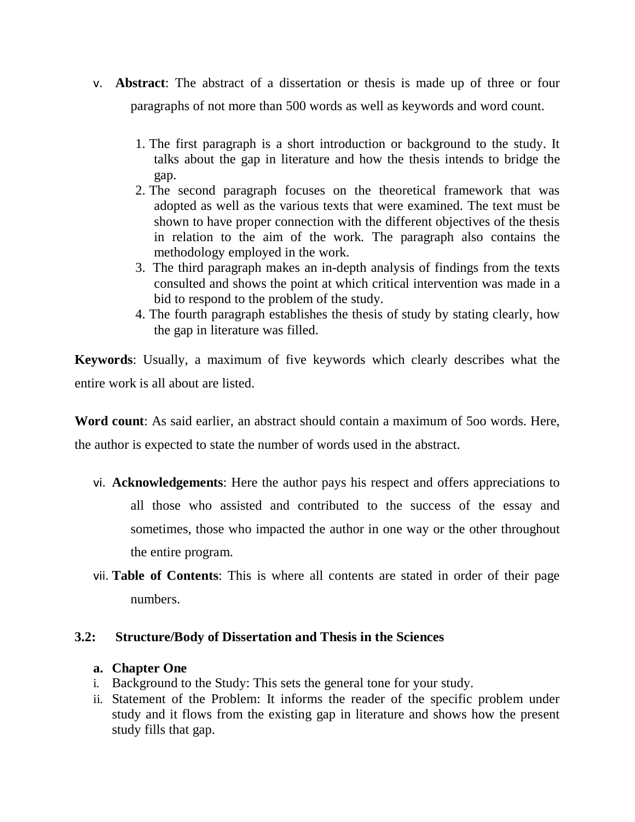- v. **Abstract**: The abstract of a dissertation or thesis is made up of three or four paragraphs of not more than 500 words as well as keywords and word count.
	- 1. The first paragraph is a short introduction or background to the study. It talks about the gap in literature and how the thesis intends to bridge the gap.
	- 2. The second paragraph focuses on the theoretical framework that was adopted as well as the various texts that were examined. The text must be shown to have proper connection with the different objectives of the thesis in relation to the aim of the work. The paragraph also contains the methodology employed in the work.
	- 3. The third paragraph makes an in-depth analysis of findings from the texts consulted and shows the point at which critical intervention was made in a bid to respond to the problem of the study.
	- 4. The fourth paragraph establishes the thesis of study by stating clearly, how the gap in literature was filled.

**Keywords**: Usually, a maximum of five keywords which clearly describes what the entire work is all about are listed.

**Word count**: As said earlier, an abstract should contain a maximum of 5oo words. Here, the author is expected to state the number of words used in the abstract.

- vi. **Acknowledgements**: Here the author pays his respect and offers appreciations to all those who assisted and contributed to the success of the essay and sometimes, those who impacted the author in one way or the other throughout the entire program.
- vii. **Table of Contents**: This is where all contents are stated in order of their page numbers.

#### **3.2: Structure/Body of Dissertation and Thesis in the Sciences**

#### **a. Chapter One**

- i. Background to the Study: This sets the general tone for your study.
- ii. Statement of the Problem: It informs the reader of the specific problem under study and it flows from the existing gap in literature and shows how the present study fills that gap.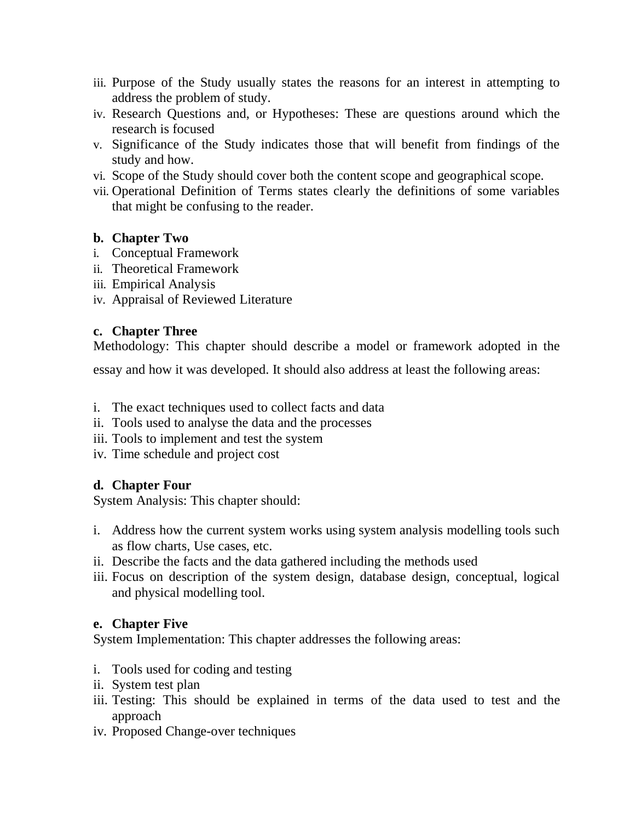- iii. Purpose of the Study usually states the reasons for an interest in attempting to address the problem of study.
- iv. Research Questions and, or Hypotheses: These are questions around which the research is focused
- v. Significance of the Study indicates those that will benefit from findings of the study and how.
- vi. Scope of the Study should cover both the content scope and geographical scope.
- vii. Operational Definition of Terms states clearly the definitions of some variables that might be confusing to the reader.

## **b. Chapter Two**

- i. Conceptual Framework
- ii. Theoretical Framework
- iii. Empirical Analysis
- iv. Appraisal of Reviewed Literature

## **c. Chapter Three**

Methodology: This chapter should describe a model or framework adopted in the

essay and how it was developed. It should also address at least the following areas:

- i. The exact techniques used to collect facts and data
- ii. Tools used to analyse the data and the processes
- iii. Tools to implement and test the system
- iv. Time schedule and project cost

# **d. Chapter Four**

System Analysis: This chapter should:

- i. Address how the current system works using system analysis modelling tools such as flow charts, Use cases, etc.
- ii. Describe the facts and the data gathered including the methods used
- iii. Focus on description of the system design, database design, conceptual, logical and physical modelling tool.

# **e. Chapter Five**

System Implementation: This chapter addresses the following areas:

- i. Tools used for coding and testing
- ii. System test plan
- iii. Testing: This should be explained in terms of the data used to test and the approach
- iv. Proposed Change-over techniques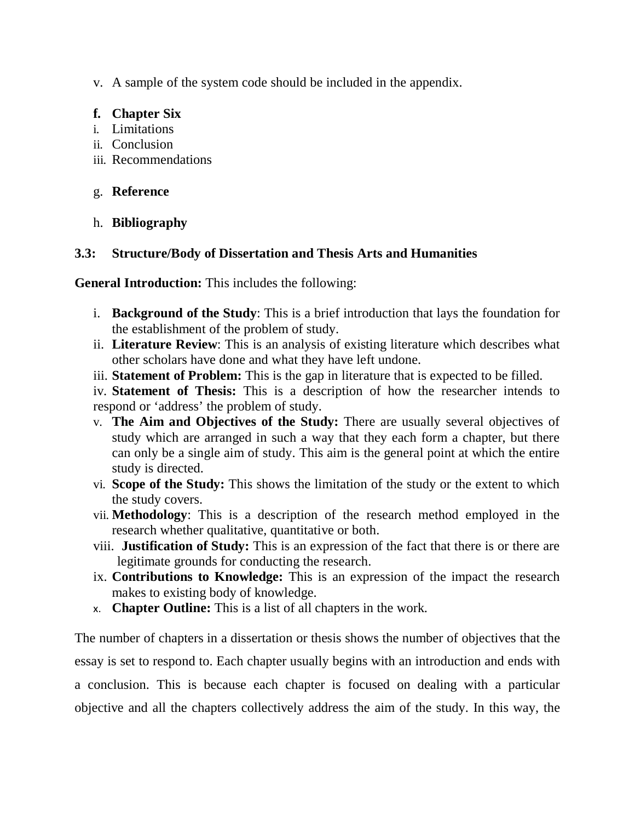v. A sample of the system code should be included in the appendix.

## **f. Chapter Six**

- i. Limitations
- ii. Conclusion
- iii. Recommendations

# g. **Reference**

h. **Bibliography**

# **3.3: Structure/Body of Dissertation and Thesis Arts and Humanities**

**General Introduction:** This includes the following:

- i. **Background of the Study**: This is a brief introduction that lays the foundation for the establishment of the problem of study.
- ii. **Literature Review**: This is an analysis of existing literature which describes what other scholars have done and what they have left undone.
- iii. **Statement of Problem:** This is the gap in literature that is expected to be filled.

iv. **Statement of Thesis:** This is a description of how the researcher intends to respond or 'address' the problem of study.

- v. **The Aim and Objectives of the Study:** There are usually several objectives of study which are arranged in such a way that they each form a chapter, but there can only be a single aim of study. This aim is the general point at which the entire study is directed.
- vi. **Scope of the Study:** This shows the limitation of the study or the extent to which the study covers.
- vii. **Methodology**: This is a description of the research method employed in the research whether qualitative, quantitative or both.
- viii. **Justification of Study:** This is an expression of the fact that there is or there are legitimate grounds for conducting the research.
- ix. **Contributions to Knowledge:** This is an expression of the impact the research makes to existing body of knowledge.
- x. **Chapter Outline:** This is a list of all chapters in the work.

The number of chapters in a dissertation or thesis shows the number of objectives that the essay is set to respond to. Each chapter usually begins with an introduction and ends with a conclusion. This is because each chapter is focused on dealing with a particular objective and all the chapters collectively address the aim of the study. In this way, the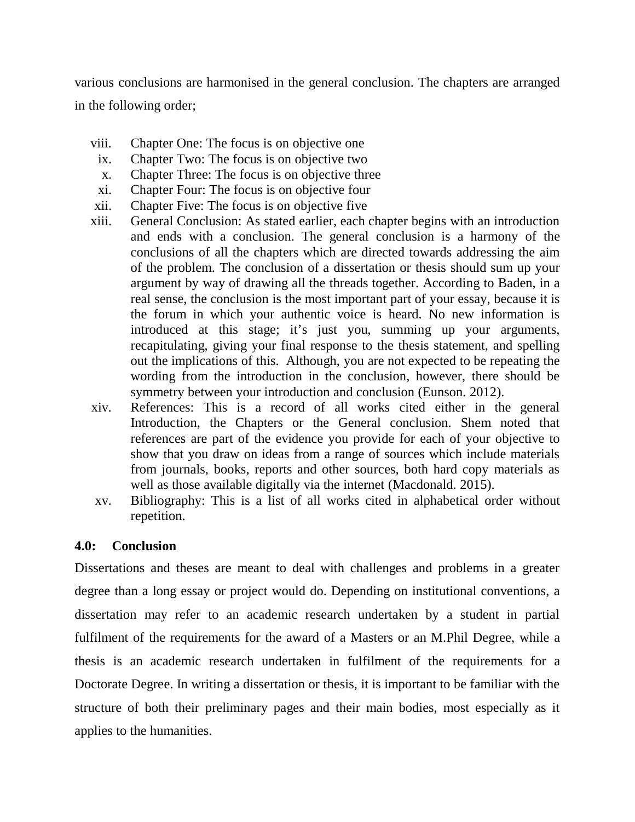various conclusions are harmonised in the general conclusion. The chapters are arranged in the following order;

- viii. Chapter One: The focus is on objective one
- ix. Chapter Two: The focus is on objective two
- x. Chapter Three: The focus is on objective three
- xi. Chapter Four: The focus is on objective four
- xii. Chapter Five: The focus is on objective five
- xiii. General Conclusion: As stated earlier, each chapter begins with an introduction and ends with a conclusion. The general conclusion is a harmony of the conclusions of all the chapters which are directed towards addressing the aim of the problem. The conclusion of a dissertation or thesis should sum up your argument by way of drawing all the threads together. According to Baden, in a real sense, the conclusion is the most important part of your essay, because it is the forum in which your authentic voice is heard. No new information is introduced at this stage; it's just you, summing up your arguments, recapitulating, giving your final response to the thesis statement, and spelling out the implications of this. Although, you are not expected to be repeating the wording from the introduction in the conclusion, however, there should be symmetry between your introduction and conclusion (Eunson. 2012).
- xiv. References: This is a record of all works cited either in the general Introduction, the Chapters or the General conclusion. Shem noted that references are part of the evidence you provide for each of your objective to show that you draw on ideas from a range of sources which include materials from journals, books, reports and other sources, both hard copy materials as well as those available digitally via the internet (Macdonald. 2015).
- xv. Bibliography: This is a list of all works cited in alphabetical order without repetition.

## **4.0: Conclusion**

Dissertations and theses are meant to deal with challenges and problems in a greater degree than a long essay or project would do. Depending on institutional conventions, a dissertation may refer to an academic research undertaken by a student in partial fulfilment of the requirements for the award of a Masters or an M.Phil Degree, while a thesis is an academic research undertaken in fulfilment of the requirements for a Doctorate Degree. In writing a dissertation or thesis, it is important to be familiar with the structure of both their preliminary pages and their main bodies, most especially as it applies to the humanities.